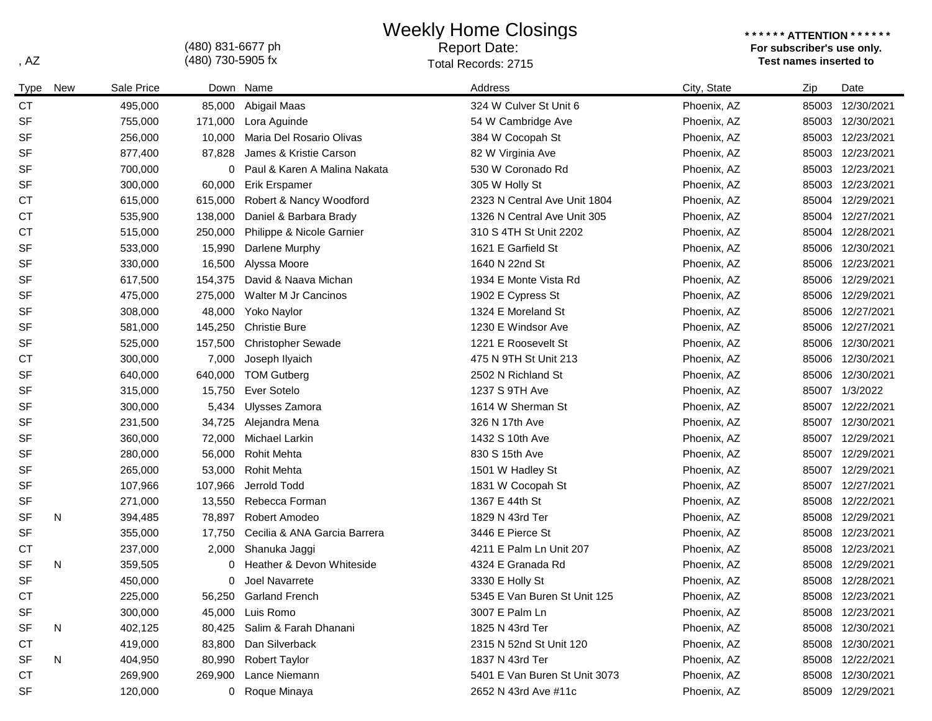Weekly Home Closings

Report Date:

(480) 831-6677 ph

**\* \* \* \* \* \* ATTENTION \* \* \* \* \* \* For subscriber's use only.**  , AZ **Test names inserted to** a state of the Cords of Total Records: 2715

| Type      | New | Sale Price |         | Down Name                    | Address                       | City, State | Zip   | Date             |
|-----------|-----|------------|---------|------------------------------|-------------------------------|-------------|-------|------------------|
| <b>CT</b> |     | 495,000    | 85,000  | Abigail Maas                 | 324 W Culver St Unit 6        | Phoenix, AZ | 85003 | 12/30/2021       |
| <b>SF</b> |     | 755,000    |         | 171,000 Lora Aguinde         | 54 W Cambridge Ave            | Phoenix, AZ |       | 85003 12/30/2021 |
| <b>SF</b> |     | 256,000    | 10,000  | Maria Del Rosario Olivas     | 384 W Cocopah St              | Phoenix, AZ |       | 85003 12/23/2021 |
| <b>SF</b> |     | 877,400    | 87,828  | James & Kristie Carson       | 82 W Virginia Ave             | Phoenix, AZ |       | 85003 12/23/2021 |
| <b>SF</b> |     | 700,000    | 0       | Paul & Karen A Malina Nakata | 530 W Coronado Rd             | Phoenix, AZ |       | 85003 12/23/2021 |
| <b>SF</b> |     | 300,000    | 60,000  | <b>Erik Erspamer</b>         | 305 W Holly St                | Phoenix, AZ |       | 85003 12/23/2021 |
| <b>CT</b> |     | 615,000    | 615,000 | Robert & Nancy Woodford      | 2323 N Central Ave Unit 1804  | Phoenix, AZ |       | 85004 12/29/2021 |
| <b>CT</b> |     | 535,900    | 138,000 | Daniel & Barbara Brady       | 1326 N Central Ave Unit 305   | Phoenix, AZ |       | 85004 12/27/2021 |
| <b>CT</b> |     | 515,000    | 250,000 | Philippe & Nicole Garnier    | 310 S 4TH St Unit 2202        | Phoenix, AZ | 85004 | 12/28/2021       |
| <b>SF</b> |     | 533,000    | 15,990  | Darlene Murphy               | 1621 E Garfield St            | Phoenix, AZ | 85006 | 12/30/2021       |
| <b>SF</b> |     | 330,000    | 16,500  | Alyssa Moore                 | 1640 N 22nd St                | Phoenix, AZ |       | 85006 12/23/2021 |
| <b>SF</b> |     | 617,500    | 154,375 | David & Naava Michan         | 1934 E Monte Vista Rd         | Phoenix, AZ |       | 85006 12/29/2021 |
| <b>SF</b> |     | 475,000    | 275,000 | Walter M Jr Cancinos         | 1902 E Cypress St             | Phoenix, AZ |       | 85006 12/29/2021 |
| <b>SF</b> |     | 308,000    | 48,000  | Yoko Naylor                  | 1324 E Moreland St            | Phoenix, AZ |       | 85006 12/27/2021 |
| <b>SF</b> |     | 581,000    | 145,250 | <b>Christie Bure</b>         | 1230 E Windsor Ave            | Phoenix, AZ |       | 85006 12/27/2021 |
| <b>SF</b> |     | 525,000    | 157,500 | <b>Christopher Sewade</b>    | 1221 E Roosevelt St           | Phoenix, AZ | 85006 | 12/30/2021       |
| <b>CT</b> |     | 300,000    | 7,000   | Joseph Ilyaich               | 475 N 9TH St Unit 213         | Phoenix, AZ | 85006 | 12/30/2021       |
| <b>SF</b> |     | 640,000    | 640,000 | <b>TOM Gutberg</b>           | 2502 N Richland St            | Phoenix, AZ | 85006 | 12/30/2021       |
| <b>SF</b> |     | 315,000    | 15,750  | Ever Sotelo                  | 1237 S 9TH Ave                | Phoenix, AZ | 85007 | 1/3/2022         |
| <b>SF</b> |     | 300,000    | 5,434   | Ulysses Zamora               | 1614 W Sherman St             | Phoenix, AZ |       | 85007 12/22/2021 |
| <b>SF</b> |     | 231,500    | 34,725  | Alejandra Mena               | 326 N 17th Ave                | Phoenix, AZ |       | 85007 12/30/2021 |
| <b>SF</b> |     | 360,000    | 72,000  | Michael Larkin               | 1432 S 10th Ave               | Phoenix, AZ |       | 85007 12/29/2021 |
| SF        |     | 280,000    | 56,000  | <b>Rohit Mehta</b>           | 830 S 15th Ave                | Phoenix, AZ | 85007 | 12/29/2021       |
| <b>SF</b> |     | 265,000    | 53,000  | <b>Rohit Mehta</b>           | 1501 W Hadley St              | Phoenix, AZ | 85007 | 12/29/2021       |
| SF        |     | 107,966    | 107,966 | Jerrold Todd                 | 1831 W Cocopah St             | Phoenix, AZ | 85007 | 12/27/2021       |
| SF        |     | 271,000    | 13,550  | Rebecca Forman               | 1367 E 44th St                | Phoenix, AZ | 85008 | 12/22/2021       |
| SF        | N   | 394,485    | 78,897  | Robert Amodeo                | 1829 N 43rd Ter               | Phoenix, AZ |       | 85008 12/29/2021 |
| <b>SF</b> |     | 355,000    | 17,750  | Cecilia & ANA Garcia Barrera | 3446 E Pierce St              | Phoenix, AZ | 85008 | 12/23/2021       |
| СT        |     | 237,000    | 2,000   | Shanuka Jaggi                | 4211 E Palm Ln Unit 207       | Phoenix, AZ | 85008 | 12/23/2021       |
| <b>SF</b> | N   | 359,505    | 0       | Heather & Devon Whiteside    | 4324 E Granada Rd             | Phoenix, AZ | 85008 | 12/29/2021       |
| <b>SF</b> |     | 450,000    | 0       | Joel Navarrete               | 3330 E Holly St               | Phoenix, AZ | 85008 | 12/28/2021       |
| <b>CT</b> |     | 225,000    | 56,250  | <b>Garland French</b>        | 5345 E Van Buren St Unit 125  | Phoenix, AZ |       | 85008 12/23/2021 |
| <b>SF</b> |     | 300,000    |         | 45,000 Luis Romo             | 3007 E Palm Ln                | Phoenix, AZ |       | 85008 12/23/2021 |
| SF        | N   | 402,125    |         | 80,425 Salim & Farah Dhanani | 1825 N 43rd Ter               | Phoenix, AZ |       | 85008 12/30/2021 |
| <b>CT</b> |     | 419,000    |         | 83,800 Dan Silverback        | 2315 N 52nd St Unit 120       | Phoenix, AZ |       | 85008 12/30/2021 |
| <b>SF</b> | N   | 404,950    | 80,990  | <b>Robert Taylor</b>         | 1837 N 43rd Ter               | Phoenix, AZ |       | 85008 12/22/2021 |
| <b>CT</b> |     | 269,900    | 269,900 | Lance Niemann                | 5401 E Van Buren St Unit 3073 | Phoenix, AZ |       | 85008 12/30/2021 |
| SF        |     | 120,000    |         | 0 Roque Minaya               | 2652 N 43rd Ave #11c          | Phoenix, AZ |       | 85009 12/29/2021 |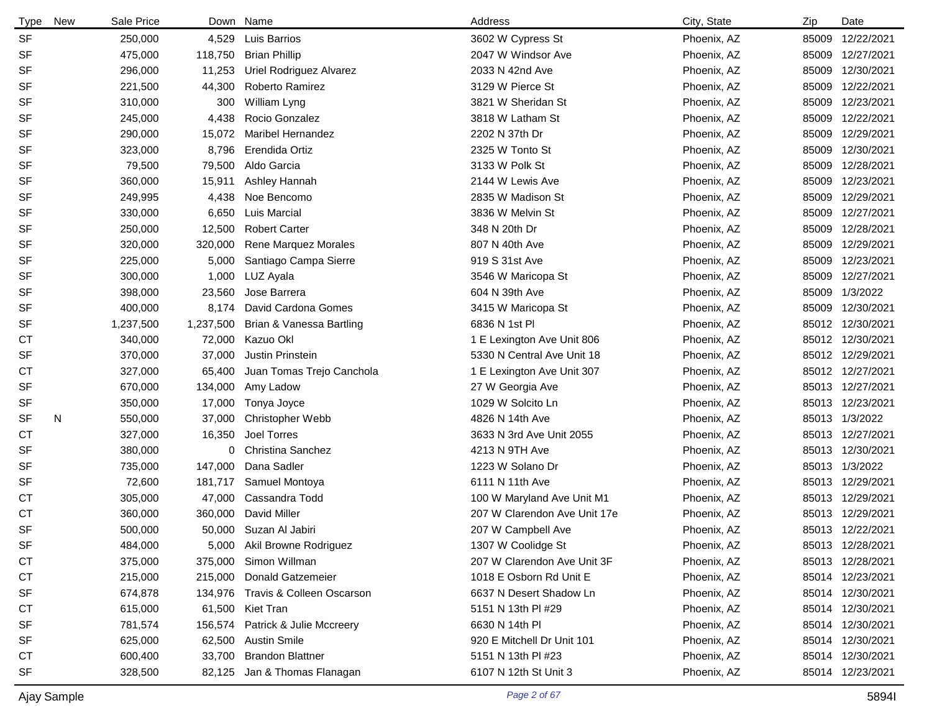| <b>Type</b> | <b>New</b> | Sale Price | Down      | Name                              | Address                      | City, State | Zip | Date             |
|-------------|------------|------------|-----------|-----------------------------------|------------------------------|-------------|-----|------------------|
| <b>SF</b>   |            | 250,000    | 4,529     | <b>Luis Barrios</b>               | 3602 W Cypress St            | Phoenix, AZ |     | 85009 12/22/2021 |
| SF          |            | 475,000    | 118,750   | <b>Brian Phillip</b>              | 2047 W Windsor Ave           | Phoenix, AZ |     | 85009 12/27/2021 |
| <b>SF</b>   |            | 296,000    | 11,253    | Uriel Rodriguez Alvarez           | 2033 N 42nd Ave              | Phoenix, AZ |     | 85009 12/30/2021 |
| <b>SF</b>   |            | 221,500    | 44,300    | Roberto Ramirez                   | 3129 W Pierce St             | Phoenix, AZ |     | 85009 12/22/2021 |
| <b>SF</b>   |            | 310,000    | 300       | William Lyng                      | 3821 W Sheridan St           | Phoenix, AZ |     | 85009 12/23/2021 |
| <b>SF</b>   |            | 245,000    | 4,438     | Rocio Gonzalez                    | 3818 W Latham St             | Phoenix, AZ |     | 85009 12/22/2021 |
| <b>SF</b>   |            | 290,000    | 15,072    | <b>Maribel Hernandez</b>          | 2202 N 37th Dr               | Phoenix, AZ |     | 85009 12/29/2021 |
| <b>SF</b>   |            | 323,000    | 8,796     | Erendida Ortiz                    | 2325 W Tonto St              | Phoenix, AZ |     | 85009 12/30/2021 |
| <b>SF</b>   |            | 79,500     | 79,500    | Aldo Garcia                       | 3133 W Polk St               | Phoenix, AZ |     | 85009 12/28/2021 |
| <b>SF</b>   |            | 360,000    | 15,911    | Ashley Hannah                     | 2144 W Lewis Ave             | Phoenix, AZ |     | 85009 12/23/2021 |
| <b>SF</b>   |            | 249,995    | 4,438     | Noe Bencomo                       | 2835 W Madison St            | Phoenix, AZ |     | 85009 12/29/2021 |
| <b>SF</b>   |            | 330,000    | 6,650     | <b>Luis Marcial</b>               | 3836 W Melvin St             | Phoenix, AZ |     | 85009 12/27/2021 |
| <b>SF</b>   |            | 250,000    | 12,500    | <b>Robert Carter</b>              | 348 N 20th Dr                | Phoenix, AZ |     | 85009 12/28/2021 |
| <b>SF</b>   |            | 320,000    | 320,000   | Rene Marquez Morales              | 807 N 40th Ave               | Phoenix, AZ |     | 85009 12/29/2021 |
| <b>SF</b>   |            | 225,000    | 5,000     | Santiago Campa Sierre             | 919 S 31st Ave               | Phoenix, AZ |     | 85009 12/23/2021 |
| <b>SF</b>   |            | 300,000    | 1,000     | LUZ Ayala                         | 3546 W Maricopa St           | Phoenix, AZ |     | 85009 12/27/2021 |
| <b>SF</b>   |            | 398,000    | 23,560    | Jose Barrera                      | 604 N 39th Ave               | Phoenix, AZ |     | 85009 1/3/2022   |
| <b>SF</b>   |            | 400,000    | 8,174     | David Cardona Gomes               | 3415 W Maricopa St           | Phoenix, AZ |     | 85009 12/30/2021 |
| SF          |            | 1,237,500  | 1,237,500 | Brian & Vanessa Bartling          | 6836 N 1st Pl                | Phoenix, AZ |     | 85012 12/30/2021 |
| СT          |            | 340,000    | 72,000    | Kazuo Okl                         | 1 E Lexington Ave Unit 806   | Phoenix, AZ |     | 85012 12/30/2021 |
| <b>SF</b>   |            | 370,000    | 37,000    | Justin Prinstein                  | 5330 N Central Ave Unit 18   | Phoenix, AZ |     | 85012 12/29/2021 |
| СT          |            | 327,000    | 65,400    | Juan Tomas Trejo Canchola         | 1 E Lexington Ave Unit 307   | Phoenix, AZ |     | 85012 12/27/2021 |
| SF          |            | 670,000    | 134,000   | Amy Ladow                         | 27 W Georgia Ave             | Phoenix, AZ |     | 85013 12/27/2021 |
| SF          |            | 350,000    | 17,000    | Tonya Joyce                       | 1029 W Solcito Ln            | Phoenix, AZ |     | 85013 12/23/2021 |
| SF          | N          | 550,000    | 37,000    | <b>Christopher Webb</b>           | 4826 N 14th Ave              | Phoenix, AZ |     | 85013 1/3/2022   |
| СT          |            | 327,000    | 16,350    | Joel Torres                       | 3633 N 3rd Ave Unit 2055     | Phoenix, AZ |     | 85013 12/27/2021 |
| <b>SF</b>   |            | 380,000    | 0         | <b>Christina Sanchez</b>          | 4213 N 9TH Ave               | Phoenix, AZ |     | 85013 12/30/2021 |
| <b>SF</b>   |            | 735,000    | 147,000   | Dana Sadler                       | 1223 W Solano Dr             | Phoenix, AZ |     | 85013 1/3/2022   |
| SF          |            | 72,600     | 181,717   | Samuel Montoya                    | 6111 N 11th Ave              | Phoenix, AZ |     | 85013 12/29/2021 |
| СT          |            | 305,000    | 47,000    | Cassandra Todd                    | 100 W Maryland Ave Unit M1   | Phoenix, AZ |     | 85013 12/29/2021 |
| <b>CT</b>   |            | 360,000    | 360,000   | David Miller                      | 207 W Clarendon Ave Unit 17e | Phoenix, AZ |     | 85013 12/29/2021 |
| <b>SF</b>   |            | 500,000    |           | 50,000 Suzan Al Jabiri            | 207 W Campbell Ave           | Phoenix, AZ |     | 85013 12/22/2021 |
| SF          |            | 484,000    |           | 5,000 Akil Browne Rodriguez       | 1307 W Coolidge St           | Phoenix, AZ |     | 85013 12/28/2021 |
| <b>CT</b>   |            | 375,000    |           | 375,000 Simon Willman             | 207 W Clarendon Ave Unit 3F  | Phoenix, AZ |     | 85013 12/28/2021 |
| СT          |            | 215,000    |           | 215,000 Donald Gatzemeier         | 1018 E Osborn Rd Unit E      | Phoenix, AZ |     | 85014 12/23/2021 |
| SF          |            | 674,878    |           | 134,976 Travis & Colleen Oscarson | 6637 N Desert Shadow Ln      | Phoenix, AZ |     | 85014 12/30/2021 |
| СT          |            | 615,000    |           | 61,500 Kiet Tran                  | 5151 N 13th PI #29           | Phoenix, AZ |     | 85014 12/30/2021 |
| SF          |            | 781,574    |           | 156,574 Patrick & Julie Mccreery  | 6630 N 14th PI               | Phoenix, AZ |     | 85014 12/30/2021 |
| SF          |            | 625,000    |           | 62,500 Austin Smile               | 920 E Mitchell Dr Unit 101   | Phoenix, AZ |     | 85014 12/30/2021 |
| СT          |            | 600,400    |           | 33,700 Brandon Blattner           | 5151 N 13th PI #23           | Phoenix, AZ |     | 85014 12/30/2021 |
| <b>SF</b>   |            | 328,500    |           | 82,125 Jan & Thomas Flanagan      | 6107 N 12th St Unit 3        | Phoenix, AZ |     | 85014 12/23/2021 |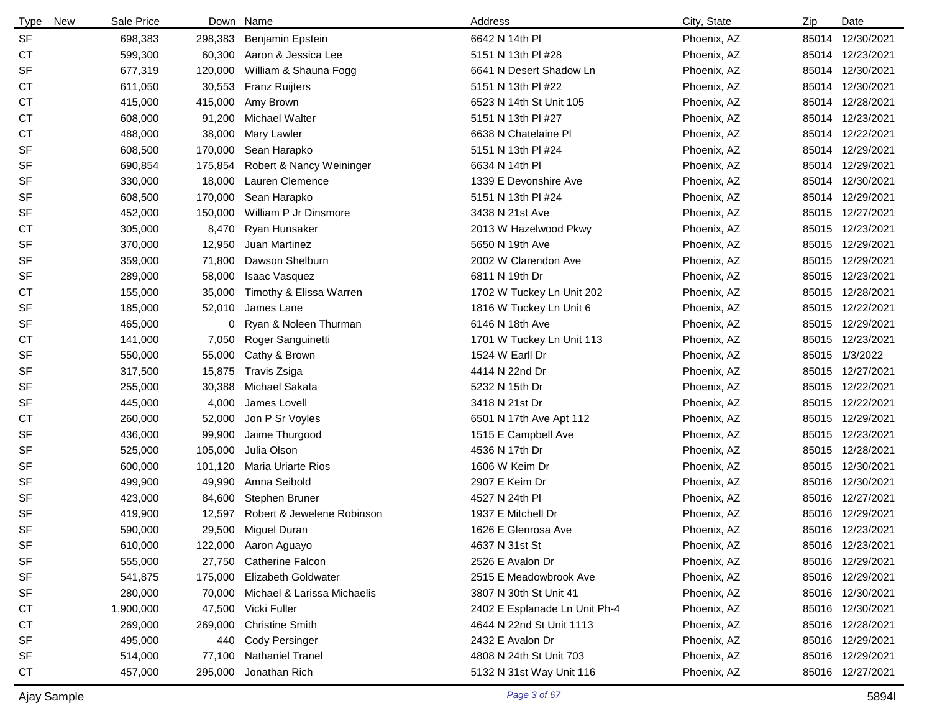| <b>Type</b><br><b>New</b> | Sale Price |         | Down Name                   | Address                       | City, State | Zip | Date             |
|---------------------------|------------|---------|-----------------------------|-------------------------------|-------------|-----|------------------|
| <b>SF</b>                 | 698,383    | 298,383 | Benjamin Epstein            | 6642 N 14th PI                | Phoenix, AZ |     | 85014 12/30/2021 |
| <b>CT</b>                 | 599,300    | 60,300  | Aaron & Jessica Lee         | 5151 N 13th PI #28            | Phoenix, AZ |     | 85014 12/23/2021 |
| SF                        | 677,319    | 120,000 | William & Shauna Fogg       | 6641 N Desert Shadow Ln       | Phoenix, AZ |     | 85014 12/30/2021 |
| СT                        | 611,050    | 30,553  | <b>Franz Ruijters</b>       | 5151 N 13th PI #22            | Phoenix, AZ |     | 85014 12/30/2021 |
| <b>CT</b>                 | 415,000    | 415,000 | Amy Brown                   | 6523 N 14th St Unit 105       | Phoenix, AZ |     | 85014 12/28/2021 |
| СT                        | 608,000    | 91,200  | Michael Walter              | 5151 N 13th PI #27            | Phoenix, AZ |     | 85014 12/23/2021 |
| <b>CT</b>                 | 488,000    | 38,000  | <b>Mary Lawler</b>          | 6638 N Chatelaine Pl          | Phoenix, AZ |     | 85014 12/22/2021 |
| <b>SF</b>                 | 608,500    | 170,000 | Sean Harapko                | 5151 N 13th PI #24            | Phoenix, AZ |     | 85014 12/29/2021 |
| SF                        | 690,854    | 175,854 | Robert & Nancy Weininger    | 6634 N 14th Pl                | Phoenix, AZ |     | 85014 12/29/2021 |
| <b>SF</b>                 | 330,000    | 18,000  | Lauren Clemence             | 1339 E Devonshire Ave         | Phoenix, AZ |     | 85014 12/30/2021 |
| SF                        | 608,500    | 170,000 | Sean Harapko                | 5151 N 13th PI #24            | Phoenix, AZ |     | 85014 12/29/2021 |
| <b>SF</b>                 | 452,000    | 150,000 | William P Jr Dinsmore       | 3438 N 21st Ave               | Phoenix, AZ |     | 85015 12/27/2021 |
| СT                        | 305,000    | 8,470   | Ryan Hunsaker               | 2013 W Hazelwood Pkwy         | Phoenix, AZ |     | 85015 12/23/2021 |
| <b>SF</b>                 | 370,000    | 12,950  | Juan Martinez               | 5650 N 19th Ave               | Phoenix, AZ |     | 85015 12/29/2021 |
| <b>SF</b>                 | 359,000    | 71,800  | Dawson Shelburn             | 2002 W Clarendon Ave          | Phoenix, AZ |     | 85015 12/29/2021 |
| <b>SF</b>                 | 289,000    | 58,000  | Isaac Vasquez               | 6811 N 19th Dr                | Phoenix, AZ |     | 85015 12/23/2021 |
| <b>CT</b>                 | 155,000    | 35,000  | Timothy & Elissa Warren     | 1702 W Tuckey Ln Unit 202     | Phoenix, AZ |     | 85015 12/28/2021 |
| <b>SF</b>                 | 185,000    | 52,010  | James Lane                  | 1816 W Tuckey Ln Unit 6       | Phoenix, AZ |     | 85015 12/22/2021 |
| SF                        | 465,000    | 0       | Ryan & Noleen Thurman       | 6146 N 18th Ave               | Phoenix, AZ |     | 85015 12/29/2021 |
| СT                        | 141,000    | 7,050   | Roger Sanguinetti           | 1701 W Tuckey Ln Unit 113     | Phoenix, AZ |     | 85015 12/23/2021 |
| <b>SF</b>                 | 550,000    | 55,000  | Cathy & Brown               | 1524 W Earll Dr               | Phoenix, AZ |     | 85015 1/3/2022   |
| <b>SF</b>                 | 317,500    | 15,875  | Travis Zsiga                | 4414 N 22nd Dr                | Phoenix, AZ |     | 85015 12/27/2021 |
| SF                        | 255,000    | 30,388  | Michael Sakata              | 5232 N 15th Dr                | Phoenix, AZ |     | 85015 12/22/2021 |
| <b>SF</b>                 | 445,000    | 4,000   | James Lovell                | 3418 N 21st Dr                | Phoenix, AZ |     | 85015 12/22/2021 |
| <b>CT</b>                 | 260,000    | 52,000  | Jon P Sr Voyles             | 6501 N 17th Ave Apt 112       | Phoenix, AZ |     | 85015 12/29/2021 |
| <b>SF</b>                 | 436,000    | 99,900  | Jaime Thurgood              | 1515 E Campbell Ave           | Phoenix, AZ |     | 85015 12/23/2021 |
| <b>SF</b>                 | 525,000    | 105,000 | Julia Olson                 | 4536 N 17th Dr                | Phoenix, AZ |     | 85015 12/28/2021 |
| SF                        | 600,000    | 101,120 | <b>Maria Uriarte Rios</b>   | 1606 W Keim Dr                | Phoenix, AZ |     | 85015 12/30/2021 |
| <b>SF</b>                 | 499,900    | 49,990  | Amna Seibold                | 2907 E Keim Dr                | Phoenix, AZ |     | 85016 12/30/2021 |
| <b>SF</b>                 | 423,000    | 84,600  | Stephen Bruner              | 4527 N 24th PI                | Phoenix, AZ |     | 85016 12/27/2021 |
| <b>SF</b>                 | 419,900    | 12,597  | Robert & Jewelene Robinson  | 1937 E Mitchell Dr            | Phoenix, AZ |     | 85016 12/29/2021 |
| <b>SF</b>                 | 590,000    |         | 29,500 Miguel Duran         | 1626 E Glenrosa Ave           | Phoenix, AZ |     | 85016 12/23/2021 |
| SF                        | 610,000    | 122,000 | Aaron Aguayo                | 4637 N 31st St                | Phoenix, AZ |     | 85016 12/23/2021 |
| SF                        | 555,000    | 27,750  | <b>Catherine Falcon</b>     | 2526 E Avalon Dr              | Phoenix, AZ |     | 85016 12/29/2021 |
| SF                        | 541,875    | 175,000 | <b>Elizabeth Goldwater</b>  | 2515 E Meadowbrook Ave        | Phoenix, AZ |     | 85016 12/29/2021 |
| SF                        | 280,000    | 70,000  | Michael & Larissa Michaelis | 3807 N 30th St Unit 41        | Phoenix, AZ |     | 85016 12/30/2021 |
| <b>CT</b>                 | 1,900,000  | 47,500  | Vicki Fuller                | 2402 E Esplanade Ln Unit Ph-4 | Phoenix, AZ |     | 85016 12/30/2021 |
| СT                        | 269,000    | 269,000 | <b>Christine Smith</b>      | 4644 N 22nd St Unit 1113      | Phoenix, AZ |     | 85016 12/28/2021 |
| <b>SF</b>                 | 495,000    | 440     | <b>Cody Persinger</b>       | 2432 E Avalon Dr              | Phoenix, AZ |     | 85016 12/29/2021 |
| SF                        | 514,000    | 77,100  | <b>Nathaniel Tranel</b>     | 4808 N 24th St Unit 703       | Phoenix, AZ |     | 85016 12/29/2021 |
| <b>CT</b>                 | 457,000    | 295,000 | Jonathan Rich               | 5132 N 31st Way Unit 116      | Phoenix, AZ |     | 85016 12/27/2021 |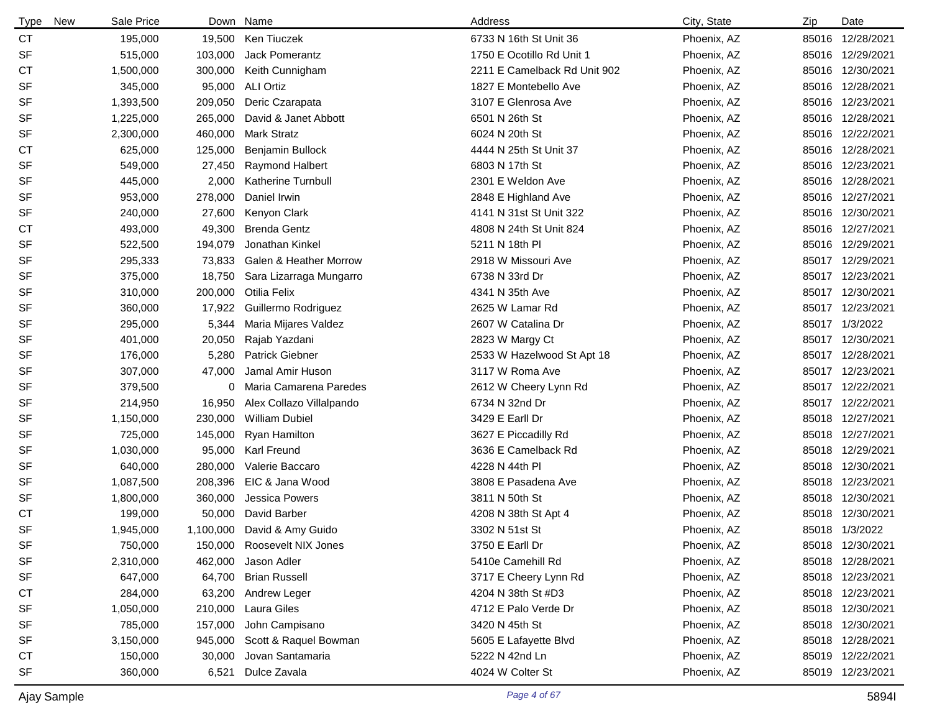| New<br>Type | Sale Price |         | Down Name                         | Address                      | City, State | Zip | Date             |
|-------------|------------|---------|-----------------------------------|------------------------------|-------------|-----|------------------|
| <b>CT</b>   | 195,000    |         | 19,500 Ken Tiuczek                | 6733 N 16th St Unit 36       | Phoenix, AZ |     | 85016 12/28/2021 |
| <b>SF</b>   | 515,000    | 103,000 | Jack Pomerantz                    | 1750 E Ocotillo Rd Unit 1    | Phoenix, AZ |     | 85016 12/29/2021 |
| <b>CT</b>   | 1,500,000  | 300,000 | Keith Cunnigham                   | 2211 E Camelback Rd Unit 902 | Phoenix, AZ |     | 85016 12/30/2021 |
| <b>SF</b>   | 345,000    | 95,000  | <b>ALI Ortiz</b>                  | 1827 E Montebello Ave        | Phoenix, AZ |     | 85016 12/28/2021 |
| <b>SF</b>   | 1,393,500  | 209,050 | Deric Czarapata                   | 3107 E Glenrosa Ave          | Phoenix, AZ |     | 85016 12/23/2021 |
| <b>SF</b>   | 1,225,000  | 265,000 | David & Janet Abbott              | 6501 N 26th St               | Phoenix, AZ |     | 85016 12/28/2021 |
| <b>SF</b>   | 2,300,000  | 460,000 | <b>Mark Stratz</b>                | 6024 N 20th St               | Phoenix, AZ |     | 85016 12/22/2021 |
| <b>CT</b>   | 625,000    | 125,000 | Benjamin Bullock                  | 4444 N 25th St Unit 37       | Phoenix, AZ |     | 85016 12/28/2021 |
| <b>SF</b>   | 549,000    | 27,450  | <b>Raymond Halbert</b>            | 6803 N 17th St               | Phoenix, AZ |     | 85016 12/23/2021 |
| <b>SF</b>   | 445,000    | 2,000   | <b>Katherine Turnbull</b>         | 2301 E Weldon Ave            | Phoenix, AZ |     | 85016 12/28/2021 |
| <b>SF</b>   | 953,000    | 278,000 | Daniel Irwin                      | 2848 E Highland Ave          | Phoenix, AZ |     | 85016 12/27/2021 |
| <b>SF</b>   | 240,000    | 27,600  | Kenyon Clark                      | 4141 N 31st St Unit 322      | Phoenix, AZ |     | 85016 12/30/2021 |
| <b>CT</b>   | 493,000    | 49,300  | <b>Brenda Gentz</b>               | 4808 N 24th St Unit 824      | Phoenix, AZ |     | 85016 12/27/2021 |
| <b>SF</b>   | 522,500    | 194,079 | Jonathan Kinkel                   | 5211 N 18th PI               | Phoenix, AZ |     | 85016 12/29/2021 |
| <b>SF</b>   | 295,333    | 73,833  | <b>Galen &amp; Heather Morrow</b> | 2918 W Missouri Ave          | Phoenix, AZ |     | 85017 12/29/2021 |
| <b>SF</b>   | 375,000    | 18,750  | Sara Lizarraga Mungarro           | 6738 N 33rd Dr               | Phoenix, AZ |     | 85017 12/23/2021 |
| <b>SF</b>   | 310,000    | 200,000 | Otilia Felix                      | 4341 N 35th Ave              | Phoenix, AZ |     | 85017 12/30/2021 |
| <b>SF</b>   | 360,000    | 17,922  | Guillermo Rodriguez               | 2625 W Lamar Rd              | Phoenix, AZ |     | 85017 12/23/2021 |
| <b>SF</b>   | 295,000    | 5,344   | Maria Mijares Valdez              | 2607 W Catalina Dr           | Phoenix, AZ |     | 85017 1/3/2022   |
| <b>SF</b>   | 401,000    | 20,050  | Rajab Yazdani                     | 2823 W Margy Ct              | Phoenix, AZ |     | 85017 12/30/2021 |
| <b>SF</b>   | 176,000    | 5,280   | <b>Patrick Giebner</b>            | 2533 W Hazelwood St Apt 18   | Phoenix, AZ |     | 85017 12/28/2021 |
| SF          | 307,000    | 47,000  | Jamal Amir Huson                  | 3117 W Roma Ave              | Phoenix, AZ |     | 85017 12/23/2021 |
| <b>SF</b>   | 379,500    | 0       | Maria Camarena Paredes            | 2612 W Cheery Lynn Rd        | Phoenix, AZ |     | 85017 12/22/2021 |
| <b>SF</b>   | 214,950    | 16,950  | Alex Collazo Villalpando          | 6734 N 32nd Dr               | Phoenix, AZ |     | 85017 12/22/2021 |
| SF          | 1,150,000  | 230,000 | <b>William Dubiel</b>             | 3429 E Earll Dr              | Phoenix, AZ |     | 85018 12/27/2021 |
| SF          | 725,000    | 145,000 | Ryan Hamilton                     | 3627 E Piccadilly Rd         | Phoenix, AZ |     | 85018 12/27/2021 |
| <b>SF</b>   | 1,030,000  | 95,000  | Karl Freund                       | 3636 E Camelback Rd          | Phoenix, AZ |     | 85018 12/29/2021 |
| <b>SF</b>   | 640,000    | 280,000 | Valerie Baccaro                   | 4228 N 44th PI               | Phoenix, AZ |     | 85018 12/30/2021 |
| <b>SF</b>   | 1,087,500  | 208,396 | EIC & Jana Wood                   | 3808 E Pasadena Ave          | Phoenix, AZ |     | 85018 12/23/2021 |
| SF          | 1,800,000  | 360,000 | Jessica Powers                    | 3811 N 50th St               | Phoenix, AZ |     | 85018 12/30/2021 |
| <b>CT</b>   | 199,000    | 50,000  | David Barber                      | 4208 N 38th St Apt 4         | Phoenix, AZ |     | 85018 12/30/2021 |
| <b>SF</b>   | 1,945,000  |         | 1,100,000 David & Amy Guido       | 3302 N 51st St               | Phoenix, AZ |     | 85018 1/3/2022   |
| SF          | 750,000    |         | 150,000 Roosevelt NIX Jones       | 3750 E Earll Dr              | Phoenix, AZ |     | 85018 12/30/2021 |
| <b>SF</b>   | 2,310,000  | 462,000 | Jason Adler                       | 5410e Camehill Rd            | Phoenix, AZ |     | 85018 12/28/2021 |
| <b>SF</b>   | 647,000    | 64,700  | <b>Brian Russell</b>              | 3717 E Cheery Lynn Rd        | Phoenix, AZ |     | 85018 12/23/2021 |
| <b>CT</b>   | 284,000    | 63,200  | Andrew Leger                      | 4204 N 38th St #D3           | Phoenix, AZ |     | 85018 12/23/2021 |
| <b>SF</b>   | 1,050,000  | 210,000 | Laura Giles                       | 4712 E Palo Verde Dr         | Phoenix, AZ |     | 85018 12/30/2021 |
| SF          | 785,000    | 157,000 | John Campisano                    | 3420 N 45th St               | Phoenix, AZ |     | 85018 12/30/2021 |
| <b>SF</b>   | 3,150,000  | 945,000 | Scott & Raquel Bowman             | 5605 E Lafayette Blvd        | Phoenix, AZ |     | 85018 12/28/2021 |
| СT          | 150,000    | 30,000  | Jovan Santamaria                  | 5222 N 42nd Ln               | Phoenix, AZ |     | 85019 12/22/2021 |
| <b>SF</b>   | 360,000    | 6,521   | Dulce Zavala                      | 4024 W Colter St             | Phoenix, AZ |     | 85019 12/23/2021 |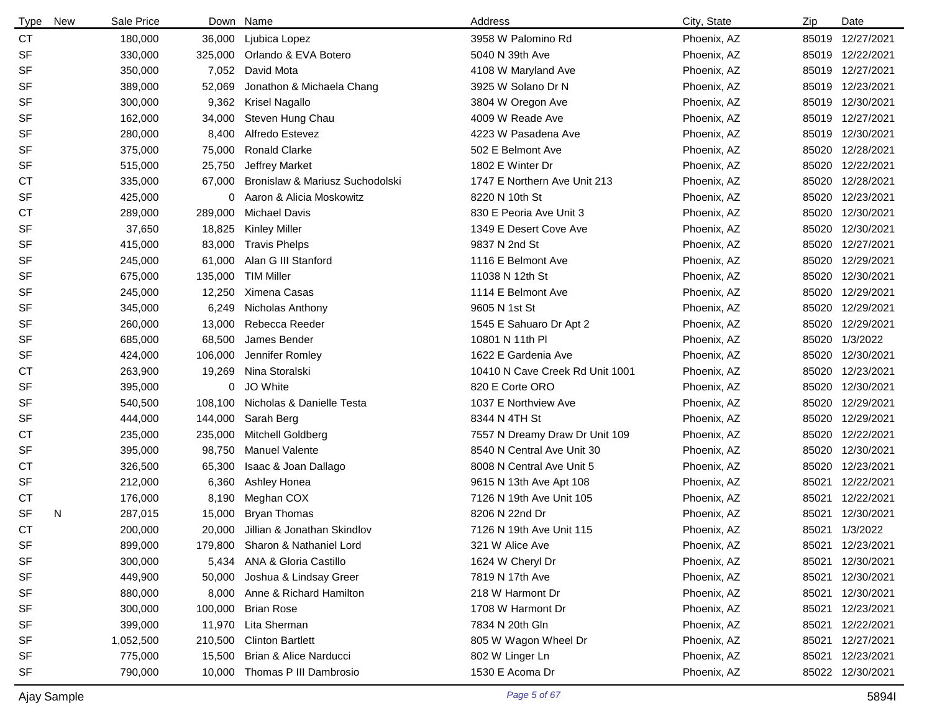| <b>Type</b> | <b>New</b> | Sale Price | Down    | Name                            | Address                         | City, State | Zip   | Date             |
|-------------|------------|------------|---------|---------------------------------|---------------------------------|-------------|-------|------------------|
| <b>CT</b>   |            | 180,000    | 36,000  | Ljubica Lopez                   | 3958 W Palomino Rd              | Phoenix, AZ | 85019 | 12/27/2021       |
| <b>SF</b>   |            | 330,000    | 325,000 | Orlando & EVA Botero            | 5040 N 39th Ave                 | Phoenix, AZ |       | 85019 12/22/2021 |
| <b>SF</b>   |            | 350,000    | 7,052   | David Mota                      | 4108 W Maryland Ave             | Phoenix, AZ |       | 85019 12/27/2021 |
| <b>SF</b>   |            | 389,000    | 52,069  | Jonathon & Michaela Chang       | 3925 W Solano Dr N              | Phoenix, AZ |       | 85019 12/23/2021 |
| <b>SF</b>   |            | 300,000    | 9,362   | Krisel Nagallo                  | 3804 W Oregon Ave               | Phoenix, AZ | 85019 | 12/30/2021       |
| <b>SF</b>   |            | 162,000    | 34,000  | Steven Hung Chau                | 4009 W Reade Ave                | Phoenix, AZ |       | 85019 12/27/2021 |
| <b>SF</b>   |            | 280,000    | 8,400   | Alfredo Estevez                 | 4223 W Pasadena Ave             | Phoenix, AZ |       | 85019 12/30/2021 |
| <b>SF</b>   |            | 375,000    | 75,000  | <b>Ronald Clarke</b>            | 502 E Belmont Ave               | Phoenix, AZ |       | 85020 12/28/2021 |
| <b>SF</b>   |            | 515,000    | 25,750  | Jeffrey Market                  | 1802 E Winter Dr                | Phoenix, AZ | 85020 | 12/22/2021       |
| <b>CT</b>   |            | 335,000    | 67,000  | Bronislaw & Mariusz Suchodolski | 1747 E Northern Ave Unit 213    | Phoenix, AZ |       | 85020 12/28/2021 |
| <b>SF</b>   |            | 425,000    | 0       | Aaron & Alicia Moskowitz        | 8220 N 10th St                  | Phoenix, AZ |       | 85020 12/23/2021 |
| <b>CT</b>   |            | 289,000    | 289,000 | <b>Michael Davis</b>            | 830 E Peoria Ave Unit 3         | Phoenix, AZ | 85020 | 12/30/2021       |
| <b>SF</b>   |            | 37,650     | 18,825  | <b>Kinley Miller</b>            | 1349 E Desert Cove Ave          | Phoenix, AZ | 85020 | 12/30/2021       |
| <b>SF</b>   |            | 415,000    | 83,000  | <b>Travis Phelps</b>            | 9837 N 2nd St                   | Phoenix, AZ | 85020 | 12/27/2021       |
| <b>SF</b>   |            | 245,000    | 61,000  | Alan G III Stanford             | 1116 E Belmont Ave              | Phoenix, AZ | 85020 | 12/29/2021       |
| <b>SF</b>   |            | 675,000    | 135,000 | <b>TIM Miller</b>               | 11038 N 12th St                 | Phoenix, AZ | 85020 | 12/30/2021       |
| <b>SF</b>   |            | 245,000    | 12,250  | Ximena Casas                    | 1114 E Belmont Ave              | Phoenix, AZ | 85020 | 12/29/2021       |
| <b>SF</b>   |            | 345,000    | 6,249   | Nicholas Anthony                | 9605 N 1st St                   | Phoenix, AZ | 85020 | 12/29/2021       |
| <b>SF</b>   |            | 260,000    | 13,000  | Rebecca Reeder                  | 1545 E Sahuaro Dr Apt 2         | Phoenix, AZ | 85020 | 12/29/2021       |
| <b>SF</b>   |            | 685,000    | 68,500  | James Bender                    | 10801 N 11th PI                 | Phoenix, AZ | 85020 | 1/3/2022         |
| SF          |            | 424,000    | 106,000 | Jennifer Romley                 | 1622 E Gardenia Ave             | Phoenix, AZ | 85020 | 12/30/2021       |
| <b>CT</b>   |            | 263,900    | 19,269  | Nina Storalski                  | 10410 N Cave Creek Rd Unit 1001 | Phoenix, AZ | 85020 | 12/23/2021       |
| <b>SF</b>   |            | 395,000    | 0       | JO White                        | 820 E Corte ORO                 | Phoenix, AZ | 85020 | 12/30/2021       |
| <b>SF</b>   |            | 540,500    | 108,100 | Nicholas & Danielle Testa       | 1037 E Northview Ave            | Phoenix, AZ | 85020 | 12/29/2021       |
| <b>SF</b>   |            | 444,000    | 144,000 | Sarah Berg                      | 8344 N 4TH St                   | Phoenix, AZ | 85020 | 12/29/2021       |
| СT          |            | 235,000    | 235,000 | Mitchell Goldberg               | 7557 N Dreamy Draw Dr Unit 109  | Phoenix, AZ | 85020 | 12/22/2021       |
| <b>SF</b>   |            | 395,000    | 98,750  | <b>Manuel Valente</b>           | 8540 N Central Ave Unit 30      | Phoenix, AZ | 85020 | 12/30/2021       |
| <b>CT</b>   |            | 326,500    | 65,300  | Isaac & Joan Dallago            | 8008 N Central Ave Unit 5       | Phoenix, AZ | 85020 | 12/23/2021       |
| SF          |            | 212,000    | 6,360   | Ashley Honea                    | 9615 N 13th Ave Apt 108         | Phoenix, AZ | 85021 | 12/22/2021       |
| СT          |            | 176,000    | 8,190   | Meghan COX                      | 7126 N 19th Ave Unit 105        | Phoenix, AZ | 85021 | 12/22/2021       |
| <b>SF</b>   | N          | 287,015    | 15,000  | <b>Bryan Thomas</b>             | 8206 N 22nd Dr                  | Phoenix, AZ | 85021 | 12/30/2021       |
| <b>CT</b>   |            | 200,000    | 20,000  | Jillian & Jonathan Skindlov     | 7126 N 19th Ave Unit 115        | Phoenix, AZ | 85021 | 1/3/2022         |
| SF          |            | 899,000    |         | 179,800 Sharon & Nathaniel Lord | 321 W Alice Ave                 | Phoenix, AZ | 85021 | 12/23/2021       |
| <b>SF</b>   |            | 300,000    | 5,434   | ANA & Gloria Castillo           | 1624 W Cheryl Dr                | Phoenix, AZ | 85021 | 12/30/2021       |
| <b>SF</b>   |            | 449,900    | 50,000  | Joshua & Lindsay Greer          | 7819 N 17th Ave                 | Phoenix, AZ | 85021 | 12/30/2021       |
| <b>SF</b>   |            | 880,000    | 8,000   | Anne & Richard Hamilton         | 218 W Harmont Dr                | Phoenix, AZ | 85021 | 12/30/2021       |
| <b>SF</b>   |            | 300,000    | 100,000 | <b>Brian Rose</b>               | 1708 W Harmont Dr               | Phoenix, AZ | 85021 | 12/23/2021       |
| SF          |            | 399,000    |         | 11,970 Lita Sherman             | 7834 N 20th Gln                 | Phoenix, AZ | 85021 | 12/22/2021       |
| <b>SF</b>   |            | 1,052,500  | 210,500 | <b>Clinton Bartlett</b>         | 805 W Wagon Wheel Dr            | Phoenix, AZ | 85021 | 12/27/2021       |
| <b>SF</b>   |            | 775,000    | 15,500  | Brian & Alice Narducci          | 802 W Linger Ln                 | Phoenix, AZ | 85021 | 12/23/2021       |
| <b>SF</b>   |            | 790,000    | 10,000  | Thomas P III Dambrosio          | 1530 E Acoma Dr                 | Phoenix, AZ |       | 85022 12/30/2021 |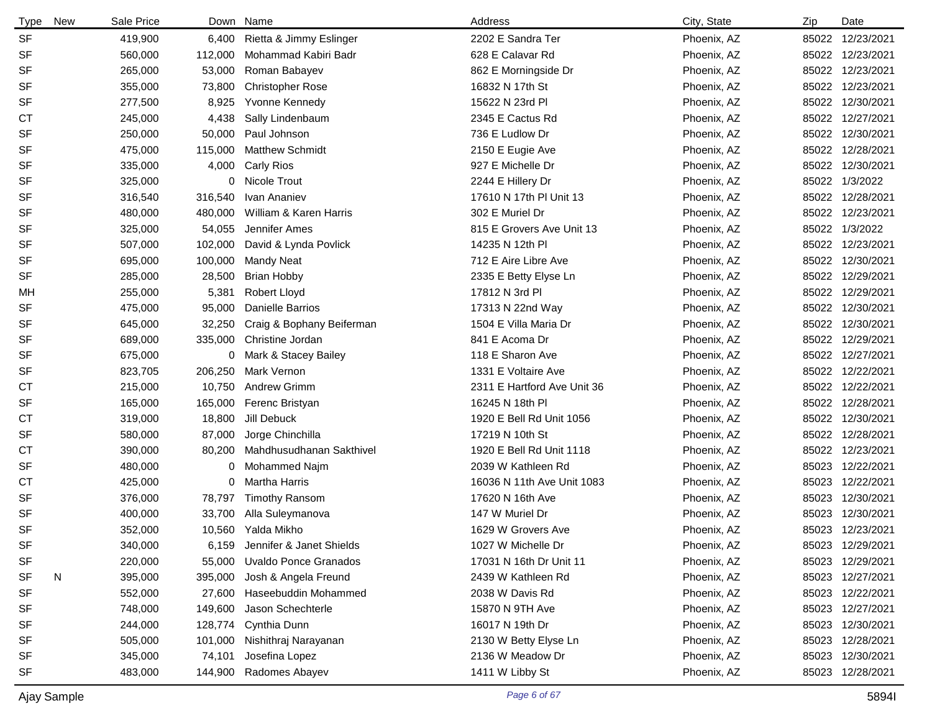| <b>Type</b> | <b>New</b> | Sale Price | Down    | Name                         | Address                     | City, State | Zip   | Date             |
|-------------|------------|------------|---------|------------------------------|-----------------------------|-------------|-------|------------------|
| <b>SF</b>   |            | 419,900    | 6,400   | Rietta & Jimmy Eslinger      | 2202 E Sandra Ter           | Phoenix, AZ |       | 85022 12/23/2021 |
| SF          |            | 560,000    | 112,000 | Mohammad Kabiri Badr         | 628 E Calavar Rd            | Phoenix, AZ |       | 85022 12/23/2021 |
| <b>SF</b>   |            | 265,000    | 53,000  | Roman Babayev                | 862 E Morningside Dr        | Phoenix, AZ |       | 85022 12/23/2021 |
| <b>SF</b>   |            | 355,000    | 73,800  | <b>Christopher Rose</b>      | 16832 N 17th St             | Phoenix, AZ |       | 85022 12/23/2021 |
| <b>SF</b>   |            | 277,500    | 8,925   | Yvonne Kennedy               | 15622 N 23rd PI             | Phoenix, AZ |       | 85022 12/30/2021 |
| <b>CT</b>   |            | 245,000    | 4,438   | Sally Lindenbaum             | 2345 E Cactus Rd            | Phoenix, AZ |       | 85022 12/27/2021 |
| <b>SF</b>   |            | 250,000    | 50,000  | Paul Johnson                 | 736 E Ludlow Dr             | Phoenix, AZ |       | 85022 12/30/2021 |
| <b>SF</b>   |            | 475,000    | 115,000 | <b>Matthew Schmidt</b>       | 2150 E Eugie Ave            | Phoenix, AZ |       | 85022 12/28/2021 |
| <b>SF</b>   |            | 335,000    | 4,000   | <b>Carly Rios</b>            | 927 E Michelle Dr           | Phoenix, AZ |       | 85022 12/30/2021 |
| <b>SF</b>   |            | 325,000    | 0       | Nicole Trout                 | 2244 E Hillery Dr           | Phoenix, AZ |       | 85022 1/3/2022   |
| <b>SF</b>   |            | 316,540    | 316,540 | Ivan Ananiev                 | 17610 N 17th PI Unit 13     | Phoenix, AZ |       | 85022 12/28/2021 |
| <b>SF</b>   |            | 480,000    | 480,000 | William & Karen Harris       | 302 E Muriel Dr             | Phoenix, AZ |       | 85022 12/23/2021 |
| <b>SF</b>   |            | 325,000    | 54,055  | Jennifer Ames                | 815 E Grovers Ave Unit 13   | Phoenix, AZ |       | 85022 1/3/2022   |
| <b>SF</b>   |            | 507,000    | 102,000 | David & Lynda Povlick        | 14235 N 12th PI             | Phoenix, AZ |       | 85022 12/23/2021 |
| <b>SF</b>   |            | 695,000    | 100,000 | Mandy Neat                   | 712 E Aire Libre Ave        | Phoenix, AZ |       | 85022 12/30/2021 |
| <b>SF</b>   |            | 285,000    | 28,500  | <b>Brian Hobby</b>           | 2335 E Betty Elyse Ln       | Phoenix, AZ |       | 85022 12/29/2021 |
| MН          |            | 255,000    | 5,381   | <b>Robert Lloyd</b>          | 17812 N 3rd Pl              | Phoenix, AZ |       | 85022 12/29/2021 |
| <b>SF</b>   |            | 475,000    | 95,000  | Danielle Barrios             | 17313 N 22nd Way            | Phoenix, AZ |       | 85022 12/30/2021 |
| SF          |            | 645,000    | 32,250  | Craig & Bophany Beiferman    | 1504 E Villa Maria Dr       | Phoenix, AZ |       | 85022 12/30/2021 |
| <b>SF</b>   |            | 689,000    | 335,000 | Christine Jordan             | 841 E Acoma Dr              | Phoenix, AZ |       | 85022 12/29/2021 |
| <b>SF</b>   |            | 675,000    |         | 0 Mark & Stacey Bailey       | 118 E Sharon Ave            | Phoenix, AZ |       | 85022 12/27/2021 |
| <b>SF</b>   |            | 823,705    | 206,250 | Mark Vernon                  | 1331 E Voltaire Ave         | Phoenix, AZ | 85022 | 12/22/2021       |
| <b>CT</b>   |            | 215,000    | 10,750  | <b>Andrew Grimm</b>          | 2311 E Hartford Ave Unit 36 | Phoenix, AZ |       | 85022 12/22/2021 |
| <b>SF</b>   |            | 165,000    | 165,000 | Ferenc Bristyan              | 16245 N 18th PI             | Phoenix, AZ |       | 85022 12/28/2021 |
| СT          |            | 319,000    | 18,800  | Jill Debuck                  | 1920 E Bell Rd Unit 1056    | Phoenix, AZ |       | 85022 12/30/2021 |
| <b>SF</b>   |            | 580,000    | 87,000  | Jorge Chinchilla             | 17219 N 10th St             | Phoenix, AZ |       | 85022 12/28/2021 |
| <b>CT</b>   |            | 390,000    | 80,200  | Mahdhusudhanan Sakthivel     | 1920 E Bell Rd Unit 1118    | Phoenix, AZ |       | 85022 12/23/2021 |
| SF          |            | 480,000    | 0       | Mohammed Najm                | 2039 W Kathleen Rd          | Phoenix, AZ |       | 85023 12/22/2021 |
| СT          |            | 425,000    |         | 0 Martha Harris              | 16036 N 11th Ave Unit 1083  | Phoenix, AZ |       | 85023 12/22/2021 |
| <b>SF</b>   |            | 376,000    | 78,797  | <b>Timothy Ransom</b>        | 17620 N 16th Ave            | Phoenix, AZ |       | 85023 12/30/2021 |
| <b>SF</b>   |            | 400,000    | 33,700  | Alla Suleymanova             | 147 W Muriel Dr             | Phoenix, AZ |       | 85023 12/30/2021 |
| <b>SF</b>   |            | 352,000    |         | 10,560 Yalda Mikho           | 1629 W Grovers Ave          | Phoenix, AZ |       | 85023 12/23/2021 |
| SF          |            | 340,000    | 6,159   | Jennifer & Janet Shields     | 1027 W Michelle Dr          | Phoenix, AZ |       | 85023 12/29/2021 |
| SF          |            | 220,000    | 55,000  | <b>Uvaldo Ponce Granados</b> | 17031 N 16th Dr Unit 11     | Phoenix, AZ |       | 85023 12/29/2021 |
| SF          | N          | 395,000    | 395,000 | Josh & Angela Freund         | 2439 W Kathleen Rd          | Phoenix, AZ |       | 85023 12/27/2021 |
| SF          |            | 552,000    | 27,600  | Haseebuddin Mohammed         | 2038 W Davis Rd             | Phoenix, AZ |       | 85023 12/22/2021 |
| SF          |            | 748,000    | 149,600 | Jason Schechterle            | 15870 N 9TH Ave             | Phoenix, AZ |       | 85023 12/27/2021 |
| SF          |            | 244,000    | 128,774 | Cynthia Dunn                 | 16017 N 19th Dr             | Phoenix, AZ |       | 85023 12/30/2021 |
| SF          |            | 505,000    | 101,000 | Nishithraj Narayanan         | 2130 W Betty Elyse Ln       | Phoenix, AZ |       | 85023 12/28/2021 |
| SF          |            | 345,000    | 74,101  | Josefina Lopez               | 2136 W Meadow Dr            | Phoenix, AZ |       | 85023 12/30/2021 |
| SF          |            | 483,000    | 144,900 | Radomes Abayev               | 1411 W Libby St             | Phoenix, AZ |       | 85023 12/28/2021 |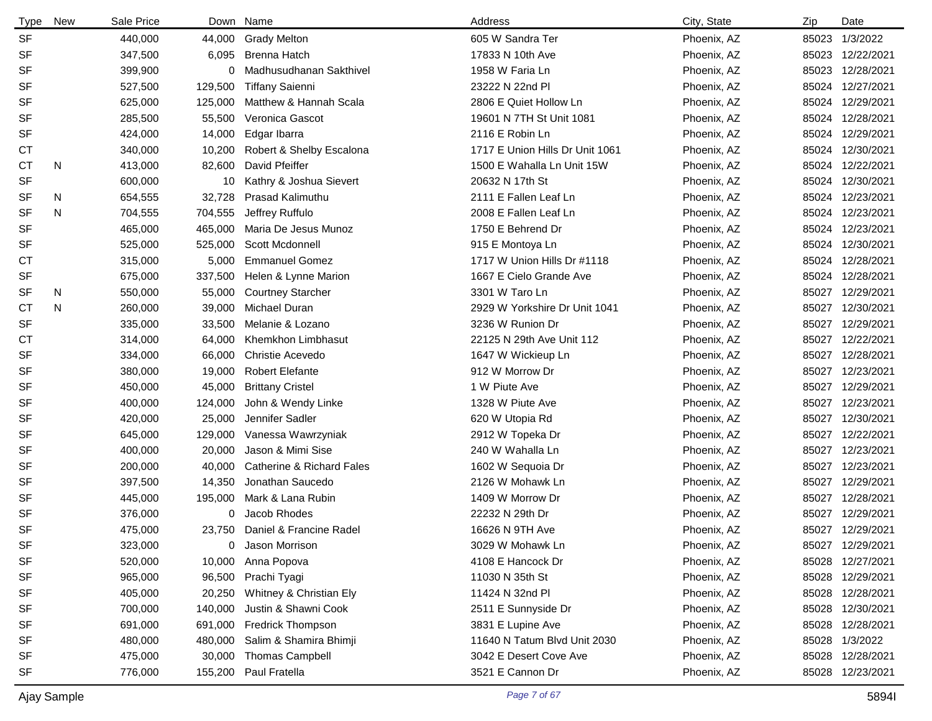| Type      | New | Sale Price |         | Down Name                 | Address                         | City, State | Zip   | Date             |
|-----------|-----|------------|---------|---------------------------|---------------------------------|-------------|-------|------------------|
| <b>SF</b> |     | 440,000    | 44,000  | Grady Melton              | 605 W Sandra Ter                | Phoenix, AZ | 85023 | 1/3/2022         |
| <b>SF</b> |     | 347,500    | 6,095   | <b>Brenna Hatch</b>       | 17833 N 10th Ave                | Phoenix, AZ | 85023 | 12/22/2021       |
| <b>SF</b> |     | 399,900    | 0       | Madhusudhanan Sakthivel   | 1958 W Faria Ln                 | Phoenix, AZ | 85023 | 12/28/2021       |
| <b>SF</b> |     | 527,500    | 129,500 | <b>Tiffany Saienni</b>    | 23222 N 22nd Pl                 | Phoenix, AZ | 85024 | 12/27/2021       |
| <b>SF</b> |     | 625,000    | 125,000 | Matthew & Hannah Scala    | 2806 E Quiet Hollow Ln          | Phoenix, AZ | 85024 | 12/29/2021       |
| <b>SF</b> |     | 285,500    | 55,500  | Veronica Gascot           | 19601 N 7TH St Unit 1081        | Phoenix, AZ | 85024 | 12/28/2021       |
| <b>SF</b> |     | 424,000    | 14,000  | Edgar Ibarra              | 2116 E Robin Ln                 | Phoenix, AZ | 85024 | 12/29/2021       |
| <b>CT</b> |     | 340,000    | 10,200  | Robert & Shelby Escalona  | 1717 E Union Hills Dr Unit 1061 | Phoenix, AZ | 85024 | 12/30/2021       |
| <b>CT</b> | N   | 413,000    | 82,600  | David Pfeiffer            | 1500 E Wahalla Ln Unit 15W      | Phoenix, AZ | 85024 | 12/22/2021       |
| <b>SF</b> |     | 600,000    | 10      | Kathry & Joshua Sievert   | 20632 N 17th St                 | Phoenix, AZ | 85024 | 12/30/2021       |
| SF        | N   | 654,555    | 32,728  | <b>Prasad Kalimuthu</b>   | 2111 E Fallen Leaf Ln           | Phoenix, AZ | 85024 | 12/23/2021       |
| <b>SF</b> | N   | 704,555    | 704,555 | Jeffrey Ruffulo           | 2008 E Fallen Leaf Ln           | Phoenix, AZ | 85024 | 12/23/2021       |
| <b>SF</b> |     | 465,000    | 465,000 | Maria De Jesus Munoz      | 1750 E Behrend Dr               | Phoenix, AZ | 85024 | 12/23/2021       |
| <b>SF</b> |     | 525,000    | 525,000 | Scott Mcdonnell           | 915 E Montoya Ln                | Phoenix, AZ | 85024 | 12/30/2021       |
| СT        |     | 315,000    | 5,000   | <b>Emmanuel Gomez</b>     | 1717 W Union Hills Dr #1118     | Phoenix, AZ | 85024 | 12/28/2021       |
| <b>SF</b> |     | 675,000    | 337,500 | Helen & Lynne Marion      | 1667 E Cielo Grande Ave         | Phoenix, AZ | 85024 | 12/28/2021       |
| SF        | N   | 550,000    | 55,000  | <b>Courtney Starcher</b>  | 3301 W Taro Ln                  | Phoenix, AZ | 85027 | 12/29/2021       |
| СT        | N   | 260,000    | 39,000  | Michael Duran             | 2929 W Yorkshire Dr Unit 1041   | Phoenix, AZ | 85027 | 12/30/2021       |
| <b>SF</b> |     | 335,000    | 33,500  | Melanie & Lozano          | 3236 W Runion Dr                | Phoenix, AZ | 85027 | 12/29/2021       |
| <b>CT</b> |     | 314,000    | 64,000  | Khemkhon Limbhasut        | 22125 N 29th Ave Unit 112       | Phoenix, AZ | 85027 | 12/22/2021       |
| <b>SF</b> |     | 334,000    | 66,000  | <b>Christie Acevedo</b>   | 1647 W Wickieup Ln              | Phoenix, AZ | 85027 | 12/28/2021       |
| SF        |     | 380,000    | 19,000  | <b>Robert Elefante</b>    | 912 W Morrow Dr                 | Phoenix, AZ | 85027 | 12/23/2021       |
| <b>SF</b> |     | 450,000    | 45,000  | <b>Brittany Cristel</b>   | 1 W Piute Ave                   | Phoenix, AZ | 85027 | 12/29/2021       |
| SF        |     | 400,000    | 124,000 | John & Wendy Linke        | 1328 W Piute Ave                | Phoenix, AZ | 85027 | 12/23/2021       |
| SF        |     | 420,000    | 25,000  | Jennifer Sadler           | 620 W Utopia Rd                 | Phoenix, AZ | 85027 | 12/30/2021       |
| SF        |     | 645,000    | 129,000 | Vanessa Wawrzyniak        | 2912 W Topeka Dr                | Phoenix, AZ | 85027 | 12/22/2021       |
| <b>SF</b> |     | 400,000    | 20,000  | Jason & Mimi Sise         | 240 W Wahalla Ln                | Phoenix, AZ | 85027 | 12/23/2021       |
| <b>SF</b> |     | 200,000    | 40,000  | Catherine & Richard Fales | 1602 W Sequoia Dr               | Phoenix, AZ | 85027 | 12/23/2021       |
| <b>SF</b> |     | 397,500    | 14,350  | Jonathan Saucedo          | 2126 W Mohawk Ln                | Phoenix, AZ | 85027 | 12/29/2021       |
| <b>SF</b> |     | 445,000    | 195,000 | Mark & Lana Rubin         | 1409 W Morrow Dr                | Phoenix, AZ | 85027 | 12/28/2021       |
| <b>SF</b> |     | 376,000    | 0       | Jacob Rhodes              | 22232 N 29th Dr                 | Phoenix, AZ | 85027 | 12/29/2021       |
| <b>SF</b> |     | 475,000    | 23,750  | Daniel & Francine Radel   | 16626 N 9TH Ave                 | Phoenix, AZ |       | 85027 12/29/2021 |
| SF        |     | 323,000    | 0       | Jason Morrison            | 3029 W Mohawk Ln                | Phoenix, AZ |       | 85027 12/29/2021 |
| <b>SF</b> |     | 520,000    | 10,000  | Anna Popova               | 4108 E Hancock Dr               | Phoenix, AZ | 85028 | 12/27/2021       |
| <b>SF</b> |     | 965,000    | 96,500  | Prachi Tyagi              | 11030 N 35th St                 | Phoenix, AZ | 85028 | 12/29/2021       |
| <b>SF</b> |     | 405,000    | 20,250  | Whitney & Christian Ely   | 11424 N 32nd Pl                 | Phoenix, AZ | 85028 | 12/28/2021       |
| <b>SF</b> |     | 700,000    | 140,000 | Justin & Shawni Cook      | 2511 E Sunnyside Dr             | Phoenix, AZ | 85028 | 12/30/2021       |
| SF        |     | 691,000    |         | 691,000 Fredrick Thompson | 3831 E Lupine Ave               | Phoenix, AZ | 85028 | 12/28/2021       |
| <b>SF</b> |     | 480,000    | 480,000 | Salim & Shamira Bhimji    | 11640 N Tatum Blvd Unit 2030    | Phoenix, AZ | 85028 | 1/3/2022         |
| <b>SF</b> |     | 475,000    |         | 30,000 Thomas Campbell    | 3042 E Desert Cove Ave          | Phoenix, AZ | 85028 | 12/28/2021       |
| <b>SF</b> |     | 776,000    |         | 155,200 Paul Fratella     | 3521 E Cannon Dr                | Phoenix, AZ | 85028 | 12/23/2021       |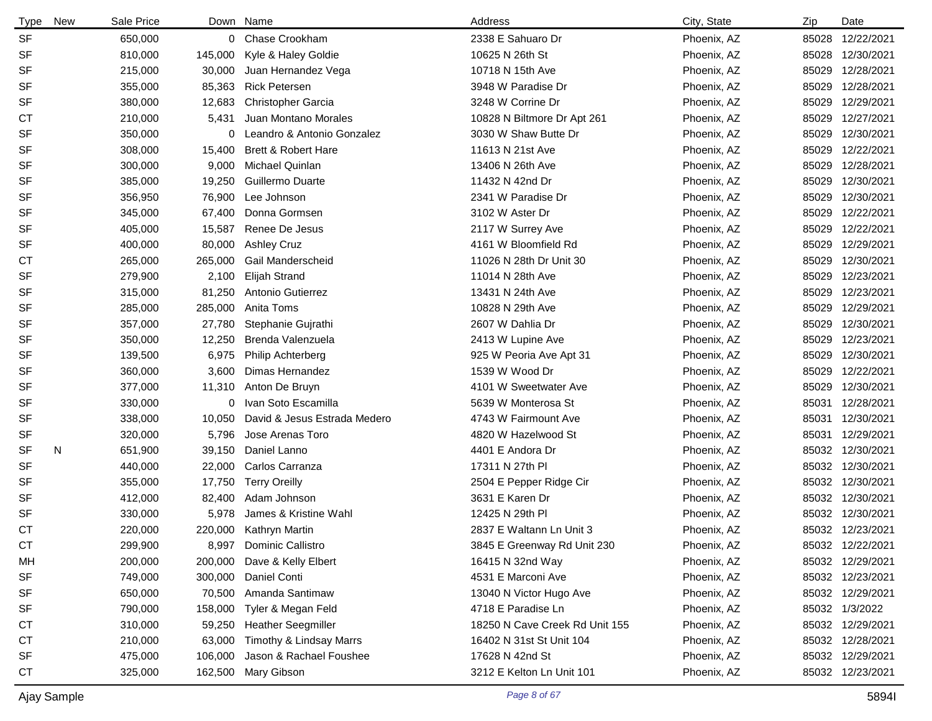| <b>Type</b> | New | Sale Price | Down Name |                                | Address                        | City, State | Zip   | Date             |
|-------------|-----|------------|-----------|--------------------------------|--------------------------------|-------------|-------|------------------|
| <b>SF</b>   |     | 650,000    |           | 0 Chase Crookham               | 2338 E Sahuaro Dr              | Phoenix, AZ | 85028 | 12/22/2021       |
| <b>SF</b>   |     | 810,000    | 145,000   | Kyle & Haley Goldie            | 10625 N 26th St                | Phoenix, AZ | 85028 | 12/30/2021       |
| SF          |     | 215,000    | 30,000    | Juan Hernandez Vega            | 10718 N 15th Ave               | Phoenix, AZ | 85029 | 12/28/2021       |
| <b>SF</b>   |     | 355,000    | 85,363    | <b>Rick Petersen</b>           | 3948 W Paradise Dr             | Phoenix, AZ | 85029 | 12/28/2021       |
| <b>SF</b>   |     | 380,000    | 12,683    | <b>Christopher Garcia</b>      | 3248 W Corrine Dr              | Phoenix, AZ | 85029 | 12/29/2021       |
| СT          |     | 210,000    | 5,431     | Juan Montano Morales           | 10828 N Biltmore Dr Apt 261    | Phoenix, AZ | 85029 | 12/27/2021       |
| <b>SF</b>   |     | 350,000    | 0         | Leandro & Antonio Gonzalez     | 3030 W Shaw Butte Dr           | Phoenix, AZ | 85029 | 12/30/2021       |
| <b>SF</b>   |     | 308,000    | 15,400    | <b>Brett &amp; Robert Hare</b> | 11613 N 21st Ave               | Phoenix, AZ | 85029 | 12/22/2021       |
| <b>SF</b>   |     | 300,000    | 9,000     | Michael Quinlan                | 13406 N 26th Ave               | Phoenix, AZ | 85029 | 12/28/2021       |
| <b>SF</b>   |     | 385,000    | 19,250    | Guillermo Duarte               | 11432 N 42nd Dr                | Phoenix, AZ | 85029 | 12/30/2021       |
| SF          |     | 356,950    | 76,900    | Lee Johnson                    | 2341 W Paradise Dr             | Phoenix, AZ | 85029 | 12/30/2021       |
| <b>SF</b>   |     | 345,000    | 67,400    | Donna Gormsen                  | 3102 W Aster Dr                | Phoenix, AZ | 85029 | 12/22/2021       |
| SF          |     | 405,000    | 15,587    | Renee De Jesus                 | 2117 W Surrey Ave              | Phoenix, AZ | 85029 | 12/22/2021       |
| <b>SF</b>   |     | 400,000    | 80,000    | <b>Ashley Cruz</b>             | 4161 W Bloomfield Rd           | Phoenix, AZ | 85029 | 12/29/2021       |
| <b>CT</b>   |     | 265,000    | 265,000   | Gail Manderscheid              | 11026 N 28th Dr Unit 30        | Phoenix, AZ | 85029 | 12/30/2021       |
| <b>SF</b>   |     | 279,900    | 2,100     | <b>Elijah Strand</b>           | 11014 N 28th Ave               | Phoenix, AZ | 85029 | 12/23/2021       |
| <b>SF</b>   |     | 315,000    | 81,250    | Antonio Gutierrez              | 13431 N 24th Ave               | Phoenix, AZ | 85029 | 12/23/2021       |
| <b>SF</b>   |     | 285,000    | 285,000   | Anita Toms                     | 10828 N 29th Ave               | Phoenix, AZ | 85029 | 12/29/2021       |
| <b>SF</b>   |     | 357,000    | 27,780    | Stephanie Gujrathi             | 2607 W Dahlia Dr               | Phoenix, AZ | 85029 | 12/30/2021       |
| <b>SF</b>   |     | 350,000    | 12,250    | Brenda Valenzuela              | 2413 W Lupine Ave              | Phoenix, AZ | 85029 | 12/23/2021       |
| SF          |     | 139,500    | 6,975     | Philip Achterberg              | 925 W Peoria Ave Apt 31        | Phoenix, AZ | 85029 | 12/30/2021       |
| <b>SF</b>   |     | 360,000    | 3,600     | Dimas Hernandez                | 1539 W Wood Dr                 | Phoenix, AZ | 85029 | 12/22/2021       |
| SF          |     | 377,000    | 11,310    | Anton De Bruyn                 | 4101 W Sweetwater Ave          | Phoenix, AZ | 85029 | 12/30/2021       |
| <b>SF</b>   |     | 330,000    | 0         | Ivan Soto Escamilla            | 5639 W Monterosa St            | Phoenix, AZ | 85031 | 12/28/2021       |
| SF          |     | 338,000    | 10,050    | David & Jesus Estrada Medero   | 4743 W Fairmount Ave           | Phoenix, AZ | 85031 | 12/30/2021       |
| SF          |     | 320,000    | 5,796     | Jose Arenas Toro               | 4820 W Hazelwood St            | Phoenix, AZ | 85031 | 12/29/2021       |
| <b>SF</b>   | N   | 651,900    | 39,150    | Daniel Lanno                   | 4401 E Andora Dr               | Phoenix, AZ |       | 85032 12/30/2021 |
| <b>SF</b>   |     | 440,000    | 22,000    | Carlos Carranza                | 17311 N 27th PI                | Phoenix, AZ |       | 85032 12/30/2021 |
| <b>SF</b>   |     | 355,000    | 17,750    | <b>Terry Oreilly</b>           | 2504 E Pepper Ridge Cir        | Phoenix, AZ |       | 85032 12/30/2021 |
| <b>SF</b>   |     | 412,000    | 82,400    | Adam Johnson                   | 3631 E Karen Dr                | Phoenix, AZ |       | 85032 12/30/2021 |
| <b>SF</b>   |     | 330,000    | 5,978     | James & Kristine Wahl          | 12425 N 29th PI                | Phoenix, AZ |       | 85032 12/30/2021 |
| <b>CT</b>   |     | 220,000    |           | 220,000 Kathryn Martin         | 2837 E Waltann Ln Unit 3       | Phoenix, AZ |       | 85032 12/23/2021 |
| СT          |     | 299,900    |           | 8,997 Dominic Callistro        | 3845 E Greenway Rd Unit 230    | Phoenix, AZ |       | 85032 12/22/2021 |
| MН          |     | 200,000    | 200,000   | Dave & Kelly Elbert            | 16415 N 32nd Way               | Phoenix, AZ |       | 85032 12/29/2021 |
| SF          |     | 749,000    | 300,000   | Daniel Conti                   | 4531 E Marconi Ave             | Phoenix, AZ |       | 85032 12/23/2021 |
| SF          |     | 650,000    | 70,500    | Amanda Santimaw                | 13040 N Victor Hugo Ave        | Phoenix, AZ |       | 85032 12/29/2021 |
| SF          |     | 790,000    | 158,000   | Tyler & Megan Feld             | 4718 E Paradise Ln             | Phoenix, AZ |       | 85032 1/3/2022   |
| СT          |     | 310,000    | 59,250    | <b>Heather Seegmiller</b>      | 18250 N Cave Creek Rd Unit 155 | Phoenix, AZ |       | 85032 12/29/2021 |
| СT          |     | 210,000    | 63,000    | Timothy & Lindsay Marrs        | 16402 N 31st St Unit 104       | Phoenix, AZ |       | 85032 12/28/2021 |
| SF          |     | 475,000    | 106,000   | Jason & Rachael Foushee        | 17628 N 42nd St                | Phoenix, AZ |       | 85032 12/29/2021 |
| CT          |     | 325,000    | 162,500   | Mary Gibson                    | 3212 E Kelton Ln Unit 101      | Phoenix, AZ |       | 85032 12/23/2021 |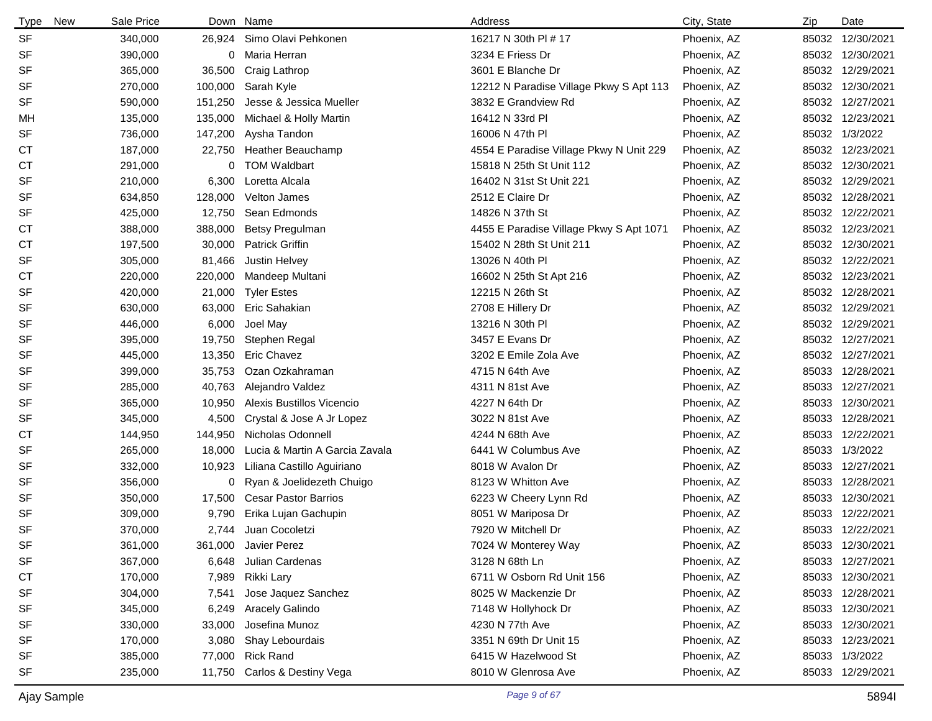| <b>Type</b><br>New | Sale Price |         | Down Name                      | Address                                 | City, State | Zip   | Date             |
|--------------------|------------|---------|--------------------------------|-----------------------------------------|-------------|-------|------------------|
| <b>SF</b>          | 340,000    | 26,924  | Simo Olavi Pehkonen            | 16217 N 30th PI # 17                    | Phoenix, AZ |       | 85032 12/30/2021 |
| SF                 | 390,000    | 0       | Maria Herran                   | 3234 E Friess Dr                        | Phoenix, AZ |       | 85032 12/30/2021 |
| SF                 | 365,000    | 36,500  | Craig Lathrop                  | 3601 E Blanche Dr                       | Phoenix, AZ |       | 85032 12/29/2021 |
| SF                 | 270,000    | 100,000 | Sarah Kyle                     | 12212 N Paradise Village Pkwy S Apt 113 | Phoenix, AZ |       | 85032 12/30/2021 |
| SF                 | 590,000    | 151,250 | Jesse & Jessica Mueller        | 3832 E Grandview Rd                     | Phoenix, AZ |       | 85032 12/27/2021 |
| МH                 | 135,000    | 135,000 | Michael & Holly Martin         | 16412 N 33rd Pl                         | Phoenix, AZ |       | 85032 12/23/2021 |
| SF                 | 736,000    | 147,200 | Aysha Tandon                   | 16006 N 47th PI                         | Phoenix, AZ |       | 85032 1/3/2022   |
| СT                 | 187,000    | 22,750  | Heather Beauchamp              | 4554 E Paradise Village Pkwy N Unit 229 | Phoenix, AZ |       | 85032 12/23/2021 |
| <b>CT</b>          | 291,000    | 0       | <b>TOM Waldbart</b>            | 15818 N 25th St Unit 112                | Phoenix, AZ |       | 85032 12/30/2021 |
| SF                 | 210,000    | 6,300   | Loretta Alcala                 | 16402 N 31st St Unit 221                | Phoenix, AZ |       | 85032 12/29/2021 |
| SF                 | 634,850    | 128,000 | Velton James                   | 2512 E Claire Dr                        | Phoenix, AZ |       | 85032 12/28/2021 |
| SF                 | 425,000    | 12,750  | Sean Edmonds                   | 14826 N 37th St                         | Phoenix, AZ |       | 85032 12/22/2021 |
| СT                 | 388,000    | 388,000 | Betsy Pregulman                | 4455 E Paradise Village Pkwy S Apt 1071 | Phoenix, AZ |       | 85032 12/23/2021 |
| СT                 | 197,500    | 30,000  | Patrick Griffin                | 15402 N 28th St Unit 211                | Phoenix, AZ |       | 85032 12/30/2021 |
| SF                 | 305,000    | 81,466  | Justin Helvey                  | 13026 N 40th PI                         | Phoenix, AZ |       | 85032 12/22/2021 |
| СT                 | 220,000    | 220,000 | Mandeep Multani                | 16602 N 25th St Apt 216                 | Phoenix, AZ |       | 85032 12/23/2021 |
| SF                 | 420,000    | 21,000  | <b>Tyler Estes</b>             | 12215 N 26th St                         | Phoenix, AZ |       | 85032 12/28/2021 |
| SF                 | 630,000    | 63,000  | Eric Sahakian                  | 2708 E Hillery Dr                       | Phoenix, AZ |       | 85032 12/29/2021 |
| SF                 | 446,000    | 6,000   | Joel May                       | 13216 N 30th PI                         | Phoenix, AZ |       | 85032 12/29/2021 |
| SF                 | 395,000    | 19,750  | Stephen Regal                  | 3457 E Evans Dr                         | Phoenix, AZ |       | 85032 12/27/2021 |
| SF                 | 445,000    | 13,350  | <b>Eric Chavez</b>             | 3202 E Emile Zola Ave                   | Phoenix, AZ |       | 85032 12/27/2021 |
| SF                 | 399,000    | 35,753  | Ozan Ozkahraman                | 4715 N 64th Ave                         | Phoenix, AZ |       | 85033 12/28/2021 |
| SF                 | 285,000    | 40,763  | Alejandro Valdez               | 4311 N 81st Ave                         | Phoenix, AZ |       | 85033 12/27/2021 |
| SF                 | 365,000    | 10,950  | Alexis Bustillos Vicencio      | 4227 N 64th Dr                          | Phoenix, AZ |       | 85033 12/30/2021 |
| SF                 | 345,000    | 4,500   | Crystal & Jose A Jr Lopez      | 3022 N 81st Ave                         | Phoenix, AZ |       | 85033 12/28/2021 |
| СT                 | 144,950    | 144,950 | Nicholas Odonnell              | 4244 N 68th Ave                         | Phoenix, AZ | 85033 | 12/22/2021       |
| SF                 | 265,000    | 18,000  | Lucia & Martin A Garcia Zavala | 6441 W Columbus Ave                     | Phoenix, AZ |       | 85033 1/3/2022   |
| SF                 | 332,000    | 10,923  | Liliana Castillo Aguiriano     | 8018 W Avalon Dr                        | Phoenix, AZ |       | 85033 12/27/2021 |
| SF                 | 356,000    | 0       | Ryan & Joelidezeth Chuigo      | 8123 W Whitton Ave                      | Phoenix, AZ |       | 85033 12/28/2021 |
| SF                 | 350,000    | 17,500  | <b>Cesar Pastor Barrios</b>    | 6223 W Cheery Lynn Rd                   | Phoenix, AZ |       | 85033 12/30/2021 |
| SF                 | 309,000    | 9,790   | Erika Lujan Gachupin           | 8051 W Mariposa Dr                      | Phoenix, AZ |       | 85033 12/22/2021 |
| SF                 | 370,000    | 2,744   | Juan Cocoletzi                 | 7920 W Mitchell Dr                      | Phoenix, AZ |       | 85033 12/22/2021 |
| SF                 | 361,000    | 361,000 | Javier Perez                   | 7024 W Monterey Way                     | Phoenix, AZ |       | 85033 12/30/2021 |
| SF                 | 367,000    | 6,648   | Julian Cardenas                | 3128 N 68th Ln                          | Phoenix, AZ |       | 85033 12/27/2021 |
| <b>CT</b>          | 170,000    | 7,989   | Rikki Lary                     | 6711 W Osborn Rd Unit 156               | Phoenix, AZ |       | 85033 12/30/2021 |
| SF                 | 304,000    | 7,541   | Jose Jaquez Sanchez            | 8025 W Mackenzie Dr                     | Phoenix, AZ |       | 85033 12/28/2021 |
| SF                 | 345,000    | 6,249   | <b>Aracely Galindo</b>         | 7148 W Hollyhock Dr                     | Phoenix, AZ |       | 85033 12/30/2021 |
| SF                 | 330,000    | 33,000  | Josefina Munoz                 | 4230 N 77th Ave                         | Phoenix, AZ |       | 85033 12/30/2021 |
| SF                 | 170,000    | 3,080   | Shay Lebourdais                | 3351 N 69th Dr Unit 15                  | Phoenix, AZ |       | 85033 12/23/2021 |
| SF                 | 385,000    | 77,000  | <b>Rick Rand</b>               | 6415 W Hazelwood St                     | Phoenix, AZ |       | 85033 1/3/2022   |
| SF                 | 235,000    | 11,750  | Carlos & Destiny Vega          | 8010 W Glenrosa Ave                     | Phoenix, AZ |       | 85033 12/29/2021 |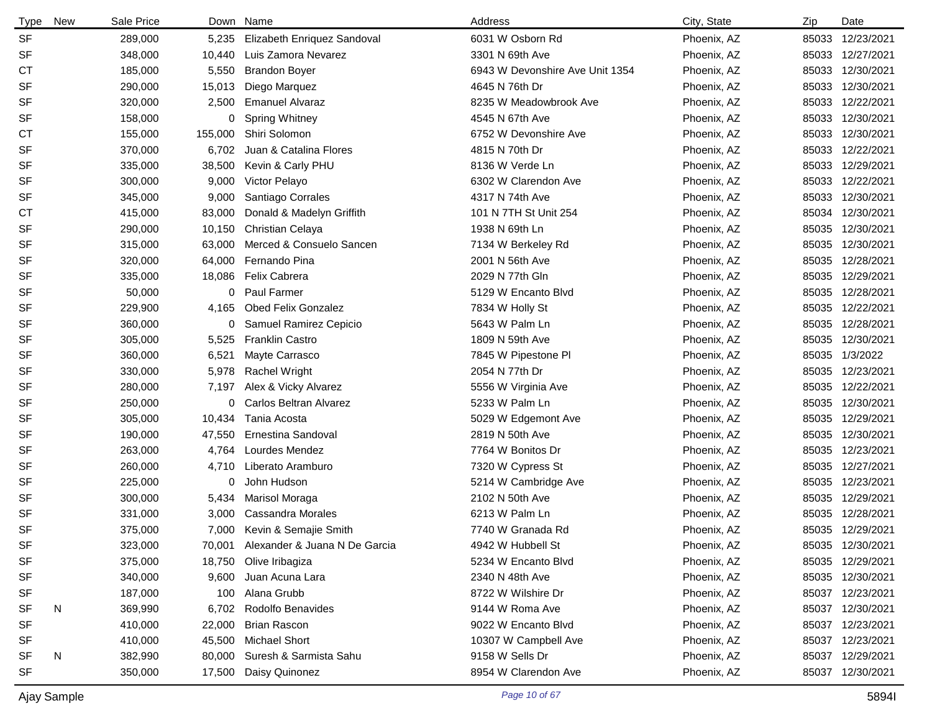| <b>Type</b> | New | Sale Price | Down    | Name                          | Address                         | City, State | Zip   | Date             |
|-------------|-----|------------|---------|-------------------------------|---------------------------------|-------------|-------|------------------|
| <b>SF</b>   |     | 289,000    | 5,235   | Elizabeth Enriquez Sandoval   | 6031 W Osborn Rd                | Phoenix, AZ | 85033 | 12/23/2021       |
| <b>SF</b>   |     | 348,000    | 10,440  | Luis Zamora Nevarez           | 3301 N 69th Ave                 | Phoenix, AZ |       | 85033 12/27/2021 |
| <b>CT</b>   |     | 185,000    | 5,550   | <b>Brandon Boyer</b>          | 6943 W Devonshire Ave Unit 1354 | Phoenix, AZ | 85033 | 12/30/2021       |
| <b>SF</b>   |     | 290,000    | 15,013  | Diego Marquez                 | 4645 N 76th Dr                  | Phoenix, AZ |       | 85033 12/30/2021 |
| SF          |     | 320,000    | 2,500   | <b>Emanuel Alvaraz</b>        | 8235 W Meadowbrook Ave          | Phoenix, AZ |       | 85033 12/22/2021 |
| <b>SF</b>   |     | 158,000    | 0       | <b>Spring Whitney</b>         | 4545 N 67th Ave                 | Phoenix, AZ |       | 85033 12/30/2021 |
| <b>CT</b>   |     | 155,000    | 155,000 | Shiri Solomon                 | 6752 W Devonshire Ave           | Phoenix, AZ | 85033 | 12/30/2021       |
| <b>SF</b>   |     | 370,000    | 6,702   | Juan & Catalina Flores        | 4815 N 70th Dr                  | Phoenix, AZ |       | 85033 12/22/2021 |
| <b>SF</b>   |     | 335,000    | 38,500  | Kevin & Carly PHU             | 8136 W Verde Ln                 | Phoenix, AZ |       | 85033 12/29/2021 |
| <b>SF</b>   |     | 300,000    | 9,000   | Victor Pelayo                 | 6302 W Clarendon Ave            | Phoenix, AZ |       | 85033 12/22/2021 |
| <b>SF</b>   |     | 345,000    | 9,000   | Santiago Corrales             | 4317 N 74th Ave                 | Phoenix, AZ |       | 85033 12/30/2021 |
| СT          |     | 415,000    | 83,000  | Donald & Madelyn Griffith     | 101 N 7TH St Unit 254           | Phoenix, AZ |       | 85034 12/30/2021 |
| SF          |     | 290,000    | 10,150  | <b>Christian Celaya</b>       | 1938 N 69th Ln                  | Phoenix, AZ | 85035 | 12/30/2021       |
| <b>SF</b>   |     | 315,000    | 63,000  | Merced & Consuelo Sancen      | 7134 W Berkeley Rd              | Phoenix, AZ |       | 85035 12/30/2021 |
| <b>SF</b>   |     | 320,000    | 64,000  | Fernando Pina                 | 2001 N 56th Ave                 | Phoenix, AZ |       | 85035 12/28/2021 |
| <b>SF</b>   |     | 335,000    | 18,086  | Felix Cabrera                 | 2029 N 77th Gln                 | Phoenix, AZ |       | 85035 12/29/2021 |
| <b>SF</b>   |     | 50,000     | 0       | <b>Paul Farmer</b>            | 5129 W Encanto Blvd             | Phoenix, AZ |       | 85035 12/28/2021 |
| <b>SF</b>   |     | 229,900    | 4,165   | <b>Obed Felix Gonzalez</b>    | 7834 W Holly St                 | Phoenix, AZ |       | 85035 12/22/2021 |
| <b>SF</b>   |     | 360,000    | 0       | Samuel Ramirez Cepicio        | 5643 W Palm Ln                  | Phoenix, AZ | 85035 | 12/28/2021       |
| SF          |     | 305,000    | 5,525   | <b>Franklin Castro</b>        | 1809 N 59th Ave                 | Phoenix, AZ | 85035 | 12/30/2021       |
| <b>SF</b>   |     | 360,000    | 6,521   | Mayte Carrasco                | 7845 W Pipestone Pl             | Phoenix, AZ | 85035 | 1/3/2022         |
| <b>SF</b>   |     | 330,000    | 5,978   | <b>Rachel Wright</b>          | 2054 N 77th Dr                  | Phoenix, AZ | 85035 | 12/23/2021       |
| <b>SF</b>   |     | 280,000    | 7,197   | Alex & Vicky Alvarez          | 5556 W Virginia Ave             | Phoenix, AZ | 85035 | 12/22/2021       |
| <b>SF</b>   |     | 250,000    | 0       | Carlos Beltran Alvarez        | 5233 W Palm Ln                  | Phoenix, AZ | 85035 | 12/30/2021       |
| SF          |     | 305,000    | 10,434  | Tania Acosta                  | 5029 W Edgemont Ave             | Phoenix, AZ | 85035 | 12/29/2021       |
| <b>SF</b>   |     | 190,000    | 47,550  | Ernestina Sandoval            | 2819 N 50th Ave                 | Phoenix, AZ | 85035 | 12/30/2021       |
| <b>SF</b>   |     | 263,000    | 4,764   | Lourdes Mendez                | 7764 W Bonitos Dr               | Phoenix, AZ | 85035 | 12/23/2021       |
| SF          |     | 260,000    | 4,710   | Liberato Aramburo             | 7320 W Cypress St               | Phoenix, AZ |       | 85035 12/27/2021 |
| SF          |     | 225,000    | 0       | John Hudson                   | 5214 W Cambridge Ave            | Phoenix, AZ | 85035 | 12/23/2021       |
| SF          |     | 300,000    | 5,434   | Marisol Moraga                | 2102 N 50th Ave                 | Phoenix, AZ | 85035 | 12/29/2021       |
| <b>SF</b>   |     | 331,000    | 3,000   | <b>Cassandra Morales</b>      | 6213 W Palm Ln                  | Phoenix, AZ | 85035 | 12/28/2021       |
| <b>SF</b>   |     | 375,000    | 7,000   | Kevin & Semajie Smith         | 7740 W Granada Rd               | Phoenix, AZ |       | 85035 12/29/2021 |
| SF          |     | 323,000    | 70,001  | Alexander & Juana N De Garcia | 4942 W Hubbell St               | Phoenix, AZ |       | 85035 12/30/2021 |
| <b>SF</b>   |     | 375,000    | 18,750  | Olive Iribagiza               | 5234 W Encanto Blvd             | Phoenix, AZ |       | 85035 12/29/2021 |
| SF          |     | 340,000    | 9,600   | Juan Acuna Lara               | 2340 N 48th Ave                 | Phoenix, AZ |       | 85035 12/30/2021 |
| SF          |     | 187,000    | 100     | Alana Grubb                   | 8722 W Wilshire Dr              | Phoenix, AZ |       | 85037 12/23/2021 |
| <b>SF</b>   | N   | 369,990    | 6,702   | Rodolfo Benavides             | 9144 W Roma Ave                 | Phoenix, AZ |       | 85037 12/30/2021 |
| <b>SF</b>   |     | 410,000    | 22,000  | <b>Brian Rascon</b>           | 9022 W Encanto Blvd             | Phoenix, AZ |       | 85037 12/23/2021 |
| SF          |     | 410,000    | 45,500  | <b>Michael Short</b>          | 10307 W Campbell Ave            | Phoenix, AZ |       | 85037 12/23/2021 |
| SF          | N   | 382,990    | 80,000  | Suresh & Sarmista Sahu        | 9158 W Sells Dr                 | Phoenix, AZ |       | 85037 12/29/2021 |
| SF          |     | 350,000    | 17,500  | Daisy Quinonez                | 8954 W Clarendon Ave            | Phoenix, AZ |       | 85037 12/30/2021 |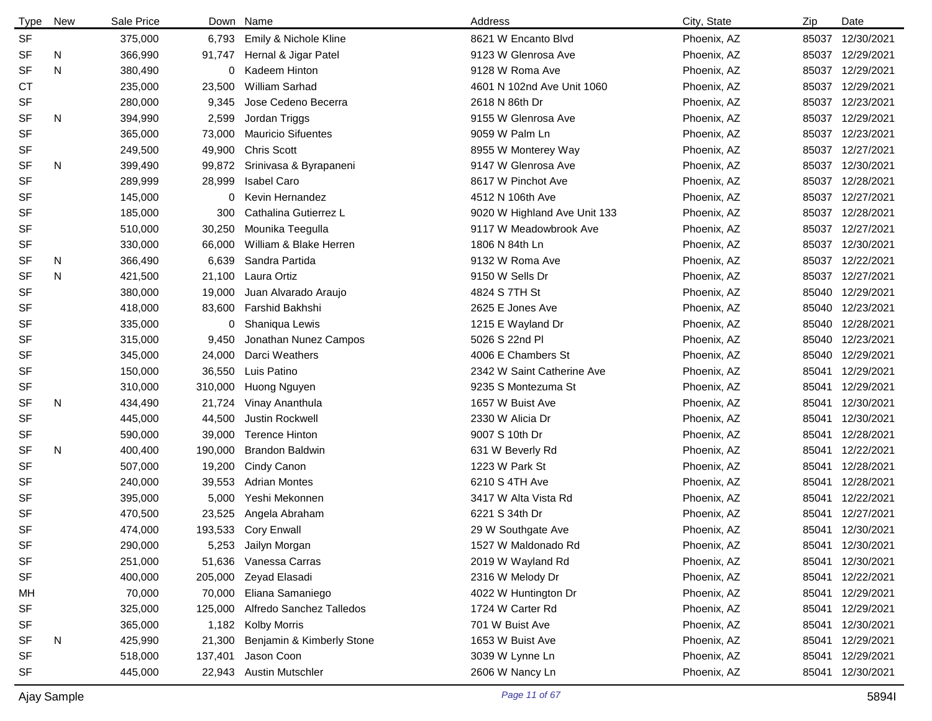| <b>Type</b> | New | Sale Price |         | Down Name                     | Address                      | City, State | Zip   | Date             |
|-------------|-----|------------|---------|-------------------------------|------------------------------|-------------|-------|------------------|
| <b>SF</b>   |     | 375,000    | 6,793   | Emily & Nichole Kline         | 8621 W Encanto Blvd          | Phoenix, AZ | 85037 | 12/30/2021       |
| SF          | N   | 366,990    | 91,747  | Hernal & Jigar Patel          | 9123 W Glenrosa Ave          | Phoenix, AZ |       | 85037 12/29/2021 |
| <b>SF</b>   | N   | 380,490    | 0       | Kadeem Hinton                 | 9128 W Roma Ave              | Phoenix, AZ |       | 85037 12/29/2021 |
| <b>CT</b>   |     | 235,000    | 23,500  | William Sarhad                | 4601 N 102nd Ave Unit 1060   | Phoenix, AZ |       | 85037 12/29/2021 |
| SF          |     | 280,000    | 9,345   | Jose Cedeno Becerra           | 2618 N 86th Dr               | Phoenix, AZ |       | 85037 12/23/2021 |
| <b>SF</b>   | N   | 394,990    | 2,599   | Jordan Triggs                 | 9155 W Glenrosa Ave          | Phoenix, AZ |       | 85037 12/29/2021 |
| <b>SF</b>   |     | 365,000    | 73,000  | <b>Mauricio Sifuentes</b>     | 9059 W Palm Ln               | Phoenix, AZ |       | 85037 12/23/2021 |
| SF          |     | 249,500    | 49,900  | <b>Chris Scott</b>            | 8955 W Monterey Way          | Phoenix, AZ |       | 85037 12/27/2021 |
| <b>SF</b>   | N   | 399,490    |         | 99,872 Srinivasa & Byrapaneni | 9147 W Glenrosa Ave          | Phoenix, AZ |       | 85037 12/30/2021 |
| <b>SF</b>   |     | 289,999    | 28,999  | <b>Isabel Caro</b>            | 8617 W Pinchot Ave           | Phoenix, AZ |       | 85037 12/28/2021 |
| <b>SF</b>   |     | 145,000    | 0       | Kevin Hernandez               | 4512 N 106th Ave             | Phoenix, AZ |       | 85037 12/27/2021 |
| <b>SF</b>   |     | 185,000    | 300     | Cathalina Gutierrez L         | 9020 W Highland Ave Unit 133 | Phoenix, AZ |       | 85037 12/28/2021 |
| SF          |     | 510,000    | 30,250  | Mounika Teegulla              | 9117 W Meadowbrook Ave       | Phoenix, AZ |       | 85037 12/27/2021 |
| SF          |     | 330,000    | 66,000  | William & Blake Herren        | 1806 N 84th Ln               | Phoenix, AZ | 85037 | 12/30/2021       |
| SF          | N   | 366,490    | 6,639   | Sandra Partida                | 9132 W Roma Ave              | Phoenix, AZ | 85037 | 12/22/2021       |
| <b>SF</b>   | N   | 421,500    | 21,100  | Laura Ortiz                   | 9150 W Sells Dr              | Phoenix, AZ | 85037 | 12/27/2021       |
| <b>SF</b>   |     | 380,000    | 19,000  | Juan Alvarado Araujo          | 4824 S 7TH St                | Phoenix, AZ | 85040 | 12/29/2021       |
| <b>SF</b>   |     | 418,000    | 83,600  | Farshid Bakhshi               | 2625 E Jones Ave             | Phoenix, AZ | 85040 | 12/23/2021       |
| <b>SF</b>   |     | 335,000    | 0       | Shaniqua Lewis                | 1215 E Wayland Dr            | Phoenix, AZ | 85040 | 12/28/2021       |
| <b>SF</b>   |     | 315,000    | 9,450   | Jonathan Nunez Campos         | 5026 S 22nd Pl               | Phoenix, AZ | 85040 | 12/23/2021       |
| <b>SF</b>   |     | 345,000    | 24,000  | Darci Weathers                | 4006 E Chambers St           | Phoenix, AZ | 85040 | 12/29/2021       |
| <b>SF</b>   |     | 150,000    | 36,550  | Luis Patino                   | 2342 W Saint Catherine Ave   | Phoenix, AZ | 85041 | 12/29/2021       |
| <b>SF</b>   |     | 310,000    | 310,000 | Huong Nguyen                  | 9235 S Montezuma St          | Phoenix, AZ | 85041 | 12/29/2021       |
| SF          | N   | 434,490    | 21,724  | Vinay Ananthula               | 1657 W Buist Ave             | Phoenix, AZ | 85041 | 12/30/2021       |
| <b>SF</b>   |     | 445,000    | 44,500  | Justin Rockwell               | 2330 W Alicia Dr             | Phoenix, AZ | 85041 | 12/30/2021       |
| SF          |     | 590,000    | 39,000  | <b>Terence Hinton</b>         | 9007 S 10th Dr               | Phoenix, AZ | 85041 | 12/28/2021       |
| <b>SF</b>   | N   | 400,400    | 190,000 | <b>Brandon Baldwin</b>        | 631 W Beverly Rd             | Phoenix, AZ | 85041 | 12/22/2021       |
| <b>SF</b>   |     | 507,000    | 19,200  | Cindy Canon                   | 1223 W Park St               | Phoenix, AZ | 85041 | 12/28/2021       |
| <b>SF</b>   |     | 240,000    | 39,553  | <b>Adrian Montes</b>          | 6210 S 4TH Ave               | Phoenix, AZ | 85041 | 12/28/2021       |
| <b>SF</b>   |     | 395,000    | 5,000   | Yeshi Mekonnen                | 3417 W Alta Vista Rd         | Phoenix, AZ | 85041 | 12/22/2021       |
| <b>SF</b>   |     | 470,500    | 23,525  | Angela Abraham                | 6221 S 34th Dr               | Phoenix, AZ | 85041 | 12/27/2021       |
| <b>SF</b>   |     | 474,000    |         | 193,533 Cory Enwall           | 29 W Southgate Ave           | Phoenix, AZ |       | 85041 12/30/2021 |
| SF          |     | 290,000    | 5,253   | Jailyn Morgan                 | 1527 W Maldonado Rd          | Phoenix, AZ | 85041 | 12/30/2021       |
| <b>SF</b>   |     | 251,000    | 51,636  | Vanessa Carras                | 2019 W Wayland Rd            | Phoenix, AZ | 85041 | 12/30/2021       |
| SF          |     | 400,000    | 205,000 | Zeyad Elasadi                 | 2316 W Melody Dr             | Phoenix, AZ | 85041 | 12/22/2021       |
| МH          |     | 70,000     | 70,000  | Eliana Samaniego              | 4022 W Huntington Dr         | Phoenix, AZ | 85041 | 12/29/2021       |
| SF          |     | 325,000    | 125,000 | Alfredo Sanchez Talledos      | 1724 W Carter Rd             | Phoenix, AZ | 85041 | 12/29/2021       |
| SF          |     | 365,000    | 1,182   | <b>Kolby Morris</b>           | 701 W Buist Ave              | Phoenix, AZ | 85041 | 12/30/2021       |
| SF          | N   | 425,990    | 21,300  | Benjamin & Kimberly Stone     | 1653 W Buist Ave             | Phoenix, AZ | 85041 | 12/29/2021       |
| <b>SF</b>   |     | 518,000    | 137,401 | Jason Coon                    | 3039 W Lynne Ln              | Phoenix, AZ | 85041 | 12/29/2021       |
| SF          |     | 445,000    | 22,943  | <b>Austin Mutschler</b>       | 2606 W Nancy Ln              | Phoenix, AZ | 85041 | 12/30/2021       |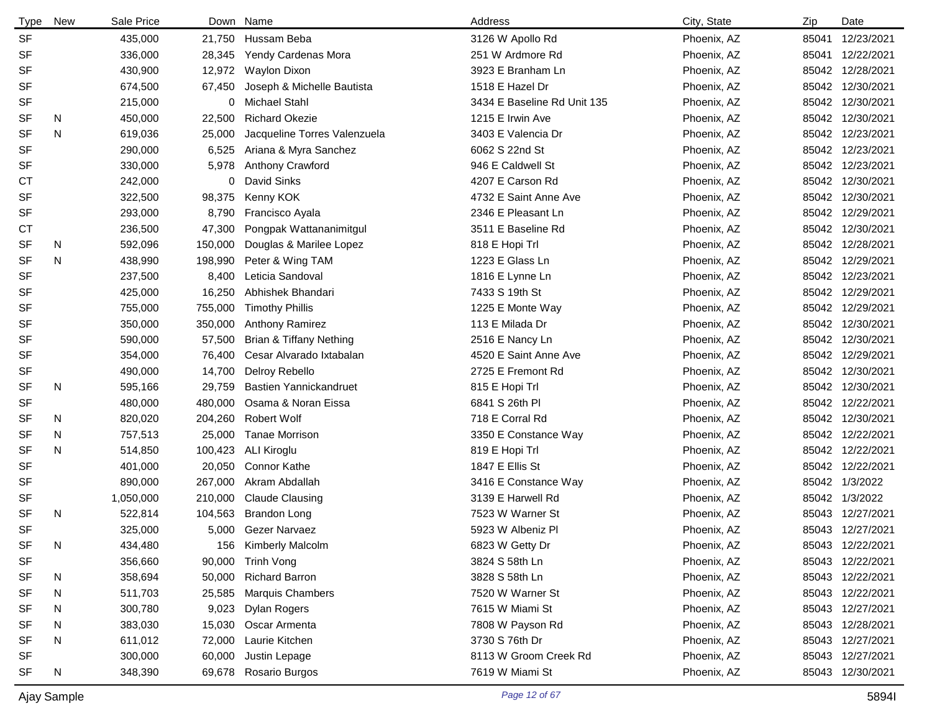| <b>Type</b> | New | Sale Price |         | Down Name                    | Address                     | City, State | Zip   | Date             |
|-------------|-----|------------|---------|------------------------------|-----------------------------|-------------|-------|------------------|
| <b>SF</b>   |     | 435,000    |         | 21,750 Hussam Beba           | 3126 W Apollo Rd            | Phoenix, AZ | 85041 | 12/23/2021       |
| SF          |     | 336,000    | 28,345  | Yendy Cardenas Mora          | 251 W Ardmore Rd            | Phoenix, AZ | 85041 | 12/22/2021       |
| SF          |     | 430,900    | 12,972  | Waylon Dixon                 | 3923 E Branham Ln           | Phoenix, AZ |       | 85042 12/28/2021 |
| <b>SF</b>   |     | 674,500    | 67,450  | Joseph & Michelle Bautista   | 1518 E Hazel Dr             | Phoenix, AZ |       | 85042 12/30/2021 |
| <b>SF</b>   |     | 215,000    |         | 0 Michael Stahl              | 3434 E Baseline Rd Unit 135 | Phoenix, AZ |       | 85042 12/30/2021 |
| <b>SF</b>   | N   | 450,000    | 22,500  | <b>Richard Okezie</b>        | 1215 E Irwin Ave            | Phoenix, AZ | 85042 | 12/30/2021       |
| <b>SF</b>   | N   | 619,036    | 25,000  | Jacqueline Torres Valenzuela | 3403 E Valencia Dr          | Phoenix, AZ |       | 85042 12/23/2021 |
| <b>SF</b>   |     | 290,000    | 6,525   | Ariana & Myra Sanchez        | 6062 S 22nd St              | Phoenix, AZ |       | 85042 12/23/2021 |
| <b>SF</b>   |     | 330,000    | 5,978   | Anthony Crawford             | 946 E Caldwell St           | Phoenix, AZ |       | 85042 12/23/2021 |
| СT          |     | 242,000    | 0       | David Sinks                  | 4207 E Carson Rd            | Phoenix, AZ |       | 85042 12/30/2021 |
| <b>SF</b>   |     | 322,500    | 98,375  | Kenny KOK                    | 4732 E Saint Anne Ave       | Phoenix, AZ |       | 85042 12/30/2021 |
| <b>SF</b>   |     | 293,000    | 8,790   | Francisco Ayala              | 2346 E Pleasant Ln          | Phoenix, AZ |       | 85042 12/29/2021 |
| СT          |     | 236,500    | 47,300  | Pongpak Wattananimitgul      | 3511 E Baseline Rd          | Phoenix, AZ | 85042 | 12/30/2021       |
| <b>SF</b>   | N.  | 592,096    | 150,000 | Douglas & Marilee Lopez      | 818 E Hopi Trl              | Phoenix, AZ | 85042 | 12/28/2021       |
| <b>SF</b>   | N   | 438,990    | 198,990 | Peter & Wing TAM             | 1223 E Glass Ln             | Phoenix, AZ | 85042 | 12/29/2021       |
| <b>SF</b>   |     | 237,500    | 8,400   | Leticia Sandoval             | 1816 E Lynne Ln             | Phoenix, AZ | 85042 | 12/23/2021       |
| <b>SF</b>   |     | 425,000    | 16,250  | Abhishek Bhandari            | 7433 S 19th St              | Phoenix, AZ | 85042 | 12/29/2021       |
| <b>SF</b>   |     | 755,000    | 755,000 | <b>Timothy Phillis</b>       | 1225 E Monte Way            | Phoenix, AZ | 85042 | 12/29/2021       |
| SF          |     | 350,000    | 350,000 | <b>Anthony Ramirez</b>       | 113 E Milada Dr             | Phoenix, AZ | 85042 | 12/30/2021       |
| <b>SF</b>   |     | 590,000    | 57,500  | Brian & Tiffany Nething      | 2516 E Nancy Ln             | Phoenix, AZ | 85042 | 12/30/2021       |
| SF          |     | 354,000    | 76,400  | Cesar Alvarado Ixtabalan     | 4520 E Saint Anne Ave       | Phoenix, AZ | 85042 | 12/29/2021       |
| SF          |     | 490,000    | 14,700  | Delroy Rebello               | 2725 E Fremont Rd           | Phoenix, AZ | 85042 | 12/30/2021       |
| <b>SF</b>   | N   | 595,166    | 29,759  | Bastien Yannickandruet       | 815 E Hopi Trl              | Phoenix, AZ |       | 85042 12/30/2021 |
| SF          |     | 480,000    | 480,000 | Osama & Noran Eissa          | 6841 S 26th PI              | Phoenix, AZ | 85042 | 12/22/2021       |
| <b>SF</b>   | N   | 820,020    | 204,260 | <b>Robert Wolf</b>           | 718 E Corral Rd             | Phoenix, AZ | 85042 | 12/30/2021       |
| SF          | N.  | 757,513    | 25,000  | <b>Tanae Morrison</b>        | 3350 E Constance Way        | Phoenix, AZ |       | 85042 12/22/2021 |
| <b>SF</b>   | N   | 514,850    | 100,423 | ALI Kiroglu                  | 819 E Hopi Trl              | Phoenix, AZ |       | 85042 12/22/2021 |
| <b>SF</b>   |     | 401,000    | 20,050  | <b>Connor Kathe</b>          | 1847 E Ellis St             | Phoenix, AZ |       | 85042 12/22/2021 |
| <b>SF</b>   |     | 890,000    | 267,000 | Akram Abdallah               | 3416 E Constance Way        | Phoenix, AZ |       | 85042 1/3/2022   |
| SF          |     | 1,050,000  | 210,000 | <b>Claude Clausing</b>       | 3139 E Harwell Rd           | Phoenix, AZ |       | 85042 1/3/2022   |
| <b>SF</b>   | N   | 522,814    | 104,563 | <b>Brandon Long</b>          | 7523 W Warner St            | Phoenix, AZ |       | 85043 12/27/2021 |
| <b>SF</b>   |     | 325,000    | 5,000   | Gezer Narvaez                | 5923 W Albeniz Pl           | Phoenix, AZ |       | 85043 12/27/2021 |
| SF          | N   | 434,480    | 156     | Kimberly Malcolm             | 6823 W Getty Dr             | Phoenix, AZ |       | 85043 12/22/2021 |
| <b>SF</b>   |     | 356,660    | 90,000  | <b>Trinh Vong</b>            | 3824 S 58th Ln              | Phoenix, AZ |       | 85043 12/22/2021 |
| SF          | N   | 358,694    | 50,000  | <b>Richard Barron</b>        | 3828 S 58th Ln              | Phoenix, AZ |       | 85043 12/22/2021 |
| <b>SF</b>   | N   | 511,703    | 25,585  | <b>Marquis Chambers</b>      | 7520 W Warner St            | Phoenix, AZ |       | 85043 12/22/2021 |
| SF          | N   | 300,780    | 9,023   | Dylan Rogers                 | 7615 W Miami St             | Phoenix, AZ |       | 85043 12/27/2021 |
| <b>SF</b>   | N   | 383,030    | 15,030  | Oscar Armenta                | 7808 W Payson Rd            | Phoenix, AZ |       | 85043 12/28/2021 |
| <b>SF</b>   | N   | 611,012    | 72,000  | Laurie Kitchen               | 3730 S 76th Dr              | Phoenix, AZ |       | 85043 12/27/2021 |
| SF          |     | 300,000    |         | 60,000 Justin Lepage         | 8113 W Groom Creek Rd       | Phoenix, AZ |       | 85043 12/27/2021 |
| SF          | N   | 348,390    | 69,678  | Rosario Burgos               | 7619 W Miami St             | Phoenix, AZ |       | 85043 12/30/2021 |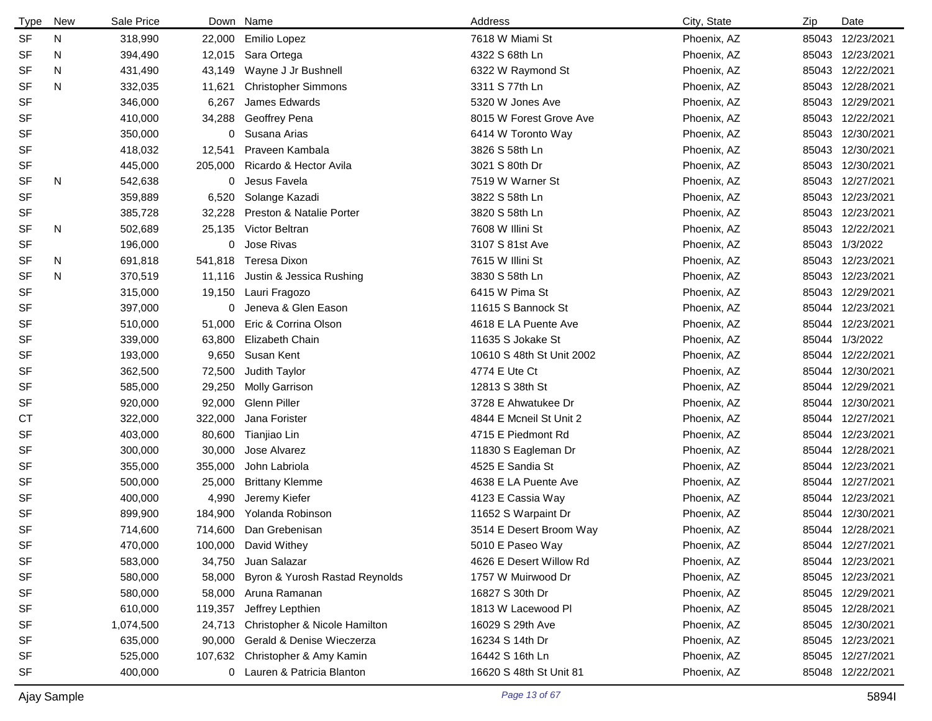| <b>Type</b> | New | Sale Price |         | Down Name                      | Address                   | City, State | Zip   | Date             |
|-------------|-----|------------|---------|--------------------------------|---------------------------|-------------|-------|------------------|
| <b>SF</b>   | N   | 318,990    |         | 22,000 Emilio Lopez            | 7618 W Miami St           | Phoenix, AZ |       | 85043 12/23/2021 |
| <b>SF</b>   | N   | 394,490    | 12,015  | Sara Ortega                    | 4322 S 68th Ln            | Phoenix, AZ |       | 85043 12/23/2021 |
| SF          | N   | 431,490    | 43,149  | Wayne J Jr Bushnell            | 6322 W Raymond St         | Phoenix, AZ |       | 85043 12/22/2021 |
| SF          | N   | 332,035    | 11,621  | <b>Christopher Simmons</b>     | 3311 S 77th Ln            | Phoenix, AZ |       | 85043 12/28/2021 |
| <b>SF</b>   |     | 346,000    | 6,267   | James Edwards                  | 5320 W Jones Ave          | Phoenix, AZ |       | 85043 12/29/2021 |
| SF          |     | 410,000    | 34,288  | Geoffrey Pena                  | 8015 W Forest Grove Ave   | Phoenix, AZ |       | 85043 12/22/2021 |
| SF          |     | 350,000    | 0       | Susana Arias                   | 6414 W Toronto Way        | Phoenix, AZ |       | 85043 12/30/2021 |
| SF          |     | 418,032    | 12,541  | Praveen Kambala                | 3826 S 58th Ln            | Phoenix, AZ |       | 85043 12/30/2021 |
| SF          |     | 445,000    | 205,000 | Ricardo & Hector Avila         | 3021 S 80th Dr            | Phoenix, AZ |       | 85043 12/30/2021 |
| <b>SF</b>   | N   | 542,638    | 0       | Jesus Favela                   | 7519 W Warner St          | Phoenix, AZ |       | 85043 12/27/2021 |
| <b>SF</b>   |     | 359,889    | 6,520   | Solange Kazadi                 | 3822 S 58th Ln            | Phoenix, AZ |       | 85043 12/23/2021 |
| SF          |     | 385,728    | 32,228  | Preston & Natalie Porter       | 3820 S 58th Ln            | Phoenix, AZ |       | 85043 12/23/2021 |
| <b>SF</b>   | N   | 502,689    | 25,135  | Victor Beltran                 | 7608 W Illini St          | Phoenix, AZ |       | 85043 12/22/2021 |
| <b>SF</b>   |     | 196,000    | 0       | Jose Rivas                     | 3107 S 81st Ave           | Phoenix, AZ |       | 85043 1/3/2022   |
| <b>SF</b>   | N   | 691,818    | 541,818 | Teresa Dixon                   | 7615 W Illini St          | Phoenix, AZ |       | 85043 12/23/2021 |
| <b>SF</b>   | N   | 370,519    | 11,116  | Justin & Jessica Rushing       | 3830 S 58th Ln            | Phoenix, AZ |       | 85043 12/23/2021 |
| <b>SF</b>   |     | 315,000    | 19,150  | Lauri Fragozo                  | 6415 W Pima St            | Phoenix, AZ |       | 85043 12/29/2021 |
| <b>SF</b>   |     | 397,000    |         | 0 Jeneva & Glen Eason          | 11615 S Bannock St        | Phoenix, AZ |       | 85044 12/23/2021 |
| <b>SF</b>   |     | 510,000    | 51,000  | Eric & Corrina Olson           | 4618 E LA Puente Ave      | Phoenix, AZ |       | 85044 12/23/2021 |
| <b>SF</b>   |     | 339,000    | 63,800  | Elizabeth Chain                | 11635 S Jokake St         | Phoenix, AZ |       | 85044 1/3/2022   |
| <b>SF</b>   |     | 193,000    | 9,650   | Susan Kent                     | 10610 S 48th St Unit 2002 | Phoenix, AZ |       | 85044 12/22/2021 |
| <b>SF</b>   |     | 362,500    | 72,500  | Judith Taylor                  | 4774 E Ute Ct             | Phoenix, AZ | 85044 | 12/30/2021       |
| <b>SF</b>   |     | 585,000    | 29,250  | <b>Molly Garrison</b>          | 12813 S 38th St           | Phoenix, AZ |       | 85044 12/29/2021 |
| SF          |     | 920,000    | 92,000  | Glenn Piller                   | 3728 E Ahwatukee Dr       | Phoenix, AZ | 85044 | 12/30/2021       |
| <b>CT</b>   |     | 322,000    | 322,000 | Jana Forister                  | 4844 E Mcneil St Unit 2   | Phoenix, AZ | 85044 | 12/27/2021       |
| <b>SF</b>   |     | 403,000    | 80,600  | Tianjiao Lin                   | 4715 E Piedmont Rd        | Phoenix, AZ | 85044 | 12/23/2021       |
| <b>SF</b>   |     | 300,000    | 30,000  | Jose Alvarez                   | 11830 S Eagleman Dr       | Phoenix, AZ | 85044 | 12/28/2021       |
| SF          |     | 355,000    | 355,000 | John Labriola                  | 4525 E Sandia St          | Phoenix, AZ |       | 85044 12/23/2021 |
| <b>SF</b>   |     | 500,000    | 25,000  | <b>Brittany Klemme</b>         | 4638 E LA Puente Ave      | Phoenix, AZ | 85044 | 12/27/2021       |
| <b>SF</b>   |     | 400,000    | 4,990   | Jeremy Kiefer                  | 4123 E Cassia Way         | Phoenix, AZ |       | 85044 12/23/2021 |
| <b>SF</b>   |     | 899,900    | 184,900 | Yolanda Robinson               | 11652 S Warpaint Dr       | Phoenix, AZ |       | 85044 12/30/2021 |
| <b>SF</b>   |     | 714,600    |         | 714,600 Dan Grebenisan         | 3514 E Desert Broom Way   | Phoenix, AZ |       | 85044 12/28/2021 |
| <b>SF</b>   |     | 470,000    |         | 100,000 David Withey           | 5010 E Paseo Way          | Phoenix, AZ |       | 85044 12/27/2021 |
| SF          |     | 583,000    | 34,750  | Juan Salazar                   | 4626 E Desert Willow Rd   | Phoenix, AZ |       | 85044 12/23/2021 |
| SF          |     | 580,000    | 58,000  | Byron & Yurosh Rastad Reynolds | 1757 W Muirwood Dr        | Phoenix, AZ |       | 85045 12/23/2021 |
| SF          |     | 580,000    | 58,000  | Aruna Ramanan                  | 16827 S 30th Dr           | Phoenix, AZ |       | 85045 12/29/2021 |
| SF          |     | 610,000    | 119,357 | Jeffrey Lepthien               | 1813 W Lacewood Pl        | Phoenix, AZ |       | 85045 12/28/2021 |
| SF          |     | 1,074,500  | 24,713  | Christopher & Nicole Hamilton  | 16029 S 29th Ave          | Phoenix, AZ |       | 85045 12/30/2021 |
| SF          |     | 635,000    | 90,000  | Gerald & Denise Wieczerza      | 16234 S 14th Dr           | Phoenix, AZ |       | 85045 12/23/2021 |
| SF          |     | 525,000    | 107,632 | Christopher & Amy Kamin        | 16442 S 16th Ln           | Phoenix, AZ |       | 85045 12/27/2021 |
| SF          |     | 400,000    |         | 0 Lauren & Patricia Blanton    | 16620 S 48th St Unit 81   | Phoenix, AZ |       | 85048 12/22/2021 |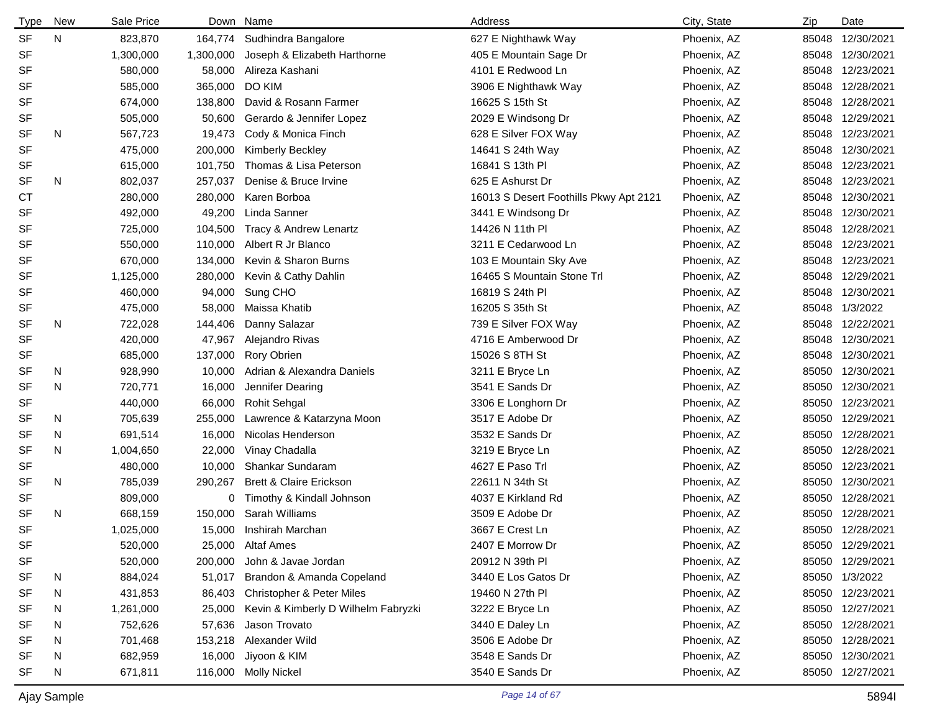| <b>Type</b> | New | Sale Price | Down      | Name                                 | Address                                | City, State | Zip   | Date             |
|-------------|-----|------------|-----------|--------------------------------------|----------------------------------------|-------------|-------|------------------|
| <b>SF</b>   | N   | 823,870    | 164,774   | Sudhindra Bangalore                  | 627 E Nighthawk Way                    | Phoenix, AZ | 85048 | 12/30/2021       |
| SF          |     | 1,300,000  | 1,300,000 | Joseph & Elizabeth Harthorne         | 405 E Mountain Sage Dr                 | Phoenix, AZ | 85048 | 12/30/2021       |
| <b>SF</b>   |     | 580,000    | 58,000    | Alireza Kashani                      | 4101 E Redwood Ln                      | Phoenix, AZ | 85048 | 12/23/2021       |
| <b>SF</b>   |     | 585,000    | 365,000   | DO KIM                               | 3906 E Nighthawk Way                   | Phoenix, AZ | 85048 | 12/28/2021       |
| <b>SF</b>   |     | 674,000    | 138,800   | David & Rosann Farmer                | 16625 S 15th St                        | Phoenix, AZ | 85048 | 12/28/2021       |
| <b>SF</b>   |     | 505,000    | 50,600    | Gerardo & Jennifer Lopez             | 2029 E Windsong Dr                     | Phoenix, AZ | 85048 | 12/29/2021       |
| <b>SF</b>   | N   | 567,723    | 19,473    | Cody & Monica Finch                  | 628 E Silver FOX Way                   | Phoenix, AZ | 85048 | 12/23/2021       |
| <b>SF</b>   |     | 475,000    | 200,000   | Kimberly Beckley                     | 14641 S 24th Way                       | Phoenix, AZ | 85048 | 12/30/2021       |
| <b>SF</b>   |     | 615,000    | 101,750   | Thomas & Lisa Peterson               | 16841 S 13th PI                        | Phoenix, AZ | 85048 | 12/23/2021       |
| <b>SF</b>   | N   | 802,037    | 257,037   | Denise & Bruce Irvine                | 625 E Ashurst Dr                       | Phoenix, AZ | 85048 | 12/23/2021       |
| <b>CT</b>   |     | 280,000    | 280,000   | Karen Borboa                         | 16013 S Desert Foothills Pkwy Apt 2121 | Phoenix, AZ | 85048 | 12/30/2021       |
| <b>SF</b>   |     | 492,000    | 49,200    | Linda Sanner                         | 3441 E Windsong Dr                     | Phoenix, AZ | 85048 | 12/30/2021       |
| <b>SF</b>   |     | 725,000    | 104,500   | Tracy & Andrew Lenartz               | 14426 N 11th PI                        | Phoenix, AZ | 85048 | 12/28/2021       |
| <b>SF</b>   |     | 550,000    | 110,000   | Albert R Jr Blanco                   | 3211 E Cedarwood Ln                    | Phoenix, AZ | 85048 | 12/23/2021       |
| SF          |     | 670,000    | 134,000   | Kevin & Sharon Burns                 | 103 E Mountain Sky Ave                 | Phoenix, AZ | 85048 | 12/23/2021       |
| <b>SF</b>   |     | 1,125,000  | 280,000   | Kevin & Cathy Dahlin                 | 16465 S Mountain Stone Trl             | Phoenix, AZ | 85048 | 12/29/2021       |
| SF          |     | 460,000    | 94,000    | Sung CHO                             | 16819 S 24th PI                        | Phoenix, AZ | 85048 | 12/30/2021       |
| <b>SF</b>   |     | 475,000    | 58,000    | Maissa Khatib                        | 16205 S 35th St                        | Phoenix, AZ | 85048 | 1/3/2022         |
| SF          | N   | 722,028    | 144,406   | Danny Salazar                        | 739 E Silver FOX Way                   | Phoenix, AZ | 85048 | 12/22/2021       |
| <b>SF</b>   |     | 420,000    | 47,967    | Alejandro Rivas                      | 4716 E Amberwood Dr                    | Phoenix, AZ | 85048 | 12/30/2021       |
| SF          |     | 685,000    | 137,000   | <b>Rory Obrien</b>                   | 15026 S 8TH St                         | Phoenix, AZ | 85048 | 12/30/2021       |
| <b>SF</b>   | N   | 928,990    | 10,000    | Adrian & Alexandra Daniels           | 3211 E Bryce Ln                        | Phoenix, AZ | 85050 | 12/30/2021       |
| <b>SF</b>   | N   | 720,771    | 16,000    | Jennifer Dearing                     | 3541 E Sands Dr                        | Phoenix, AZ | 85050 | 12/30/2021       |
| <b>SF</b>   |     | 440,000    | 66,000    | <b>Rohit Sehgal</b>                  | 3306 E Longhorn Dr                     | Phoenix, AZ | 85050 | 12/23/2021       |
| <b>SF</b>   | N   | 705,639    | 255,000   | Lawrence & Katarzyna Moon            | 3517 E Adobe Dr                        | Phoenix, AZ | 85050 | 12/29/2021       |
| <b>SF</b>   | N   | 691,514    | 16,000    | Nicolas Henderson                    | 3532 E Sands Dr                        | Phoenix, AZ | 85050 | 12/28/2021       |
| <b>SF</b>   | N   | 1,004,650  | 22,000    | Vinay Chadalla                       | 3219 E Bryce Ln                        | Phoenix, AZ | 85050 | 12/28/2021       |
| SF          |     | 480,000    | 10,000    | Shankar Sundaram                     | 4627 E Paso Trl                        | Phoenix, AZ | 85050 | 12/23/2021       |
| <b>SF</b>   | N   | 785,039    | 290,267   | <b>Brett &amp; Claire Erickson</b>   | 22611 N 34th St                        | Phoenix, AZ | 85050 | 12/30/2021       |
| SF          |     | 809,000    | 0         | Timothy & Kindall Johnson            | 4037 E Kirkland Rd                     | Phoenix, AZ | 85050 | 12/28/2021       |
| <b>SF</b>   | N   | 668,159    | 150,000   | Sarah Williams                       | 3509 E Adobe Dr                        | Phoenix, AZ | 85050 | 12/28/2021       |
| <b>SF</b>   |     | 1,025,000  | 15,000    | Inshirah Marchan                     | 3667 E Crest Ln                        | Phoenix, AZ |       | 85050 12/28/2021 |
| SF          |     | 520,000    | 25,000    | Altaf Ames                           | 2407 E Morrow Dr                       | Phoenix, AZ |       | 85050 12/29/2021 |
| <b>SF</b>   |     | 520,000    | 200,000   | John & Javae Jordan                  | 20912 N 39th PI                        | Phoenix, AZ |       | 85050 12/29/2021 |
| SF          | N   | 884,024    | 51,017    | Brandon & Amanda Copeland            | 3440 E Los Gatos Dr                    | Phoenix, AZ |       | 85050 1/3/2022   |
| <b>SF</b>   | N   | 431,853    | 86,403    | <b>Christopher &amp; Peter Miles</b> | 19460 N 27th PI                        | Phoenix, AZ |       | 85050 12/23/2021 |
| SF          | N   | 1,261,000  | 25,000    | Kevin & Kimberly D Wilhelm Fabryzki  | 3222 E Bryce Ln                        | Phoenix, AZ |       | 85050 12/27/2021 |
| SF          | N   | 752,626    | 57,636    | Jason Trovato                        | 3440 E Daley Ln                        | Phoenix, AZ |       | 85050 12/28/2021 |
| SF          | N   | 701,468    | 153,218   | Alexander Wild                       | 3506 E Adobe Dr                        | Phoenix, AZ |       | 85050 12/28/2021 |
| <b>SF</b>   | N   | 682,959    | 16,000    | Jiyoon & KIM                         | 3548 E Sands Dr                        | Phoenix, AZ |       | 85050 12/30/2021 |
| SF          | N   | 671,811    | 116,000   | <b>Molly Nickel</b>                  | 3540 E Sands Dr                        | Phoenix, AZ |       | 85050 12/27/2021 |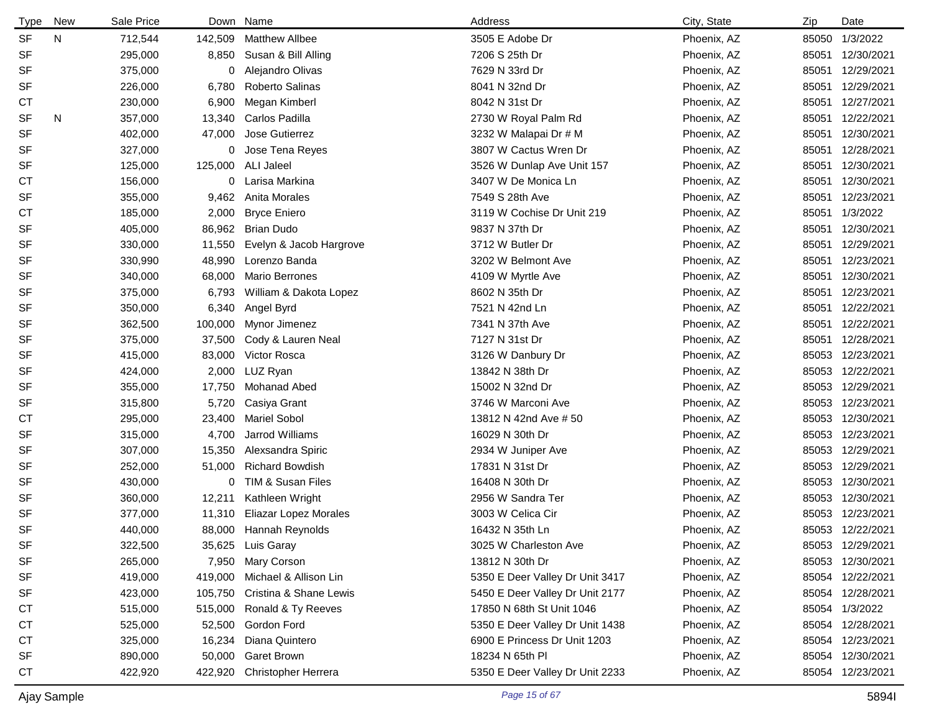| Type      | New | Sale Price | Down Name |                                | Address                         | City, State | Zip   | Date             |
|-----------|-----|------------|-----------|--------------------------------|---------------------------------|-------------|-------|------------------|
| <b>SF</b> | N   | 712,544    | 142,509   | <b>Matthew Allbee</b>          | 3505 E Adobe Dr                 | Phoenix, AZ | 85050 | 1/3/2022         |
| <b>SF</b> |     | 295,000    | 8,850     | Susan & Bill Alling            | 7206 S 25th Dr                  | Phoenix, AZ | 85051 | 12/30/2021       |
| <b>SF</b> |     | 375,000    | 0         | Alejandro Olivas               | 7629 N 33rd Dr                  | Phoenix, AZ |       | 85051 12/29/2021 |
| <b>SF</b> |     | 226,000    | 6,780     | Roberto Salinas                | 8041 N 32nd Dr                  | Phoenix, AZ | 85051 | 12/29/2021       |
| СT        |     | 230,000    | 6,900     | Megan Kimberl                  | 8042 N 31st Dr                  | Phoenix, AZ |       | 85051 12/27/2021 |
| <b>SF</b> | N   | 357,000    | 13,340    | Carlos Padilla                 | 2730 W Royal Palm Rd            | Phoenix, AZ | 85051 | 12/22/2021       |
| <b>SF</b> |     | 402,000    | 47,000    | Jose Gutierrez                 | 3232 W Malapai Dr # M           | Phoenix, AZ |       | 85051 12/30/2021 |
| <b>SF</b> |     | 327,000    | 0         | Jose Tena Reyes                | 3807 W Cactus Wren Dr           | Phoenix, AZ |       | 85051 12/28/2021 |
| <b>SF</b> |     | 125,000    | 125,000   | ALI Jaleel                     | 3526 W Dunlap Ave Unit 157      | Phoenix, AZ | 85051 | 12/30/2021       |
| СT        |     | 156,000    | 0         | Larisa Markina                 | 3407 W De Monica Ln             | Phoenix, AZ | 85051 | 12/30/2021       |
| SF        |     | 355,000    | 9,462     | Anita Morales                  | 7549 S 28th Ave                 | Phoenix, AZ | 85051 | 12/23/2021       |
| СT        |     | 185,000    | 2,000     | <b>Bryce Eniero</b>            | 3119 W Cochise Dr Unit 219      | Phoenix, AZ |       | 85051 1/3/2022   |
| SF        |     | 405,000    | 86,962    | <b>Brian Dudo</b>              | 9837 N 37th Dr                  | Phoenix, AZ | 85051 | 12/30/2021       |
| <b>SF</b> |     | 330,000    | 11,550    | Evelyn & Jacob Hargrove        | 3712 W Butler Dr                | Phoenix, AZ | 85051 | 12/29/2021       |
| <b>SF</b> |     | 330,990    | 48,990    | Lorenzo Banda                  | 3202 W Belmont Ave              | Phoenix, AZ |       | 85051 12/23/2021 |
| SF        |     | 340,000    | 68,000    | <b>Mario Berrones</b>          | 4109 W Myrtle Ave               | Phoenix, AZ | 85051 | 12/30/2021       |
| <b>SF</b> |     | 375,000    | 6,793     | William & Dakota Lopez         | 8602 N 35th Dr                  | Phoenix, AZ | 85051 | 12/23/2021       |
| <b>SF</b> |     | 350,000    | 6,340     | Angel Byrd                     | 7521 N 42nd Ln                  | Phoenix, AZ | 85051 | 12/22/2021       |
| <b>SF</b> |     | 362,500    | 100,000   | Mynor Jimenez                  | 7341 N 37th Ave                 | Phoenix, AZ |       | 85051 12/22/2021 |
| SF        |     | 375,000    | 37,500    | Cody & Lauren Neal             | 7127 N 31st Dr                  | Phoenix, AZ | 85051 | 12/28/2021       |
| <b>SF</b> |     | 415,000    | 83,000    | Victor Rosca                   | 3126 W Danbury Dr               | Phoenix, AZ | 85053 | 12/23/2021       |
| <b>SF</b> |     | 424,000    | 2,000     | LUZ Ryan                       | 13842 N 38th Dr                 | Phoenix, AZ | 85053 | 12/22/2021       |
| <b>SF</b> |     | 355,000    | 17,750    | Mohanad Abed                   | 15002 N 32nd Dr                 | Phoenix, AZ |       | 85053 12/29/2021 |
| <b>SF</b> |     | 315,800    | 5,720     | Casiya Grant                   | 3746 W Marconi Ave              | Phoenix, AZ | 85053 | 12/23/2021       |
| <b>CT</b> |     | 295,000    | 23,400    | <b>Mariel Sobol</b>            | 13812 N 42nd Ave # 50           | Phoenix, AZ | 85053 | 12/30/2021       |
| <b>SF</b> |     | 315,000    | 4,700     | Jarrod Williams                | 16029 N 30th Dr                 | Phoenix, AZ | 85053 | 12/23/2021       |
| <b>SF</b> |     | 307,000    | 15,350    | Alexsandra Spiric              | 2934 W Juniper Ave              | Phoenix, AZ |       | 85053 12/29/2021 |
| <b>SF</b> |     | 252,000    | 51,000    | <b>Richard Bowdish</b>         | 17831 N 31st Dr                 | Phoenix, AZ | 85053 | 12/29/2021       |
| <b>SF</b> |     | 430,000    | 0         | TIM & Susan Files              | 16408 N 30th Dr                 | Phoenix, AZ | 85053 | 12/30/2021       |
| <b>SF</b> |     | 360,000    | 12,211    | Kathleen Wright                | 2956 W Sandra Ter               | Phoenix, AZ | 85053 | 12/30/2021       |
| <b>SF</b> |     | 377,000    | 11,310    | <b>Eliazar Lopez Morales</b>   | 3003 W Celica Cir               | Phoenix, AZ |       | 85053 12/23/2021 |
| <b>SF</b> |     | 440,000    |           | 88,000 Hannah Reynolds         | 16432 N 35th Ln                 | Phoenix, AZ |       | 85053 12/22/2021 |
| SF        |     | 322,500    |           | 35,625 Luis Garay              | 3025 W Charleston Ave           | Phoenix, AZ |       | 85053 12/29/2021 |
| <b>SF</b> |     | 265,000    |           | 7,950 Mary Corson              | 13812 N 30th Dr                 | Phoenix, AZ |       | 85053 12/30/2021 |
| SF        |     | 419,000    | 419,000   | Michael & Allison Lin          | 5350 E Deer Valley Dr Unit 3417 | Phoenix, AZ |       | 85054 12/22/2021 |
| SF        |     | 423,000    |           | 105,750 Cristina & Shane Lewis | 5450 E Deer Valley Dr Unit 2177 | Phoenix, AZ |       | 85054 12/28/2021 |
| <b>CT</b> |     | 515,000    | 515,000   | Ronald & Ty Reeves             | 17850 N 68th St Unit 1046       | Phoenix, AZ |       | 85054 1/3/2022   |
| СT        |     | 525,000    | 52,500    | Gordon Ford                    | 5350 E Deer Valley Dr Unit 1438 | Phoenix, AZ |       | 85054 12/28/2021 |
| СT        |     | 325,000    | 16,234    | Diana Quintero                 | 6900 E Princess Dr Unit 1203    | Phoenix, AZ |       | 85054 12/23/2021 |
| SF        |     | 890,000    | 50,000    | <b>Garet Brown</b>             | 18234 N 65th PI                 | Phoenix, AZ |       | 85054 12/30/2021 |
| CT        |     | 422,920    | 422,920   | Christopher Herrera            | 5350 E Deer Valley Dr Unit 2233 | Phoenix, AZ |       | 85054 12/23/2021 |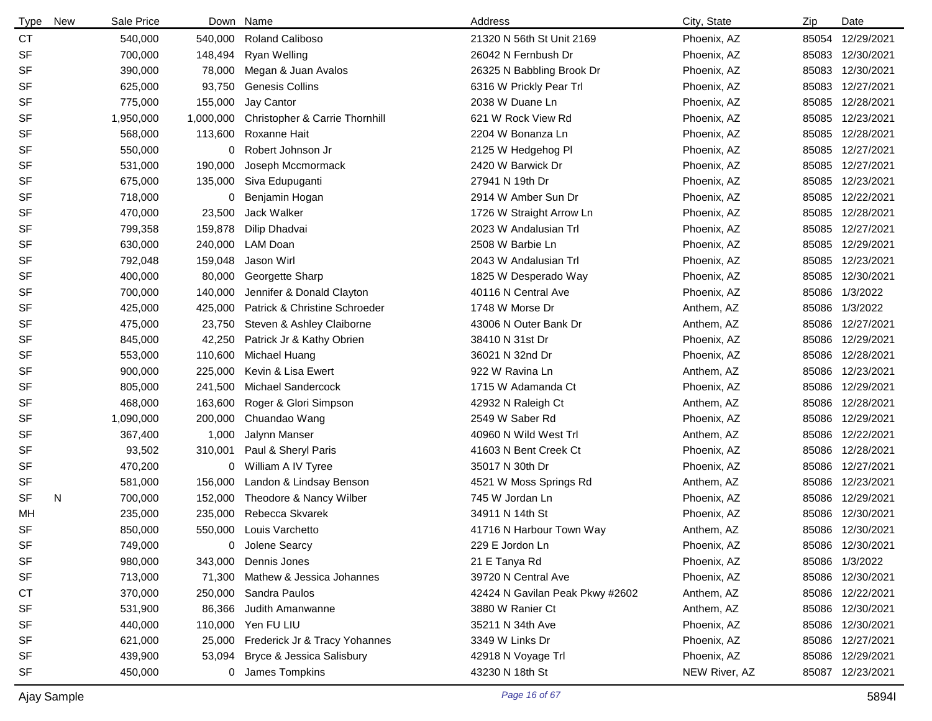| <b>Type</b> | New | Sale Price |           | Down Name                                 | Address                         | City, State   | Zip   | Date             |
|-------------|-----|------------|-----------|-------------------------------------------|---------------------------------|---------------|-------|------------------|
| <b>CT</b>   |     | 540,000    | 540,000   | <b>Roland Caliboso</b>                    | 21320 N 56th St Unit 2169       | Phoenix, AZ   | 85054 | 12/29/2021       |
| <b>SF</b>   |     | 700,000    | 148,494   | <b>Ryan Welling</b>                       | 26042 N Fernbush Dr             | Phoenix, AZ   | 85083 | 12/30/2021       |
| SF          |     | 390,000    | 78,000    | Megan & Juan Avalos                       | 26325 N Babbling Brook Dr       | Phoenix, AZ   |       | 85083 12/30/2021 |
| <b>SF</b>   |     | 625,000    | 93,750    | <b>Genesis Collins</b>                    | 6316 W Prickly Pear Trl         | Phoenix, AZ   |       | 85083 12/27/2021 |
| <b>SF</b>   |     | 775,000    | 155,000   | Jay Cantor                                | 2038 W Duane Ln                 | Phoenix, AZ   | 85085 | 12/28/2021       |
| <b>SF</b>   |     | 1,950,000  | 1,000,000 | <b>Christopher &amp; Carrie Thornhill</b> | 621 W Rock View Rd              | Phoenix, AZ   | 85085 | 12/23/2021       |
| SF          |     | 568,000    | 113,600   | Roxanne Hait                              | 2204 W Bonanza Ln               | Phoenix, AZ   | 85085 | 12/28/2021       |
| <b>SF</b>   |     | 550,000    | 0         | Robert Johnson Jr                         | 2125 W Hedgehog PI              | Phoenix, AZ   |       | 85085 12/27/2021 |
| SF          |     | 531,000    | 190,000   | Joseph Mccmormack                         | 2420 W Barwick Dr               | Phoenix, AZ   |       | 85085 12/27/2021 |
| <b>SF</b>   |     | 675,000    | 135,000   | Siva Edupuganti                           | 27941 N 19th Dr                 | Phoenix, AZ   |       | 85085 12/23/2021 |
| SF          |     | 718,000    | 0         | Benjamin Hogan                            | 2914 W Amber Sun Dr             | Phoenix, AZ   | 85085 | 12/22/2021       |
| <b>SF</b>   |     | 470,000    | 23,500    | Jack Walker                               | 1726 W Straight Arrow Ln        | Phoenix, AZ   | 85085 | 12/28/2021       |
| SF          |     | 799,358    | 159,878   | Dilip Dhadvai                             | 2023 W Andalusian Trl           | Phoenix, AZ   | 85085 | 12/27/2021       |
| <b>SF</b>   |     | 630,000    | 240,000   | LAM Doan                                  | 2508 W Barbie Ln                | Phoenix, AZ   | 85085 | 12/29/2021       |
| <b>SF</b>   |     | 792,048    | 159,048   | Jason Wirl                                | 2043 W Andalusian Trl           | Phoenix, AZ   | 85085 | 12/23/2021       |
| <b>SF</b>   |     | 400,000    | 80,000    | Georgette Sharp                           | 1825 W Desperado Way            | Phoenix, AZ   | 85085 | 12/30/2021       |
| <b>SF</b>   |     | 700,000    | 140,000   | Jennifer & Donald Clayton                 | 40116 N Central Ave             | Phoenix, AZ   | 85086 | 1/3/2022         |
| <b>SF</b>   |     | 425,000    | 425,000   | Patrick & Christine Schroeder             | 1748 W Morse Dr                 | Anthem, AZ    | 85086 | 1/3/2022         |
| SF          |     | 475,000    | 23,750    | Steven & Ashley Claiborne                 | 43006 N Outer Bank Dr           | Anthem, AZ    | 85086 | 12/27/2021       |
| SF          |     | 845,000    | 42,250    | Patrick Jr & Kathy Obrien                 | 38410 N 31st Dr                 | Phoenix, AZ   | 85086 | 12/29/2021       |
| SF          |     | 553,000    | 110,600   | Michael Huang                             | 36021 N 32nd Dr                 | Phoenix, AZ   | 85086 | 12/28/2021       |
| <b>SF</b>   |     | 900,000    | 225,000   | Kevin & Lisa Ewert                        | 922 W Ravina Ln                 | Anthem, AZ    | 85086 | 12/23/2021       |
| SF          |     | 805,000    | 241,500   | Michael Sandercock                        | 1715 W Adamanda Ct              | Phoenix, AZ   | 85086 | 12/29/2021       |
| <b>SF</b>   |     | 468,000    | 163,600   | Roger & Glori Simpson                     | 42932 N Raleigh Ct              | Anthem, AZ    | 85086 | 12/28/2021       |
| SF          |     | 1,090,000  | 200,000   | Chuandao Wang                             | 2549 W Saber Rd                 | Phoenix, AZ   | 85086 | 12/29/2021       |
| SF          |     | 367,400    | 1,000     | Jalynn Manser                             | 40960 N Wild West Trl           | Anthem, AZ    | 85086 | 12/22/2021       |
| <b>SF</b>   |     | 93,502     | 310,001   | Paul & Sheryl Paris                       | 41603 N Bent Creek Ct           | Phoenix, AZ   |       | 85086 12/28/2021 |
| SF          |     | 470,200    |           | 0 William A IV Tyree                      | 35017 N 30th Dr                 | Phoenix, AZ   | 85086 | 12/27/2021       |
| SF          |     | 581,000    | 156,000   | Landon & Lindsay Benson                   | 4521 W Moss Springs Rd          | Anthem, AZ    | 85086 | 12/23/2021       |
| <b>SF</b>   | N   | 700,000    | 152,000   | Theodore & Nancy Wilber                   | 745 W Jordan Ln                 | Phoenix, AZ   | 85086 | 12/29/2021       |
| MН          |     | 235,000    | 235,000   | Rebecca Skvarek                           | 34911 N 14th St                 | Phoenix, AZ   | 85086 | 12/30/2021       |
| <b>SF</b>   |     | 850,000    |           | 550,000 Louis Varchetto                   | 41716 N Harbour Town Way        | Anthem, AZ    |       | 85086 12/30/2021 |
| SF          |     | 749,000    | 0         | Jolene Searcy                             | 229 E Jordon Ln                 | Phoenix, AZ   |       | 85086 12/30/2021 |
| SF          |     | 980,000    |           | 343,000 Dennis Jones                      | 21 E Tanya Rd                   | Phoenix, AZ   |       | 85086 1/3/2022   |
| SF          |     | 713,000    |           | 71,300 Mathew & Jessica Johannes          | 39720 N Central Ave             | Phoenix, AZ   |       | 85086 12/30/2021 |
| <b>CT</b>   |     | 370,000    |           | 250,000 Sandra Paulos                     | 42424 N Gavilan Peak Pkwy #2602 | Anthem, AZ    |       | 85086 12/22/2021 |
| SF          |     | 531,900    | 86,366    | Judith Amanwanne                          | 3880 W Ranier Ct                | Anthem, AZ    |       | 85086 12/30/2021 |
| SF          |     | 440,000    |           | 110,000 Yen FU LIU                        | 35211 N 34th Ave                | Phoenix, AZ   |       | 85086 12/30/2021 |
| SF          |     | 621,000    |           | 25,000 Frederick Jr & Tracy Yohannes      | 3349 W Links Dr                 | Phoenix, AZ   |       | 85086 12/27/2021 |
| SF          |     | 439,900    |           | 53,094 Bryce & Jessica Salisbury          | 42918 N Voyage Trl              | Phoenix, AZ   |       | 85086 12/29/2021 |
| SF          |     | 450,000    |           | 0 James Tompkins                          | 43230 N 18th St                 | NEW River, AZ |       | 85087 12/23/2021 |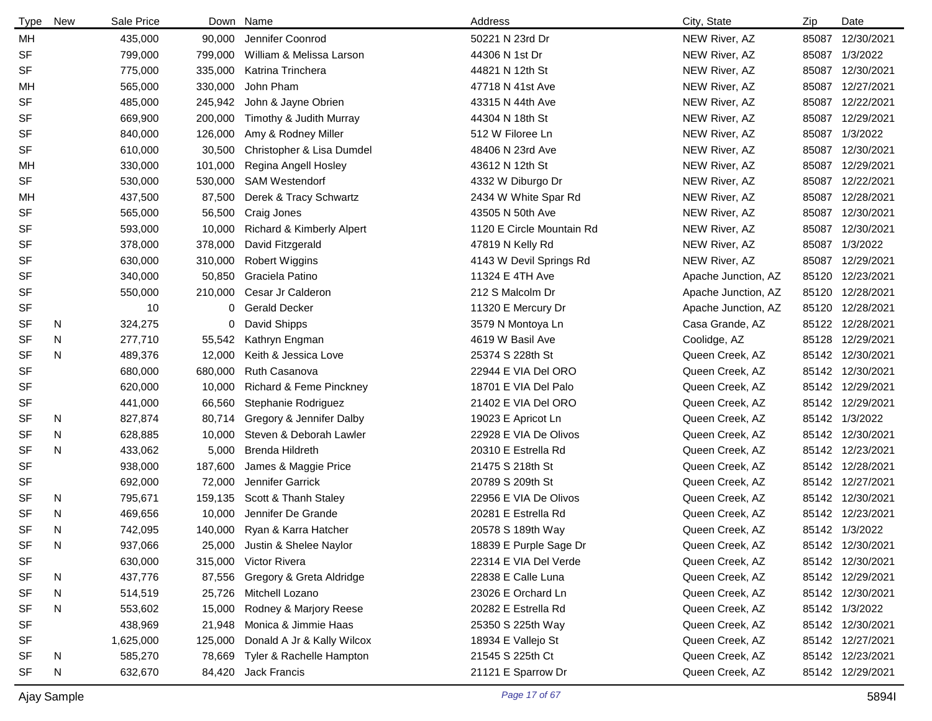| Type      | New | Sale Price |         | Down Name                    | Address                   | City, State         | Zip   | Date             |
|-----------|-----|------------|---------|------------------------------|---------------------------|---------------------|-------|------------------|
| МH        |     | 435,000    | 90,000  | Jennifer Coonrod             | 50221 N 23rd Dr           | NEW River, AZ       | 85087 | 12/30/2021       |
| <b>SF</b> |     | 799,000    | 799,000 | William & Melissa Larson     | 44306 N 1st Dr            | NEW River, AZ       |       | 85087 1/3/2022   |
| <b>SF</b> |     | 775,000    | 335,000 | Katrina Trinchera            | 44821 N 12th St           | NEW River, AZ       |       | 85087 12/30/2021 |
| МH        |     | 565,000    | 330,000 | John Pham                    | 47718 N 41st Ave          | NEW River, AZ       |       | 85087 12/27/2021 |
| <b>SF</b> |     | 485,000    | 245,942 | John & Jayne Obrien          | 43315 N 44th Ave          | NEW River, AZ       |       | 85087 12/22/2021 |
| <b>SF</b> |     | 669,900    | 200,000 | Timothy & Judith Murray      | 44304 N 18th St           | NEW River, AZ       |       | 85087 12/29/2021 |
| <b>SF</b> |     | 840,000    | 126,000 | Amy & Rodney Miller          | 512 W Filoree Ln          | NEW River, AZ       |       | 85087 1/3/2022   |
| <b>SF</b> |     | 610,000    | 30,500  | Christopher & Lisa Dumdel    | 48406 N 23rd Ave          | NEW River, AZ       |       | 85087 12/30/2021 |
| МH        |     | 330,000    | 101,000 | Regina Angell Hosley         | 43612 N 12th St           | NEW River, AZ       |       | 85087 12/29/2021 |
| <b>SF</b> |     | 530,000    | 530,000 | <b>SAM Westendorf</b>        | 4332 W Diburgo Dr         | NEW River, AZ       |       | 85087 12/22/2021 |
| MН        |     | 437,500    | 87,500  | Derek & Tracy Schwartz       | 2434 W White Spar Rd      | NEW River, AZ       |       | 85087 12/28/2021 |
| <b>SF</b> |     | 565,000    | 56,500  | Craig Jones                  | 43505 N 50th Ave          | NEW River, AZ       |       | 85087 12/30/2021 |
| <b>SF</b> |     | 593,000    | 10,000  | Richard & Kimberly Alpert    | 1120 E Circle Mountain Rd | NEW River, AZ       | 85087 | 12/30/2021       |
| <b>SF</b> |     | 378,000    | 378,000 | David Fitzgerald             | 47819 N Kelly Rd          | NEW River, AZ       | 85087 | 1/3/2022         |
| <b>SF</b> |     | 630,000    | 310,000 | <b>Robert Wiggins</b>        | 4143 W Devil Springs Rd   | NEW River, AZ       | 85087 | 12/29/2021       |
| <b>SF</b> |     | 340,000    | 50,850  | Graciela Patino              | 11324 E 4TH Ave           | Apache Junction, AZ |       | 85120 12/23/2021 |
| <b>SF</b> |     | 550,000    | 210,000 | Cesar Jr Calderon            | 212 S Malcolm Dr          | Apache Junction, AZ |       | 85120 12/28/2021 |
| <b>SF</b> |     | 10         | 0       | <b>Gerald Decker</b>         | 11320 E Mercury Dr        | Apache Junction, AZ |       | 85120 12/28/2021 |
| SF        | N   | 324,275    | 0       | David Shipps                 | 3579 N Montoya Ln         | Casa Grande, AZ     |       | 85122 12/28/2021 |
| SF        | N   | 277,710    | 55,542  | Kathryn Engman               | 4619 W Basil Ave          | Coolidge, AZ        |       | 85128 12/29/2021 |
| <b>SF</b> | N   | 489,376    | 12,000  | Keith & Jessica Love         | 25374 S 228th St          | Queen Creek, AZ     |       | 85142 12/30/2021 |
| SF        |     | 680,000    | 680,000 | Ruth Casanova                | 22944 E VIA Del ORO       | Queen Creek, AZ     |       | 85142 12/30/2021 |
| <b>SF</b> |     | 620,000    | 10,000  | Richard & Feme Pinckney      | 18701 E VIA Del Palo      | Queen Creek, AZ     |       | 85142 12/29/2021 |
| SF        |     | 441,000    | 66,560  | Stephanie Rodriguez          | 21402 E VIA Del ORO       | Queen Creek, AZ     |       | 85142 12/29/2021 |
| SF        | N   | 827,874    | 80,714  | Gregory & Jennifer Dalby     | 19023 E Apricot Ln        | Queen Creek, AZ     |       | 85142 1/3/2022   |
| SF        | N   | 628,885    | 10,000  | Steven & Deborah Lawler      | 22928 E VIA De Olivos     | Queen Creek, AZ     |       | 85142 12/30/2021 |
| <b>SF</b> | N   | 433,062    | 5,000   | Brenda Hildreth              | 20310 E Estrella Rd       | Queen Creek, AZ     |       | 85142 12/23/2021 |
| <b>SF</b> |     | 938,000    | 187,600 | James & Maggie Price         | 21475 S 218th St          | Queen Creek, AZ     |       | 85142 12/28/2021 |
| <b>SF</b> |     | 692,000    | 72,000  | Jennifer Garrick             | 20789 S 209th St          | Queen Creek, AZ     |       | 85142 12/27/2021 |
| SF        | N   | 795,671    | 159,135 | Scott & Thanh Staley         | 22956 E VIA De Olivos     | Queen Creek, AZ     |       | 85142 12/30/2021 |
| <b>SF</b> | N   | 469,656    | 10,000  | Jennifer De Grande           | 20281 E Estrella Rd       | Queen Creek, AZ     |       | 85142 12/23/2021 |
| <b>SF</b> | N   | 742,095    |         | 140,000 Ryan & Karra Hatcher | 20578 S 189th Way         | Queen Creek, AZ     |       | 85142 1/3/2022   |
| SF        | N   | 937,066    | 25,000  | Justin & Shelee Naylor       | 18839 E Purple Sage Dr    | Queen Creek, AZ     |       | 85142 12/30/2021 |
| SF        |     | 630,000    |         | 315,000 Victor Rivera        | 22314 E VIA Del Verde     | Queen Creek, AZ     |       | 85142 12/30/2021 |
| SF        | N   | 437,776    | 87,556  | Gregory & Greta Aldridge     | 22838 E Calle Luna        | Queen Creek, AZ     |       | 85142 12/29/2021 |
| SF        | N   | 514,519    | 25,726  | Mitchell Lozano              | 23026 E Orchard Ln        | Queen Creek, AZ     |       | 85142 12/30/2021 |
| SF        | N   | 553,602    | 15,000  | Rodney & Marjory Reese       | 20282 E Estrella Rd       | Queen Creek, AZ     |       | 85142 1/3/2022   |
| <b>SF</b> |     | 438,969    | 21,948  | Monica & Jimmie Haas         | 25350 S 225th Way         | Queen Creek, AZ     |       | 85142 12/30/2021 |
| <b>SF</b> |     | 1,625,000  | 125,000 | Donald A Jr & Kally Wilcox   | 18934 E Vallejo St        | Queen Creek, AZ     |       | 85142 12/27/2021 |
| <b>SF</b> | N   | 585,270    | 78,669  | Tyler & Rachelle Hampton     | 21545 S 225th Ct          | Queen Creek, AZ     |       | 85142 12/23/2021 |
| <b>SF</b> | N   | 632,670    |         | 84,420 Jack Francis          | 21121 E Sparrow Dr        | Queen Creek, AZ     |       | 85142 12/29/2021 |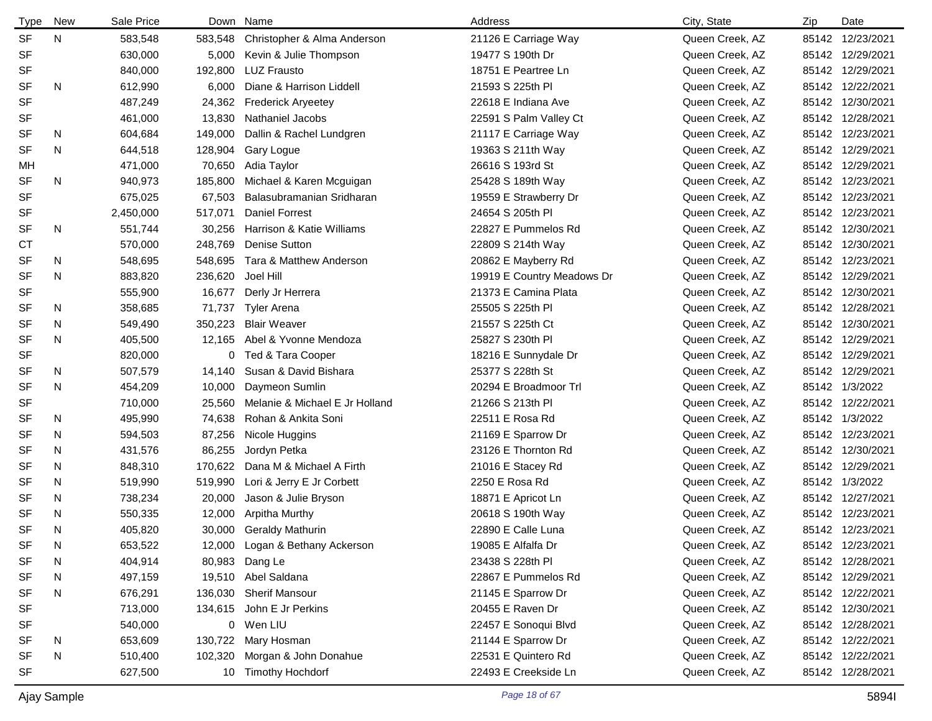| Type      | New | Sale Price |                 | Down Name                      | Address                    | City, State     | Zip | Date             |
|-----------|-----|------------|-----------------|--------------------------------|----------------------------|-----------------|-----|------------------|
| <b>SF</b> | N   | 583,548    | 583,548         | Christopher & Alma Anderson    | 21126 E Carriage Way       | Queen Creek, AZ |     | 85142 12/23/2021 |
| <b>SF</b> |     | 630,000    | 5,000           | Kevin & Julie Thompson         | 19477 S 190th Dr           | Queen Creek, AZ |     | 85142 12/29/2021 |
| <b>SF</b> |     | 840,000    | 192,800         | <b>LUZ Frausto</b>             | 18751 E Peartree Ln        | Queen Creek, AZ |     | 85142 12/29/2021 |
| <b>SF</b> | N   | 612,990    | 6,000           | Diane & Harrison Liddell       | 21593 S 225th Pl           | Queen Creek, AZ |     | 85142 12/22/2021 |
| <b>SF</b> |     | 487,249    | 24,362          | <b>Frederick Aryeetey</b>      | 22618 E Indiana Ave        | Queen Creek, AZ |     | 85142 12/30/2021 |
| <b>SF</b> |     | 461,000    | 13,830          | Nathaniel Jacobs               | 22591 S Palm Valley Ct     | Queen Creek, AZ |     | 85142 12/28/2021 |
| <b>SF</b> | N   | 604,684    | 149,000         | Dallin & Rachel Lundgren       | 21117 E Carriage Way       | Queen Creek, AZ |     | 85142 12/23/2021 |
| <b>SF</b> | N   | 644,518    | 128,904         | Gary Logue                     | 19363 S 211th Way          | Queen Creek, AZ |     | 85142 12/29/2021 |
| МH        |     | 471,000    | 70,650          | Adia Taylor                    | 26616 S 193rd St           | Queen Creek, AZ |     | 85142 12/29/2021 |
| <b>SF</b> | N   | 940,973    | 185,800         | Michael & Karen Mcguigan       | 25428 S 189th Way          | Queen Creek, AZ |     | 85142 12/23/2021 |
| <b>SF</b> |     | 675,025    | 67,503          | Balasubramanian Sridharan      | 19559 E Strawberry Dr      | Queen Creek, AZ |     | 85142 12/23/2021 |
| <b>SF</b> |     | 2,450,000  | 517,071         | <b>Daniel Forrest</b>          | 24654 S 205th PI           | Queen Creek, AZ |     | 85142 12/23/2021 |
| <b>SF</b> | N   | 551,744    | 30,256          | Harrison & Katie Williams      | 22827 E Pummelos Rd        | Queen Creek, AZ |     | 85142 12/30/2021 |
| СT        |     | 570,000    | 248,769         | <b>Denise Sutton</b>           | 22809 S 214th Way          | Queen Creek, AZ |     | 85142 12/30/2021 |
| <b>SF</b> | N   | 548,695    | 548,695         | Tara & Matthew Anderson        | 20862 E Mayberry Rd        | Queen Creek, AZ |     | 85142 12/23/2021 |
| <b>SF</b> | N   | 883,820    | 236,620         | Joel Hill                      | 19919 E Country Meadows Dr | Queen Creek, AZ |     | 85142 12/29/2021 |
| <b>SF</b> |     | 555,900    | 16,677          | Derly Jr Herrera               | 21373 E Camina Plata       | Queen Creek, AZ |     | 85142 12/30/2021 |
| SF        | N.  | 358,685    | 71,737          | <b>Tyler Arena</b>             | 25505 S 225th PI           | Queen Creek, AZ |     | 85142 12/28/2021 |
| SF        | N   | 549,490    | 350,223         | <b>Blair Weaver</b>            | 21557 S 225th Ct           | Queen Creek, AZ |     | 85142 12/30/2021 |
| <b>SF</b> | N   | 405,500    | 12,165          | Abel & Yvonne Mendoza          | 25827 S 230th PI           | Queen Creek, AZ |     | 85142 12/29/2021 |
| <b>SF</b> |     | 820,000    | 0               | Ted & Tara Cooper              | 18216 E Sunnydale Dr       | Queen Creek, AZ |     | 85142 12/29/2021 |
| SF        | N.  | 507,579    | 14,140          | Susan & David Bishara          | 25377 S 228th St           | Queen Creek, AZ |     | 85142 12/29/2021 |
| <b>SF</b> | N   | 454,209    | 10,000          | Daymeon Sumlin                 | 20294 E Broadmoor Trl      | Queen Creek, AZ |     | 85142 1/3/2022   |
| <b>SF</b> |     | 710,000    | 25,560          | Melanie & Michael E Jr Holland | 21266 S 213th PI           | Queen Creek, AZ |     | 85142 12/22/2021 |
| <b>SF</b> | N.  | 495,990    | 74,638          | Rohan & Ankita Soni            | 22511 E Rosa Rd            | Queen Creek, AZ |     | 85142 1/3/2022   |
| SF        | N.  | 594,503    | 87,256          | Nicole Huggins                 | 21169 E Sparrow Dr         | Queen Creek, AZ |     | 85142 12/23/2021 |
| <b>SF</b> | N   | 431,576    | 86,255          | Jordyn Petka                   | 23126 E Thornton Rd        | Queen Creek, AZ |     | 85142 12/30/2021 |
| <b>SF</b> | N   | 848,310    | 170,622         | Dana M & Michael A Firth       | 21016 E Stacey Rd          | Queen Creek, AZ |     | 85142 12/29/2021 |
| <b>SF</b> | N   | 519,990    | 519,990         | Lori & Jerry E Jr Corbett      | 2250 E Rosa Rd             | Queen Creek, AZ |     | 85142 1/3/2022   |
| <b>SF</b> | N   | 738,234    | 20,000          | Jason & Julie Bryson           | 18871 E Apricot Ln         | Queen Creek, AZ |     | 85142 12/27/2021 |
| <b>SF</b> | N   | 550,335    | 12,000          | Arpitha Murthy                 | 20618 S 190th Way          | Queen Creek, AZ |     | 85142 12/23/2021 |
| <b>SF</b> | N   | 405,820    |                 | 30,000 Geraldy Mathurin        | 22890 E Calle Luna         | Queen Creek, AZ |     | 85142 12/23/2021 |
| SF        | N   | 653,522    | 12,000          | Logan & Bethany Ackerson       | 19085 E Alfalfa Dr         | Queen Creek, AZ |     | 85142 12/23/2021 |
| <b>SF</b> | N   | 404,914    |                 | 80,983 Dang Le                 | 23438 S 228th PI           | Queen Creek, AZ |     | 85142 12/28/2021 |
| <b>SF</b> | N   | 497,159    | 19,510          | Abel Saldana                   | 22867 E Pummelos Rd        | Queen Creek, AZ |     | 85142 12/29/2021 |
| <b>SF</b> | N   | 676,291    | 136,030         | <b>Sherif Mansour</b>          | 21145 E Sparrow Dr         | Queen Creek, AZ |     | 85142 12/22/2021 |
| <b>SF</b> |     | 713,000    | 134,615         | John E Jr Perkins              | 20455 E Raven Dr           | Queen Creek, AZ |     | 85142 12/30/2021 |
| <b>SF</b> |     | 540,000    |                 | 0 Wen LIU                      | 22457 E Sonoqui Blvd       | Queen Creek, AZ |     | 85142 12/28/2021 |
| <b>SF</b> | N   | 653,609    | 130,722         | Mary Hosman                    | 21144 E Sparrow Dr         | Queen Creek, AZ |     | 85142 12/22/2021 |
| <b>SF</b> | N   | 510,400    | 102,320         | Morgan & John Donahue          | 22531 E Quintero Rd        | Queen Creek, AZ |     | 85142 12/22/2021 |
| <b>SF</b> |     | 627,500    | 10 <sup>°</sup> | <b>Timothy Hochdorf</b>        | 22493 E Creekside Ln       | Queen Creek, AZ |     | 85142 12/28/2021 |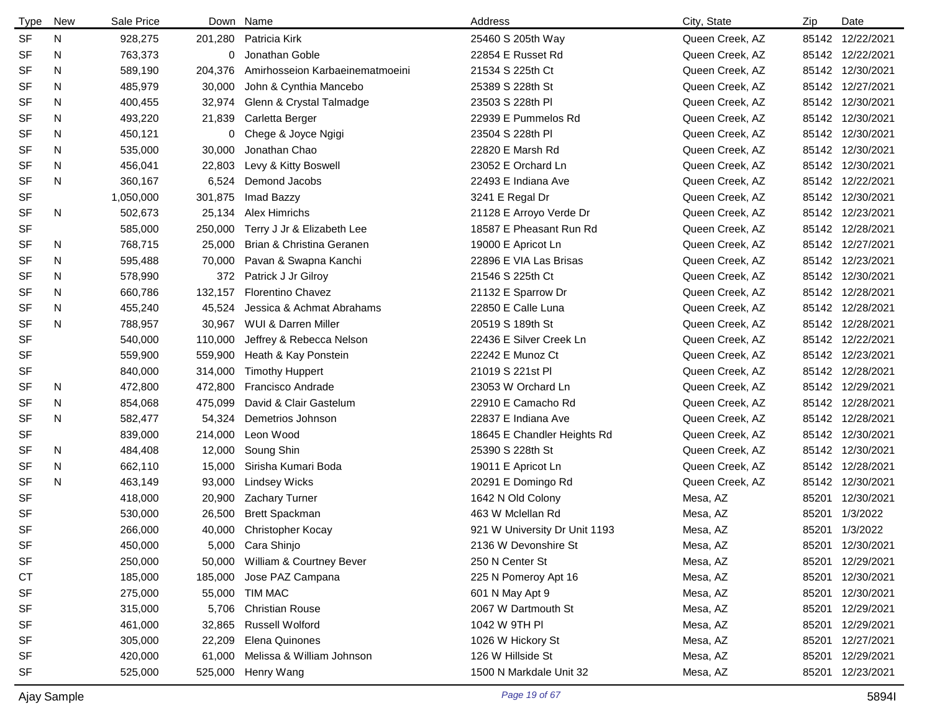| Type      | <b>New</b> | Sale Price |         | Down Name                       | Address                       | City, State     | Zip   | Date             |
|-----------|------------|------------|---------|---------------------------------|-------------------------------|-----------------|-------|------------------|
| <b>SF</b> | N          | 928,275    | 201,280 | Patricia Kirk                   | 25460 S 205th Way             | Queen Creek, AZ |       | 85142 12/22/2021 |
| <b>SF</b> | N          | 763,373    | 0       | Jonathan Goble                  | 22854 E Russet Rd             | Queen Creek, AZ |       | 85142 12/22/2021 |
| SF        | N          | 589,190    | 204,376 | Amirhosseion Karbaeinematmoeini | 21534 S 225th Ct              | Queen Creek, AZ |       | 85142 12/30/2021 |
| <b>SF</b> | N          | 485,979    | 30,000  | John & Cynthia Mancebo          | 25389 S 228th St              | Queen Creek, AZ |       | 85142 12/27/2021 |
| SF        | N          | 400,455    | 32,974  | Glenn & Crystal Talmadge        | 23503 S 228th PI              | Queen Creek, AZ |       | 85142 12/30/2021 |
| <b>SF</b> | N          | 493,220    | 21,839  | Carletta Berger                 | 22939 E Pummelos Rd           | Queen Creek, AZ |       | 85142 12/30/2021 |
| SF        | N          | 450,121    | 0       | Chege & Joyce Ngigi             | 23504 S 228th PI              | Queen Creek, AZ |       | 85142 12/30/2021 |
| SF        | N          | 535,000    | 30,000  | Jonathan Chao                   | 22820 E Marsh Rd              | Queen Creek, AZ |       | 85142 12/30/2021 |
| SF        | N          | 456,041    | 22,803  | Levy & Kitty Boswell            | 23052 E Orchard Ln            | Queen Creek, AZ |       | 85142 12/30/2021 |
| <b>SF</b> | N          | 360,167    | 6,524   | Demond Jacobs                   | 22493 E Indiana Ave           | Queen Creek, AZ |       | 85142 12/22/2021 |
| <b>SF</b> |            | 1,050,000  | 301,875 | Imad Bazzy                      | 3241 E Regal Dr               | Queen Creek, AZ |       | 85142 12/30/2021 |
| <b>SF</b> | N          | 502,673    | 25,134  | Alex Himrichs                   | 21128 E Arroyo Verde Dr       | Queen Creek, AZ |       | 85142 12/23/2021 |
| <b>SF</b> |            | 585,000    | 250,000 | Terry J Jr & Elizabeth Lee      | 18587 E Pheasant Run Rd       | Queen Creek, AZ |       | 85142 12/28/2021 |
| SF        | N          | 768,715    | 25,000  | Brian & Christina Geranen       | 19000 E Apricot Ln            | Queen Creek, AZ |       | 85142 12/27/2021 |
| SF        | N          | 595,488    | 70,000  | Pavan & Swapna Kanchi           | 22896 E VIA Las Brisas        | Queen Creek, AZ |       | 85142 12/23/2021 |
| SF        | N          | 578,990    | 372     | Patrick J Jr Gilroy             | 21546 S 225th Ct              | Queen Creek, AZ |       | 85142 12/30/2021 |
| SF        | N          | 660,786    | 132,157 | <b>Florentino Chavez</b>        | 21132 E Sparrow Dr            | Queen Creek, AZ |       | 85142 12/28/2021 |
| SF        | N          | 455,240    | 45,524  | Jessica & Achmat Abrahams       | 22850 E Calle Luna            | Queen Creek, AZ |       | 85142 12/28/2021 |
| <b>SF</b> | N          | 788,957    | 30,967  | WUI & Darren Miller             | 20519 S 189th St              | Queen Creek, AZ |       | 85142 12/28/2021 |
| <b>SF</b> |            | 540,000    | 110,000 | Jeffrey & Rebecca Nelson        | 22436 E Silver Creek Ln       | Queen Creek, AZ |       | 85142 12/22/2021 |
| <b>SF</b> |            | 559,900    | 559,900 | Heath & Kay Ponstein            | 22242 E Munoz Ct              | Queen Creek, AZ |       | 85142 12/23/2021 |
| SF        |            | 840,000    | 314,000 | <b>Timothy Huppert</b>          | 21019 S 221st Pl              | Queen Creek, AZ |       | 85142 12/28/2021 |
| SF        | N          | 472,800    | 472,800 | Francisco Andrade               | 23053 W Orchard Ln            | Queen Creek, AZ |       | 85142 12/29/2021 |
| SF        | N          | 854,068    | 475,099 | David & Clair Gastelum          | 22910 E Camacho Rd            | Queen Creek, AZ |       | 85142 12/28/2021 |
| <b>SF</b> | N          | 582,477    | 54,324  | Demetrios Johnson               | 22837 E Indiana Ave           | Queen Creek, AZ |       | 85142 12/28/2021 |
| SF        |            | 839,000    | 214,000 | Leon Wood                       | 18645 E Chandler Heights Rd   | Queen Creek, AZ |       | 85142 12/30/2021 |
| <b>SF</b> | N          | 484,408    | 12,000  | Soung Shin                      | 25390 S 228th St              | Queen Creek, AZ |       | 85142 12/30/2021 |
| SF        | N          | 662,110    | 15,000  | Sirisha Kumari Boda             | 19011 E Apricot Ln            | Queen Creek, AZ |       | 85142 12/28/2021 |
| <b>SF</b> | N          | 463,149    | 93,000  | <b>Lindsey Wicks</b>            | 20291 E Domingo Rd            | Queen Creek, AZ |       | 85142 12/30/2021 |
| <b>SF</b> |            | 418,000    | 20,900  | Zachary Turner                  | 1642 N Old Colony             | Mesa, AZ        | 85201 | 12/30/2021       |
| <b>SF</b> |            | 530,000    | 26,500  | <b>Brett Spackman</b>           | 463 W Mclellan Rd             | Mesa, AZ        | 85201 | 1/3/2022         |
| <b>SF</b> |            | 266,000    | 40,000  | Christopher Kocay               | 921 W University Dr Unit 1193 | Mesa, AZ        |       | 85201 1/3/2022   |
| SF        |            | 450,000    |         | 5,000 Cara Shinjo               | 2136 W Devonshire St          | Mesa, AZ        | 85201 | 12/30/2021       |
| SF        |            | 250,000    |         | 50,000 William & Courtney Bever | 250 N Center St               | Mesa, AZ        | 85201 | 12/29/2021       |
| СT        |            | 185,000    | 185,000 | Jose PAZ Campana                | 225 N Pomeroy Apt 16          | Mesa, AZ        | 85201 | 12/30/2021       |
| <b>SF</b> |            | 275,000    |         | 55,000 TIM MAC                  | 601 N May Apt 9               | Mesa, AZ        | 85201 | 12/30/2021       |
| SF        |            | 315,000    | 5,706   | <b>Christian Rouse</b>          | 2067 W Dartmouth St           | Mesa, AZ        | 85201 | 12/29/2021       |
| SF        |            | 461,000    | 32,865  | <b>Russell Wolford</b>          | 1042 W 9TH PI                 | Mesa, AZ        | 85201 | 12/29/2021       |
| <b>SF</b> |            | 305,000    | 22,209  | Elena Quinones                  | 1026 W Hickory St             | Mesa, AZ        | 85201 | 12/27/2021       |
| SF        |            | 420,000    | 61,000  | Melissa & William Johnson       | 126 W Hillside St             | Mesa, AZ        | 85201 | 12/29/2021       |
| <b>SF</b> |            | 525,000    | 525,000 | Henry Wang                      | 1500 N Markdale Unit 32       | Mesa, AZ        |       | 85201 12/23/2021 |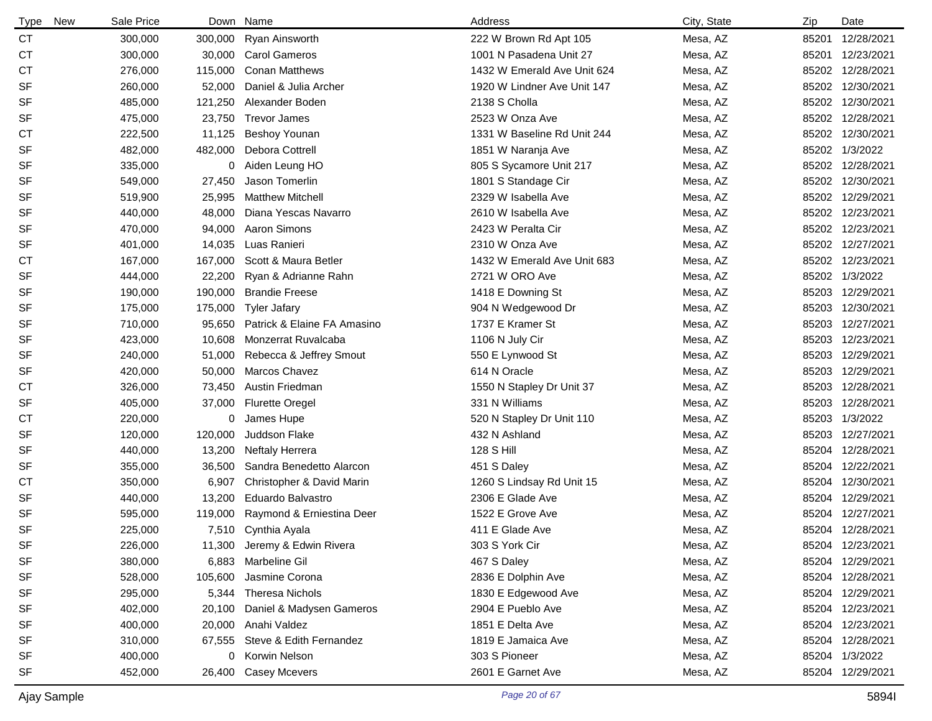| <b>Type</b><br><b>New</b> | Sale Price |         | Down Name                      | Address                     | City, State | Zip   | Date             |
|---------------------------|------------|---------|--------------------------------|-----------------------------|-------------|-------|------------------|
| CT                        | 300,000    | 300,000 | Ryan Ainsworth                 | 222 W Brown Rd Apt 105      | Mesa, AZ    | 85201 | 12/28/2021       |
| СT                        | 300,000    | 30,000  | <b>Carol Gameros</b>           | 1001 N Pasadena Unit 27     | Mesa, AZ    | 85201 | 12/23/2021       |
| СT                        | 276,000    | 115,000 | <b>Conan Matthews</b>          | 1432 W Emerald Ave Unit 624 | Mesa, AZ    |       | 85202 12/28/2021 |
| <b>SF</b>                 | 260,000    | 52,000  | Daniel & Julia Archer          | 1920 W Lindner Ave Unit 147 | Mesa, AZ    |       | 85202 12/30/2021 |
| SF                        | 485,000    | 121,250 | Alexander Boden                | 2138 S Cholla               | Mesa, AZ    |       | 85202 12/30/2021 |
| SF                        | 475,000    | 23,750  | <b>Trevor James</b>            | 2523 W Onza Ave             | Mesa, AZ    |       | 85202 12/28/2021 |
| СT                        | 222,500    | 11,125  | <b>Beshoy Younan</b>           | 1331 W Baseline Rd Unit 244 | Mesa, AZ    |       | 85202 12/30/2021 |
| <b>SF</b>                 | 482,000    | 482,000 | Debora Cottrell                | 1851 W Naranja Ave          | Mesa, AZ    |       | 85202 1/3/2022   |
| SF                        | 335,000    | 0       | Aiden Leung HO                 | 805 S Sycamore Unit 217     | Mesa, AZ    |       | 85202 12/28/2021 |
| <b>SF</b>                 | 549,000    | 27,450  | Jason Tomerlin                 | 1801 S Standage Cir         | Mesa, AZ    |       | 85202 12/30/2021 |
| SF                        | 519,900    | 25,995  | <b>Matthew Mitchell</b>        | 2329 W Isabella Ave         | Mesa, AZ    |       | 85202 12/29/2021 |
| <b>SF</b>                 | 440,000    | 48,000  | Diana Yescas Navarro           | 2610 W Isabella Ave         | Mesa, AZ    |       | 85202 12/23/2021 |
| SF                        | 470,000    | 94,000  | Aaron Simons                   | 2423 W Peralta Cir          | Mesa, AZ    |       | 85202 12/23/2021 |
| SF                        | 401,000    | 14,035  | Luas Ranieri                   | 2310 W Onza Ave             | Mesa, AZ    |       | 85202 12/27/2021 |
| <b>CT</b>                 | 167,000    | 167,000 | Scott & Maura Betler           | 1432 W Emerald Ave Unit 683 | Mesa, AZ    |       | 85202 12/23/2021 |
| SF                        | 444,000    | 22,200  | Ryan & Adrianne Rahn           | 2721 W ORO Ave              | Mesa, AZ    |       | 85202 1/3/2022   |
| SF                        | 190,000    | 190,000 | <b>Brandie Freese</b>          | 1418 E Downing St           | Mesa, AZ    |       | 85203 12/29/2021 |
| SF                        | 175,000    | 175,000 | <b>Tyler Jafary</b>            | 904 N Wedgewood Dr          | Mesa, AZ    |       | 85203 12/30/2021 |
| <b>SF</b>                 | 710,000    | 95,650  | Patrick & Elaine FA Amasino    | 1737 E Kramer St            | Mesa, AZ    |       | 85203 12/27/2021 |
| <b>SF</b>                 | 423,000    | 10,608  | Monzerrat Ruvalcaba            | 1106 N July Cir             | Mesa, AZ    |       | 85203 12/23/2021 |
| <b>SF</b>                 | 240,000    | 51,000  | Rebecca & Jeffrey Smout        | 550 E Lynwood St            | Mesa, AZ    |       | 85203 12/29/2021 |
| SF                        | 420,000    | 50,000  | Marcos Chavez                  | 614 N Oracle                | Mesa, AZ    | 85203 | 12/29/2021       |
| <b>CT</b>                 | 326,000    | 73,450  | Austin Friedman                | 1550 N Stapley Dr Unit 37   | Mesa, AZ    |       | 85203 12/28/2021 |
| SF                        | 405,000    | 37,000  | <b>Flurette Oregel</b>         | 331 N Williams              | Mesa, AZ    | 85203 | 12/28/2021       |
| <b>CT</b>                 | 220,000    | 0       | James Hupe                     | 520 N Stapley Dr Unit 110   | Mesa, AZ    |       | 85203 1/3/2022   |
| <b>SF</b>                 | 120,000    | 120,000 | Juddson Flake                  | 432 N Ashland               | Mesa, AZ    | 85203 | 12/27/2021       |
| <b>SF</b>                 | 440,000    | 13,200  | <b>Neftaly Herrera</b>         | 128 S Hill                  | Mesa, AZ    |       | 85204 12/28/2021 |
| <b>SF</b>                 | 355,000    | 36,500  | Sandra Benedetto Alarcon       | 451 S Daley                 | Mesa, AZ    |       | 85204 12/22/2021 |
| СT                        | 350,000    | 6,907   | Christopher & David Marin      | 1260 S Lindsay Rd Unit 15   | Mesa, AZ    |       | 85204 12/30/2021 |
| SF                        | 440,000    | 13,200  | Eduardo Balvastro              | 2306 E Glade Ave            | Mesa, AZ    | 85204 | 12/29/2021       |
| <b>SF</b>                 | 595,000    | 119,000 | Raymond & Erniestina Deer      | 1522 E Grove Ave            | Mesa, AZ    |       | 85204 12/27/2021 |
| <b>SF</b>                 | 225,000    |         | 7,510 Cynthia Ayala            | 411 E Glade Ave             | Mesa, AZ    |       | 85204 12/28/2021 |
| <b>SF</b>                 | 226,000    |         | 11,300 Jeremy & Edwin Rivera   | 303 S York Cir              | Mesa, AZ    |       | 85204 12/23/2021 |
| SF                        | 380,000    | 6,883   | Marbeline Gil                  | 467 S Daley                 | Mesa, AZ    |       | 85204 12/29/2021 |
| <b>SF</b>                 | 528,000    | 105,600 | Jasmine Corona                 | 2836 E Dolphin Ave          | Mesa, AZ    |       | 85204 12/28/2021 |
| <b>SF</b>                 | 295,000    |         | 5,344 Theresa Nichols          | 1830 E Edgewood Ave         | Mesa, AZ    |       | 85204 12/29/2021 |
| <b>SF</b>                 | 402,000    | 20,100  | Daniel & Madysen Gameros       | 2904 E Pueblo Ave           | Mesa, AZ    |       | 85204 12/23/2021 |
| SF                        | 400,000    | 20,000  | Anahi Valdez                   | 1851 E Delta Ave            | Mesa, AZ    |       | 85204 12/23/2021 |
| SF                        | 310,000    |         | 67,555 Steve & Edith Fernandez | 1819 E Jamaica Ave          | Mesa, AZ    |       | 85204 12/28/2021 |
| <b>SF</b>                 | 400,000    |         | 0 Korwin Nelson                | 303 S Pioneer               | Mesa, AZ    |       | 85204 1/3/2022   |
| <b>SF</b>                 | 452,000    |         | 26,400 Casey Mcevers           | 2601 E Garnet Ave           | Mesa, AZ    |       | 85204 12/29/2021 |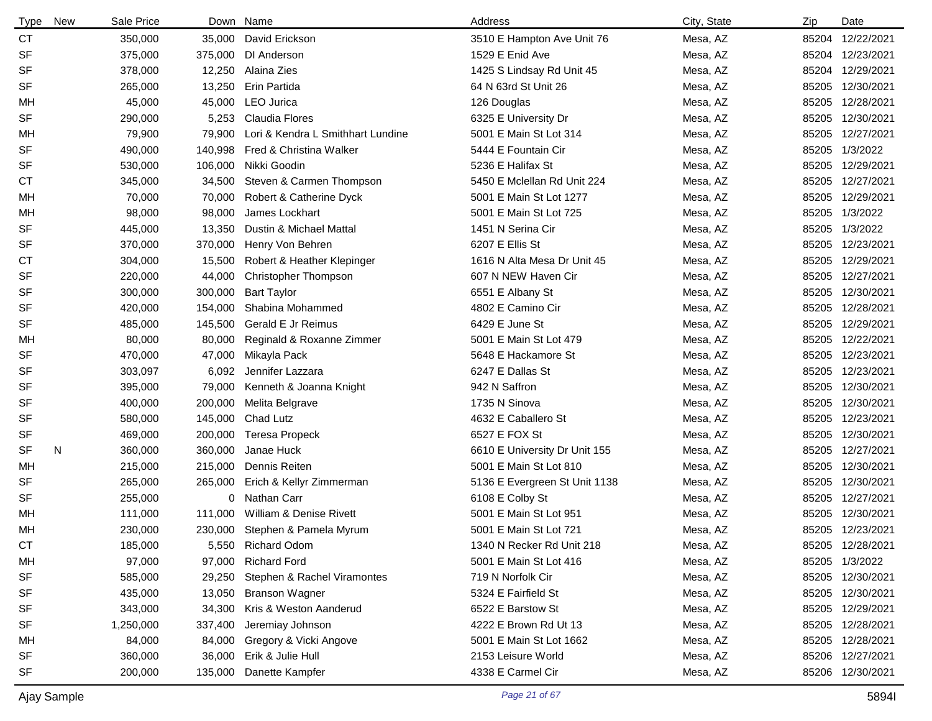| <b>Type</b> | <b>New</b> | Sale Price | Down    | Name                              | Address                       | City, State | Zip   | Date             |
|-------------|------------|------------|---------|-----------------------------------|-------------------------------|-------------|-------|------------------|
| <b>CT</b>   |            | 350,000    | 35,000  | David Erickson                    | 3510 E Hampton Ave Unit 76    | Mesa, AZ    |       | 85204 12/22/2021 |
| SF          |            | 375,000    | 375,000 | DI Anderson                       | 1529 E Enid Ave               | Mesa, AZ    |       | 85204 12/23/2021 |
| <b>SF</b>   |            | 378,000    | 12,250  | Alaina Zies                       | 1425 S Lindsay Rd Unit 45     | Mesa, AZ    |       | 85204 12/29/2021 |
| <b>SF</b>   |            | 265,000    | 13,250  | Erin Partida                      | 64 N 63rd St Unit 26          | Mesa, AZ    |       | 85205 12/30/2021 |
| МH          |            | 45,000     | 45,000  | LEO Jurica                        | 126 Douglas                   | Mesa, AZ    |       | 85205 12/28/2021 |
| <b>SF</b>   |            | 290,000    | 5,253   | <b>Claudia Flores</b>             | 6325 E University Dr          | Mesa, AZ    |       | 85205 12/30/2021 |
| МH          |            | 79,900     | 79,900  | Lori & Kendra L Smithhart Lundine | 5001 E Main St Lot 314        | Mesa, AZ    |       | 85205 12/27/2021 |
| <b>SF</b>   |            | 490,000    | 140,998 | Fred & Christina Walker           | 5444 E Fountain Cir           | Mesa, AZ    |       | 85205 1/3/2022   |
| SF          |            | 530,000    | 106,000 | Nikki Goodin                      | 5236 E Halifax St             | Mesa, AZ    |       | 85205 12/29/2021 |
| <b>CT</b>   |            | 345,000    | 34,500  | Steven & Carmen Thompson          | 5450 E Mclellan Rd Unit 224   | Mesa, AZ    |       | 85205 12/27/2021 |
| МH          |            | 70,000     | 70,000  | Robert & Catherine Dyck           | 5001 E Main St Lot 1277       | Mesa, AZ    |       | 85205 12/29/2021 |
| МH          |            | 98,000     | 98,000  | James Lockhart                    | 5001 E Main St Lot 725        | Mesa, AZ    |       | 85205 1/3/2022   |
| <b>SF</b>   |            | 445,000    | 13,350  | Dustin & Michael Mattal           | 1451 N Serina Cir             | Mesa, AZ    |       | 85205 1/3/2022   |
| <b>SF</b>   |            | 370,000    | 370,000 | Henry Von Behren                  | 6207 E Ellis St               | Mesa, AZ    |       | 85205 12/23/2021 |
| <b>CT</b>   |            | 304,000    | 15,500  | Robert & Heather Klepinger        | 1616 N Alta Mesa Dr Unit 45   | Mesa, AZ    |       | 85205 12/29/2021 |
| <b>SF</b>   |            | 220,000    | 44,000  | <b>Christopher Thompson</b>       | 607 N NEW Haven Cir           | Mesa, AZ    |       | 85205 12/27/2021 |
| SF          |            | 300,000    | 300,000 | <b>Bart Taylor</b>                | 6551 E Albany St              | Mesa, AZ    |       | 85205 12/30/2021 |
| <b>SF</b>   |            | 420,000    | 154,000 | Shabina Mohammed                  | 4802 E Camino Cir             | Mesa, AZ    |       | 85205 12/28/2021 |
| <b>SF</b>   |            | 485,000    | 145,500 | <b>Gerald E Jr Reimus</b>         | 6429 E June St                | Mesa, AZ    |       | 85205 12/29/2021 |
| МH          |            | 80,000     | 80,000  | Reginald & Roxanne Zimmer         | 5001 E Main St Lot 479        | Mesa, AZ    |       | 85205 12/22/2021 |
| SF          |            | 470,000    | 47,000  | Mikayla Pack                      | 5648 E Hackamore St           | Mesa, AZ    | 85205 | 12/23/2021       |
| SF          |            | 303,097    | 6,092   | Jennifer Lazzara                  | 6247 E Dallas St              | Mesa, AZ    | 85205 | 12/23/2021       |
| SF          |            | 395,000    | 79,000  | Kenneth & Joanna Knight           | 942 N Saffron                 | Mesa, AZ    |       | 85205 12/30/2021 |
| SF          |            | 400,000    | 200,000 | Melita Belgrave                   | 1735 N Sinova                 | Mesa, AZ    |       | 85205 12/30/2021 |
| SF          |            | 580,000    | 145,000 | Chad Lutz                         | 4632 E Caballero St           | Mesa, AZ    | 85205 | 12/23/2021       |
| SF          |            | 469,000    | 200,000 | <b>Teresa Propeck</b>             | 6527 E FOX St                 | Mesa, AZ    |       | 85205 12/30/2021 |
| <b>SF</b>   | N          | 360,000    | 360,000 | Janae Huck                        | 6610 E University Dr Unit 155 | Mesa, AZ    |       | 85205 12/27/2021 |
| МH          |            | 215,000    | 215,000 | Dennis Reiten                     | 5001 E Main St Lot 810        | Mesa, AZ    |       | 85205 12/30/2021 |
| SF          |            | 265,000    | 265,000 | Erich & Kellyr Zimmerman          | 5136 E Evergreen St Unit 1138 | Mesa, AZ    | 85205 | 12/30/2021       |
| SF          |            | 255,000    |         | 0 Nathan Carr                     | 6108 E Colby St               | Mesa, AZ    |       | 85205 12/27/2021 |
| MH.         |            | 111,000    | 111,000 | William & Denise Rivett           | 5001 E Main St Lot 951        | Mesa, AZ    |       | 85205 12/30/2021 |
| МH          |            | 230,000    |         | 230,000 Stephen & Pamela Myrum    | 5001 E Main St Lot 721        | Mesa, AZ    |       | 85205 12/23/2021 |
| CТ          |            | 185,000    | 5,550   | <b>Richard Odom</b>               | 1340 N Recker Rd Unit 218     | Mesa, AZ    |       | 85205 12/28/2021 |
| MН          |            | 97,000     | 97,000  | <b>Richard Ford</b>               | 5001 E Main St Lot 416        | Mesa, AZ    |       | 85205 1/3/2022   |
| <b>SF</b>   |            | 585,000    | 29,250  | Stephen & Rachel Viramontes       | 719 N Norfolk Cir             | Mesa, AZ    |       | 85205 12/30/2021 |
| SF          |            | 435,000    | 13,050  | <b>Branson Wagner</b>             | 5324 E Fairfield St           | Mesa, AZ    |       | 85205 12/30/2021 |
| <b>SF</b>   |            | 343,000    | 34,300  | Kris & Weston Aanderud            | 6522 E Barstow St             | Mesa, AZ    |       | 85205 12/29/2021 |
| SF          |            | 1,250,000  | 337,400 | Jeremiay Johnson                  | 4222 E Brown Rd Ut 13         | Mesa, AZ    |       | 85205 12/28/2021 |
| MН          |            | 84,000     | 84,000  | Gregory & Vicki Angove            | 5001 E Main St Lot 1662       | Mesa, AZ    |       | 85205 12/28/2021 |
| <b>SF</b>   |            | 360,000    | 36,000  | Erik & Julie Hull                 | 2153 Leisure World            | Mesa, AZ    |       | 85206 12/27/2021 |
| <b>SF</b>   |            | 200,000    | 135,000 | Danette Kampfer                   | 4338 E Carmel Cir             | Mesa, AZ    |       | 85206 12/30/2021 |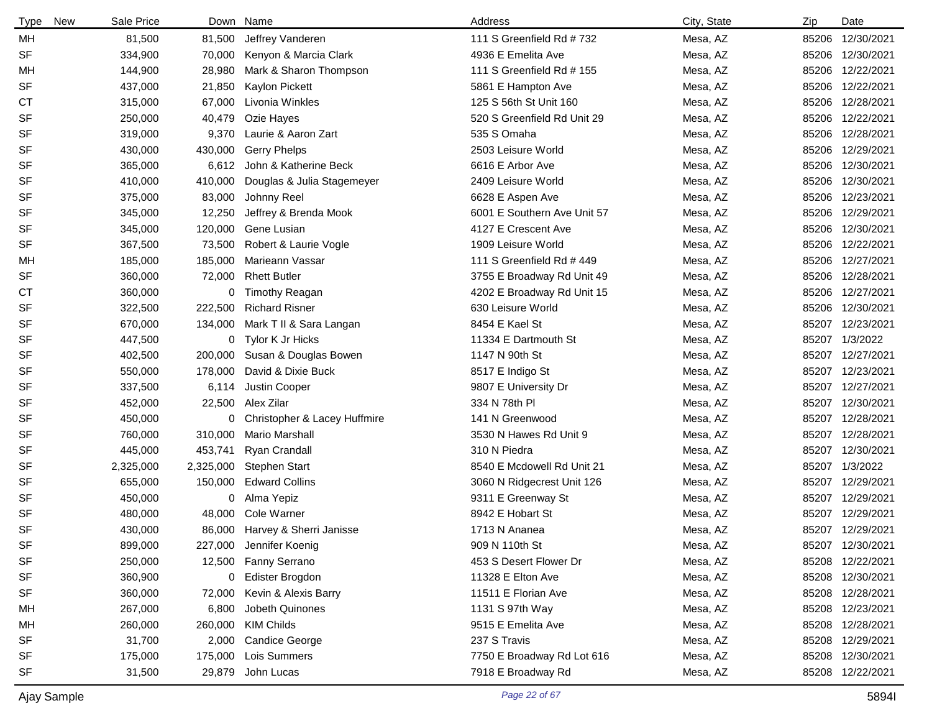| <b>Type</b> | New | Sale Price | Down      | Name                         | Address                     | City, State | Zip   | Date             |
|-------------|-----|------------|-----------|------------------------------|-----------------------------|-------------|-------|------------------|
| MН          |     | 81,500     | 81,500    | Jeffrey Vanderen             | 111 S Greenfield Rd #732    | Mesa, AZ    |       | 85206 12/30/2021 |
| <b>SF</b>   |     | 334,900    | 70,000    | Kenyon & Marcia Clark        | 4936 E Emelita Ave          | Mesa, AZ    |       | 85206 12/30/2021 |
| MН          |     | 144,900    | 28,980    | Mark & Sharon Thompson       | 111 S Greenfield Rd # 155   | Mesa, AZ    |       | 85206 12/22/2021 |
| <b>SF</b>   |     | 437,000    | 21,850    | Kaylon Pickett               | 5861 E Hampton Ave          | Mesa, AZ    |       | 85206 12/22/2021 |
| <b>CT</b>   |     | 315,000    | 67,000    | Livonia Winkles              | 125 S 56th St Unit 160      | Mesa, AZ    |       | 85206 12/28/2021 |
| <b>SF</b>   |     | 250,000    | 40,479    | Ozie Hayes                   | 520 S Greenfield Rd Unit 29 | Mesa, AZ    |       | 85206 12/22/2021 |
| <b>SF</b>   |     | 319,000    | 9,370     | Laurie & Aaron Zart          | 535 S Omaha                 | Mesa, AZ    |       | 85206 12/28/2021 |
| <b>SF</b>   |     | 430,000    | 430,000   | <b>Gerry Phelps</b>          | 2503 Leisure World          | Mesa, AZ    |       | 85206 12/29/2021 |
| <b>SF</b>   |     | 365,000    | 6,612     | John & Katherine Beck        | 6616 E Arbor Ave            | Mesa, AZ    |       | 85206 12/30/2021 |
| <b>SF</b>   |     | 410,000    | 410,000   | Douglas & Julia Stagemeyer   | 2409 Leisure World          | Mesa, AZ    |       | 85206 12/30/2021 |
| <b>SF</b>   |     | 375,000    | 83,000    | Johnny Reel                  | 6628 E Aspen Ave            | Mesa, AZ    |       | 85206 12/23/2021 |
| <b>SF</b>   |     | 345,000    | 12,250    | Jeffrey & Brenda Mook        | 6001 E Southern Ave Unit 57 | Mesa, AZ    |       | 85206 12/29/2021 |
| <b>SF</b>   |     | 345,000    | 120,000   | Gene Lusian                  | 4127 E Crescent Ave         | Mesa, AZ    |       | 85206 12/30/2021 |
| <b>SF</b>   |     | 367,500    | 73,500    | Robert & Laurie Vogle        | 1909 Leisure World          | Mesa, AZ    |       | 85206 12/22/2021 |
| MH          |     | 185,000    | 185,000   | Marieann Vassar              | 111 S Greenfield Rd # 449   | Mesa, AZ    |       | 85206 12/27/2021 |
| <b>SF</b>   |     | 360,000    | 72,000    | <b>Rhett Butler</b>          | 3755 E Broadway Rd Unit 49  | Mesa, AZ    |       | 85206 12/28/2021 |
| <b>CT</b>   |     | 360,000    | 0         | <b>Timothy Reagan</b>        | 4202 E Broadway Rd Unit 15  | Mesa, AZ    |       | 85206 12/27/2021 |
| <b>SF</b>   |     | 322,500    | 222,500   | <b>Richard Risner</b>        | 630 Leisure World           | Mesa, AZ    |       | 85206 12/30/2021 |
| <b>SF</b>   |     | 670,000    | 134,000   | Mark T II & Sara Langan      | 8454 E Kael St              | Mesa, AZ    | 85207 | 12/23/2021       |
| <b>SF</b>   |     | 447,500    | 0         | Tylor K Jr Hicks             | 11334 E Dartmouth St        | Mesa, AZ    | 85207 | 1/3/2022         |
| <b>SF</b>   |     | 402,500    | 200,000   | Susan & Douglas Bowen        | 1147 N 90th St              | Mesa, AZ    |       | 85207 12/27/2021 |
| <b>SF</b>   |     | 550,000    | 178,000   | David & Dixie Buck           | 8517 E Indigo St            | Mesa, AZ    | 85207 | 12/23/2021       |
| <b>SF</b>   |     | 337,500    | 6,114     | Justin Cooper                | 9807 E University Dr        | Mesa, AZ    | 85207 | 12/27/2021       |
| <b>SF</b>   |     | 452,000    | 22,500    | Alex Zilar                   | 334 N 78th PI               | Mesa, AZ    | 85207 | 12/30/2021       |
| <b>SF</b>   |     | 450,000    | 0         | Christopher & Lacey Huffmire | 141 N Greenwood             | Mesa, AZ    | 85207 | 12/28/2021       |
| <b>SF</b>   |     | 760,000    | 310,000   | Mario Marshall               | 3530 N Hawes Rd Unit 9      | Mesa, AZ    | 85207 | 12/28/2021       |
| <b>SF</b>   |     | 445,000    | 453,741   | <b>Ryan Crandall</b>         | 310 N Piedra                | Mesa, AZ    | 85207 | 12/30/2021       |
| <b>SF</b>   |     | 2,325,000  | 2,325,000 | <b>Stephen Start</b>         | 8540 E Mcdowell Rd Unit 21  | Mesa, AZ    | 85207 | 1/3/2022         |
| <b>SF</b>   |     | 655,000    | 150,000   | <b>Edward Collins</b>        | 3060 N Ridgecrest Unit 126  | Mesa, AZ    | 85207 | 12/29/2021       |
| SF          |     | 450,000    | 0         | Alma Yepiz                   | 9311 E Greenway St          | Mesa, AZ    |       | 85207 12/29/2021 |
| <b>SF</b>   |     | 480,000    | 48,000    | Cole Warner                  | 8942 E Hobart St            | Mesa, AZ    |       | 85207 12/29/2021 |
| <b>SF</b>   |     | 430,000    | 86,000    | Harvey & Sherri Janisse      | 1713 N Ananea               | Mesa, AZ    |       | 85207 12/29/2021 |
| SF          |     | 899,000    | 227,000   | Jennifer Koenig              | 909 N 110th St              | Mesa, AZ    |       | 85207 12/30/2021 |
| SF          |     | 250,000    |           | 12,500 Fanny Serrano         | 453 S Desert Flower Dr      | Mesa, AZ    |       | 85208 12/22/2021 |
| <b>SF</b>   |     | 360,900    | 0         | Edister Brogdon              | 11328 E Elton Ave           | Mesa, AZ    |       | 85208 12/30/2021 |
| SF          |     | 360,000    | 72,000    | Kevin & Alexis Barry         | 11511 E Florian Ave         | Mesa, AZ    |       | 85208 12/28/2021 |
| MН          |     | 267,000    | 6,800     | Jobeth Quinones              | 1131 S 97th Way             | Mesa, AZ    |       | 85208 12/23/2021 |
| MН          |     | 260,000    | 260,000   | <b>KIM Childs</b>            | 9515 E Emelita Ave          | Mesa, AZ    |       | 85208 12/28/2021 |
| SF          |     | 31,700     | 2,000     | <b>Candice George</b>        | 237 S Travis                | Mesa, AZ    |       | 85208 12/29/2021 |
| SF          |     | 175,000    | 175,000   | Lois Summers                 | 7750 E Broadway Rd Lot 616  | Mesa, AZ    |       | 85208 12/30/2021 |
| <b>SF</b>   |     | 31,500     | 29,879    | John Lucas                   | 7918 E Broadway Rd          | Mesa, AZ    |       | 85208 12/22/2021 |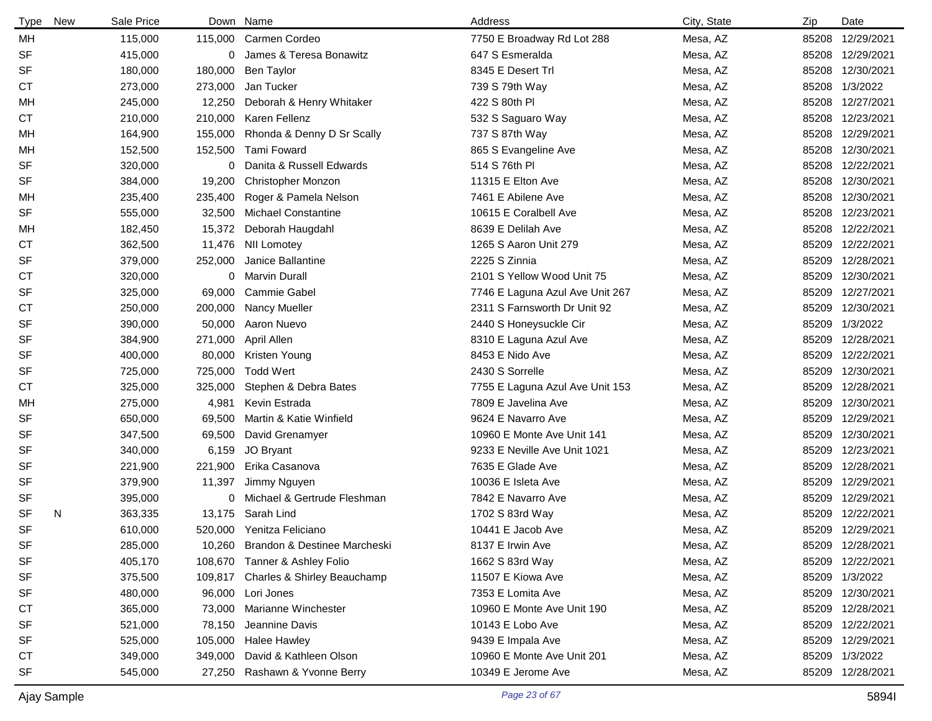| <b>Type</b> | New | Sale Price | Down    | Name                                | Address                         | City, State | Zip   | Date             |
|-------------|-----|------------|---------|-------------------------------------|---------------------------------|-------------|-------|------------------|
| MН          |     | 115,000    | 115,000 | Carmen Cordeo                       | 7750 E Broadway Rd Lot 288      | Mesa, AZ    | 85208 | 12/29/2021       |
| <b>SF</b>   |     | 415,000    | 0       | James & Teresa Bonawitz             | 647 S Esmeralda                 | Mesa, AZ    | 85208 | 12/29/2021       |
| <b>SF</b>   |     | 180,000    | 180,000 | <b>Ben Taylor</b>                   | 8345 E Desert Trl               | Mesa, AZ    | 85208 | 12/30/2021       |
| <b>CT</b>   |     | 273,000    | 273,000 | Jan Tucker                          | 739 S 79th Way                  | Mesa, AZ    |       | 85208 1/3/2022   |
| MН          |     | 245,000    | 12,250  | Deborah & Henry Whitaker            | 422 S 80th PI                   | Mesa, AZ    | 85208 | 12/27/2021       |
| <b>CT</b>   |     | 210,000    | 210,000 | Karen Fellenz                       | 532 S Saguaro Way               | Mesa, AZ    | 85208 | 12/23/2021       |
| MН          |     | 164,900    | 155,000 | Rhonda & Denny D Sr Scally          | 737 S 87th Way                  | Mesa, AZ    | 85208 | 12/29/2021       |
| MН          |     | 152,500    | 152,500 | Tami Foward                         | 865 S Evangeline Ave            | Mesa, AZ    | 85208 | 12/30/2021       |
| <b>SF</b>   |     | 320,000    | 0       | Danita & Russell Edwards            | 514 S 76th PI                   | Mesa, AZ    | 85208 | 12/22/2021       |
| <b>SF</b>   |     | 384,000    | 19,200  | <b>Christopher Monzon</b>           | 11315 E Elton Ave               | Mesa, AZ    | 85208 | 12/30/2021       |
| MН          |     | 235,400    | 235,400 | Roger & Pamela Nelson               | 7461 E Abilene Ave              | Mesa, AZ    | 85208 | 12/30/2021       |
| <b>SF</b>   |     | 555,000    | 32,500  | <b>Michael Constantine</b>          | 10615 E Coralbell Ave           | Mesa, AZ    | 85208 | 12/23/2021       |
| MН          |     | 182,450    | 15,372  | Deborah Haugdahl                    | 8639 E Delilah Ave              | Mesa, AZ    | 85208 | 12/22/2021       |
| <b>CT</b>   |     | 362,500    | 11,476  | <b>NII Lomotey</b>                  | 1265 S Aaron Unit 279           | Mesa, AZ    | 85209 | 12/22/2021       |
| <b>SF</b>   |     | 379,000    | 252,000 | Janice Ballantine                   | 2225 S Zinnia                   | Mesa, AZ    | 85209 | 12/28/2021       |
| СT          |     | 320,000    | 0       | Marvin Durall                       | 2101 S Yellow Wood Unit 75      | Mesa, AZ    | 85209 | 12/30/2021       |
| <b>SF</b>   |     | 325,000    | 69,000  | <b>Cammie Gabel</b>                 | 7746 E Laguna Azul Ave Unit 267 | Mesa, AZ    | 85209 | 12/27/2021       |
| СT          |     | 250,000    | 200,000 | Nancy Mueller                       | 2311 S Farnsworth Dr Unit 92    | Mesa, AZ    | 85209 | 12/30/2021       |
| <b>SF</b>   |     | 390,000    | 50,000  | Aaron Nuevo                         | 2440 S Honeysuckle Cir          | Mesa, AZ    | 85209 | 1/3/2022         |
| <b>SF</b>   |     | 384,900    | 271,000 | April Allen                         | 8310 E Laguna Azul Ave          | Mesa, AZ    | 85209 | 12/28/2021       |
| <b>SF</b>   |     | 400,000    | 80,000  | Kristen Young                       | 8453 E Nido Ave                 | Mesa, AZ    | 85209 | 12/22/2021       |
| <b>SF</b>   |     | 725,000    | 725,000 | <b>Todd Wert</b>                    | 2430 S Sorrelle                 | Mesa, AZ    | 85209 | 12/30/2021       |
| <b>CT</b>   |     | 325,000    | 325,000 | Stephen & Debra Bates               | 7755 E Laguna Azul Ave Unit 153 | Mesa, AZ    | 85209 | 12/28/2021       |
| MH          |     | 275,000    | 4,981   | Kevin Estrada                       | 7809 E Javelina Ave             | Mesa, AZ    | 85209 | 12/30/2021       |
| <b>SF</b>   |     | 650,000    | 69,500  | Martin & Katie Winfield             | 9624 E Navarro Ave              | Mesa, AZ    | 85209 | 12/29/2021       |
| <b>SF</b>   |     | 347,500    | 69,500  | David Grenamyer                     | 10960 E Monte Ave Unit 141      | Mesa, AZ    | 85209 | 12/30/2021       |
| SF          |     | 340,000    | 6,159   | JO Bryant                           | 9233 E Neville Ave Unit 1021    | Mesa, AZ    | 85209 | 12/23/2021       |
| <b>SF</b>   |     | 221,900    | 221,900 | Erika Casanova                      | 7635 E Glade Ave                | Mesa, AZ    | 85209 | 12/28/2021       |
| <b>SF</b>   |     | 379,900    | 11,397  | Jimmy Nguyen                        | 10036 E Isleta Ave              | Mesa, AZ    | 85209 | 12/29/2021       |
| SF          |     | 395,000    | 0       | Michael & Gertrude Fleshman         | 7842 E Navarro Ave              | Mesa, AZ    | 85209 | 12/29/2021       |
| <b>SF</b>   | N   | 363,335    | 13,175  | Sarah Lind                          | 1702 S 83rd Way                 | Mesa, AZ    | 85209 | 12/22/2021       |
| <b>SF</b>   |     | 610,000    | 520,000 | Yenitza Feliciano                   | 10441 E Jacob Ave               | Mesa, AZ    |       | 85209 12/29/2021 |
| SF          |     | 285,000    |         | 10,260 Brandon & Destinee Marcheski | 8137 E Irwin Ave                | Mesa, AZ    | 85209 | 12/28/2021       |
| SF          |     | 405,170    |         | 108,670 Tanner & Ashley Folio       | 1662 S 83rd Way                 | Mesa, AZ    |       | 85209 12/22/2021 |
| SF          |     | 375,500    |         | 109,817 Charles & Shirley Beauchamp | 11507 E Kiowa Ave               | Mesa, AZ    |       | 85209 1/3/2022   |
| SF          |     | 480,000    |         | 96,000 Lori Jones                   | 7353 E Lomita Ave               | Mesa, AZ    |       | 85209 12/30/2021 |
| СT          |     | 365,000    | 73,000  | Marianne Winchester                 | 10960 E Monte Ave Unit 190      | Mesa, AZ    | 85209 | 12/28/2021       |
| SF          |     | 521,000    | 78,150  | Jeannine Davis                      | 10143 E Lobo Ave                | Mesa, AZ    |       | 85209 12/22/2021 |
| SF          |     | 525,000    | 105,000 | <b>Halee Hawley</b>                 | 9439 E Impala Ave               | Mesa, AZ    |       | 85209 12/29/2021 |
| СT          |     | 349,000    | 349,000 | David & Kathleen Olson              | 10960 E Monte Ave Unit 201      | Mesa, AZ    |       | 85209 1/3/2022   |
| SF          |     | 545,000    | 27,250  | Rashawn & Yvonne Berry              | 10349 E Jerome Ave              | Mesa, AZ    |       | 85209 12/28/2021 |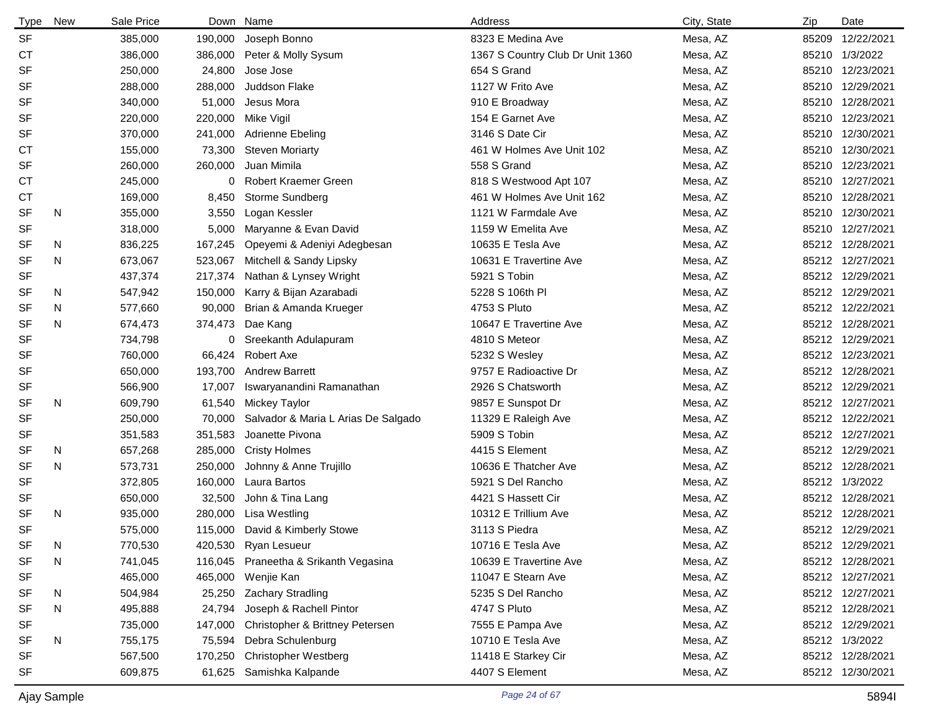| <b>Type</b> | <b>New</b> | Sale Price |         | Down Name                           | Address                          | City, State | Zip | Date             |
|-------------|------------|------------|---------|-------------------------------------|----------------------------------|-------------|-----|------------------|
| <b>SF</b>   |            | 385,000    | 190,000 | Joseph Bonno                        | 8323 E Medina Ave                | Mesa, AZ    |     | 85209 12/22/2021 |
| СT          |            | 386,000    | 386,000 | Peter & Molly Sysum                 | 1367 S Country Club Dr Unit 1360 | Mesa, AZ    |     | 85210 1/3/2022   |
| SF          |            | 250,000    | 24,800  | Jose Jose                           | 654 S Grand                      | Mesa, AZ    |     | 85210 12/23/2021 |
| SF          |            | 288,000    | 288,000 | Juddson Flake                       | 1127 W Frito Ave                 | Mesa, AZ    |     | 85210 12/29/2021 |
| SF          |            | 340,000    | 51,000  | Jesus Mora                          | 910 E Broadway                   | Mesa, AZ    |     | 85210 12/28/2021 |
| SF          |            | 220,000    | 220,000 | Mike Vigil                          | 154 E Garnet Ave                 | Mesa, AZ    |     | 85210 12/23/2021 |
| SF          |            | 370,000    | 241,000 | Adrienne Ebeling                    | 3146 S Date Cir                  | Mesa, AZ    |     | 85210 12/30/2021 |
| <b>CT</b>   |            | 155,000    | 73,300  | <b>Steven Moriarty</b>              | 461 W Holmes Ave Unit 102        | Mesa, AZ    |     | 85210 12/30/2021 |
| SF          |            | 260,000    | 260,000 | Juan Mimila                         | 558 S Grand                      | Mesa, AZ    |     | 85210 12/23/2021 |
| СT          |            | 245,000    |         | 0 Robert Kraemer Green              | 818 S Westwood Apt 107           | Mesa, AZ    |     | 85210 12/27/2021 |
| СT          |            | 169,000    | 8,450   | Storme Sundberg                     | 461 W Holmes Ave Unit 162        | Mesa, AZ    |     | 85210 12/28/2021 |
| SF          | N          | 355,000    | 3,550   | Logan Kessler                       | 1121 W Farmdale Ave              | Mesa, AZ    |     | 85210 12/30/2021 |
| <b>SF</b>   |            | 318,000    | 5,000   | Maryanne & Evan David               | 1159 W Emelita Ave               | Mesa, AZ    |     | 85210 12/27/2021 |
| SF          | N          | 836,225    | 167,245 | Opeyemi & Adeniyi Adegbesan         | 10635 E Tesla Ave                | Mesa, AZ    |     | 85212 12/28/2021 |
| <b>SF</b>   | N          | 673,067    | 523,067 | Mitchell & Sandy Lipsky             | 10631 E Travertine Ave           | Mesa, AZ    |     | 85212 12/27/2021 |
| SF          |            | 437,374    | 217,374 | Nathan & Lynsey Wright              | 5921 S Tobin                     | Mesa, AZ    |     | 85212 12/29/2021 |
| SF          | N          | 547,942    | 150,000 | Karry & Bijan Azarabadi             | 5228 S 106th PI                  | Mesa, AZ    |     | 85212 12/29/2021 |
| SF          | N          | 577,660    | 90,000  | Brian & Amanda Krueger              | 4753 S Pluto                     | Mesa, AZ    |     | 85212 12/22/2021 |
| <b>SF</b>   | N          | 674,473    | 374,473 | Dae Kang                            | 10647 E Travertine Ave           | Mesa, AZ    |     | 85212 12/28/2021 |
| <b>SF</b>   |            | 734,798    | 0       | Sreekanth Adulapuram                | 4810 S Meteor                    | Mesa, AZ    |     | 85212 12/29/2021 |
| SF          |            | 760,000    | 66,424  | Robert Axe                          | 5232 S Wesley                    | Mesa, AZ    |     | 85212 12/23/2021 |
| SF          |            | 650,000    | 193,700 | <b>Andrew Barrett</b>               | 9757 E Radioactive Dr            | Mesa, AZ    |     | 85212 12/28/2021 |
| SF          |            | 566,900    | 17,007  | Iswaryanandini Ramanathan           | 2926 S Chatsworth                | Mesa, AZ    |     | 85212 12/29/2021 |
| SF          | N          | 609,790    | 61,540  | Mickey Taylor                       | 9857 E Sunspot Dr                | Mesa, AZ    |     | 85212 12/27/2021 |
| <b>SF</b>   |            | 250,000    | 70,000  | Salvador & Maria L Arias De Salgado | 11329 E Raleigh Ave              | Mesa, AZ    |     | 85212 12/22/2021 |
| SF          |            | 351,583    | 351,583 | Joanette Pivona                     | 5909 S Tobin                     | Mesa, AZ    |     | 85212 12/27/2021 |
| SF          | N          | 657,268    | 285,000 | <b>Cristy Holmes</b>                | 4415 S Element                   | Mesa, AZ    |     | 85212 12/29/2021 |
| <b>SF</b>   | N          | 573,731    | 250,000 | Johnny & Anne Trujillo              | 10636 E Thatcher Ave             | Mesa, AZ    |     | 85212 12/28/2021 |
| <b>SF</b>   |            | 372,805    | 160,000 | Laura Bartos                        | 5921 S Del Rancho                | Mesa, AZ    |     | 85212 1/3/2022   |
| SF          |            | 650,000    | 32,500  | John & Tina Lang                    | 4421 S Hassett Cir               | Mesa, AZ    |     | 85212 12/28/2021 |
| <b>SF</b>   | N          | 935,000    | 280,000 | Lisa Westling                       | 10312 E Trillium Ave             | Mesa, AZ    |     | 85212 12/28/2021 |
| <b>SF</b>   |            | 575,000    |         | 115,000 David & Kimberly Stowe      | 3113 S Piedra                    | Mesa, AZ    |     | 85212 12/29/2021 |
| <b>SF</b>   | N          | 770,530    |         | 420,530 Ryan Lesueur                | 10716 E Tesla Ave                | Mesa, AZ    |     | 85212 12/29/2021 |
| SF          | N          | 741,045    | 116,045 | Praneetha & Srikanth Vegasina       | 10639 E Travertine Ave           | Mesa, AZ    |     | 85212 12/28/2021 |
| <b>SF</b>   |            | 465,000    |         | 465,000 Wenjie Kan                  | 11047 E Stearn Ave               | Mesa, AZ    |     | 85212 12/27/2021 |
| <b>SF</b>   | N          | 504,984    | 25,250  | <b>Zachary Stradling</b>            | 5235 S Del Rancho                | Mesa, AZ    |     | 85212 12/27/2021 |
| <b>SF</b>   | N          | 495,888    | 24,794  | Joseph & Rachell Pintor             | 4747 S Pluto                     | Mesa, AZ    |     | 85212 12/28/2021 |
| SF          |            | 735,000    | 147,000 | Christopher & Brittney Petersen     | 7555 E Pampa Ave                 | Mesa, AZ    |     | 85212 12/29/2021 |
| SF          | N          | 755,175    | 75,594  | Debra Schulenburg                   | 10710 E Tesla Ave                | Mesa, AZ    |     | 85212 1/3/2022   |
| SF          |            | 567,500    | 170,250 | <b>Christopher Westberg</b>         | 11418 E Starkey Cir              | Mesa, AZ    |     | 85212 12/28/2021 |
| <b>SF</b>   |            | 609,875    | 61,625  | Samishka Kalpande                   | 4407 S Element                   | Mesa, AZ    |     | 85212 12/30/2021 |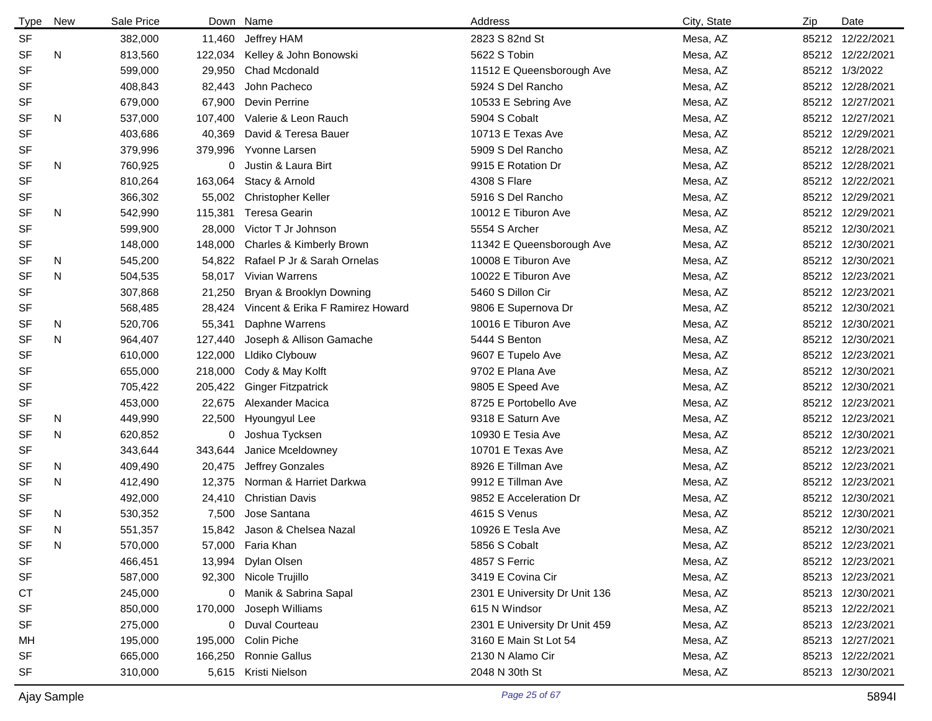| <b>Type</b> | <b>New</b> | Sale Price | Down    | Name                             | Address                       | City, State | Zip | Date             |
|-------------|------------|------------|---------|----------------------------------|-------------------------------|-------------|-----|------------------|
| <b>SF</b>   |            | 382,000    | 11,460  | Jeffrey HAM                      | 2823 S 82nd St                | Mesa, AZ    |     | 85212 12/22/2021 |
| <b>SF</b>   | N          | 813,560    | 122,034 | Kelley & John Bonowski           | 5622 S Tobin                  | Mesa, AZ    |     | 85212 12/22/2021 |
| <b>SF</b>   |            | 599,000    | 29,950  | <b>Chad Mcdonald</b>             | 11512 E Queensborough Ave     | Mesa, AZ    |     | 85212 1/3/2022   |
| <b>SF</b>   |            | 408,843    | 82,443  | John Pacheco                     | 5924 S Del Rancho             | Mesa, AZ    |     | 85212 12/28/2021 |
| SF          |            | 679,000    | 67,900  | Devin Perrine                    | 10533 E Sebring Ave           | Mesa, AZ    |     | 85212 12/27/2021 |
| SF          | N          | 537,000    | 107,400 | Valerie & Leon Rauch             | 5904 S Cobalt                 | Mesa, AZ    |     | 85212 12/27/2021 |
| <b>SF</b>   |            | 403,686    | 40,369  | David & Teresa Bauer             | 10713 E Texas Ave             | Mesa, AZ    |     | 85212 12/29/2021 |
| SF          |            | 379,996    | 379,996 | Yvonne Larsen                    | 5909 S Del Rancho             | Mesa, AZ    |     | 85212 12/28/2021 |
| SF          | N          | 760,925    | 0       | Justin & Laura Birt              | 9915 E Rotation Dr            | Mesa, AZ    |     | 85212 12/28/2021 |
| <b>SF</b>   |            | 810,264    | 163,064 | Stacy & Arnold                   | 4308 S Flare                  | Mesa, AZ    |     | 85212 12/22/2021 |
| SF          |            | 366,302    | 55,002  | <b>Christopher Keller</b>        | 5916 S Del Rancho             | Mesa, AZ    |     | 85212 12/29/2021 |
| <b>SF</b>   | N          | 542,990    | 115,381 | <b>Teresa Gearin</b>             | 10012 E Tiburon Ave           | Mesa, AZ    |     | 85212 12/29/2021 |
| <b>SF</b>   |            | 599,900    | 28,000  | Victor T Jr Johnson              | 5554 S Archer                 | Mesa, AZ    |     | 85212 12/30/2021 |
| <b>SF</b>   |            | 148,000    | 148,000 | Charles & Kimberly Brown         | 11342 E Queensborough Ave     | Mesa, AZ    |     | 85212 12/30/2021 |
| SF          | N          | 545,200    | 54,822  | Rafael P Jr & Sarah Ornelas      | 10008 E Tiburon Ave           | Mesa, AZ    |     | 85212 12/30/2021 |
| <b>SF</b>   | N          | 504,535    | 58,017  | <b>Vivian Warrens</b>            | 10022 E Tiburon Ave           | Mesa, AZ    |     | 85212 12/23/2021 |
| <b>SF</b>   |            | 307,868    | 21,250  | Bryan & Brooklyn Downing         | 5460 S Dillon Cir             | Mesa, AZ    |     | 85212 12/23/2021 |
| <b>SF</b>   |            | 568,485    | 28,424  | Vincent & Erika F Ramirez Howard | 9806 E Supernova Dr           | Mesa, AZ    |     | 85212 12/30/2021 |
| SF          | N          | 520,706    | 55,341  | Daphne Warrens                   | 10016 E Tiburon Ave           | Mesa, AZ    |     | 85212 12/30/2021 |
| <b>SF</b>   | N          | 964,407    | 127,440 | Joseph & Allison Gamache         | 5444 S Benton                 | Mesa, AZ    |     | 85212 12/30/2021 |
| <b>SF</b>   |            | 610,000    | 122,000 | LIdiko Clybouw                   | 9607 E Tupelo Ave             | Mesa, AZ    |     | 85212 12/23/2021 |
| <b>SF</b>   |            | 655,000    | 218,000 | Cody & May Kolft                 | 9702 E Plana Ave              | Mesa, AZ    |     | 85212 12/30/2021 |
| <b>SF</b>   |            | 705,422    | 205,422 | <b>Ginger Fitzpatrick</b>        | 9805 E Speed Ave              | Mesa, AZ    |     | 85212 12/30/2021 |
| <b>SF</b>   |            | 453,000    | 22,675  | Alexander Macica                 | 8725 E Portobello Ave         | Mesa, AZ    |     | 85212 12/23/2021 |
| SF          | N          | 449,990    | 22,500  | Hyoungyul Lee                    | 9318 E Saturn Ave             | Mesa, AZ    |     | 85212 12/23/2021 |
| <b>SF</b>   | N          | 620,852    | 0       | Joshua Tycksen                   | 10930 E Tesia Ave             | Mesa, AZ    |     | 85212 12/30/2021 |
| <b>SF</b>   |            | 343,644    | 343,644 | Janice Mceldowney                | 10701 E Texas Ave             | Mesa, AZ    |     | 85212 12/23/2021 |
| SF          | N          | 409,490    | 20,475  | Jeffrey Gonzales                 | 8926 E Tillman Ave            | Mesa, AZ    |     | 85212 12/23/2021 |
| <b>SF</b>   | N          | 412,490    | 12,375  | Norman & Harriet Darkwa          | 9912 E Tillman Ave            | Mesa, AZ    |     | 85212 12/23/2021 |
| <b>SF</b>   |            | 492,000    | 24,410  | <b>Christian Davis</b>           | 9852 E Acceleration Dr        | Mesa, AZ    |     | 85212 12/30/2021 |
| SF          | N          | 530,352    | 7,500   | Jose Santana                     | 4615 S Venus                  | Mesa, AZ    |     | 85212 12/30/2021 |
| <b>SF</b>   | N          | 551,357    | 15,842  | Jason & Chelsea Nazal            | 10926 E Tesla Ave             | Mesa, AZ    |     | 85212 12/30/2021 |
| SF          | N          | 570,000    |         | 57,000 Faria Khan                | 5856 S Cobalt                 | Mesa, AZ    |     | 85212 12/23/2021 |
| <b>SF</b>   |            | 466,451    |         | 13,994 Dylan Olsen               | 4857 S Ferric                 | Mesa, AZ    |     | 85212 12/23/2021 |
| <b>SF</b>   |            | 587,000    |         | 92,300 Nicole Trujillo           | 3419 E Covina Cir             | Mesa, AZ    |     | 85213 12/23/2021 |
| СT          |            | 245,000    |         | 0 Manik & Sabrina Sapal          | 2301 E University Dr Unit 136 | Mesa, AZ    |     | 85213 12/30/2021 |
| SF          |            | 850,000    |         | 170,000 Joseph Williams          | 615 N Windsor                 | Mesa, AZ    |     | 85213 12/22/2021 |
| SF          |            | 275,000    |         | 0 Duval Courteau                 | 2301 E University Dr Unit 459 | Mesa, AZ    |     | 85213 12/23/2021 |
| MН          |            | 195,000    |         | 195,000 Colin Piche              | 3160 E Main St Lot 54         | Mesa, AZ    |     | 85213 12/27/2021 |
| SF          |            | 665,000    |         | 166,250 Ronnie Gallus            | 2130 N Alamo Cir              | Mesa, AZ    |     | 85213 12/22/2021 |
| <b>SF</b>   |            | 310,000    |         | 5,615 Kristi Nielson             | 2048 N 30th St                | Mesa, AZ    |     | 85213 12/30/2021 |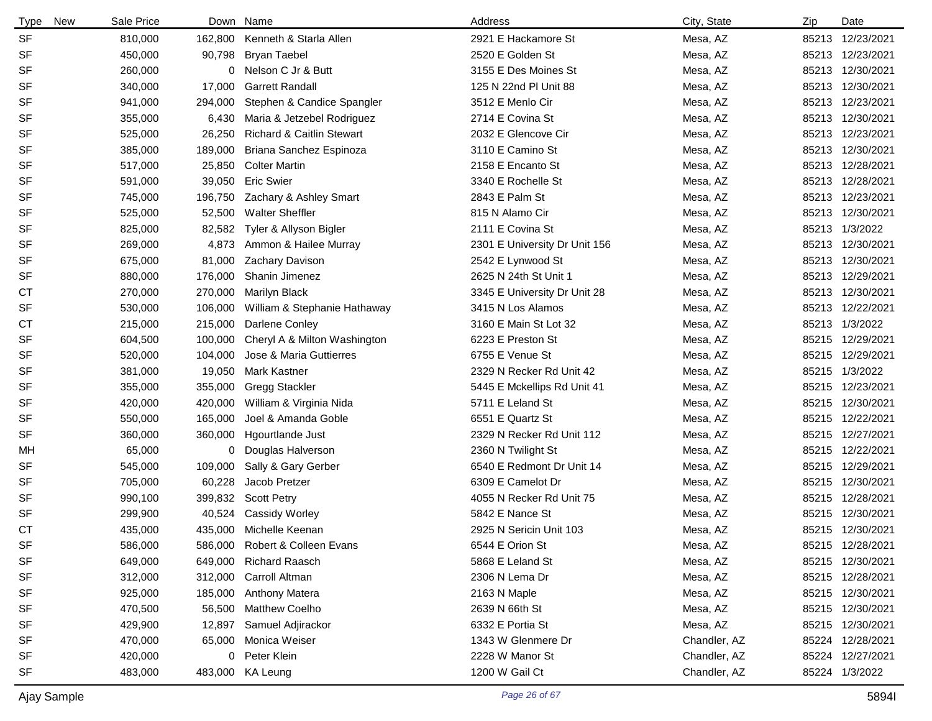| <b>Type</b> | New | Sale Price | Down    | Name                         | Address                       | City, State  | Zip   | Date             |
|-------------|-----|------------|---------|------------------------------|-------------------------------|--------------|-------|------------------|
| <b>SF</b>   |     | 810,000    | 162,800 | Kenneth & Starla Allen       | 2921 E Hackamore St           | Mesa, AZ     |       | 85213 12/23/2021 |
| SF          |     | 450,000    | 90,798  | <b>Bryan Taebel</b>          | 2520 E Golden St              | Mesa, AZ     |       | 85213 12/23/2021 |
| SF          |     | 260,000    | 0       | Nelson C Jr & Butt           | 3155 E Des Moines St          | Mesa, AZ     |       | 85213 12/30/2021 |
| SF          |     | 340,000    | 17,000  | <b>Garrett Randall</b>       | 125 N 22nd PI Unit 88         | Mesa, AZ     |       | 85213 12/30/2021 |
| SF          |     | 941,000    | 294,000 | Stephen & Candice Spangler   | 3512 E Menlo Cir              | Mesa, AZ     |       | 85213 12/23/2021 |
| SF          |     | 355,000    | 6,430   | Maria & Jetzebel Rodriguez   | 2714 E Covina St              | Mesa, AZ     |       | 85213 12/30/2021 |
| SF          |     | 525,000    | 26,250  | Richard & Caitlin Stewart    | 2032 E Glencove Cir           | Mesa, AZ     |       | 85213 12/23/2021 |
| SF          |     | 385,000    | 189,000 | Briana Sanchez Espinoza      | 3110 E Camino St              | Mesa, AZ     |       | 85213 12/30/2021 |
| SF          |     | 517,000    | 25,850  | <b>Colter Martin</b>         | 2158 E Encanto St             | Mesa, AZ     |       | 85213 12/28/2021 |
| SF          |     | 591,000    | 39,050  | <b>Eric Swier</b>            | 3340 E Rochelle St            | Mesa, AZ     |       | 85213 12/28/2021 |
| SF          |     | 745,000    | 196,750 | Zachary & Ashley Smart       | 2843 E Palm St                | Mesa, AZ     |       | 85213 12/23/2021 |
| SF          |     | 525,000    | 52,500  | <b>Walter Sheffler</b>       | 815 N Alamo Cir               | Mesa, AZ     |       | 85213 12/30/2021 |
| SF          |     | 825,000    | 82,582  | Tyler & Allyson Bigler       | 2111 E Covina St              | Mesa, AZ     |       | 85213 1/3/2022   |
| SF          |     | 269,000    | 4,873   | Ammon & Hailee Murray        | 2301 E University Dr Unit 156 | Mesa, AZ     | 85213 | 12/30/2021       |
| SF          |     | 675,000    | 81,000  | Zachary Davison              | 2542 E Lynwood St             | Mesa, AZ     |       | 85213 12/30/2021 |
| SF          |     | 880,000    | 176,000 | Shanin Jimenez               | 2625 N 24th St Unit 1         | Mesa, AZ     |       | 85213 12/29/2021 |
| <b>CT</b>   |     | 270,000    | 270,000 | Marilyn Black                | 3345 E University Dr Unit 28  | Mesa, AZ     |       | 85213 12/30/2021 |
| SF          |     | 530,000    | 106,000 | William & Stephanie Hathaway | 3415 N Los Alamos             | Mesa, AZ     |       | 85213 12/22/2021 |
| <b>CT</b>   |     | 215,000    | 215,000 | Darlene Conley               | 3160 E Main St Lot 32         | Mesa, AZ     |       | 85213 1/3/2022   |
| SF          |     | 604,500    | 100,000 | Cheryl A & Milton Washington | 6223 E Preston St             | Mesa, AZ     |       | 85215 12/29/2021 |
| SF          |     | 520,000    | 104,000 | Jose & Maria Guttierres      | 6755 E Venue St               | Mesa, AZ     |       | 85215 12/29/2021 |
| SF          |     | 381,000    | 19,050  | <b>Mark Kastner</b>          | 2329 N Recker Rd Unit 42      | Mesa, AZ     |       | 85215 1/3/2022   |
| SF          |     | 355,000    | 355,000 | <b>Gregg Stackler</b>        | 5445 E Mckellips Rd Unit 41   | Mesa, AZ     | 85215 | 12/23/2021       |
| SF          |     | 420,000    | 420,000 | William & Virginia Nida      | 5711 E Leland St              | Mesa, AZ     |       | 85215 12/30/2021 |
| SF          |     | 550,000    | 165,000 | Joel & Amanda Goble          | 6551 E Quartz St              | Mesa, AZ     |       | 85215 12/22/2021 |
| SF          |     | 360,000    | 360,000 | Hgourtlande Just             | 2329 N Recker Rd Unit 112     | Mesa, AZ     |       | 85215 12/27/2021 |
| МH          |     | 65,000     | 0       | Douglas Halverson            | 2360 N Twilight St            | Mesa, AZ     | 85215 | 12/22/2021       |
| SF          |     | 545,000    | 109,000 | Sally & Gary Gerber          | 6540 E Redmont Dr Unit 14     | Mesa, AZ     |       | 85215 12/29/2021 |
| SF          |     | 705,000    | 60,228  | Jacob Pretzer                | 6309 E Camelot Dr             | Mesa, AZ     | 85215 | 12/30/2021       |
| SF          |     | 990,100    | 399,832 | <b>Scott Petry</b>           | 4055 N Recker Rd Unit 75      | Mesa, AZ     |       | 85215 12/28/2021 |
| SF          |     | 299,900    | 40,524  | <b>Cassidy Worley</b>        | 5842 E Nance St               | Mesa, AZ     | 85215 | 12/30/2021       |
| СT          |     | 435,000    | 435,000 | Michelle Keenan              | 2925 N Sericin Unit 103       | Mesa, AZ     |       | 85215 12/30/2021 |
| SF          |     | 586,000    | 586,000 | Robert & Colleen Evans       | 6544 E Orion St               | Mesa, AZ     |       | 85215 12/28/2021 |
| SF          |     | 649,000    | 649,000 | <b>Richard Raasch</b>        | 5868 E Leland St              | Mesa, AZ     |       | 85215 12/30/2021 |
| SF          |     | 312,000    | 312,000 | Carroll Altman               | 2306 N Lema Dr                | Mesa, AZ     |       | 85215 12/28/2021 |
| SF          |     | 925,000    | 185,000 | <b>Anthony Matera</b>        | 2163 N Maple                  | Mesa, AZ     |       | 85215 12/30/2021 |
| SF          |     | 470,500    | 56,500  | Matthew Coelho               | 2639 N 66th St                | Mesa, AZ     |       | 85215 12/30/2021 |
| SF          |     | 429,900    | 12,897  | Samuel Adjirackor            | 6332 E Portia St              | Mesa, AZ     |       | 85215 12/30/2021 |
| SF          |     | 470,000    | 65,000  | Monica Weiser                | 1343 W Glenmere Dr            | Chandler, AZ |       | 85224 12/28/2021 |
| SF          |     | 420,000    |         | 0 Peter Klein                | 2228 W Manor St               | Chandler, AZ |       | 85224 12/27/2021 |
| SF          |     | 483,000    |         | 483,000 KA Leung             | 1200 W Gail Ct                | Chandler, AZ |       | 85224 1/3/2022   |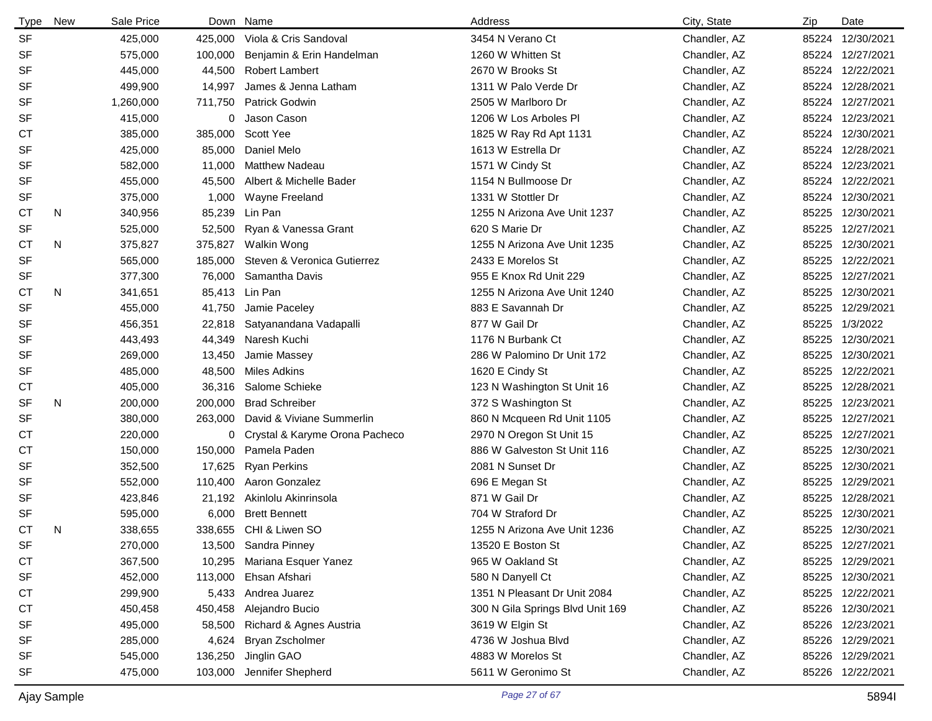| Type      | New | Sale Price |         | Down Name                      | Address                          | City, State  | Zip   | Date             |
|-----------|-----|------------|---------|--------------------------------|----------------------------------|--------------|-------|------------------|
| <b>SF</b> |     | 425,000    | 425,000 | Viola & Cris Sandoval          | 3454 N Verano Ct                 | Chandler, AZ | 85224 | 12/30/2021       |
| <b>SF</b> |     | 575,000    | 100,000 | Benjamin & Erin Handelman      | 1260 W Whitten St                | Chandler, AZ |       | 85224 12/27/2021 |
| <b>SF</b> |     | 445,000    | 44,500  | <b>Robert Lambert</b>          | 2670 W Brooks St                 | Chandler, AZ |       | 85224 12/22/2021 |
| <b>SF</b> |     | 499,900    | 14,997  | James & Jenna Latham           | 1311 W Palo Verde Dr             | Chandler, AZ |       | 85224 12/28/2021 |
| <b>SF</b> |     | 1,260,000  | 711.750 | Patrick Godwin                 | 2505 W Marlboro Dr               | Chandler, AZ |       | 85224 12/27/2021 |
| <b>SF</b> |     | 415,000    | 0       | Jason Cason                    | 1206 W Los Arboles PI            | Chandler, AZ |       | 85224 12/23/2021 |
| <b>CT</b> |     | 385,000    | 385,000 | Scott Yee                      | 1825 W Ray Rd Apt 1131           | Chandler, AZ |       | 85224 12/30/2021 |
| <b>SF</b> |     | 425,000    | 85,000  | Daniel Melo                    | 1613 W Estrella Dr               | Chandler, AZ |       | 85224 12/28/2021 |
| SF        |     | 582,000    | 11,000  | <b>Matthew Nadeau</b>          | 1571 W Cindy St                  | Chandler, AZ |       | 85224 12/23/2021 |
| <b>SF</b> |     | 455,000    | 45,500  | Albert & Michelle Bader        | 1154 N Bullmoose Dr              | Chandler, AZ |       | 85224 12/22/2021 |
| SF        |     | 375,000    | 1,000   | Wayne Freeland                 | 1331 W Stottler Dr               | Chandler, AZ |       | 85224 12/30/2021 |
| <b>CT</b> | N   | 340,956    | 85,239  | Lin Pan                        | 1255 N Arizona Ave Unit 1237     | Chandler, AZ |       | 85225 12/30/2021 |
| <b>SF</b> |     | 525,000    | 52,500  | Ryan & Vanessa Grant           | 620 S Marie Dr                   | Chandler, AZ | 85225 | 12/27/2021       |
| СT        | N   | 375,827    | 375,827 | Walkin Wong                    | 1255 N Arizona Ave Unit 1235     | Chandler, AZ | 85225 | 12/30/2021       |
| <b>SF</b> |     | 565,000    | 185,000 | Steven & Veronica Gutierrez    | 2433 E Morelos St                | Chandler, AZ | 85225 | 12/22/2021       |
| <b>SF</b> |     | 377,300    | 76,000  | Samantha Davis                 | 955 E Knox Rd Unit 229           | Chandler, AZ | 85225 | 12/27/2021       |
| СT        | N   | 341,651    | 85,413  | Lin Pan                        | 1255 N Arizona Ave Unit 1240     | Chandler, AZ | 85225 | 12/30/2021       |
| <b>SF</b> |     | 455,000    | 41,750  | Jamie Paceley                  | 883 E Savannah Dr                | Chandler, AZ | 85225 | 12/29/2021       |
| <b>SF</b> |     | 456,351    | 22,818  | Satyanandana Vadapalli         | 877 W Gail Dr                    | Chandler, AZ | 85225 | 1/3/2022         |
| SF        |     | 443,493    | 44,349  | Naresh Kuchi                   | 1176 N Burbank Ct                | Chandler, AZ | 85225 | 12/30/2021       |
| <b>SF</b> |     | 269,000    | 13,450  | Jamie Massey                   | 286 W Palomino Dr Unit 172       | Chandler, AZ | 85225 | 12/30/2021       |
| SF        |     | 485,000    | 48,500  | <b>Miles Adkins</b>            | 1620 E Cindy St                  | Chandler, AZ |       | 85225 12/22/2021 |
| СT        |     | 405,000    | 36,316  | Salome Schieke                 | 123 N Washington St Unit 16      | Chandler, AZ | 85225 | 12/28/2021       |
| SF        | N   | 200,000    | 200,000 | <b>Brad Schreiber</b>          | 372 S Washington St              | Chandler, AZ | 85225 | 12/23/2021       |
| <b>SF</b> |     | 380,000    | 263,000 | David & Viviane Summerlin      | 860 N Mcqueen Rd Unit 1105       | Chandler, AZ | 85225 | 12/27/2021       |
| <b>CT</b> |     | 220,000    | 0       | Crystal & Karyme Orona Pacheco | 2970 N Oregon St Unit 15         | Chandler, AZ |       | 85225 12/27/2021 |
| <b>CT</b> |     | 150,000    | 150,000 | Pamela Paden                   | 886 W Galveston St Unit 116      | Chandler, AZ | 85225 | 12/30/2021       |
| <b>SF</b> |     | 352,500    | 17,625  | <b>Ryan Perkins</b>            | 2081 N Sunset Dr                 | Chandler, AZ | 85225 | 12/30/2021       |
| <b>SF</b> |     | 552,000    | 110,400 | Aaron Gonzalez                 | 696 E Megan St                   | Chandler, AZ | 85225 | 12/29/2021       |
| <b>SF</b> |     | 423,846    | 21,192  | Akinlolu Akinrinsola           | 871 W Gail Dr                    | Chandler, AZ | 85225 | 12/28/2021       |
| <b>SF</b> |     | 595,000    | 6,000   | <b>Brett Bennett</b>           | 704 W Straford Dr                | Chandler, AZ | 85225 | 12/30/2021       |
| <b>CT</b> | N   | 338,655    |         | 338,655 CHI & Liwen SO         | 1255 N Arizona Ave Unit 1236     | Chandler, AZ |       | 85225 12/30/2021 |
| SF        |     | 270,000    |         | 13,500 Sandra Pinney           | 13520 E Boston St                | Chandler, AZ | 85225 | 12/27/2021       |
| <b>CT</b> |     | 367,500    | 10,295  | Mariana Esquer Yanez           | 965 W Oakland St                 | Chandler, AZ |       | 85225 12/29/2021 |
| <b>SF</b> |     | 452,000    | 113,000 | Ehsan Afshari                  | 580 N Danyell Ct                 | Chandler, AZ |       | 85225 12/30/2021 |
| <b>CT</b> |     | 299,900    | 5,433   | Andrea Juarez                  | 1351 N Pleasant Dr Unit 2084     | Chandler, AZ |       | 85225 12/22/2021 |
| СT        |     | 450,458    | 450,458 | Alejandro Bucio                | 300 N Gila Springs Blvd Unit 169 | Chandler, AZ |       | 85226 12/30/2021 |
| SF        |     | 495,000    | 58,500  | Richard & Agnes Austria        | 3619 W Elgin St                  | Chandler, AZ |       | 85226 12/23/2021 |
| <b>SF</b> |     | 285,000    | 4,624   | Bryan Zscholmer                | 4736 W Joshua Blvd               | Chandler, AZ |       | 85226 12/29/2021 |
| <b>SF</b> |     | 545,000    | 136,250 | Jinglin GAO                    | 4883 W Morelos St                | Chandler, AZ |       | 85226 12/29/2021 |
| <b>SF</b> |     | 475,000    | 103,000 | Jennifer Shepherd              | 5611 W Geronimo St               | Chandler, AZ |       | 85226 12/22/2021 |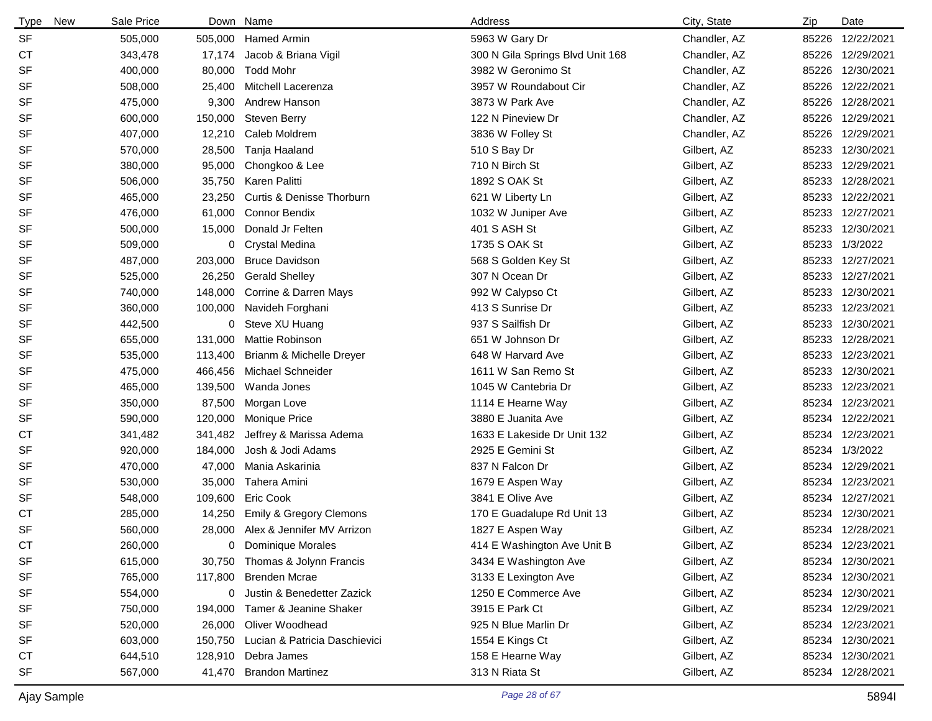| <b>New</b><br><b>Type</b> | Sale Price |         | Down Name                             | Address                          | City, State  | Zip | Date             |
|---------------------------|------------|---------|---------------------------------------|----------------------------------|--------------|-----|------------------|
| <b>SF</b>                 | 505,000    |         | 505,000 Hamed Armin                   | 5963 W Gary Dr                   | Chandler, AZ |     | 85226 12/22/2021 |
| СT                        | 343,478    | 17,174  | Jacob & Briana Vigil                  | 300 N Gila Springs Blvd Unit 168 | Chandler, AZ |     | 85226 12/29/2021 |
| SF                        | 400,000    | 80,000  | <b>Todd Mohr</b>                      | 3982 W Geronimo St               | Chandler, AZ |     | 85226 12/30/2021 |
| SF                        | 508,000    | 25,400  | Mitchell Lacerenza                    | 3957 W Roundabout Cir            | Chandler, AZ |     | 85226 12/22/2021 |
| <b>SF</b>                 | 475,000    | 9,300   | Andrew Hanson                         | 3873 W Park Ave                  | Chandler, AZ |     | 85226 12/28/2021 |
| SF                        | 600,000    | 150,000 | <b>Steven Berry</b>                   | 122 N Pineview Dr                | Chandler, AZ |     | 85226 12/29/2021 |
| <b>SF</b>                 | 407,000    | 12,210  | Caleb Moldrem                         | 3836 W Folley St                 | Chandler, AZ |     | 85226 12/29/2021 |
| <b>SF</b>                 | 570,000    | 28,500  | Tanja Haaland                         | 510 S Bay Dr                     | Gilbert, AZ  |     | 85233 12/30/2021 |
| SF                        | 380,000    | 95,000  | Chongkoo & Lee                        | 710 N Birch St                   | Gilbert, AZ  |     | 85233 12/29/2021 |
| SF                        | 506,000    | 35,750  | Karen Palitti                         | 1892 S OAK St                    | Gilbert, AZ  |     | 85233 12/28/2021 |
| <b>SF</b>                 | 465,000    | 23,250  | Curtis & Denisse Thorburn             | 621 W Liberty Ln                 | Gilbert, AZ  |     | 85233 12/22/2021 |
| SF                        | 476,000    | 61,000  | <b>Connor Bendix</b>                  | 1032 W Juniper Ave               | Gilbert, AZ  |     | 85233 12/27/2021 |
| <b>SF</b>                 | 500,000    | 15,000  | Donald Jr Felten                      | 401 S ASH St                     | Gilbert, AZ  |     | 85233 12/30/2021 |
| SF                        | 509,000    |         | 0 Crystal Medina                      | 1735 S OAK St                    | Gilbert, AZ  |     | 85233 1/3/2022   |
| <b>SF</b>                 | 487,000    | 203,000 | <b>Bruce Davidson</b>                 | 568 S Golden Key St              | Gilbert, AZ  |     | 85233 12/27/2021 |
| <b>SF</b>                 | 525,000    | 26,250  | <b>Gerald Shelley</b>                 | 307 N Ocean Dr                   | Gilbert, AZ  |     | 85233 12/27/2021 |
| <b>SF</b>                 | 740,000    | 148,000 | Corrine & Darren Mays                 | 992 W Calypso Ct                 | Gilbert, AZ  |     | 85233 12/30/2021 |
| <b>SF</b>                 | 360,000    |         | 100,000 Navideh Forghani              | 413 S Sunrise Dr                 | Gilbert, AZ  |     | 85233 12/23/2021 |
| <b>SF</b>                 | 442,500    | 0       | Steve XU Huang                        | 937 S Sailfish Dr                | Gilbert, AZ  |     | 85233 12/30/2021 |
| <b>SF</b>                 | 655,000    | 131,000 | <b>Mattie Robinson</b>                | 651 W Johnson Dr                 | Gilbert, AZ  |     | 85233 12/28/2021 |
| <b>SF</b>                 | 535,000    | 113,400 | Brianm & Michelle Dreyer              | 648 W Harvard Ave                | Gilbert, AZ  |     | 85233 12/23/2021 |
| <b>SF</b>                 | 475,000    | 466,456 | Michael Schneider                     | 1611 W San Remo St               | Gilbert, AZ  |     | 85233 12/30/2021 |
| <b>SF</b>                 | 465,000    | 139,500 | Wanda Jones                           | 1045 W Cantebria Dr              | Gilbert, AZ  |     | 85233 12/23/2021 |
| SF                        | 350,000    | 87,500  | Morgan Love                           | 1114 E Hearne Way                | Gilbert, AZ  |     | 85234 12/23/2021 |
| <b>SF</b>                 | 590,000    | 120,000 | <b>Monique Price</b>                  | 3880 E Juanita Ave               | Gilbert, AZ  |     | 85234 12/22/2021 |
| СT                        | 341,482    | 341,482 | Jeffrey & Marissa Adema               | 1633 E Lakeside Dr Unit 132      | Gilbert, AZ  |     | 85234 12/23/2021 |
| <b>SF</b>                 | 920,000    | 184,000 | Josh & Jodi Adams                     | 2925 E Gemini St                 | Gilbert, AZ  |     | 85234 1/3/2022   |
| SF                        | 470,000    | 47,000  | Mania Askarinia                       | 837 N Falcon Dr                  | Gilbert, AZ  |     | 85234 12/29/2021 |
| <b>SF</b>                 | 530,000    | 35,000  | Tahera Amini                          | 1679 E Aspen Way                 | Gilbert, AZ  |     | 85234 12/23/2021 |
| <b>SF</b>                 | 548,000    | 109,600 | Eric Cook                             | 3841 E Olive Ave                 | Gilbert, AZ  |     | 85234 12/27/2021 |
| СT                        | 285,000    | 14,250  | <b>Emily &amp; Gregory Clemons</b>    | 170 E Guadalupe Rd Unit 13       | Gilbert, AZ  |     | 85234 12/30/2021 |
| <b>SF</b>                 | 560,000    |         | 28,000 Alex & Jennifer MV Arrizon     | 1827 E Aspen Way                 | Gilbert, AZ  |     | 85234 12/28/2021 |
| <b>CT</b>                 | 260,000    | 0       | <b>Dominique Morales</b>              | 414 E Washington Ave Unit B      | Gilbert, AZ  |     | 85234 12/23/2021 |
| SF                        | 615,000    |         | 30,750 Thomas & Jolynn Francis        | 3434 E Washington Ave            | Gilbert, AZ  |     | 85234 12/30/2021 |
| SF                        | 765,000    | 117,800 | <b>Brenden Mcrae</b>                  | 3133 E Lexington Ave             | Gilbert, AZ  |     | 85234 12/30/2021 |
| SF                        | 554,000    | 0       | Justin & Benedetter Zazick            | 1250 E Commerce Ave              | Gilbert, AZ  |     | 85234 12/30/2021 |
| SF                        | 750,000    | 194,000 | Tamer & Jeanine Shaker                | 3915 E Park Ct                   | Gilbert, AZ  |     | 85234 12/29/2021 |
| SF                        | 520,000    | 26,000  | Oliver Woodhead                       | 925 N Blue Marlin Dr             | Gilbert, AZ  |     | 85234 12/23/2021 |
| SF                        | 603,000    |         | 150,750 Lucian & Patricia Daschievici | 1554 E Kings Ct                  | Gilbert, AZ  |     | 85234 12/30/2021 |
| <b>CT</b>                 | 644,510    |         | 128,910 Debra James                   | 158 E Hearne Way                 | Gilbert, AZ  |     | 85234 12/30/2021 |
| SF                        | 567,000    |         | 41,470 Brandon Martinez               | 313 N Riata St                   | Gilbert, AZ  |     | 85234 12/28/2021 |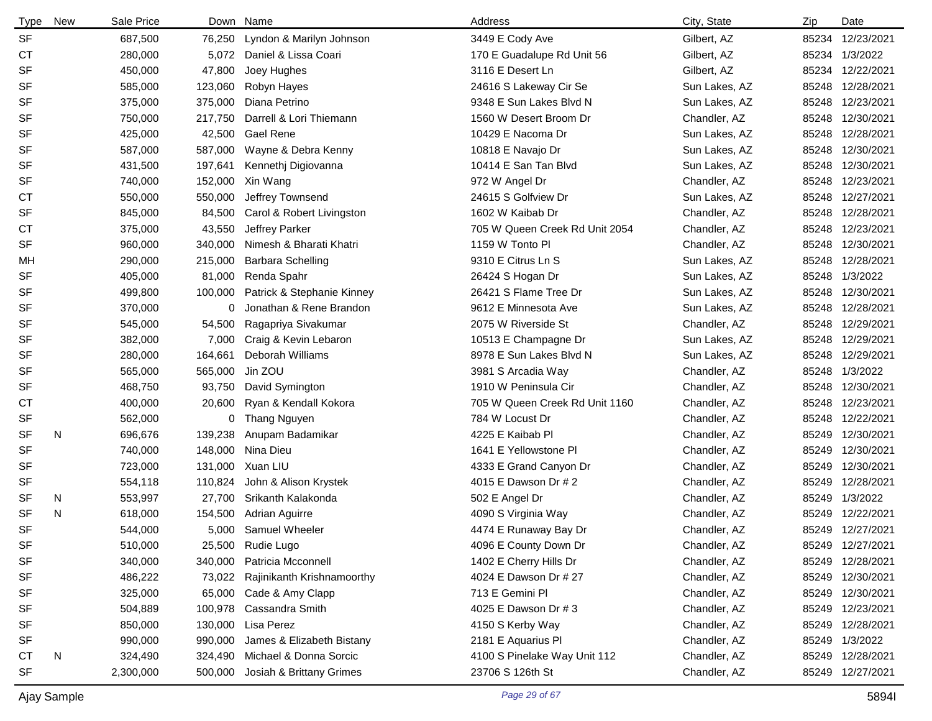| <b>Type</b> | New | Sale Price | Down    | Name                       | Address                        | City, State   | Zip   | Date             |
|-------------|-----|------------|---------|----------------------------|--------------------------------|---------------|-------|------------------|
| <b>SF</b>   |     | 687,500    | 76,250  | Lyndon & Marilyn Johnson   | 3449 E Cody Ave                | Gilbert, AZ   | 85234 | 12/23/2021       |
| <b>CT</b>   |     | 280,000    | 5,072   | Daniel & Lissa Coari       | 170 E Guadalupe Rd Unit 56     | Gilbert, AZ   | 85234 | 1/3/2022         |
| <b>SF</b>   |     | 450,000    | 47,800  | Joey Hughes                | 3116 E Desert Ln               | Gilbert, AZ   | 85234 | 12/22/2021       |
| <b>SF</b>   |     | 585,000    | 123,060 | Robyn Hayes                | 24616 S Lakeway Cir Se         | Sun Lakes, AZ | 85248 | 12/28/2021       |
| <b>SF</b>   |     | 375,000    | 375,000 | Diana Petrino              | 9348 E Sun Lakes Blvd N        | Sun Lakes, AZ | 85248 | 12/23/2021       |
| <b>SF</b>   |     | 750,000    | 217,750 | Darrell & Lori Thiemann    | 1560 W Desert Broom Dr         | Chandler, AZ  | 85248 | 12/30/2021       |
| <b>SF</b>   |     | 425,000    | 42,500  | <b>Gael Rene</b>           | 10429 E Nacoma Dr              | Sun Lakes, AZ | 85248 | 12/28/2021       |
| <b>SF</b>   |     | 587,000    | 587,000 | Wayne & Debra Kenny        | 10818 E Navajo Dr              | Sun Lakes, AZ | 85248 | 12/30/2021       |
| <b>SF</b>   |     | 431,500    | 197,641 | Kennethj Digiovanna        | 10414 E San Tan Blvd           | Sun Lakes, AZ | 85248 | 12/30/2021       |
| <b>SF</b>   |     | 740,000    | 152,000 | Xin Wang                   | 972 W Angel Dr                 | Chandler, AZ  | 85248 | 12/23/2021       |
| <b>CT</b>   |     | 550,000    | 550,000 | Jeffrey Townsend           | 24615 S Golfview Dr            | Sun Lakes, AZ |       | 85248 12/27/2021 |
| <b>SF</b>   |     | 845,000    | 84,500  | Carol & Robert Livingston  | 1602 W Kaibab Dr               | Chandler, AZ  | 85248 | 12/28/2021       |
| <b>CT</b>   |     | 375,000    | 43,550  | Jeffrey Parker             | 705 W Queen Creek Rd Unit 2054 | Chandler, AZ  | 85248 | 12/23/2021       |
| <b>SF</b>   |     | 960,000    | 340,000 | Nimesh & Bharati Khatri    | 1159 W Tonto PI                | Chandler, AZ  | 85248 | 12/30/2021       |
| MН          |     | 290,000    | 215,000 | <b>Barbara Schelling</b>   | 9310 E Citrus Ln S             | Sun Lakes, AZ | 85248 | 12/28/2021       |
| <b>SF</b>   |     | 405,000    | 81,000  | Renda Spahr                | 26424 S Hogan Dr               | Sun Lakes, AZ | 85248 | 1/3/2022         |
| <b>SF</b>   |     | 499,800    | 100,000 | Patrick & Stephanie Kinney | 26421 S Flame Tree Dr          | Sun Lakes, AZ | 85248 | 12/30/2021       |
| <b>SF</b>   |     | 370,000    | 0       | Jonathan & Rene Brandon    | 9612 E Minnesota Ave           | Sun Lakes, AZ | 85248 | 12/28/2021       |
| SF          |     | 545,000    | 54,500  | Ragapriya Sivakumar        | 2075 W Riverside St            | Chandler, AZ  | 85248 | 12/29/2021       |
| <b>SF</b>   |     | 382,000    | 7,000   | Craig & Kevin Lebaron      | 10513 E Champagne Dr           | Sun Lakes, AZ | 85248 | 12/29/2021       |
| <b>SF</b>   |     | 280,000    | 164,661 | Deborah Williams           | 8978 E Sun Lakes Blvd N        | Sun Lakes, AZ | 85248 | 12/29/2021       |
| <b>SF</b>   |     | 565,000    | 565,000 | Jin ZOU                    | 3981 S Arcadia Way             | Chandler, AZ  | 85248 | 1/3/2022         |
| <b>SF</b>   |     | 468,750    | 93,750  | David Symington            | 1910 W Peninsula Cir           | Chandler, AZ  | 85248 | 12/30/2021       |
| СT          |     | 400,000    | 20,600  | Ryan & Kendall Kokora      | 705 W Queen Creek Rd Unit 1160 | Chandler, AZ  | 85248 | 12/23/2021       |
| SF          |     | 562,000    | 0       | <b>Thang Nguyen</b>        | 784 W Locust Dr                | Chandler, AZ  | 85248 | 12/22/2021       |
| <b>SF</b>   | N   | 696,676    | 139,238 | Anupam Badamikar           | 4225 E Kaibab Pl               | Chandler, AZ  | 85249 | 12/30/2021       |
| <b>SF</b>   |     | 740,000    | 148,000 | Nina Dieu                  | 1641 E Yellowstone PI          | Chandler, AZ  | 85249 | 12/30/2021       |
| SF          |     | 723,000    | 131,000 | Xuan LIU                   | 4333 E Grand Canyon Dr         | Chandler, AZ  | 85249 | 12/30/2021       |
| SF          |     | 554,118    | 110,824 | John & Alison Krystek      | 4015 E Dawson Dr # 2           | Chandler, AZ  | 85249 | 12/28/2021       |
| <b>SF</b>   | N   | 553,997    | 27,700  | Srikanth Kalakonda         | 502 E Angel Dr                 | Chandler, AZ  | 85249 | 1/3/2022         |
| <b>SF</b>   | N   | 618,000    | 154,500 | Adrian Aguirre             | 4090 S Virginia Way            | Chandler, AZ  | 85249 | 12/22/2021       |
| <b>SF</b>   |     | 544,000    | 5,000   | <b>Samuel Wheeler</b>      | 4474 E Runaway Bay Dr          | Chandler, AZ  |       | 85249 12/27/2021 |
| SF          |     | 510,000    |         | 25,500 Rudie Lugo          | 4096 E County Down Dr          | Chandler, AZ  |       | 85249 12/27/2021 |
| SF          |     | 340,000    | 340,000 | Patricia Mcconnell         | 1402 E Cherry Hills Dr         | Chandler, AZ  |       | 85249 12/28/2021 |
| SF          |     | 486,222    | 73,022  | Rajinikanth Krishnamoorthy | 4024 E Dawson Dr # 27          | Chandler, AZ  |       | 85249 12/30/2021 |
| SF          |     | 325,000    | 65,000  | Cade & Amy Clapp           | 713 E Gemini Pl                | Chandler, AZ  |       | 85249 12/30/2021 |
| SF          |     | 504,889    | 100,978 | Cassandra Smith            | 4025 E Dawson Dr # 3           | Chandler, AZ  |       | 85249 12/23/2021 |
| SF          |     | 850,000    |         | 130,000 Lisa Perez         | 4150 S Kerby Way               | Chandler, AZ  |       | 85249 12/28/2021 |
| SF          |     | 990,000    | 990,000 | James & Elizabeth Bistany  | 2181 E Aquarius PI             | Chandler, AZ  |       | 85249 1/3/2022   |
| СT          | N   | 324,490    | 324,490 | Michael & Donna Sorcic     | 4100 S Pinelake Way Unit 112   | Chandler, AZ  |       | 85249 12/28/2021 |
| SF          |     | 2,300,000  | 500,000 | Josiah & Brittany Grimes   | 23706 S 126th St               | Chandler, AZ  |       | 85249 12/27/2021 |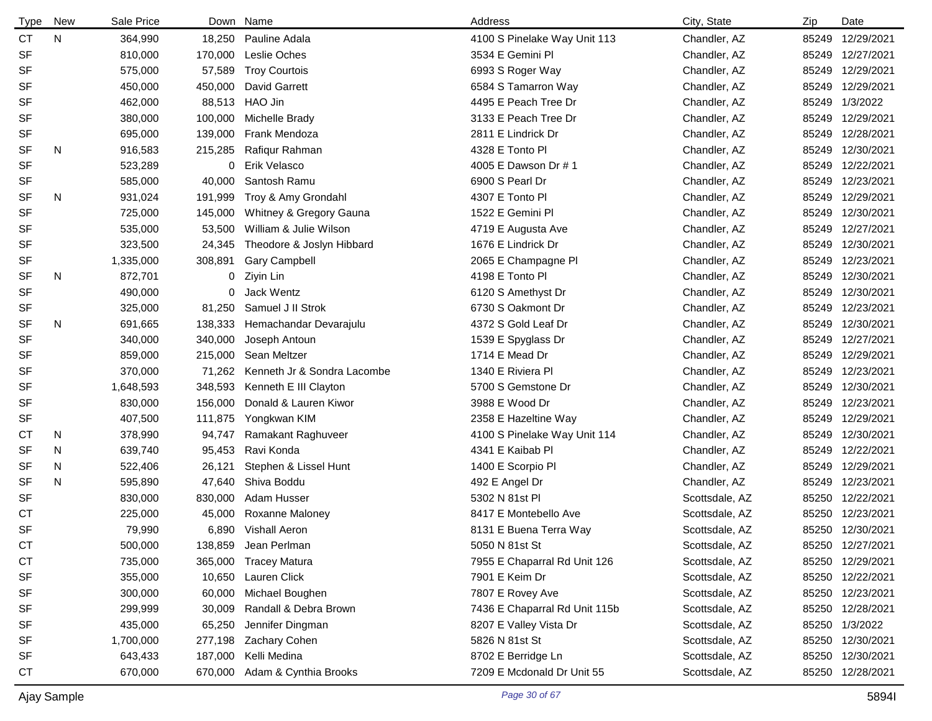| Type      | <b>New</b> | Sale Price |         | Down Name                   | Address                       | City, State    | Zip | Date             |
|-----------|------------|------------|---------|-----------------------------|-------------------------------|----------------|-----|------------------|
| CT        | N          | 364,990    | 18,250  | Pauline Adala               | 4100 S Pinelake Way Unit 113  | Chandler, AZ   |     | 85249 12/29/2021 |
| <b>SF</b> |            | 810,000    | 170,000 | Leslie Oches                | 3534 E Gemini Pl              | Chandler, AZ   |     | 85249 12/27/2021 |
| <b>SF</b> |            | 575,000    | 57,589  | <b>Troy Courtois</b>        | 6993 S Roger Way              | Chandler, AZ   |     | 85249 12/29/2021 |
| <b>SF</b> |            | 450,000    | 450,000 | <b>David Garrett</b>        | 6584 S Tamarron Way           | Chandler, AZ   |     | 85249 12/29/2021 |
| SF        |            | 462,000    | 88,513  | HAO Jin                     | 4495 E Peach Tree Dr          | Chandler, AZ   |     | 85249 1/3/2022   |
| <b>SF</b> |            | 380,000    | 100,000 | Michelle Brady              | 3133 E Peach Tree Dr          | Chandler, AZ   |     | 85249 12/29/2021 |
| SF        |            | 695,000    | 139,000 | Frank Mendoza               | 2811 E Lindrick Dr            | Chandler, AZ   |     | 85249 12/28/2021 |
| SF        | N          | 916,583    | 215,285 | Rafiqur Rahman              | 4328 E Tonto PI               | Chandler, AZ   |     | 85249 12/30/2021 |
| <b>SF</b> |            | 523,289    | 0       | Erik Velasco                | 4005 E Dawson Dr # 1          | Chandler, AZ   |     | 85249 12/22/2021 |
| <b>SF</b> |            | 585,000    | 40,000  | Santosh Ramu                | 6900 S Pearl Dr               | Chandler, AZ   |     | 85249 12/23/2021 |
| SF        | N          | 931,024    | 191,999 | Troy & Amy Grondahl         | 4307 E Tonto PI               | Chandler, AZ   |     | 85249 12/29/2021 |
| <b>SF</b> |            | 725,000    | 145,000 | Whitney & Gregory Gauna     | 1522 E Gemini Pl              | Chandler, AZ   |     | 85249 12/30/2021 |
| <b>SF</b> |            | 535,000    | 53,500  | William & Julie Wilson      | 4719 E Augusta Ave            | Chandler, AZ   |     | 85249 12/27/2021 |
| SF        |            | 323,500    | 24,345  | Theodore & Joslyn Hibbard   | 1676 E Lindrick Dr            | Chandler, AZ   |     | 85249 12/30/2021 |
| SF        |            | 1,335,000  | 308,891 | <b>Gary Campbell</b>        | 2065 E Champagne Pl           | Chandler, AZ   |     | 85249 12/23/2021 |
| SF        | N          | 872,701    | 0       | Ziyin Lin                   | 4198 E Tonto Pl               | Chandler, AZ   |     | 85249 12/30/2021 |
| <b>SF</b> |            | 490,000    | 0       | Jack Wentz                  | 6120 S Amethyst Dr            | Chandler, AZ   |     | 85249 12/30/2021 |
| SF        |            | 325,000    | 81,250  | Samuel J II Strok           | 6730 S Oakmont Dr             | Chandler, AZ   |     | 85249 12/23/2021 |
| <b>SF</b> | N          | 691,665    | 138,333 | Hemachandar Devarajulu      | 4372 S Gold Leaf Dr           | Chandler, AZ   |     | 85249 12/30/2021 |
| <b>SF</b> |            | 340,000    | 340,000 | Joseph Antoun               | 1539 E Spyglass Dr            | Chandler, AZ   |     | 85249 12/27/2021 |
| <b>SF</b> |            | 859,000    | 215,000 | Sean Meltzer                | 1714 E Mead Dr                | Chandler, AZ   |     | 85249 12/29/2021 |
| <b>SF</b> |            | 370,000    | 71,262  | Kenneth Jr & Sondra Lacombe | 1340 E Riviera Pl             | Chandler, AZ   |     | 85249 12/23/2021 |
| <b>SF</b> |            | 1,648,593  | 348,593 | Kenneth E III Clayton       | 5700 S Gemstone Dr            | Chandler, AZ   |     | 85249 12/30/2021 |
| <b>SF</b> |            | 830,000    | 156,000 | Donald & Lauren Kiwor       | 3988 E Wood Dr                | Chandler, AZ   |     | 85249 12/23/2021 |
| <b>SF</b> |            | 407,500    | 111,875 | Yongkwan KIM                | 2358 E Hazeltine Way          | Chandler, AZ   |     | 85249 12/29/2021 |
| <b>CT</b> | N          | 378,990    | 94,747  | Ramakant Raghuveer          | 4100 S Pinelake Way Unit 114  | Chandler, AZ   |     | 85249 12/30/2021 |
| <b>SF</b> | N          | 639,740    | 95,453  | Ravi Konda                  | 4341 E Kaibab Pl              | Chandler, AZ   |     | 85249 12/22/2021 |
| SF        | N          | 522,406    | 26,121  | Stephen & Lissel Hunt       | 1400 E Scorpio PI             | Chandler, AZ   |     | 85249 12/29/2021 |
| <b>SF</b> | N          | 595,890    | 47,640  | Shiva Boddu                 | 492 E Angel Dr                | Chandler, AZ   |     | 85249 12/23/2021 |
| <b>SF</b> |            | 830,000    | 830,000 | Adam Husser                 | 5302 N 81st Pl                | Scottsdale, AZ |     | 85250 12/22/2021 |
| <b>CT</b> |            | 225,000    | 45,000  | Roxanne Maloney             | 8417 E Montebello Ave         | Scottsdale, AZ |     | 85250 12/23/2021 |
| <b>SF</b> |            | 79,990     |         | 6,890 Vishall Aeron         | 8131 E Buena Terra Way        | Scottsdale, AZ |     | 85250 12/30/2021 |
| <b>CT</b> |            | 500,000    |         | 138,859 Jean Perlman        | 5050 N 81st St                | Scottsdale, AZ |     | 85250 12/27/2021 |
| <b>CT</b> |            | 735,000    |         | 365,000 Tracey Matura       | 7955 E Chaparral Rd Unit 126  | Scottsdale, AZ |     | 85250 12/29/2021 |
| <b>SF</b> |            | 355,000    | 10,650  | Lauren Click                | 7901 E Keim Dr                | Scottsdale, AZ |     | 85250 12/22/2021 |
| <b>SF</b> |            | 300,000    | 60,000  | Michael Boughen             | 7807 E Rovey Ave              | Scottsdale, AZ |     | 85250 12/23/2021 |
| <b>SF</b> |            | 299,999    | 30,009  | Randall & Debra Brown       | 7436 E Chaparral Rd Unit 115b | Scottsdale, AZ |     | 85250 12/28/2021 |
| SF        |            | 435,000    | 65,250  | Jennifer Dingman            | 8207 E Valley Vista Dr        | Scottsdale, AZ |     | 85250 1/3/2022   |
| <b>SF</b> |            | 1,700,000  | 277,198 | Zachary Cohen               | 5826 N 81st St                | Scottsdale, AZ |     | 85250 12/30/2021 |
| <b>SF</b> |            | 643,433    | 187,000 | Kelli Medina                | 8702 E Berridge Ln            | Scottsdale, AZ |     | 85250 12/30/2021 |
| <b>CT</b> |            | 670,000    | 670,000 | Adam & Cynthia Brooks       | 7209 E Mcdonald Dr Unit 55    | Scottsdale, AZ |     | 85250 12/28/2021 |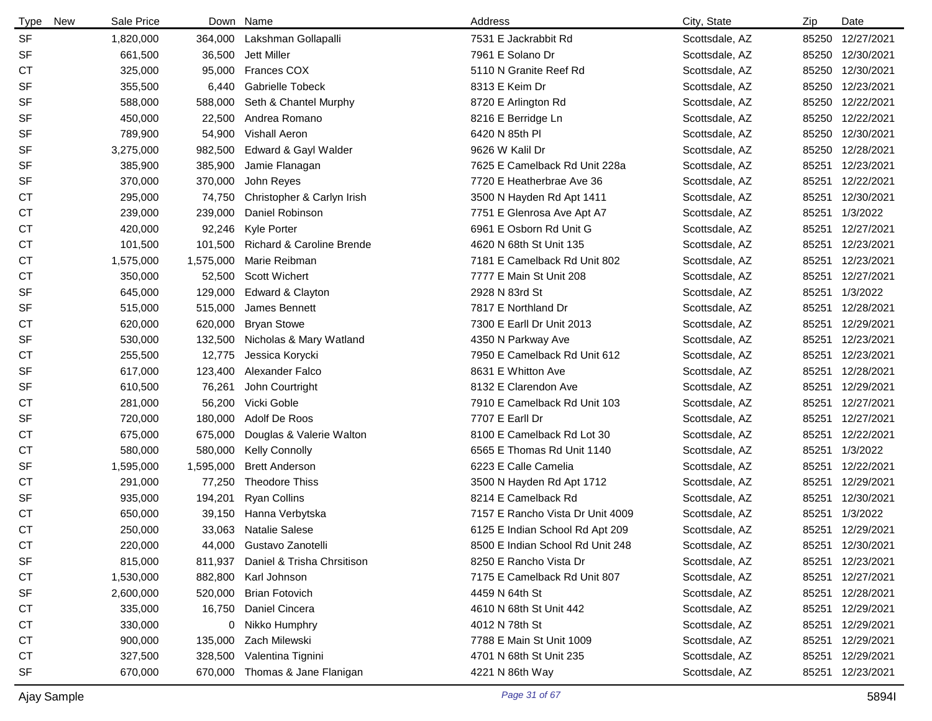| <b>Type</b><br>New | Sale Price |           | Down Name                  | Address                          | City, State    | Zip   | Date             |
|--------------------|------------|-----------|----------------------------|----------------------------------|----------------|-------|------------------|
| <b>SF</b>          | 1,820,000  | 364,000   | Lakshman Gollapalli        | 7531 E Jackrabbit Rd             | Scottsdale, AZ | 85250 | 12/27/2021       |
| <b>SF</b>          | 661,500    | 36,500    | Jett Miller                | 7961 E Solano Dr                 | Scottsdale, AZ | 85250 | 12/30/2021       |
| СT                 | 325,000    | 95,000    | <b>Frances COX</b>         | 5110 N Granite Reef Rd           | Scottsdale, AZ |       | 85250 12/30/2021 |
| <b>SF</b>          | 355,500    | 6,440     | <b>Gabrielle Tobeck</b>    | 8313 E Keim Dr                   | Scottsdale, AZ | 85250 | 12/23/2021       |
| <b>SF</b>          | 588,000    | 588,000   | Seth & Chantel Murphy      | 8720 E Arlington Rd              | Scottsdale, AZ | 85250 | 12/22/2021       |
| <b>SF</b>          | 450,000    | 22,500    | Andrea Romano              | 8216 E Berridge Ln               | Scottsdale, AZ | 85250 | 12/22/2021       |
| <b>SF</b>          | 789,900    | 54,900    | <b>Vishall Aeron</b>       | 6420 N 85th PI                   | Scottsdale, AZ | 85250 | 12/30/2021       |
| <b>SF</b>          | 3,275,000  | 982,500   | Edward & Gayl Walder       | 9626 W Kalil Dr                  | Scottsdale, AZ |       | 85250 12/28/2021 |
| SF                 | 385,900    | 385,900   | Jamie Flanagan             | 7625 E Camelback Rd Unit 228a    | Scottsdale, AZ | 85251 | 12/23/2021       |
| <b>SF</b>          | 370,000    | 370,000   | John Reyes                 | 7720 E Heatherbrae Ave 36        | Scottsdale, AZ | 85251 | 12/22/2021       |
| СT                 | 295,000    | 74,750    | Christopher & Carlyn Irish | 3500 N Hayden Rd Apt 1411        | Scottsdale, AZ | 85251 | 12/30/2021       |
| СT                 | 239,000    | 239,000   | Daniel Robinson            | 7751 E Glenrosa Ave Apt A7       | Scottsdale, AZ | 85251 | 1/3/2022         |
| СT                 | 420,000    | 92,246    | <b>Kyle Porter</b>         | 6961 E Osborn Rd Unit G          | Scottsdale, AZ | 85251 | 12/27/2021       |
| СT                 | 101,500    | 101,500   | Richard & Caroline Brende  | 4620 N 68th St Unit 135          | Scottsdale, AZ | 85251 | 12/23/2021       |
| <b>CT</b>          | 1,575,000  | 1,575,000 | Marie Reibman              | 7181 E Camelback Rd Unit 802     | Scottsdale, AZ | 85251 | 12/23/2021       |
| СT                 | 350,000    | 52,500    | <b>Scott Wichert</b>       | 7777 E Main St Unit 208          | Scottsdale, AZ | 85251 | 12/27/2021       |
| <b>SF</b>          | 645,000    | 129,000   | Edward & Clayton           | 2928 N 83rd St                   | Scottsdale, AZ | 85251 | 1/3/2022         |
| <b>SF</b>          | 515,000    | 515,000   | James Bennett              | 7817 E Northland Dr              | Scottsdale, AZ | 85251 | 12/28/2021       |
| <b>CT</b>          | 620,000    | 620,000   | <b>Bryan Stowe</b>         | 7300 E Earll Dr Unit 2013        | Scottsdale, AZ | 85251 | 12/29/2021       |
| SF                 | 530,000    | 132,500   | Nicholas & Mary Watland    | 4350 N Parkway Ave               | Scottsdale, AZ | 85251 | 12/23/2021       |
| <b>CT</b>          | 255,500    | 12,775    | Jessica Korycki            | 7950 E Camelback Rd Unit 612     | Scottsdale, AZ | 85251 | 12/23/2021       |
| <b>SF</b>          | 617,000    | 123,400   | Alexander Falco            | 8631 E Whitton Ave               | Scottsdale, AZ | 85251 | 12/28/2021       |
| <b>SF</b>          | 610,500    | 76,261    | John Courtright            | 8132 E Clarendon Ave             | Scottsdale, AZ | 85251 | 12/29/2021       |
| СT                 | 281,000    | 56,200    | Vicki Goble                | 7910 E Camelback Rd Unit 103     | Scottsdale, AZ | 85251 | 12/27/2021       |
| <b>SF</b>          | 720,000    | 180,000   | Adolf De Roos              | 7707 E Earll Dr                  | Scottsdale, AZ | 85251 | 12/27/2021       |
| СT                 | 675,000    | 675,000   | Douglas & Valerie Walton   | 8100 E Camelback Rd Lot 30       | Scottsdale, AZ | 85251 | 12/22/2021       |
| <b>CT</b>          | 580,000    | 580,000   | <b>Kelly Connolly</b>      | 6565 E Thomas Rd Unit 1140       | Scottsdale, AZ | 85251 | 1/3/2022         |
| SF                 | 1,595,000  | 1,595,000 | <b>Brett Anderson</b>      | 6223 E Calle Camelia             | Scottsdale, AZ | 85251 | 12/22/2021       |
| <b>CT</b>          | 291,000    | 77,250    | <b>Theodore Thiss</b>      | 3500 N Hayden Rd Apt 1712        | Scottsdale, AZ | 85251 | 12/29/2021       |
| <b>SF</b>          | 935,000    | 194,201   | <b>Ryan Collins</b>        | 8214 E Camelback Rd              | Scottsdale, AZ | 85251 | 12/30/2021       |
| СT                 | 650,000    | 39,150    | Hanna Verbytska            | 7157 E Rancho Vista Dr Unit 4009 | Scottsdale, AZ | 85251 | 1/3/2022         |
| <b>CT</b>          | 250,000    |           | 33,063 Natalie Salese      | 6125 E Indian School Rd Apt 209  | Scottsdale, AZ |       | 85251 12/29/2021 |
| C <sub>T</sub>     | 220,000    |           | 44,000 Gustavo Zanotelli   | 8500 E Indian School Rd Unit 248 | Scottsdale, AZ |       | 85251 12/30/2021 |
| SF                 | 815,000    | 811,937   | Daniel & Trisha Chrsitison | 8250 E Rancho Vista Dr           | Scottsdale, AZ | 85251 | 12/23/2021       |
| <b>CT</b>          | 1,530,000  |           | 882,800 Karl Johnson       | 7175 E Camelback Rd Unit 807     | Scottsdale, AZ | 85251 | 12/27/2021       |
| SF                 | 2,600,000  | 520,000   | <b>Brian Fotovich</b>      | 4459 N 64th St                   | Scottsdale, AZ | 85251 | 12/28/2021       |
| <b>CT</b>          | 335,000    | 16,750    | Daniel Cincera             | 4610 N 68th St Unit 442          | Scottsdale, AZ | 85251 | 12/29/2021       |
| СT                 | 330,000    |           | 0 Nikko Humphry            | 4012 N 78th St                   | Scottsdale, AZ | 85251 | 12/29/2021       |
| СT                 | 900,000    | 135,000   | Zach Milewski              | 7788 E Main St Unit 1009         | Scottsdale, AZ | 85251 | 12/29/2021       |
| СT                 | 327,500    |           | 328,500 Valentina Tignini  | 4701 N 68th St Unit 235          | Scottsdale, AZ | 85251 | 12/29/2021       |
| SF                 | 670,000    | 670,000   | Thomas & Jane Flanigan     | 4221 N 86th Way                  | Scottsdale, AZ | 85251 | 12/23/2021       |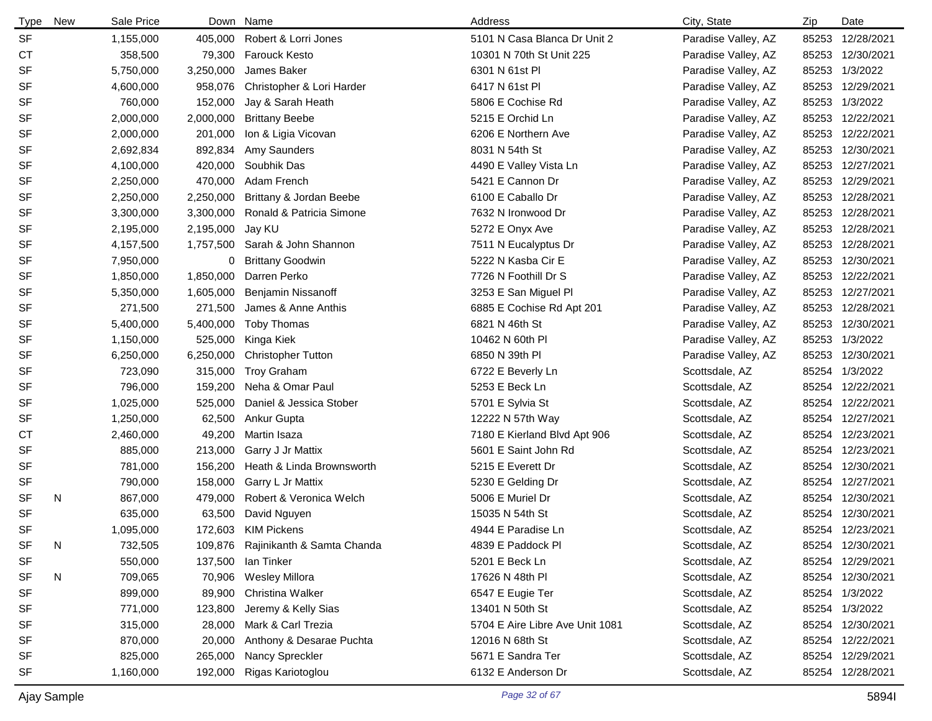| <b>Type</b> | New | Sale Price |           | Down Name                          | Address                         | City, State         | Zip   | Date             |
|-------------|-----|------------|-----------|------------------------------------|---------------------------------|---------------------|-------|------------------|
| <b>SF</b>   |     | 1,155,000  | 405,000   | Robert & Lorri Jones               | 5101 N Casa Blanca Dr Unit 2    | Paradise Valley, AZ |       | 85253 12/28/2021 |
| <b>CT</b>   |     | 358,500    | 79,300    | <b>Farouck Kesto</b>               | 10301 N 70th St Unit 225        | Paradise Valley, AZ |       | 85253 12/30/2021 |
| <b>SF</b>   |     | 5,750,000  | 3,250,000 | James Baker                        | 6301 N 61st Pl                  | Paradise Valley, AZ |       | 85253 1/3/2022   |
| <b>SF</b>   |     | 4,600,000  | 958,076   | Christopher & Lori Harder          | 6417 N 61st Pl                  | Paradise Valley, AZ |       | 85253 12/29/2021 |
| <b>SF</b>   |     | 760,000    | 152,000   | Jay & Sarah Heath                  | 5806 E Cochise Rd               | Paradise Valley, AZ |       | 85253 1/3/2022   |
| SF          |     | 2,000,000  | 2,000,000 | <b>Brittany Beebe</b>              | 5215 E Orchid Ln                | Paradise Valley, AZ |       | 85253 12/22/2021 |
| <b>SF</b>   |     | 2,000,000  | 201,000   | Ion & Ligia Vicovan                | 6206 E Northern Ave             | Paradise Valley, AZ |       | 85253 12/22/2021 |
| <b>SF</b>   |     | 2,692,834  | 892,834   | Amy Saunders                       | 8031 N 54th St                  | Paradise Valley, AZ |       | 85253 12/30/2021 |
| <b>SF</b>   |     | 4,100,000  | 420,000   | Soubhik Das                        | 4490 E Valley Vista Ln          | Paradise Valley, AZ |       | 85253 12/27/2021 |
| SF          |     | 2,250,000  | 470,000   | Adam French                        | 5421 E Cannon Dr                | Paradise Valley, AZ |       | 85253 12/29/2021 |
| <b>SF</b>   |     | 2,250,000  | 2,250,000 | Brittany & Jordan Beebe            | 6100 E Caballo Dr               | Paradise Valley, AZ |       | 85253 12/28/2021 |
| <b>SF</b>   |     | 3,300,000  | 3,300,000 | Ronald & Patricia Simone           | 7632 N Ironwood Dr              | Paradise Valley, AZ |       | 85253 12/28/2021 |
| <b>SF</b>   |     | 2,195,000  | 2,195,000 | Jay KU                             | 5272 E Onyx Ave                 | Paradise Valley, AZ |       | 85253 12/28/2021 |
| <b>SF</b>   |     | 4,157,500  | 1,757,500 | Sarah & John Shannon               | 7511 N Eucalyptus Dr            | Paradise Valley, AZ |       | 85253 12/28/2021 |
| <b>SF</b>   |     | 7,950,000  | 0         | <b>Brittany Goodwin</b>            | 5222 N Kasba Cir E              | Paradise Valley, AZ |       | 85253 12/30/2021 |
| <b>SF</b>   |     | 1,850,000  | 1,850,000 | Darren Perko                       | 7726 N Foothill Dr S            | Paradise Valley, AZ |       | 85253 12/22/2021 |
| <b>SF</b>   |     | 5,350,000  | 1,605,000 | <b>Benjamin Nissanoff</b>          | 3253 E San Miguel Pl            | Paradise Valley, AZ |       | 85253 12/27/2021 |
| <b>SF</b>   |     | 271,500    | 271,500   | James & Anne Anthis                | 6885 E Cochise Rd Apt 201       | Paradise Valley, AZ |       | 85253 12/28/2021 |
| <b>SF</b>   |     | 5,400,000  | 5,400,000 | <b>Toby Thomas</b>                 | 6821 N 46th St                  | Paradise Valley, AZ |       | 85253 12/30/2021 |
| <b>SF</b>   |     | 1,150,000  | 525,000   | Kinga Kiek                         | 10462 N 60th PI                 | Paradise Valley, AZ |       | 85253 1/3/2022   |
| <b>SF</b>   |     | 6,250,000  | 6,250,000 | <b>Christopher Tutton</b>          | 6850 N 39th PI                  | Paradise Valley, AZ |       | 85253 12/30/2021 |
| <b>SF</b>   |     | 723,090    | 315,000   | <b>Troy Graham</b>                 | 6722 E Beverly Ln               | Scottsdale, AZ      |       | 85254 1/3/2022   |
| <b>SF</b>   |     | 796,000    | 159,200   | Neha & Omar Paul                   | 5253 E Beck Ln                  | Scottsdale, AZ      |       | 85254 12/22/2021 |
| <b>SF</b>   |     | 1,025,000  | 525,000   | Daniel & Jessica Stober            | 5701 E Sylvia St                | Scottsdale, AZ      |       | 85254 12/22/2021 |
| <b>SF</b>   |     | 1,250,000  | 62,500    | Ankur Gupta                        | 12222 N 57th Way                | Scottsdale, AZ      |       | 85254 12/27/2021 |
| СT          |     | 2,460,000  | 49,200    | Martin Isaza                       | 7180 E Kierland Blvd Apt 906    | Scottsdale, AZ      |       | 85254 12/23/2021 |
| <b>SF</b>   |     | 885,000    | 213,000   | Garry J Jr Mattix                  | 5601 E Saint John Rd            | Scottsdale, AZ      |       | 85254 12/23/2021 |
| SF          |     | 781,000    | 156,200   | Heath & Linda Brownsworth          | 5215 E Everett Dr               | Scottsdale, AZ      |       | 85254 12/30/2021 |
| SF          |     | 790,000    | 158,000   | Garry L Jr Mattix                  | 5230 E Gelding Dr               | Scottsdale, AZ      |       | 85254 12/27/2021 |
| <b>SF</b>   | N   | 867,000    | 479,000   | Robert & Veronica Welch            | 5006 E Muriel Dr                | Scottsdale, AZ      |       | 85254 12/30/2021 |
| <b>SF</b>   |     | 635,000    | 63,500    | David Nguyen                       | 15035 N 54th St                 | Scottsdale, AZ      |       | 85254 12/30/2021 |
| <b>SF</b>   |     | 1,095,000  |           | 172,603 KIM Pickens                | 4944 E Paradise Ln              | Scottsdale, AZ      |       | 85254 12/23/2021 |
| <b>SF</b>   | N   | 732,505    |           | 109,876 Rajinikanth & Samta Chanda | 4839 E Paddock Pl               | Scottsdale, AZ      | 85254 | 12/30/2021       |
| SF          |     | 550,000    |           | 137,500 Ian Tinker                 | 5201 E Beck Ln                  | Scottsdale, AZ      |       | 85254 12/29/2021 |
| <b>SF</b>   | N   | 709,065    | 70,906    | Wesley Millora                     | 17626 N 48th PI                 | Scottsdale, AZ      |       | 85254 12/30/2021 |
| SF          |     | 899,000    | 89,900    | Christina Walker                   | 6547 E Eugie Ter                | Scottsdale, AZ      |       | 85254 1/3/2022   |
| SF          |     | 771,000    | 123,800   | Jeremy & Kelly Sias                | 13401 N 50th St                 | Scottsdale, AZ      |       | 85254 1/3/2022   |
| SF          |     | 315,000    | 28,000    | Mark & Carl Trezia                 | 5704 E Aire Libre Ave Unit 1081 | Scottsdale, AZ      |       | 85254 12/30/2021 |
| SF          |     | 870,000    | 20,000    | Anthony & Desarae Puchta           | 12016 N 68th St                 | Scottsdale, AZ      |       | 85254 12/22/2021 |
| SF          |     | 825,000    | 265,000   | Nancy Spreckler                    | 5671 E Sandra Ter               | Scottsdale, AZ      |       | 85254 12/29/2021 |
| SF          |     | 1,160,000  | 192,000   | Rigas Kariotoglou                  | 6132 E Anderson Dr              | Scottsdale, AZ      |       | 85254 12/28/2021 |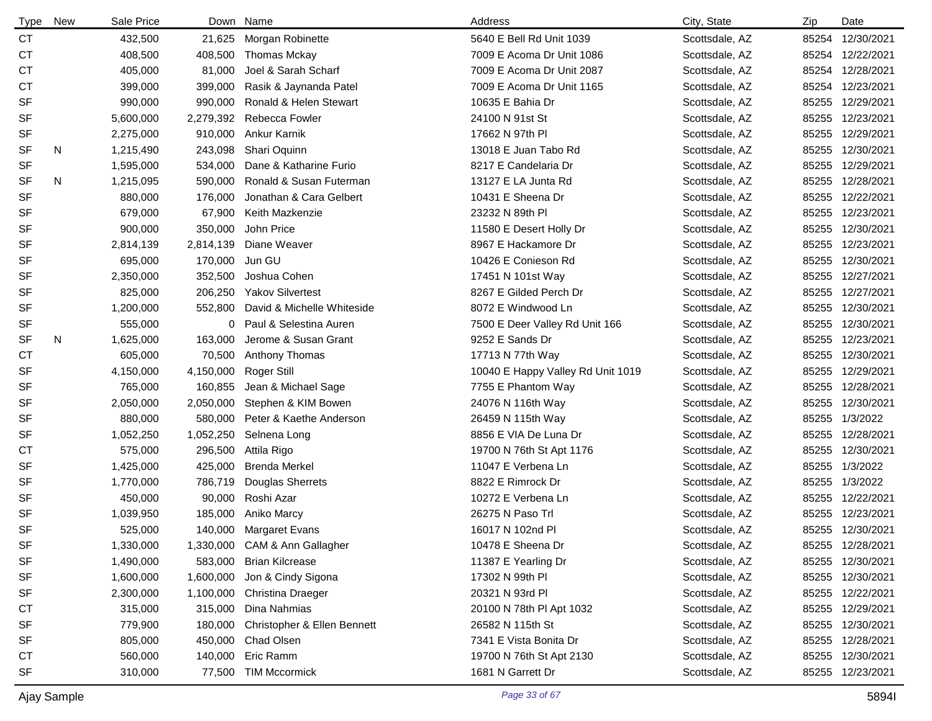| <b>Type</b> | New | Sale Price |           | Down Name                           | Address                           | City, State    | Zip   | Date             |
|-------------|-----|------------|-----------|-------------------------------------|-----------------------------------|----------------|-------|------------------|
| <b>CT</b>   |     | 432,500    | 21,625    | Morgan Robinette                    | 5640 E Bell Rd Unit 1039          | Scottsdale, AZ | 85254 | 12/30/2021       |
| СT          |     | 408,500    | 408,500   | <b>Thomas Mckay</b>                 | 7009 E Acoma Dr Unit 1086         | Scottsdale, AZ |       | 85254 12/22/2021 |
| СT          |     | 405,000    | 81,000    | Joel & Sarah Scharf                 | 7009 E Acoma Dr Unit 2087         | Scottsdale, AZ |       | 85254 12/28/2021 |
| СT          |     | 399,000    | 399,000   | Rasik & Jaynanda Patel              | 7009 E Acoma Dr Unit 1165         | Scottsdale, AZ |       | 85254 12/23/2021 |
| SF          |     | 990,000    | 990,000   | Ronald & Helen Stewart              | 10635 E Bahia Dr                  | Scottsdale, AZ | 85255 | 12/29/2021       |
| <b>SF</b>   |     | 5,600,000  | 2,279,392 | Rebecca Fowler                      | 24100 N 91st St                   | Scottsdale, AZ | 85255 | 12/23/2021       |
| SF          |     | 2,275,000  | 910,000   | Ankur Karnik                        | 17662 N 97th PI                   | Scottsdale, AZ | 85255 | 12/29/2021       |
| SF          | N   | 1,215,490  | 243,098   | Shari Oquinn                        | 13018 E Juan Tabo Rd              | Scottsdale, AZ | 85255 | 12/30/2021       |
| <b>SF</b>   |     | 1,595,000  | 534,000   | Dane & Katharine Furio              | 8217 E Candelaria Dr              | Scottsdale, AZ | 85255 | 12/29/2021       |
| <b>SF</b>   | N   | 1,215,095  | 590,000   | Ronald & Susan Futerman             | 13127 E LA Junta Rd               | Scottsdale, AZ | 85255 | 12/28/2021       |
| <b>SF</b>   |     | 880,000    | 176,000   | Jonathan & Cara Gelbert             | 10431 E Sheena Dr                 | Scottsdale, AZ |       | 85255 12/22/2021 |
| <b>SF</b>   |     | 679,000    | 67,900    | Keith Mazkenzie                     | 23232 N 89th PI                   | Scottsdale, AZ |       | 85255 12/23/2021 |
| SF          |     | 900,000    | 350,000   | John Price                          | 11580 E Desert Holly Dr           | Scottsdale, AZ | 85255 | 12/30/2021       |
| <b>SF</b>   |     | 2,814,139  | 2,814,139 | Diane Weaver                        | 8967 E Hackamore Dr               | Scottsdale, AZ | 85255 | 12/23/2021       |
| SF          |     | 695,000    | 170,000   | Jun GU                              | 10426 E Conieson Rd               | Scottsdale, AZ | 85255 | 12/30/2021       |
| <b>SF</b>   |     | 2,350,000  | 352,500   | Joshua Cohen                        | 17451 N 101st Way                 | Scottsdale, AZ | 85255 | 12/27/2021       |
| SF          |     | 825,000    | 206,250   | <b>Yakov Silvertest</b>             | 8267 E Gilded Perch Dr            | Scottsdale, AZ | 85255 | 12/27/2021       |
| SF          |     | 1,200,000  | 552,800   | David & Michelle Whiteside          | 8072 E Windwood Ln                | Scottsdale, AZ | 85255 | 12/30/2021       |
| SF          |     | 555,000    | 0         | Paul & Selestina Auren              | 7500 E Deer Valley Rd Unit 166    | Scottsdale, AZ | 85255 | 12/30/2021       |
| <b>SF</b>   | N   | 1,625,000  | 163,000   | Jerome & Susan Grant                | 9252 E Sands Dr                   | Scottsdale, AZ | 85255 | 12/23/2021       |
| <b>CT</b>   |     | 605,000    | 70,500    | Anthony Thomas                      | 17713 N 77th Way                  | Scottsdale, AZ | 85255 | 12/30/2021       |
| <b>SF</b>   |     | 4,150,000  | 4,150,000 | Roger Still                         | 10040 E Happy Valley Rd Unit 1019 | Scottsdale, AZ | 85255 | 12/29/2021       |
| SF          |     | 765,000    | 160,855   | Jean & Michael Sage                 | 7755 E Phantom Way                | Scottsdale, AZ | 85255 | 12/28/2021       |
| SF          |     | 2,050,000  | 2,050,000 | Stephen & KIM Bowen                 | 24076 N 116th Way                 | Scottsdale, AZ | 85255 | 12/30/2021       |
| SF          |     | 880,000    | 580,000   | Peter & Kaethe Anderson             | 26459 N 115th Way                 | Scottsdale, AZ |       | 85255 1/3/2022   |
| SF          |     | 1,052,250  | 1,052,250 | Selnena Long                        | 8856 E VIA De Luna Dr             | Scottsdale, AZ | 85255 | 12/28/2021       |
| <b>CT</b>   |     | 575,000    | 296,500   | Attila Rigo                         | 19700 N 76th St Apt 1176          | Scottsdale, AZ | 85255 | 12/30/2021       |
| SF          |     | 1,425,000  | 425,000   | <b>Brenda Merkel</b>                | 11047 E Verbena Ln                | Scottsdale, AZ | 85255 | 1/3/2022         |
| <b>SF</b>   |     | 1,770,000  | 786,719   | Douglas Sherrets                    | 8822 E Rimrock Dr                 | Scottsdale, AZ | 85255 | 1/3/2022         |
| <b>SF</b>   |     | 450,000    | 90,000    | Roshi Azar                          | 10272 E Verbena Ln                | Scottsdale, AZ |       | 85255 12/22/2021 |
| <b>SF</b>   |     | 1,039,950  | 185,000   | Aniko Marcy                         | 26275 N Paso Trl                  | Scottsdale, AZ | 85255 | 12/23/2021       |
| <b>SF</b>   |     | 525,000    |           | 140,000 Margaret Evans              | 16017 N 102nd Pl                  | Scottsdale, AZ |       | 85255 12/30/2021 |
| SF          |     | 1,330,000  |           | 1,330,000 CAM & Ann Gallagher       | 10478 E Sheena Dr                 | Scottsdale, AZ |       | 85255 12/28/2021 |
| SF          |     | 1,490,000  |           | 583,000 Brian Kilcrease             | 11387 E Yearling Dr               | Scottsdale, AZ |       | 85255 12/30/2021 |
| SF          |     | 1,600,000  | 1,600,000 | Jon & Cindy Sigona                  | 17302 N 99th PI                   | Scottsdale, AZ | 85255 | 12/30/2021       |
| SF          |     | 2,300,000  |           | 1,100,000 Christina Draeger         | 20321 N 93rd PI                   | Scottsdale, AZ |       | 85255 12/22/2021 |
| <b>CT</b>   |     | 315,000    | 315,000   | Dina Nahmias                        | 20100 N 78th PI Apt 1032          | Scottsdale, AZ |       | 85255 12/29/2021 |
| SF          |     | 779,900    |           | 180,000 Christopher & Ellen Bennett | 26582 N 115th St                  | Scottsdale, AZ |       | 85255 12/30/2021 |
| SF          |     | 805,000    | 450,000   | Chad Olsen                          | 7341 E Vista Bonita Dr            | Scottsdale, AZ | 85255 | 12/28/2021       |
| <b>CT</b>   |     | 560,000    | 140,000   | Eric Ramm                           | 19700 N 76th St Apt 2130          | Scottsdale, AZ | 85255 | 12/30/2021       |
| SF          |     | 310,000    |           | 77,500 TIM Mccormick                | 1681 N Garrett Dr                 | Scottsdale, AZ |       | 85255 12/23/2021 |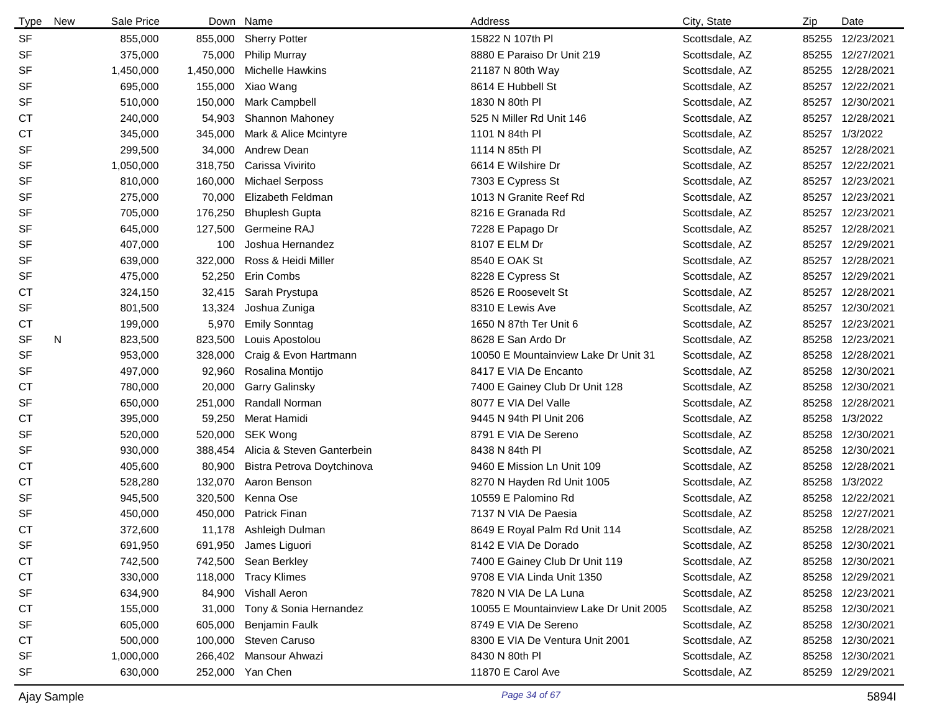| <b>Type</b> | New | Sale Price |           | Down Name                  | Address                                | City, State    | Zip   | Date             |
|-------------|-----|------------|-----------|----------------------------|----------------------------------------|----------------|-------|------------------|
| <b>SF</b>   |     | 855,000    | 855,000   | <b>Sherry Potter</b>       | 15822 N 107th PI                       | Scottsdale, AZ | 85255 | 12/23/2021       |
| SF          |     | 375,000    | 75,000    | <b>Philip Murray</b>       | 8880 E Paraiso Dr Unit 219             | Scottsdale, AZ | 85255 | 12/27/2021       |
| SF          |     | 1,450,000  | 1,450,000 | <b>Michelle Hawkins</b>    | 21187 N 80th Way                       | Scottsdale, AZ | 85255 | 12/28/2021       |
| SF          |     | 695,000    | 155,000   | Xiao Wang                  | 8614 E Hubbell St                      | Scottsdale, AZ | 85257 | 12/22/2021       |
| SF          |     | 510,000    | 150,000   | Mark Campbell              | 1830 N 80th PI                         | Scottsdale, AZ | 85257 | 12/30/2021       |
| СT          |     | 240,000    | 54,903    | Shannon Mahoney            | 525 N Miller Rd Unit 146               | Scottsdale, AZ | 85257 | 12/28/2021       |
| <b>CT</b>   |     | 345,000    | 345,000   | Mark & Alice Mcintyre      | 1101 N 84th PI                         | Scottsdale, AZ |       | 85257 1/3/2022   |
| SF          |     | 299,500    | 34,000    | Andrew Dean                | 1114 N 85th PI                         | Scottsdale, AZ | 85257 | 12/28/2021       |
| SF          |     | 1,050,000  | 318,750   | Carissa Vivirito           | 6614 E Wilshire Dr                     | Scottsdale, AZ |       | 85257 12/22/2021 |
| SF          |     | 810,000    | 160,000   | <b>Michael Serposs</b>     | 7303 E Cypress St                      | Scottsdale, AZ |       | 85257 12/23/2021 |
| SF          |     | 275,000    | 70,000    | Elizabeth Feldman          | 1013 N Granite Reef Rd                 | Scottsdale, AZ |       | 85257 12/23/2021 |
| SF          |     | 705,000    | 176,250   | <b>Bhuplesh Gupta</b>      | 8216 E Granada Rd                      | Scottsdale, AZ |       | 85257 12/23/2021 |
| SF          |     | 645,000    | 127,500   | Germeine RAJ               | 7228 E Papago Dr                       | Scottsdale, AZ | 85257 | 12/28/2021       |
| SF          |     | 407,000    | 100       | Joshua Hernandez           | 8107 E ELM Dr                          | Scottsdale, AZ | 85257 | 12/29/2021       |
| SF          |     | 639,000    | 322,000   | Ross & Heidi Miller        | 8540 E OAK St                          | Scottsdale, AZ | 85257 | 12/28/2021       |
| SF          |     | 475,000    | 52,250    | Erin Combs                 | 8228 E Cypress St                      | Scottsdale, AZ | 85257 | 12/29/2021       |
| <b>CT</b>   |     | 324,150    | 32,415    | Sarah Prystupa             | 8526 E Roosevelt St                    | Scottsdale, AZ | 85257 | 12/28/2021       |
| SF          |     | 801,500    | 13,324    | Joshua Zuniga              | 8310 E Lewis Ave                       | Scottsdale, AZ | 85257 | 12/30/2021       |
| <b>CT</b>   |     | 199,000    | 5,970     | <b>Emily Sonntag</b>       | 1650 N 87th Ter Unit 6                 | Scottsdale, AZ | 85257 | 12/23/2021       |
| SF          | N   | 823,500    | 823,500   | Louis Apostolou            | 8628 E San Ardo Dr                     | Scottsdale, AZ | 85258 | 12/23/2021       |
| SF          |     | 953,000    | 328,000   | Craig & Evon Hartmann      | 10050 E Mountainview Lake Dr Unit 31   | Scottsdale, AZ | 85258 | 12/28/2021       |
| SF          |     | 497,000    | 92,960    | Rosalina Montijo           | 8417 E VIA De Encanto                  | Scottsdale, AZ | 85258 | 12/30/2021       |
| <b>CT</b>   |     | 780,000    | 20,000    | <b>Garry Galinsky</b>      | 7400 E Gainey Club Dr Unit 128         | Scottsdale, AZ | 85258 | 12/30/2021       |
| SF          |     | 650,000    | 251,000   | Randall Norman             | 8077 E VIA Del Valle                   | Scottsdale, AZ | 85258 | 12/28/2021       |
| <b>CT</b>   |     | 395,000    | 59,250    | Merat Hamidi               | 9445 N 94th PI Unit 206                | Scottsdale, AZ |       | 85258 1/3/2022   |
| SF          |     | 520,000    | 520,000   | SEK Wong                   | 8791 E VIA De Sereno                   | Scottsdale, AZ | 85258 | 12/30/2021       |
| SF          |     | 930,000    | 388,454   | Alicia & Steven Ganterbein | 8438 N 84th PI                         | Scottsdale, AZ | 85258 | 12/30/2021       |
| СT          |     | 405,600    | 80,900    | Bistra Petrova Doytchinova | 9460 E Mission Ln Unit 109             | Scottsdale, AZ | 85258 | 12/28/2021       |
| СT          |     | 528,280    | 132,070   | Aaron Benson               | 8270 N Hayden Rd Unit 1005             | Scottsdale, AZ | 85258 | 1/3/2022         |
| SF          |     | 945,500    | 320,500   | Kenna Ose                  | 10559 E Palomino Rd                    | Scottsdale, AZ | 85258 | 12/22/2021       |
| SF          |     | 450,000    | 450,000   | <b>Patrick Finan</b>       | 7137 N VIA De Paesia                   | Scottsdale, AZ | 85258 | 12/27/2021       |
| <b>CT</b>   |     | 372,600    | 11,178    | Ashleigh Dulman            | 8649 E Royal Palm Rd Unit 114          | Scottsdale, AZ |       | 85258 12/28/2021 |
| <b>SF</b>   |     | 691,950    | 691,950   | James Liguori              | 8142 E VIA De Dorado                   | Scottsdale, AZ |       | 85258 12/30/2021 |
| <b>CT</b>   |     | 742,500    |           | 742,500 Sean Berkley       | 7400 E Gainey Club Dr Unit 119         | Scottsdale, AZ |       | 85258 12/30/2021 |
| <b>CT</b>   |     | 330,000    | 118,000   | <b>Tracy Klimes</b>        | 9708 E VIA Linda Unit 1350             | Scottsdale, AZ |       | 85258 12/29/2021 |
| SF          |     | 634,900    | 84,900    | Vishall Aeron              | 7820 N VIA De LA Luna                  | Scottsdale, AZ |       | 85258 12/23/2021 |
| <b>CT</b>   |     | 155,000    | 31,000    | Tony & Sonia Hernandez     | 10055 E Mountainview Lake Dr Unit 2005 | Scottsdale, AZ |       | 85258 12/30/2021 |
| SF          |     | 605,000    | 605,000   | <b>Benjamin Faulk</b>      | 8749 E VIA De Sereno                   | Scottsdale, AZ |       | 85258 12/30/2021 |
| <b>CT</b>   |     | 500,000    | 100,000   | Steven Caruso              | 8300 E VIA De Ventura Unit 2001        | Scottsdale, AZ |       | 85258 12/30/2021 |
| SF          |     | 1,000,000  | 266,402   | Mansour Ahwazi             | 8430 N 80th PI                         | Scottsdale, AZ |       | 85258 12/30/2021 |
| SF          |     | 630,000    |           | 252,000 Yan Chen           | 11870 E Carol Ave                      | Scottsdale, AZ |       | 85259 12/29/2021 |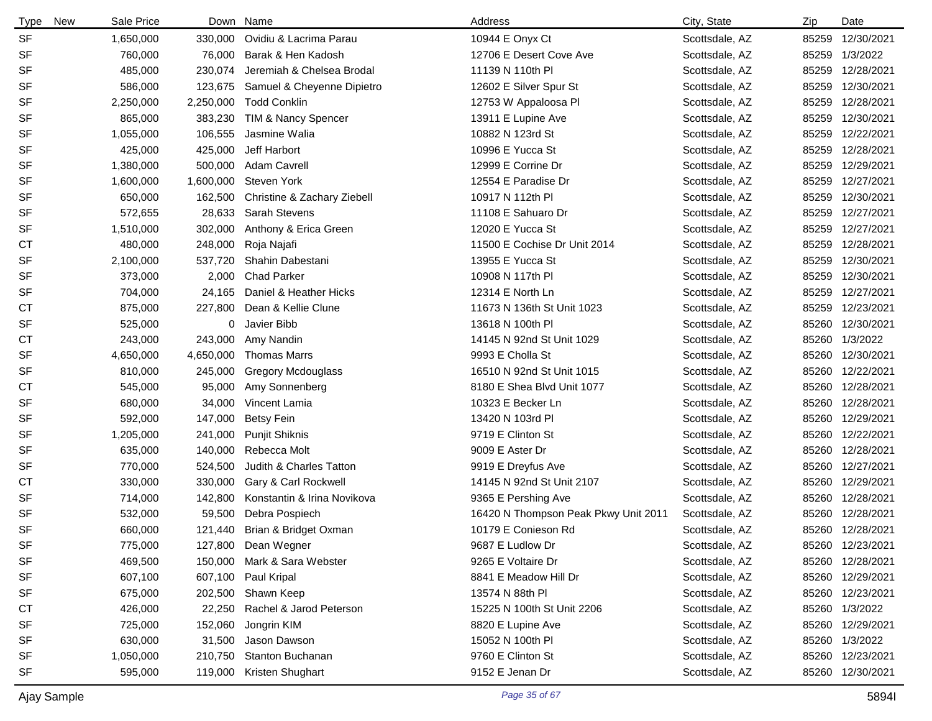| <b>Type</b><br>New | Sale Price |           | Down Name                   | Address                              | City, State    | Zip   | Date             |
|--------------------|------------|-----------|-----------------------------|--------------------------------------|----------------|-------|------------------|
| <b>SF</b>          | 1,650,000  | 330,000   | Ovidiu & Lacrima Parau      | 10944 E Onyx Ct                      | Scottsdale, AZ | 85259 | 12/30/2021       |
| SF                 | 760.000    | 76,000    | Barak & Hen Kadosh          | 12706 E Desert Cove Ave              | Scottsdale, AZ | 85259 | 1/3/2022         |
| SF                 | 485,000    | 230,074   | Jeremiah & Chelsea Brodal   | 11139 N 110th PI                     | Scottsdale, AZ | 85259 | 12/28/2021       |
| SF                 | 586,000    | 123,675   | Samuel & Cheyenne Dipietro  | 12602 E Silver Spur St               | Scottsdale, AZ | 85259 | 12/30/2021       |
| SF                 | 2,250,000  | 2,250,000 | <b>Todd Conklin</b>         | 12753 W Appaloosa Pl                 | Scottsdale, AZ | 85259 | 12/28/2021       |
| SF                 | 865,000    | 383,230   | TIM & Nancy Spencer         | 13911 E Lupine Ave                   | Scottsdale, AZ | 85259 | 12/30/2021       |
| SF                 | 1,055,000  | 106,555   | Jasmine Walia               | 10882 N 123rd St                     | Scottsdale, AZ | 85259 | 12/22/2021       |
| SF                 | 425,000    | 425,000   | Jeff Harbort                | 10996 E Yucca St                     | Scottsdale, AZ | 85259 | 12/28/2021       |
| SF                 | 1,380,000  | 500,000   | <b>Adam Cavrell</b>         | 12999 E Corrine Dr                   | Scottsdale, AZ | 85259 | 12/29/2021       |
| SF                 | 1,600,000  | 1,600,000 | <b>Steven York</b>          | 12554 E Paradise Dr                  | Scottsdale, AZ | 85259 | 12/27/2021       |
| SF                 | 650,000    | 162,500   | Christine & Zachary Ziebell | 10917 N 112th PI                     | Scottsdale, AZ | 85259 | 12/30/2021       |
| SF                 | 572,655    | 28,633    | <b>Sarah Stevens</b>        | 11108 E Sahuaro Dr                   | Scottsdale, AZ | 85259 | 12/27/2021       |
| SF                 | 1,510,000  | 302,000   | Anthony & Erica Green       | 12020 E Yucca St                     | Scottsdale, AZ | 85259 | 12/27/2021       |
| СT                 | 480,000    | 248,000   | Roja Najafi                 | 11500 E Cochise Dr Unit 2014         | Scottsdale, AZ | 85259 | 12/28/2021       |
| SF                 | 2,100,000  | 537,720   | Shahin Dabestani            | 13955 E Yucca St                     | Scottsdale, AZ | 85259 | 12/30/2021       |
| SF                 | 373,000    | 2,000     | <b>Chad Parker</b>          | 10908 N 117th PI                     | Scottsdale, AZ | 85259 | 12/30/2021       |
| SF                 | 704,000    | 24,165    | Daniel & Heather Hicks      | 12314 E North Ln                     | Scottsdale, AZ | 85259 | 12/27/2021       |
| СT                 | 875,000    | 227,800   | Dean & Kellie Clune         | 11673 N 136th St Unit 1023           | Scottsdale, AZ | 85259 | 12/23/2021       |
| SF                 | 525,000    | 0         | Javier Bibb                 | 13618 N 100th PI                     | Scottsdale, AZ | 85260 | 12/30/2021       |
| СT                 | 243,000    | 243,000   | Amy Nandin                  | 14145 N 92nd St Unit 1029            | Scottsdale, AZ |       | 85260 1/3/2022   |
| SF                 | 4,650,000  | 4,650,000 | <b>Thomas Marrs</b>         | 9993 E Cholla St                     | Scottsdale, AZ |       | 85260 12/30/2021 |
| SF                 | 810,000    | 245,000   | <b>Gregory Mcdouglass</b>   | 16510 N 92nd St Unit 1015            | Scottsdale, AZ |       | 85260 12/22/2021 |
| СT                 | 545,000    | 95,000    | Amy Sonnenberg              | 8180 E Shea Blvd Unit 1077           | Scottsdale, AZ |       | 85260 12/28/2021 |
| SF                 | 680,000    | 34,000    | Vincent Lamia               | 10323 E Becker Ln                    | Scottsdale, AZ |       | 85260 12/28/2021 |
| SF                 | 592,000    | 147,000   | <b>Betsy Fein</b>           | 13420 N 103rd PI                     | Scottsdale, AZ |       | 85260 12/29/2021 |
| SF                 | 1,205,000  | 241,000   | Punjit Shiknis              | 9719 E Clinton St                    | Scottsdale, AZ |       | 85260 12/22/2021 |
| SF                 | 635,000    | 140,000   | Rebecca Molt                | 9009 E Aster Dr                      | Scottsdale, AZ | 85260 | 12/28/2021       |
| SF                 | 770,000    | 524,500   | Judith & Charles Tatton     | 9919 E Dreyfus Ave                   | Scottsdale, AZ |       | 85260 12/27/2021 |
| СT                 | 330,000    | 330,000   | Gary & Carl Rockwell        | 14145 N 92nd St Unit 2107            | Scottsdale, AZ | 85260 | 12/29/2021       |
| SF                 | 714,000    | 142,800   | Konstantin & Irina Novikova | 9365 E Pershing Ave                  | Scottsdale, AZ |       | 85260 12/28/2021 |
| SF                 | 532,000    | 59,500    | Debra Pospiech              | 16420 N Thompson Peak Pkwy Unit 2011 | Scottsdale, AZ |       | 85260 12/28/2021 |
| SF                 | 660,000    | 121,440   | Brian & Bridget Oxman       | 10179 E Conieson Rd                  | Scottsdale, AZ |       | 85260 12/28/2021 |
| <b>SF</b>          | 775,000    |           | 127,800 Dean Wegner         | 9687 E Ludlow Dr                     | Scottsdale, AZ | 85260 | 12/23/2021       |
| SF                 | 469,500    | 150,000   | Mark & Sara Webster         | 9265 E Voltaire Dr                   | Scottsdale, AZ |       | 85260 12/28/2021 |
| SF                 | 607,100    |           | 607,100 Paul Kripal         | 8841 E Meadow Hill Dr                | Scottsdale, AZ |       | 85260 12/29/2021 |
| SF                 | 675,000    |           | 202,500 Shawn Keep          | 13574 N 88th PI                      | Scottsdale, AZ |       | 85260 12/23/2021 |
| <b>CT</b>          | 426,000    | 22,250    | Rachel & Jarod Peterson     | 15225 N 100th St Unit 2206           | Scottsdale, AZ |       | 85260 1/3/2022   |
| SF                 | 725,000    | 152,060   | Jongrin KIM                 | 8820 E Lupine Ave                    | Scottsdale, AZ |       | 85260 12/29/2021 |
| SF                 | 630,000    | 31,500    | Jason Dawson                | 15052 N 100th PI                     | Scottsdale, AZ |       | 85260 1/3/2022   |
| SF                 | 1,050,000  | 210,750   | Stanton Buchanan            | 9760 E Clinton St                    | Scottsdale, AZ |       | 85260 12/23/2021 |
| SF                 | 595,000    | 119,000   | Kristen Shughart            | 9152 E Jenan Dr                      | Scottsdale, AZ |       | 85260 12/30/2021 |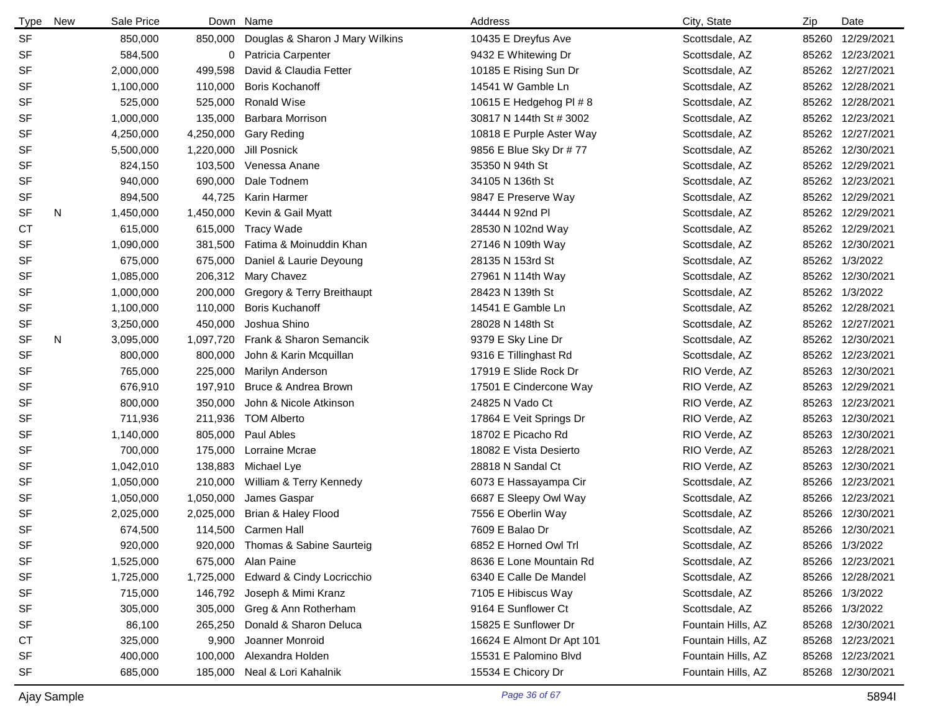| <b>Type</b> | New | Sale Price |           | Down Name                       | Address                   | City, State        | Zip   | Date             |
|-------------|-----|------------|-----------|---------------------------------|---------------------------|--------------------|-------|------------------|
| <b>SF</b>   |     | 850,000    | 850,000   | Douglas & Sharon J Mary Wilkins | 10435 E Dreyfus Ave       | Scottsdale, AZ     | 85260 | 12/29/2021       |
| SF          |     | 584,500    | 0         | Patricia Carpenter              | 9432 E Whitewing Dr       | Scottsdale, AZ     | 85262 | 12/23/2021       |
| SF          |     | 2,000,000  | 499,598   | David & Claudia Fetter          | 10185 E Rising Sun Dr     | Scottsdale, AZ     |       | 85262 12/27/2021 |
| SF          |     | 1,100,000  | 110,000   | <b>Boris Kochanoff</b>          | 14541 W Gamble Ln         | Scottsdale, AZ     | 85262 | 12/28/2021       |
| SF          |     | 525,000    | 525,000   | <b>Ronald Wise</b>              | 10615 E Hedgehog PI # 8   | Scottsdale, AZ     |       | 85262 12/28/2021 |
| SF          |     | 1,000,000  | 135,000   | Barbara Morrison                | 30817 N 144th St # 3002   | Scottsdale, AZ     | 85262 | 12/23/2021       |
| SF          |     | 4,250,000  | 4,250,000 | <b>Gary Reding</b>              | 10818 E Purple Aster Way  | Scottsdale, AZ     |       | 85262 12/27/2021 |
| SF          |     | 5,500,000  | 1,220,000 | Jill Posnick                    | 9856 E Blue Sky Dr # 77   | Scottsdale, AZ     | 85262 | 12/30/2021       |
| SF          |     | 824,150    | 103,500   | Venessa Anane                   | 35350 N 94th St           | Scottsdale, AZ     |       | 85262 12/29/2021 |
| SF          |     | 940,000    | 690,000   | Dale Todnem                     | 34105 N 136th St          | Scottsdale, AZ     | 85262 | 12/23/2021       |
| SF          |     | 894,500    | 44,725    | Karin Harmer                    | 9847 E Preserve Way       | Scottsdale, AZ     |       | 85262 12/29/2021 |
| SF          | N   | 1,450,000  | 1,450,000 | Kevin & Gail Myatt              | 34444 N 92nd Pl           | Scottsdale, AZ     | 85262 | 12/29/2021       |
| <b>CT</b>   |     | 615,000    | 615,000   | <b>Tracy Wade</b>               | 28530 N 102nd Way         | Scottsdale, AZ     | 85262 | 12/29/2021       |
| SF          |     | 1,090,000  | 381,500   | Fatima & Moinuddin Khan         | 27146 N 109th Way         | Scottsdale, AZ     | 85262 | 12/30/2021       |
| SF          |     | 675,000    | 675,000   | Daniel & Laurie Deyoung         | 28135 N 153rd St          | Scottsdale, AZ     | 85262 | 1/3/2022         |
| SF          |     | 1,085,000  | 206,312   | Mary Chavez                     | 27961 N 114th Way         | Scottsdale, AZ     | 85262 | 12/30/2021       |
| SF          |     | 1,000,000  | 200,000   | Gregory & Terry Breithaupt      | 28423 N 139th St          | Scottsdale, AZ     | 85262 | 1/3/2022         |
| SF          |     | 1,100,000  | 110,000   | <b>Boris Kuchanoff</b>          | 14541 E Gamble Ln         | Scottsdale, AZ     | 85262 | 12/28/2021       |
| SF          |     | 3,250,000  | 450,000   | Joshua Shino                    | 28028 N 148th St          | Scottsdale, AZ     | 85262 | 12/27/2021       |
| <b>SF</b>   | N   | 3,095,000  | 1,097,720 | Frank & Sharon Semancik         | 9379 E Sky Line Dr        | Scottsdale, AZ     | 85262 | 12/30/2021       |
| SF          |     | 800,000    | 800,000   | John & Karin Mcquillan          | 9316 E Tillinghast Rd     | Scottsdale, AZ     | 85262 | 12/23/2021       |
| SF          |     | 765,000    | 225,000   | Marilyn Anderson                | 17919 E Slide Rock Dr     | RIO Verde, AZ      | 85263 | 12/30/2021       |
| SF          |     | 676,910    | 197,910   | Bruce & Andrea Brown            | 17501 E Cindercone Way    | RIO Verde, AZ      | 85263 | 12/29/2021       |
| SF          |     | 800,000    | 350,000   | John & Nicole Atkinson          | 24825 N Vado Ct           | RIO Verde, AZ      | 85263 | 12/23/2021       |
| SF          |     | 711,936    | 211,936   | <b>TOM Alberto</b>              | 17864 E Veit Springs Dr   | RIO Verde, AZ      | 85263 | 12/30/2021       |
| SF          |     | 1,140,000  | 805,000   | Paul Ables                      | 18702 E Picacho Rd        | RIO Verde, AZ      | 85263 | 12/30/2021       |
| SF          |     | 700,000    | 175,000   | Lorraine Mcrae                  | 18082 E Vista Desierto    | RIO Verde, AZ      | 85263 | 12/28/2021       |
| SF          |     | 1,042,010  | 138,883   | Michael Lye                     | 28818 N Sandal Ct         | RIO Verde, AZ      | 85263 | 12/30/2021       |
| SF          |     | 1,050,000  | 210,000   | William & Terry Kennedy         | 6073 E Hassayampa Cir     | Scottsdale, AZ     | 85266 | 12/23/2021       |
| SF          |     | 1,050,000  | 1,050,000 | James Gaspar                    | 6687 E Sleepy Owl Way     | Scottsdale, AZ     | 85266 | 12/23/2021       |
| SF          |     | 2,025,000  | 2,025,000 | Brian & Haley Flood             | 7556 E Oberlin Way        | Scottsdale, AZ     | 85266 | 12/30/2021       |
| SF          |     | 674,500    | 114,500   | Carmen Hall                     | 7609 E Balao Dr           | Scottsdale, AZ     |       | 85266 12/30/2021 |
| SF          |     | 920,000    | 920,000   | Thomas & Sabine Saurteig        | 6852 E Horned Owl Trl     | Scottsdale, AZ     |       | 85266 1/3/2022   |
| SF          |     | 1,525,000  | 675,000   | Alan Paine                      | 8636 E Lone Mountain Rd   | Scottsdale, AZ     |       | 85266 12/23/2021 |
| SF          |     | 1,725,000  | 1,725,000 | Edward & Cindy Locricchio       | 6340 E Calle De Mandel    | Scottsdale, AZ     | 85266 | 12/28/2021       |
| SF          |     | 715,000    | 146,792   | Joseph & Mimi Kranz             | 7105 E Hibiscus Way       | Scottsdale, AZ     |       | 85266 1/3/2022   |
| SF          |     | 305,000    | 305,000   | Greg & Ann Rotherham            | 9164 E Sunflower Ct       | Scottsdale, AZ     |       | 85266 1/3/2022   |
| SF          |     | 86,100     | 265,250   | Donald & Sharon Deluca          | 15825 E Sunflower Dr      | Fountain Hills, AZ |       | 85268 12/30/2021 |
| СT          |     | 325,000    | 9,900     | Joanner Monroid                 | 16624 E Almont Dr Apt 101 | Fountain Hills, AZ |       | 85268 12/23/2021 |
| SF          |     | 400,000    | 100,000   | Alexandra Holden                | 15531 E Palomino Blvd     | Fountain Hills, AZ |       | 85268 12/23/2021 |
| SF          |     | 685,000    | 185,000   | Neal & Lori Kahalnik            | 15534 E Chicory Dr        | Fountain Hills, AZ |       | 85268 12/30/2021 |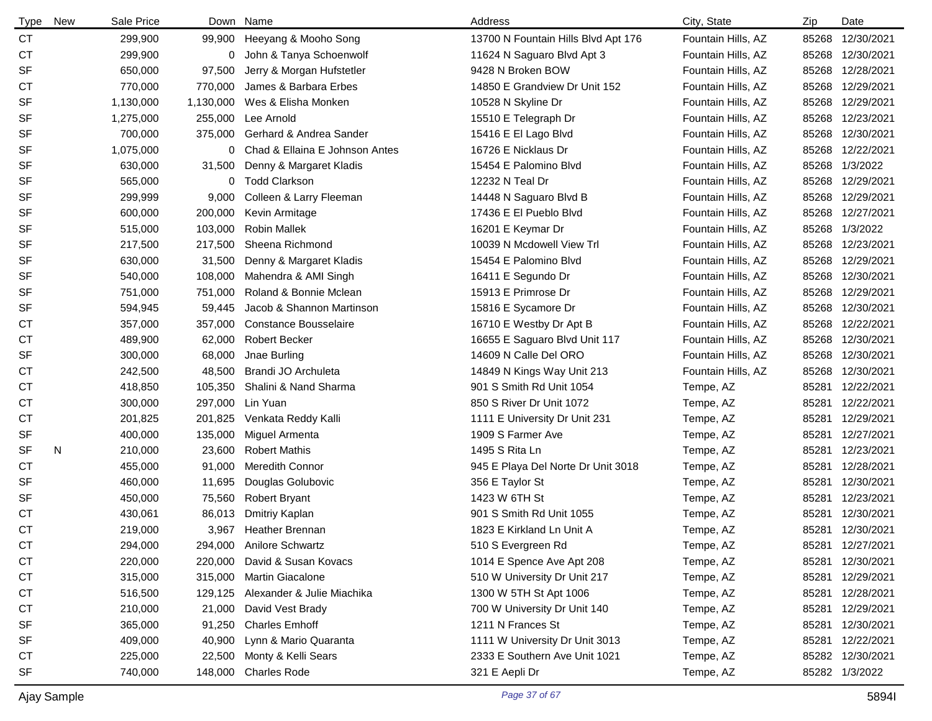| <b>Type</b> | <b>New</b> | Sale Price |              | Down Name                          | Address                             | City, State        | Zip   | Date             |
|-------------|------------|------------|--------------|------------------------------------|-------------------------------------|--------------------|-------|------------------|
| CT          |            | 299,900    | 99,900       | Heeyang & Mooho Song               | 13700 N Fountain Hills Blvd Apt 176 | Fountain Hills, AZ | 85268 | 12/30/2021       |
| СT          |            | 299,900    | 0            | John & Tanya Schoenwolf            | 11624 N Saguaro Blvd Apt 3          | Fountain Hills, AZ | 85268 | 12/30/2021       |
| SF          |            | 650,000    | 97,500       | Jerry & Morgan Hufstetler          | 9428 N Broken BOW                   | Fountain Hills, AZ | 85268 | 12/28/2021       |
| СT          |            | 770,000    | 770,000      | James & Barbara Erbes              | 14850 E Grandview Dr Unit 152       | Fountain Hills, AZ | 85268 | 12/29/2021       |
| SF          |            | 1,130,000  | 1,130,000    | Wes & Elisha Monken                | 10528 N Skyline Dr                  | Fountain Hills, AZ | 85268 | 12/29/2021       |
| SF          |            | 1,275,000  | 255,000      | Lee Arnold                         | 15510 E Telegraph Dr                | Fountain Hills, AZ | 85268 | 12/23/2021       |
| SF          |            | 700,000    | 375,000      | Gerhard & Andrea Sander            | 15416 E El Lago Blvd                | Fountain Hills, AZ | 85268 | 12/30/2021       |
| SF          |            | 1,075,000  | 0            | Chad & Ellaina E Johnson Antes     | 16726 E Nicklaus Dr                 | Fountain Hills, AZ | 85268 | 12/22/2021       |
| SF          |            | 630,000    | 31,500       | Denny & Margaret Kladis            | 15454 E Palomino Blvd               | Fountain Hills, AZ | 85268 | 1/3/2022         |
| SF          |            | 565,000    | $\mathbf{0}$ | <b>Todd Clarkson</b>               | 12232 N Teal Dr                     | Fountain Hills, AZ | 85268 | 12/29/2021       |
| SF          |            | 299,999    | 9,000        | Colleen & Larry Fleeman            | 14448 N Saguaro Blvd B              | Fountain Hills, AZ | 85268 | 12/29/2021       |
| SF          |            | 600,000    | 200,000      | Kevin Armitage                     | 17436 E El Pueblo Blvd              | Fountain Hills, AZ | 85268 | 12/27/2021       |
| SF          |            | 515,000    | 103,000      | <b>Robin Mallek</b>                | 16201 E Keymar Dr                   | Fountain Hills, AZ | 85268 | 1/3/2022         |
| SF          |            | 217,500    | 217,500      | Sheena Richmond                    | 10039 N Mcdowell View Trl           | Fountain Hills, AZ | 85268 | 12/23/2021       |
| SF          |            | 630,000    | 31,500       | Denny & Margaret Kladis            | 15454 E Palomino Blvd               | Fountain Hills, AZ | 85268 | 12/29/2021       |
| SF          |            | 540,000    | 108,000      | Mahendra & AMI Singh               | 16411 E Segundo Dr                  | Fountain Hills, AZ | 85268 | 12/30/2021       |
| SF          |            | 751,000    | 751,000      | Roland & Bonnie Mclean             | 15913 E Primrose Dr                 | Fountain Hills, AZ | 85268 | 12/29/2021       |
| SF          |            | 594,945    | 59,445       | Jacob & Shannon Martinson          | 15816 E Sycamore Dr                 | Fountain Hills, AZ | 85268 | 12/30/2021       |
| СT          |            | 357,000    | 357,000      | Constance Bousselaire              | 16710 E Westby Dr Apt B             | Fountain Hills, AZ | 85268 | 12/22/2021       |
| СT          |            | 489,900    | 62,000       | <b>Robert Becker</b>               | 16655 E Saguaro Blvd Unit 117       | Fountain Hills, AZ | 85268 | 12/30/2021       |
| SF          |            | 300,000    | 68,000       | Jnae Burling                       | 14609 N Calle Del ORO               | Fountain Hills, AZ | 85268 | 12/30/2021       |
| СT          |            | 242,500    | 48,500       | Brandi JO Archuleta                | 14849 N Kings Way Unit 213          | Fountain Hills, AZ | 85268 | 12/30/2021       |
| СT          |            | 418,850    | 105,350      | Shalini & Nand Sharma              | 901 S Smith Rd Unit 1054            | Tempe, AZ          | 85281 | 12/22/2021       |
| <b>CT</b>   |            | 300,000    | 297,000      | Lin Yuan                           | 850 S River Dr Unit 1072            | Tempe, AZ          | 85281 | 12/22/2021       |
| СT          |            | 201,825    | 201,825      | Venkata Reddy Kalli                | 1111 E University Dr Unit 231       | Tempe, AZ          | 85281 | 12/29/2021       |
| SF          |            | 400,000    | 135,000      | Miguel Armenta                     | 1909 S Farmer Ave                   | Tempe, AZ          | 85281 | 12/27/2021       |
| SF          | N          | 210,000    | 23,600       | <b>Robert Mathis</b>               | 1495 S Rita Ln                      | Tempe, AZ          | 85281 | 12/23/2021       |
| <b>CT</b>   |            | 455,000    | 91,000       | <b>Meredith Connor</b>             | 945 E Playa Del Norte Dr Unit 3018  | Tempe, AZ          | 85281 | 12/28/2021       |
| SF          |            | 460,000    | 11,695       | Douglas Golubovic                  | 356 E Taylor St                     | Tempe, AZ          | 85281 | 12/30/2021       |
| SF          |            | 450,000    | 75,560       | <b>Robert Bryant</b>               | 1423 W 6TH St                       | Tempe, AZ          | 85281 | 12/23/2021       |
| СT          |            | 430,061    | 86,013       | Dmitriy Kaplan                     | 901 S Smith Rd Unit 1055            | Tempe, AZ          | 85281 | 12/30/2021       |
| <b>CT</b>   |            | 219,000    | 3,967        | Heather Brennan                    | 1823 E Kirkland Ln Unit A           | Tempe, AZ          |       | 85281 12/30/2021 |
| <b>CT</b>   |            | 294,000    |              | 294,000 Anilore Schwartz           | 510 S Evergreen Rd                  | Tempe, AZ          | 85281 | 12/27/2021       |
| СT          |            | 220,000    | 220,000      | David & Susan Kovacs               | 1014 E Spence Ave Apt 208           | Tempe, AZ          | 85281 | 12/30/2021       |
| <b>CT</b>   |            | 315,000    |              | 315,000 Martin Giacalone           | 510 W University Dr Unit 217        | Tempe, AZ          | 85281 | 12/29/2021       |
| <b>CT</b>   |            | 516,500    |              | 129,125 Alexander & Julie Miachika | 1300 W 5TH St Apt 1006              | Tempe, AZ          |       | 85281 12/28/2021 |
| <b>CT</b>   |            | 210,000    | 21,000       | David Vest Brady                   | 700 W University Dr Unit 140        | Tempe, AZ          |       | 85281 12/29/2021 |
| SF          |            | 365,000    | 91,250       | <b>Charles Emhoff</b>              | 1211 N Frances St                   | Tempe, AZ          | 85281 | 12/30/2021       |
| SF          |            | 409,000    | 40,900       | Lynn & Mario Quaranta              | 1111 W University Dr Unit 3013      | Tempe, AZ          |       | 85281 12/22/2021 |
| <b>CT</b>   |            | 225,000    | 22,500       | Monty & Kelli Sears                | 2333 E Southern Ave Unit 1021       | Tempe, AZ          |       | 85282 12/30/2021 |
| SF          |            | 740,000    | 148,000      | <b>Charles Rode</b>                | 321 E Aepli Dr                      | Tempe, AZ          |       | 85282 1/3/2022   |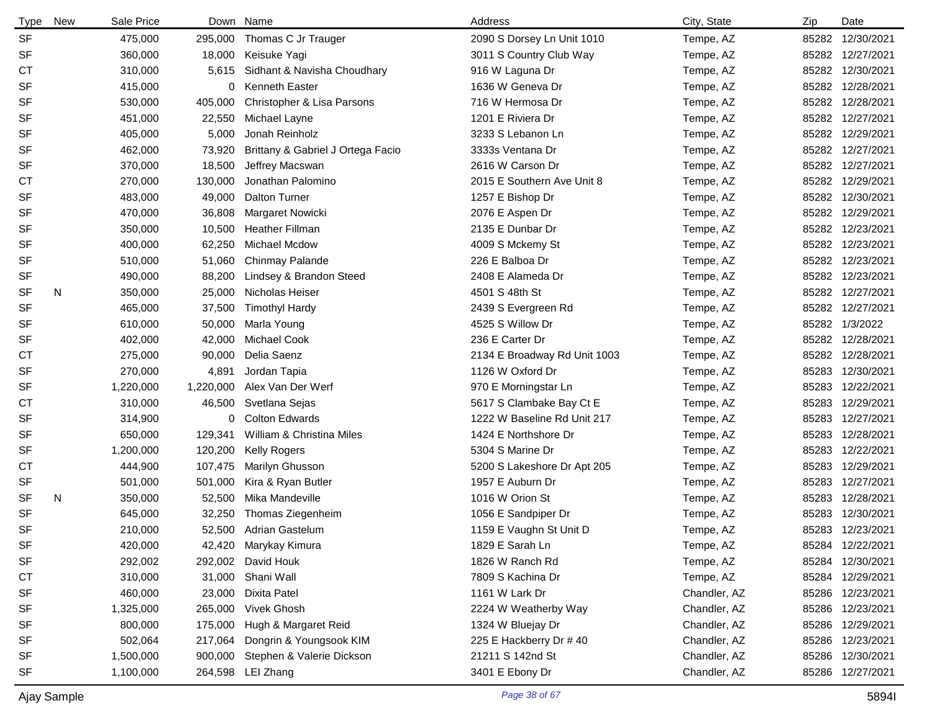| <b>Type</b> | New | Sale Price |           | Down Name                         | Address                      | City, State  | Zip   | Date             |
|-------------|-----|------------|-----------|-----------------------------------|------------------------------|--------------|-------|------------------|
| <b>SF</b>   |     | 475,000    | 295,000   | Thomas C Jr Trauger               | 2090 S Dorsey Ln Unit 1010   | Tempe, AZ    | 85282 | 12/30/2021       |
| SF          |     | 360,000    | 18,000    | Keisuke Yagi                      | 3011 S Country Club Way      | Tempe, AZ    | 85282 | 12/27/2021       |
| <b>CT</b>   |     | 310,000    | 5,615     | Sidhant & Navisha Choudhary       | 916 W Laguna Dr              | Tempe, AZ    |       | 85282 12/30/2021 |
| <b>SF</b>   |     | 415,000    |           | 0 Kenneth Easter                  | 1636 W Geneva Dr             | Tempe, AZ    | 85282 | 12/28/2021       |
| <b>SF</b>   |     | 530,000    | 405,000   | Christopher & Lisa Parsons        | 716 W Hermosa Dr             | Tempe, AZ    | 85282 | 12/28/2021       |
| <b>SF</b>   |     | 451,000    | 22,550    | Michael Layne                     | 1201 E Riviera Dr            | Tempe, AZ    | 85282 | 12/27/2021       |
| <b>SF</b>   |     | 405,000    | 5,000     | Jonah Reinholz                    | 3233 S Lebanon Ln            | Tempe, AZ    | 85282 | 12/29/2021       |
| <b>SF</b>   |     | 462,000    | 73,920    | Brittany & Gabriel J Ortega Facio | 3333s Ventana Dr             | Tempe, AZ    | 85282 | 12/27/2021       |
| <b>SF</b>   |     | 370,000    | 18,500    | Jeffrey Macswan                   | 2616 W Carson Dr             | Tempe, AZ    | 85282 | 12/27/2021       |
| <b>CT</b>   |     | 270,000    | 130,000   | Jonathan Palomino                 | 2015 E Southern Ave Unit 8   | Tempe, AZ    | 85282 | 12/29/2021       |
| <b>SF</b>   |     | 483,000    | 49,000    | Dalton Turner                     | 1257 E Bishop Dr             | Tempe, AZ    |       | 85282 12/30/2021 |
| <b>SF</b>   |     | 470,000    | 36,808    | Margaret Nowicki                  | 2076 E Aspen Dr              | Tempe, AZ    | 85282 | 12/29/2021       |
| <b>SF</b>   |     | 350,000    | 10,500    | <b>Heather Fillman</b>            | 2135 E Dunbar Dr             | Tempe, AZ    | 85282 | 12/23/2021       |
| <b>SF</b>   |     | 400,000    | 62,250    | <b>Michael Mcdow</b>              | 4009 S Mckemy St             | Tempe, AZ    | 85282 | 12/23/2021       |
| SF          |     | 510,000    | 51,060    | Chinmay Palande                   | 226 E Balboa Dr              | Tempe, AZ    |       | 85282 12/23/2021 |
| <b>SF</b>   |     | 490,000    | 88,200    | Lindsey & Brandon Steed           | 2408 E Alameda Dr            | Tempe, AZ    | 85282 | 12/23/2021       |
| <b>SF</b>   | N   | 350,000    | 25,000    | Nicholas Heiser                   | 4501 S 48th St               | Tempe, AZ    |       | 85282 12/27/2021 |
| <b>SF</b>   |     | 465,000    | 37,500    | <b>Timothyl Hardy</b>             | 2439 S Evergreen Rd          | Tempe, AZ    | 85282 | 12/27/2021       |
| <b>SF</b>   |     | 610,000    | 50,000    | Marla Young                       | 4525 S Willow Dr             | Tempe, AZ    |       | 85282 1/3/2022   |
| SF          |     | 402,000    | 42,000    | <b>Michael Cook</b>               | 236 E Carter Dr              | Tempe, AZ    | 85282 | 12/28/2021       |
| <b>CT</b>   |     | 275,000    | 90,000    | Delia Saenz                       | 2134 E Broadway Rd Unit 1003 | Tempe, AZ    | 85282 | 12/28/2021       |
| <b>SF</b>   |     | 270,000    | 4,891     | Jordan Tapia                      | 1126 W Oxford Dr             | Tempe, AZ    | 85283 | 12/30/2021       |
| <b>SF</b>   |     | 1,220,000  | 1,220,000 | Alex Van Der Werf                 | 970 E Morningstar Ln         | Tempe, AZ    | 85283 | 12/22/2021       |
| СT          |     | 310,000    | 46,500    | Svetlana Sejas                    | 5617 S Clambake Bay Ct E     | Tempe, AZ    | 85283 | 12/29/2021       |
| <b>SF</b>   |     | 314,900    | 0         | <b>Colton Edwards</b>             | 1222 W Baseline Rd Unit 217  | Tempe, AZ    | 85283 | 12/27/2021       |
| <b>SF</b>   |     | 650,000    | 129,341   | William & Christina Miles         | 1424 E Northshore Dr         | Tempe, AZ    | 85283 | 12/28/2021       |
| SF          |     | 1,200,000  | 120,200   | <b>Kelly Rogers</b>               | 5304 S Marine Dr             | Tempe, AZ    | 85283 | 12/22/2021       |
| СT          |     | 444,900    | 107,475   | Marilyn Ghusson                   | 5200 S Lakeshore Dr Apt 205  | Tempe, AZ    | 85283 | 12/29/2021       |
| SF          |     | 501,000    | 501,000   | Kira & Ryan Butler                | 1957 E Auburn Dr             | Tempe, AZ    | 85283 | 12/27/2021       |
| <b>SF</b>   | N   | 350,000    | 52,500    | Mika Mandeville                   | 1016 W Orion St              | Tempe, AZ    | 85283 | 12/28/2021       |
| <b>SF</b>   |     | 645,000    | 32,250    | Thomas Ziegenheim                 | 1056 E Sandpiper Dr          | Tempe, AZ    | 85283 | 12/30/2021       |
| <b>SF</b>   |     | 210,000    | 52,500    | <b>Adrian Gastelum</b>            | 1159 E Vaughn St Unit D      | Tempe, AZ    |       | 85283 12/23/2021 |
| SF          |     | 420,000    |           | 42,420 Marykay Kimura             | 1829 E Sarah Ln              | Tempe, AZ    |       | 85284 12/22/2021 |
| SF          |     | 292,002    |           | 292,002 David Houk                | 1826 W Ranch Rd              | Tempe, AZ    |       | 85284 12/30/2021 |
| <b>CT</b>   |     | 310,000    |           | 31,000 Shani Wall                 | 7809 S Kachina Dr            | Tempe, AZ    |       | 85284 12/29/2021 |
| SF          |     | 460,000    | 23,000    | Dixita Patel                      | 1161 W Lark Dr               | Chandler, AZ |       | 85286 12/23/2021 |
| SF          |     | 1,325,000  | 265,000   | Vivek Ghosh                       | 2224 W Weatherby Way         | Chandler, AZ |       | 85286 12/23/2021 |
| SF          |     | 800,000    | 175,000   | Hugh & Margaret Reid              | 1324 W Bluejay Dr            | Chandler, AZ |       | 85286 12/29/2021 |
| SF          |     | 502,064    | 217,064   | Dongrin & Youngsook KIM           | 225 E Hackberry Dr # 40      | Chandler, AZ | 85286 | 12/23/2021       |
| SF          |     | 1,500,000  | 900,000   | Stephen & Valerie Dickson         | 21211 S 142nd St             | Chandler, AZ |       | 85286 12/30/2021 |
| SF          |     | 1,100,000  |           | 264,598 LEI Zhang                 | 3401 E Ebony Dr              | Chandler, AZ |       | 85286 12/27/2021 |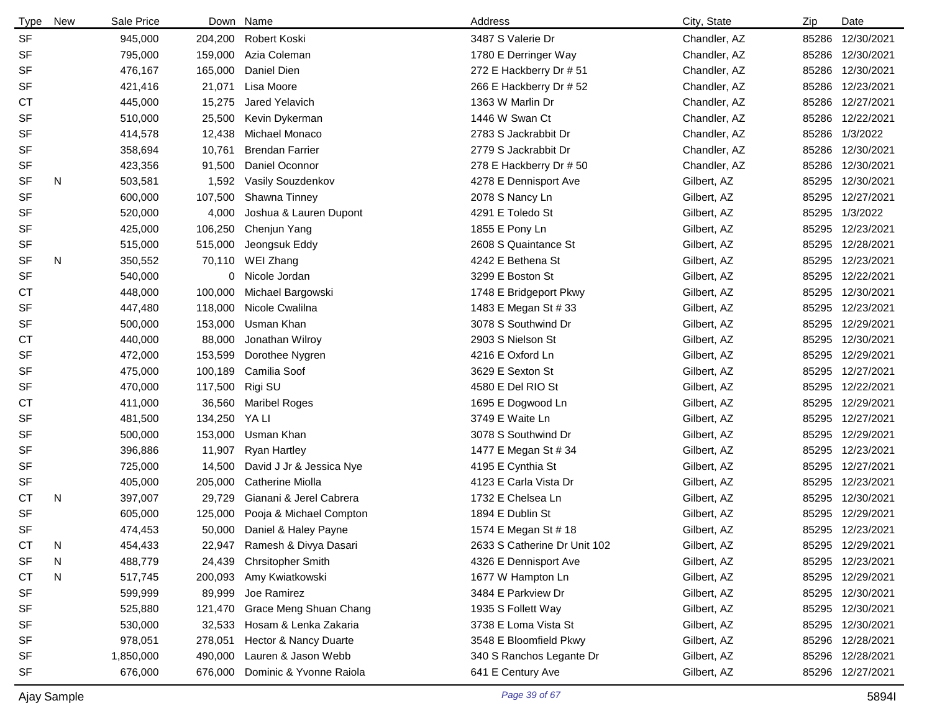| <b>Type</b> | <b>New</b> | Sale Price |         | Down Name                | Address                      | City, State  | Zip   | Date             |
|-------------|------------|------------|---------|--------------------------|------------------------------|--------------|-------|------------------|
| <b>SF</b>   |            | 945,000    |         | 204,200 Robert Koski     | 3487 S Valerie Dr            | Chandler, AZ | 85286 | 12/30/2021       |
| <b>SF</b>   |            | 795,000    | 159,000 | Azia Coleman             | 1780 E Derringer Way         | Chandler, AZ | 85286 | 12/30/2021       |
| <b>SF</b>   |            | 476,167    | 165,000 | Daniel Dien              | 272 E Hackberry Dr # 51      | Chandler, AZ | 85286 | 12/30/2021       |
| <b>SF</b>   |            | 421,416    | 21,071  | Lisa Moore               | 266 E Hackberry Dr # 52      | Chandler, AZ | 85286 | 12/23/2021       |
| СT          |            | 445,000    | 15,275  | Jared Yelavich           | 1363 W Marlin Dr             | Chandler, AZ | 85286 | 12/27/2021       |
| <b>SF</b>   |            | 510,000    | 25,500  | Kevin Dykerman           | 1446 W Swan Ct               | Chandler, AZ | 85286 | 12/22/2021       |
| <b>SF</b>   |            | 414,578    | 12,438  | Michael Monaco           | 2783 S Jackrabbit Dr         | Chandler, AZ | 85286 | 1/3/2022         |
| <b>SF</b>   |            | 358,694    | 10,761  | <b>Brendan Farrier</b>   | 2779 S Jackrabbit Dr         | Chandler, AZ | 85286 | 12/30/2021       |
| SF          |            | 423,356    | 91,500  | Daniel Oconnor           | 278 E Hackberry Dr # 50      | Chandler, AZ | 85286 | 12/30/2021       |
| SF          | N          | 503,581    | 1,592   | Vasily Souzdenkov        | 4278 E Dennisport Ave        | Gilbert, AZ  | 85295 | 12/30/2021       |
| <b>SF</b>   |            | 600,000    | 107,500 | Shawna Tinney            | 2078 S Nancy Ln              | Gilbert, AZ  | 85295 | 12/27/2021       |
| <b>SF</b>   |            | 520,000    | 4,000   | Joshua & Lauren Dupont   | 4291 E Toledo St             | Gilbert, AZ  | 85295 | 1/3/2022         |
| SF          |            | 425,000    | 106,250 | Chenjun Yang             | 1855 E Pony Ln               | Gilbert, AZ  | 85295 | 12/23/2021       |
| SF          |            | 515,000    | 515,000 | Jeongsuk Eddy            | 2608 S Quaintance St         | Gilbert, AZ  | 85295 | 12/28/2021       |
| <b>SF</b>   | N          | 350,552    | 70,110  | WEI Zhang                | 4242 E Bethena St            | Gilbert, AZ  | 85295 | 12/23/2021       |
| <b>SF</b>   |            | 540,000    | 0       | Nicole Jordan            | 3299 E Boston St             | Gilbert, AZ  | 85295 | 12/22/2021       |
| <b>CT</b>   |            | 448,000    | 100,000 | Michael Bargowski        | 1748 E Bridgeport Pkwy       | Gilbert, AZ  | 85295 | 12/30/2021       |
| SF          |            | 447,480    | 118,000 | Nicole Cwalilna          | 1483 E Megan St # 33         | Gilbert, AZ  | 85295 | 12/23/2021       |
| <b>SF</b>   |            | 500,000    | 153,000 | Usman Khan               | 3078 S Southwind Dr          | Gilbert, AZ  | 85295 | 12/29/2021       |
| <b>CT</b>   |            | 440,000    | 88,000  | Jonathan Wilroy          | 2903 S Nielson St            | Gilbert, AZ  | 85295 | 12/30/2021       |
| <b>SF</b>   |            | 472,000    | 153,599 | Dorothee Nygren          | 4216 E Oxford Ln             | Gilbert, AZ  | 85295 | 12/29/2021       |
| <b>SF</b>   |            | 475,000    | 100,189 | Camilia Soof             | 3629 E Sexton St             | Gilbert, AZ  | 85295 | 12/27/2021       |
| <b>SF</b>   |            | 470,000    | 117,500 | Rigi SU                  | 4580 E Del RIO St            | Gilbert, AZ  | 85295 | 12/22/2021       |
| <b>CT</b>   |            | 411,000    | 36,560  | <b>Maribel Roges</b>     | 1695 E Dogwood Ln            | Gilbert, AZ  | 85295 | 12/29/2021       |
| <b>SF</b>   |            | 481,500    | 134,250 | YA LI                    | 3749 E Waite Ln              | Gilbert, AZ  | 85295 | 12/27/2021       |
| <b>SF</b>   |            | 500,000    | 153,000 | Usman Khan               | 3078 S Southwind Dr          | Gilbert, AZ  | 85295 | 12/29/2021       |
| <b>SF</b>   |            | 396,886    | 11,907  | <b>Ryan Hartley</b>      | 1477 E Megan St # 34         | Gilbert, AZ  | 85295 | 12/23/2021       |
| <b>SF</b>   |            | 725,000    | 14,500  | David J Jr & Jessica Nye | 4195 E Cynthia St            | Gilbert, AZ  | 85295 | 12/27/2021       |
| SF          |            | 405,000    | 205,000 | <b>Catherine Miolla</b>  | 4123 E Carla Vista Dr        | Gilbert, AZ  | 85295 | 12/23/2021       |
| <b>CT</b>   | N          | 397,007    | 29,729  | Gianani & Jerel Cabrera  | 1732 E Chelsea Ln            | Gilbert, AZ  | 85295 | 12/30/2021       |
| <b>SF</b>   |            | 605,000    | 125,000 | Pooja & Michael Compton  | 1894 E Dublin St             | Gilbert, AZ  | 85295 | 12/29/2021       |
| <b>SF</b>   |            | 474,453    | 50,000  | Daniel & Haley Payne     | 1574 E Megan St # 18         | Gilbert, AZ  |       | 85295 12/23/2021 |
| <b>CT</b>   | N          | 454,433    | 22,947  | Ramesh & Divya Dasari    | 2633 S Catherine Dr Unit 102 | Gilbert, AZ  | 85295 | 12/29/2021       |
| SF          | N          | 488,779    | 24,439  | <b>Chrsitopher Smith</b> | 4326 E Dennisport Ave        | Gilbert, AZ  | 85295 | 12/23/2021       |
| <b>CT</b>   | N          | 517,745    | 200,093 | Amy Kwiatkowski          | 1677 W Hampton Ln            | Gilbert, AZ  | 85295 | 12/29/2021       |
| <b>SF</b>   |            | 599,999    | 89,999  | Joe Ramirez              | 3484 E Parkview Dr           | Gilbert, AZ  | 85295 | 12/30/2021       |
| <b>SF</b>   |            | 525,880    | 121,470 | Grace Meng Shuan Chang   | 1935 S Follett Way           | Gilbert, AZ  | 85295 | 12/30/2021       |
| <b>SF</b>   |            | 530,000    | 32,533  | Hosam & Lenka Zakaria    | 3738 E Loma Vista St         | Gilbert, AZ  | 85295 | 12/30/2021       |
| <b>SF</b>   |            | 978,051    | 278,051 | Hector & Nancy Duarte    | 3548 E Bloomfield Pkwy       | Gilbert, AZ  | 85296 | 12/28/2021       |
| <b>SF</b>   |            | 1,850,000  | 490,000 | Lauren & Jason Webb      | 340 S Ranchos Legante Dr     | Gilbert, AZ  | 85296 | 12/28/2021       |
| <b>SF</b>   |            | 676,000    | 676,000 | Dominic & Yvonne Raiola  | 641 E Century Ave            | Gilbert, AZ  |       | 85296 12/27/2021 |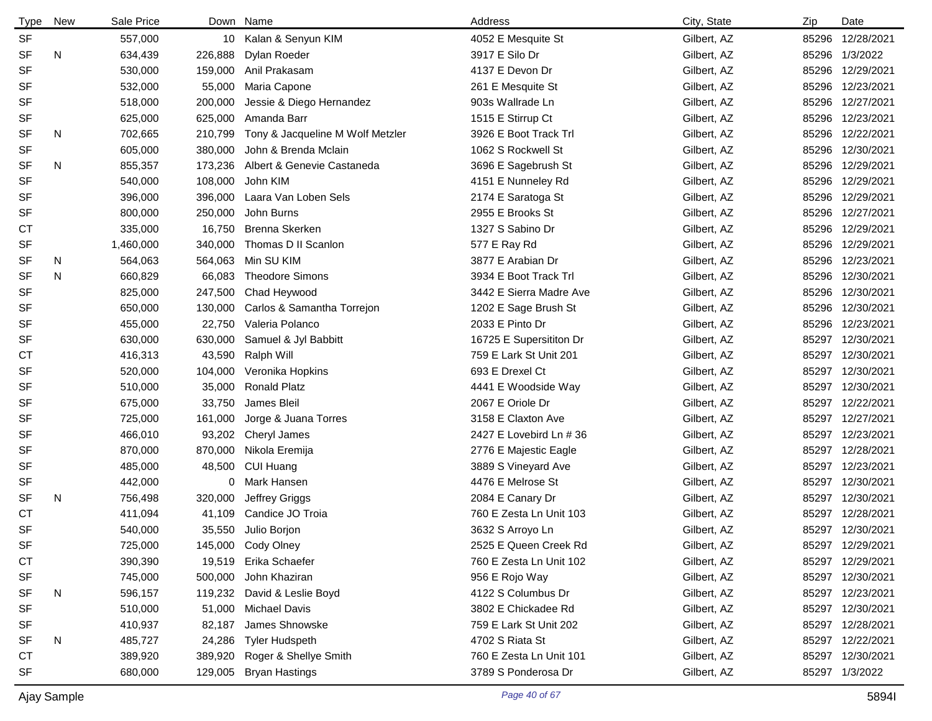| <b>Type</b> | New | Sale Price |         | Down Name                        | Address                 | City, State | Zip   | Date             |
|-------------|-----|------------|---------|----------------------------------|-------------------------|-------------|-------|------------------|
| <b>SF</b>   |     | 557,000    |         | 10 Kalan & Senyun KIM            | 4052 E Mesquite St      | Gilbert, AZ | 85296 | 12/28/2021       |
| <b>SF</b>   | N   | 634,439    | 226,888 | Dylan Roeder                     | 3917 E Silo Dr          | Gilbert, AZ | 85296 | 1/3/2022         |
| <b>SF</b>   |     | 530,000    | 159,000 | Anil Prakasam                    | 4137 E Devon Dr         | Gilbert, AZ | 85296 | 12/29/2021       |
| SF          |     | 532,000    | 55,000  | Maria Capone                     | 261 E Mesquite St       | Gilbert, AZ | 85296 | 12/23/2021       |
| <b>SF</b>   |     | 518,000    | 200,000 | Jessie & Diego Hernandez         | 903s Wallrade Ln        | Gilbert, AZ | 85296 | 12/27/2021       |
| <b>SF</b>   |     | 625,000    | 625,000 | Amanda Barr                      | 1515 E Stirrup Ct       | Gilbert, AZ | 85296 | 12/23/2021       |
| <b>SF</b>   | N   | 702,665    | 210,799 | Tony & Jacqueline M Wolf Metzler | 3926 E Boot Track Trl   | Gilbert, AZ | 85296 | 12/22/2021       |
| <b>SF</b>   |     | 605,000    | 380,000 | John & Brenda Mclain             | 1062 S Rockwell St      | Gilbert, AZ | 85296 | 12/30/2021       |
| <b>SF</b>   | N   | 855,357    | 173,236 | Albert & Genevie Castaneda       | 3696 E Sagebrush St     | Gilbert, AZ | 85296 | 12/29/2021       |
| <b>SF</b>   |     | 540,000    | 108,000 | John KIM                         | 4151 E Nunneley Rd      | Gilbert, AZ | 85296 | 12/29/2021       |
| SF          |     | 396,000    | 396,000 | Laara Van Loben Sels             | 2174 E Saratoga St      | Gilbert, AZ | 85296 | 12/29/2021       |
| <b>SF</b>   |     | 800,000    | 250,000 | John Burns                       | 2955 E Brooks St        | Gilbert, AZ | 85296 | 12/27/2021       |
| <b>CT</b>   |     | 335,000    | 16,750  | Brenna Skerken                   | 1327 S Sabino Dr        | Gilbert, AZ | 85296 | 12/29/2021       |
| <b>SF</b>   |     | 1,460,000  | 340,000 | Thomas D II Scanlon              | 577 E Ray Rd            | Gilbert, AZ | 85296 | 12/29/2021       |
| <b>SF</b>   | N   | 564,063    | 564,063 | Min SU KIM                       | 3877 E Arabian Dr       | Gilbert, AZ | 85296 | 12/23/2021       |
| <b>SF</b>   | N   | 660,829    | 66,083  | <b>Theodore Simons</b>           | 3934 E Boot Track Trl   | Gilbert, AZ | 85296 | 12/30/2021       |
| <b>SF</b>   |     | 825,000    | 247,500 | Chad Heywood                     | 3442 E Sierra Madre Ave | Gilbert, AZ | 85296 | 12/30/2021       |
| <b>SF</b>   |     | 650,000    | 130,000 | Carlos & Samantha Torrejon       | 1202 E Sage Brush St    | Gilbert, AZ | 85296 | 12/30/2021       |
| <b>SF</b>   |     | 455,000    | 22,750  | Valeria Polanco                  | 2033 E Pinto Dr         | Gilbert, AZ | 85296 | 12/23/2021       |
| SF          |     | 630,000    | 630,000 | Samuel & Jyl Babbitt             | 16725 E Supersititon Dr | Gilbert, AZ | 85297 | 12/30/2021       |
| <b>CT</b>   |     | 416,313    | 43,590  | Ralph Will                       | 759 E Lark St Unit 201  | Gilbert, AZ | 85297 | 12/30/2021       |
| <b>SF</b>   |     | 520,000    | 104,000 | Veronika Hopkins                 | 693 E Drexel Ct         | Gilbert, AZ | 85297 | 12/30/2021       |
| <b>SF</b>   |     | 510,000    | 35,000  | <b>Ronald Platz</b>              | 4441 E Woodside Way     | Gilbert, AZ | 85297 | 12/30/2021       |
| <b>SF</b>   |     | 675,000    | 33,750  | James Bleil                      | 2067 E Oriole Dr        | Gilbert, AZ | 85297 | 12/22/2021       |
| SF          |     | 725,000    | 161,000 | Jorge & Juana Torres             | 3158 E Claxton Ave      | Gilbert, AZ | 85297 | 12/27/2021       |
| <b>SF</b>   |     | 466,010    | 93,202  | Cheryl James                     | 2427 E Lovebird Ln # 36 | Gilbert, AZ | 85297 | 12/23/2021       |
| SF          |     | 870,000    | 870,000 | Nikola Eremija                   | 2776 E Majestic Eagle   | Gilbert, AZ | 85297 | 12/28/2021       |
| SF          |     | 485,000    | 48,500  | CUI Huang                        | 3889 S Vineyard Ave     | Gilbert, AZ | 85297 | 12/23/2021       |
| SF          |     | 442,000    |         | 0 Mark Hansen                    | 4476 E Melrose St       | Gilbert, AZ | 85297 | 12/30/2021       |
| <b>SF</b>   | N   | 756,498    | 320,000 | Jeffrey Griggs                   | 2084 E Canary Dr        | Gilbert, AZ | 85297 | 12/30/2021       |
| <b>CT</b>   |     | 411,094    | 41,109  | Candice JO Troia                 | 760 E Zesta Ln Unit 103 | Gilbert, AZ | 85297 | 12/28/2021       |
| <b>SF</b>   |     | 540,000    |         | 35,550 Julio Borjon              | 3632 S Arroyo Ln        | Gilbert, AZ | 85297 | 12/30/2021       |
| SF          |     | 725,000    |         | 145,000 Cody Olney               | 2525 E Queen Creek Rd   | Gilbert, AZ |       | 85297 12/29/2021 |
| <b>CT</b>   |     | 390,390    | 19,519  | Erika Schaefer                   | 760 E Zesta Ln Unit 102 | Gilbert, AZ |       | 85297 12/29/2021 |
| SF          |     | 745,000    | 500,000 | John Khaziran                    | 956 E Rojo Way          | Gilbert, AZ |       | 85297 12/30/2021 |
| SF          | N   | 596,157    |         | 119,232 David & Leslie Boyd      | 4122 S Columbus Dr      | Gilbert, AZ |       | 85297 12/23/2021 |
| SF          |     | 510,000    | 51,000  | <b>Michael Davis</b>             | 3802 E Chickadee Rd     | Gilbert, AZ | 85297 | 12/30/2021       |
| SF          |     | 410,937    | 82,187  | James Shnowske                   | 759 E Lark St Unit 202  | Gilbert, AZ | 85297 | 12/28/2021       |
| SF          | N   | 485,727    | 24,286  | <b>Tyler Hudspeth</b>            | 4702 S Riata St         | Gilbert, AZ |       | 85297 12/22/2021 |
| <b>CT</b>   |     | 389,920    | 389,920 | Roger & Shellye Smith            | 760 E Zesta Ln Unit 101 | Gilbert, AZ |       | 85297 12/30/2021 |
| SF          |     | 680,000    | 129,005 | <b>Bryan Hastings</b>            | 3789 S Ponderosa Dr     | Gilbert, AZ |       | 85297 1/3/2022   |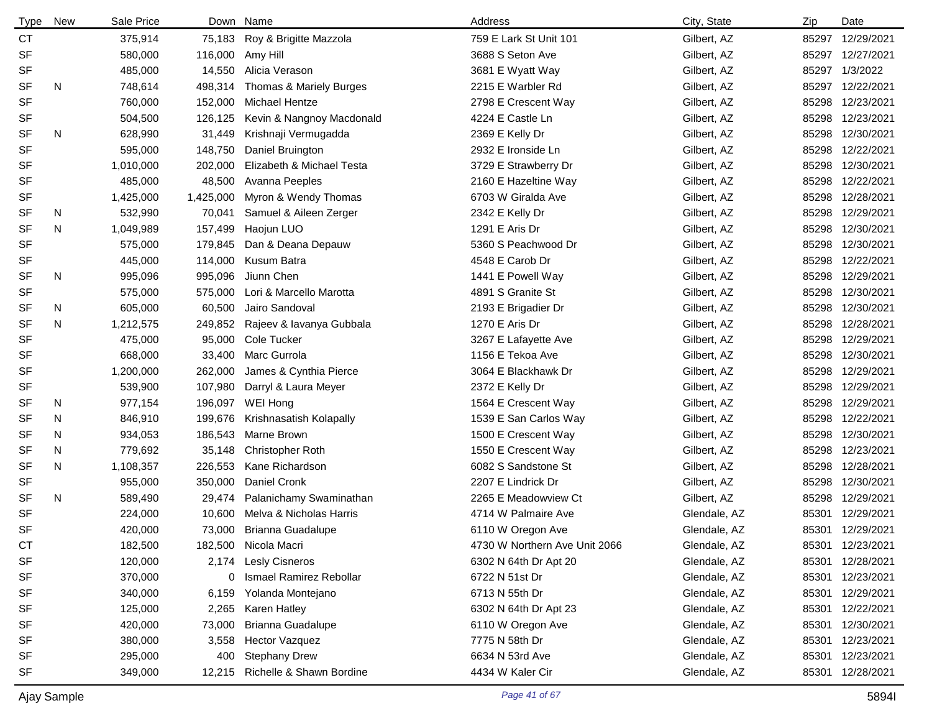| <b>Type</b> | <b>New</b> | Sale Price | Down      | Name                      | Address                       | City, State  | Zip   | Date             |
|-------------|------------|------------|-----------|---------------------------|-------------------------------|--------------|-------|------------------|
| <b>CT</b>   |            | 375,914    | 75,183    | Roy & Brigitte Mazzola    | 759 E Lark St Unit 101        | Gilbert, AZ  | 85297 | 12/29/2021       |
| <b>SF</b>   |            | 580,000    | 116,000   | Amy Hill                  | 3688 S Seton Ave              | Gilbert, AZ  | 85297 | 12/27/2021       |
| <b>SF</b>   |            | 485,000    | 14,550    | Alicia Verason            | 3681 E Wyatt Way              | Gilbert, AZ  | 85297 | 1/3/2022         |
| <b>SF</b>   | N          | 748,614    | 498,314   | Thomas & Mariely Burges   | 2215 E Warbler Rd             | Gilbert, AZ  | 85297 | 12/22/2021       |
| <b>SF</b>   |            | 760,000    | 152,000   | <b>Michael Hentze</b>     | 2798 E Crescent Way           | Gilbert, AZ  | 85298 | 12/23/2021       |
| <b>SF</b>   |            | 504,500    | 126,125   | Kevin & Nangnoy Macdonald | 4224 E Castle Ln              | Gilbert, AZ  |       | 85298 12/23/2021 |
| <b>SF</b>   | N          | 628,990    | 31,449    | Krishnaji Vermugadda      | 2369 E Kelly Dr               | Gilbert, AZ  |       | 85298 12/30/2021 |
| <b>SF</b>   |            | 595,000    | 148,750   | Daniel Bruington          | 2932 E Ironside Ln            | Gilbert, AZ  |       | 85298 12/22/2021 |
| <b>SF</b>   |            | 1,010,000  | 202,000   | Elizabeth & Michael Testa | 3729 E Strawberry Dr          | Gilbert, AZ  |       | 85298 12/30/2021 |
| <b>SF</b>   |            | 485,000    | 48,500    | Avanna Peeples            | 2160 E Hazeltine Way          | Gilbert, AZ  |       | 85298 12/22/2021 |
| <b>SF</b>   |            | 1,425,000  | 1,425,000 | Myron & Wendy Thomas      | 6703 W Giralda Ave            | Gilbert, AZ  |       | 85298 12/28/2021 |
| <b>SF</b>   | N          | 532,990    | 70,041    | Samuel & Aileen Zerger    | 2342 E Kelly Dr               | Gilbert, AZ  |       | 85298 12/29/2021 |
| <b>SF</b>   | N          | 1,049,989  | 157,499   | Haojun LUO                | 1291 E Aris Dr                | Gilbert, AZ  | 85298 | 12/30/2021       |
| <b>SF</b>   |            | 575,000    | 179,845   | Dan & Deana Depauw        | 5360 S Peachwood Dr           | Gilbert, AZ  | 85298 | 12/30/2021       |
| <b>SF</b>   |            | 445,000    | 114,000   | Kusum Batra               | 4548 E Carob Dr               | Gilbert, AZ  |       | 85298 12/22/2021 |
| <b>SF</b>   | N          | 995,096    | 995,096   | Jiunn Chen                | 1441 E Powell Way             | Gilbert, AZ  |       | 85298 12/29/2021 |
| <b>SF</b>   |            | 575,000    | 575,000   | Lori & Marcello Marotta   | 4891 S Granite St             | Gilbert, AZ  | 85298 | 12/30/2021       |
| <b>SF</b>   | N          | 605,000    | 60,500    | Jairo Sandoval            | 2193 E Brigadier Dr           | Gilbert, AZ  | 85298 | 12/30/2021       |
| <b>SF</b>   | N          | 1,212,575  | 249,852   | Rajeev & lavanya Gubbala  | 1270 E Aris Dr                | Gilbert, AZ  | 85298 | 12/28/2021       |
| <b>SF</b>   |            | 475,000    | 95,000    | Cole Tucker               | 3267 E Lafayette Ave          | Gilbert, AZ  | 85298 | 12/29/2021       |
| <b>SF</b>   |            | 668,000    | 33,400    | Marc Gurrola              | 1156 E Tekoa Ave              | Gilbert, AZ  | 85298 | 12/30/2021       |
| <b>SF</b>   |            | 1,200,000  | 262,000   | James & Cynthia Pierce    | 3064 E Blackhawk Dr           | Gilbert, AZ  | 85298 | 12/29/2021       |
| <b>SF</b>   |            | 539,900    | 107,980   | Darryl & Laura Meyer      | 2372 E Kelly Dr               | Gilbert, AZ  | 85298 | 12/29/2021       |
| SF          | N          | 977,154    | 196,097   | WEI Hong                  | 1564 E Crescent Way           | Gilbert, AZ  | 85298 | 12/29/2021       |
| <b>SF</b>   | N          | 846,910    | 199,676   | Krishnasatish Kolapally   | 1539 E San Carlos Way         | Gilbert, AZ  | 85298 | 12/22/2021       |
| <b>SF</b>   | N          | 934,053    | 186,543   | Marne Brown               | 1500 E Crescent Way           | Gilbert, AZ  | 85298 | 12/30/2021       |
| <b>SF</b>   | N          | 779,692    | 35,148    | <b>Christopher Roth</b>   | 1550 E Crescent Way           | Gilbert, AZ  | 85298 | 12/23/2021       |
| SF          | N          | 1,108,357  | 226,553   | Kane Richardson           | 6082 S Sandstone St           | Gilbert, AZ  | 85298 | 12/28/2021       |
| SF          |            | 955,000    | 350,000   | Daniel Cronk              | 2207 E Lindrick Dr            | Gilbert, AZ  | 85298 | 12/30/2021       |
| <b>SF</b>   | N          | 589,490    | 29,474    | Palanichamy Swaminathan   | 2265 E Meadowview Ct          | Gilbert, AZ  | 85298 | 12/29/2021       |
| <b>SF</b>   |            | 224,000    | 10,600    | Melva & Nicholas Harris   | 4714 W Palmaire Ave           | Glendale, AZ | 85301 | 12/29/2021       |
| <b>SF</b>   |            | 420,000    | 73,000    | Brianna Guadalupe         | 6110 W Oregon Ave             | Glendale, AZ |       | 85301 12/29/2021 |
| СT          |            | 182,500    |           | 182,500 Nicola Macri      | 4730 W Northern Ave Unit 2066 | Glendale, AZ |       | 85301 12/23/2021 |
| SF          |            | 120,000    | 2,174     | <b>Lesly Cisneros</b>     | 6302 N 64th Dr Apt 20         | Glendale, AZ |       | 85301 12/28/2021 |
| <b>SF</b>   |            | 370,000    | 0         | Ismael Ramirez Rebollar   | 6722 N 51st Dr                | Glendale, AZ |       | 85301 12/23/2021 |
| <b>SF</b>   |            | 340,000    | 6,159     | Yolanda Montejano         | 6713 N 55th Dr                | Glendale, AZ |       | 85301 12/29/2021 |
| <b>SF</b>   |            | 125,000    | 2,265     | Karen Hatley              | 6302 N 64th Dr Apt 23         | Glendale, AZ |       | 85301 12/22/2021 |
| <b>SF</b>   |            | 420,000    | 73,000    | <b>Brianna Guadalupe</b>  | 6110 W Oregon Ave             | Glendale, AZ | 85301 | 12/30/2021       |
| <b>SF</b>   |            | 380,000    | 3,558     | <b>Hector Vazquez</b>     | 7775 N 58th Dr                | Glendale, AZ |       | 85301 12/23/2021 |
| <b>SF</b>   |            | 295,000    | 400       | <b>Stephany Drew</b>      | 6634 N 53rd Ave               | Glendale, AZ |       | 85301 12/23/2021 |
| <b>SF</b>   |            | 349,000    | 12,215    | Richelle & Shawn Bordine  | 4434 W Kaler Cir              | Glendale, AZ |       | 85301 12/28/2021 |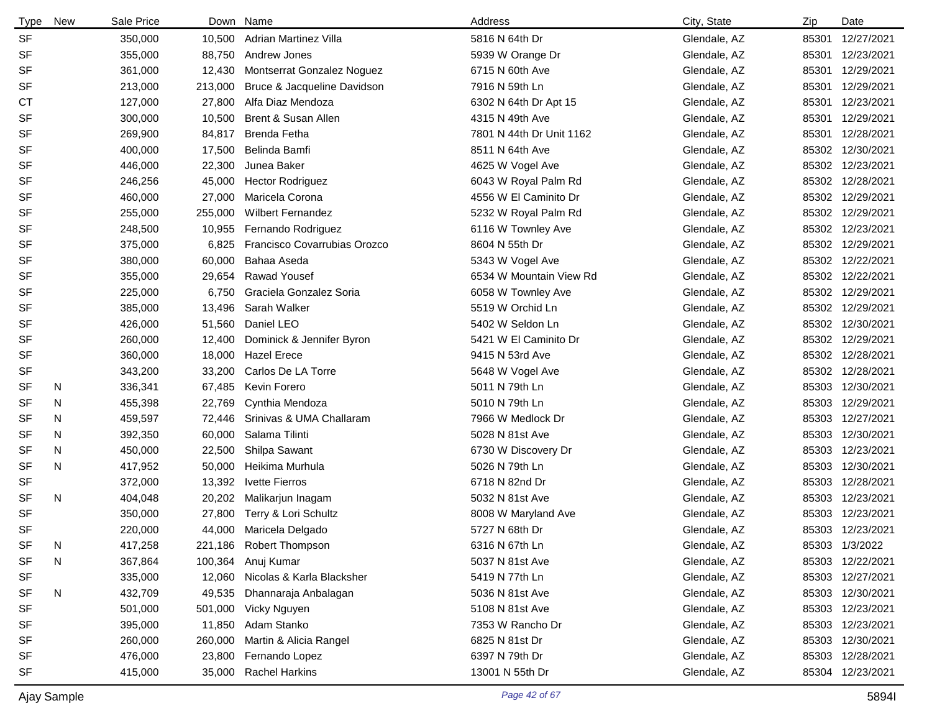| <b>Type</b> | <b>New</b> | Sale Price | Down    | Name                             | Address                  | City, State  | Zip   | Date             |
|-------------|------------|------------|---------|----------------------------------|--------------------------|--------------|-------|------------------|
| <b>SF</b>   |            | 350,000    | 10,500  | <b>Adrian Martinez Villa</b>     | 5816 N 64th Dr           | Glendale, AZ | 85301 | 12/27/2021       |
| <b>SF</b>   |            | 355,000    | 88,750  | Andrew Jones                     | 5939 W Orange Dr         | Glendale, AZ | 85301 | 12/23/2021       |
| <b>SF</b>   |            | 361,000    | 12,430  | Montserrat Gonzalez Noguez       | 6715 N 60th Ave          | Glendale, AZ | 85301 | 12/29/2021       |
| <b>SF</b>   |            | 213,000    | 213,000 | Bruce & Jacqueline Davidson      | 7916 N 59th Ln           | Glendale, AZ | 85301 | 12/29/2021       |
| <b>CT</b>   |            | 127,000    | 27,800  | Alfa Diaz Mendoza                | 6302 N 64th Dr Apt 15    | Glendale, AZ | 85301 | 12/23/2021       |
| <b>SF</b>   |            | 300,000    | 10,500  | Brent & Susan Allen              | 4315 N 49th Ave          | Glendale, AZ | 85301 | 12/29/2021       |
| <b>SF</b>   |            | 269,900    | 84,817  | Brenda Fetha                     | 7801 N 44th Dr Unit 1162 | Glendale, AZ | 85301 | 12/28/2021       |
| <b>SF</b>   |            | 400,000    | 17,500  | Belinda Bamfi                    | 8511 N 64th Ave          | Glendale, AZ | 85302 | 12/30/2021       |
| <b>SF</b>   |            | 446,000    | 22,300  | Junea Baker                      | 4625 W Vogel Ave         | Glendale, AZ | 85302 | 12/23/2021       |
| <b>SF</b>   |            | 246,256    | 45,000  | <b>Hector Rodriguez</b>          | 6043 W Royal Palm Rd     | Glendale, AZ | 85302 | 12/28/2021       |
| <b>SF</b>   |            | 460,000    | 27,000  | Maricela Corona                  | 4556 W El Caminito Dr    | Glendale, AZ | 85302 | 12/29/2021       |
| <b>SF</b>   |            | 255,000    | 255,000 | <b>Wilbert Fernandez</b>         | 5232 W Royal Palm Rd     | Glendale, AZ | 85302 | 12/29/2021       |
| SF          |            | 248,500    | 10,955  | Fernando Rodriguez               | 6116 W Townley Ave       | Glendale, AZ | 85302 | 12/23/2021       |
| <b>SF</b>   |            | 375,000    | 6,825   | Francisco Covarrubias Orozco     | 8604 N 55th Dr           | Glendale, AZ | 85302 | 12/29/2021       |
| <b>SF</b>   |            | 380,000    | 60,000  | Bahaa Aseda                      | 5343 W Vogel Ave         | Glendale, AZ |       | 85302 12/22/2021 |
| <b>SF</b>   |            | 355,000    | 29,654  | <b>Rawad Yousef</b>              | 6534 W Mountain View Rd  | Glendale, AZ | 85302 | 12/22/2021       |
| <b>SF</b>   |            | 225,000    | 6,750   | Graciela Gonzalez Soria          | 6058 W Townley Ave       | Glendale, AZ | 85302 | 12/29/2021       |
| <b>SF</b>   |            | 385,000    | 13,496  | Sarah Walker                     | 5519 W Orchid Ln         | Glendale, AZ | 85302 | 12/29/2021       |
| <b>SF</b>   |            | 426,000    | 51,560  | Daniel LEO                       | 5402 W Seldon Ln         | Glendale, AZ | 85302 | 12/30/2021       |
| <b>SF</b>   |            | 260,000    | 12,400  | Dominick & Jennifer Byron        | 5421 W El Caminito Dr    | Glendale, AZ | 85302 | 12/29/2021       |
| SF          |            | 360,000    | 18,000  | <b>Hazel Erece</b>               | 9415 N 53rd Ave          | Glendale, AZ | 85302 | 12/28/2021       |
| <b>SF</b>   |            | 343,200    | 33,200  | Carlos De LA Torre               | 5648 W Vogel Ave         | Glendale, AZ | 85302 | 12/28/2021       |
| SF          | N          | 336,341    | 67,485  | Kevin Forero                     | 5011 N 79th Ln           | Glendale, AZ | 85303 | 12/30/2021       |
| SF          | N          | 455,398    | 22,769  | Cynthia Mendoza                  | 5010 N 79th Ln           | Glendale, AZ | 85303 | 12/29/2021       |
| <b>SF</b>   | N          | 459,597    | 72,446  | Srinivas & UMA Challaram         | 7966 W Medlock Dr        | Glendale, AZ | 85303 | 12/27/2021       |
| SF          | N          | 392,350    | 60,000  | Salama Tilinti                   | 5028 N 81st Ave          | Glendale, AZ | 85303 | 12/30/2021       |
| SF          | N          | 450,000    | 22,500  | Shilpa Sawant                    | 6730 W Discovery Dr      | Glendale, AZ | 85303 | 12/23/2021       |
| SF          | N          | 417,952    | 50,000  | Heikima Murhula                  | 5026 N 79th Ln           | Glendale, AZ | 85303 | 12/30/2021       |
| SF          |            | 372,000    | 13,392  | <b>Ivette Fierros</b>            | 6718 N 82nd Dr           | Glendale, AZ | 85303 | 12/28/2021       |
| SF          | N          | 404,048    | 20,202  | Malikarjun Inagam                | 5032 N 81st Ave          | Glendale, AZ | 85303 | 12/23/2021       |
| <b>SF</b>   |            | 350,000    | 27,800  | Terry & Lori Schultz             | 8008 W Maryland Ave      | Glendale, AZ | 85303 | 12/23/2021       |
| <b>SF</b>   |            | 220,000    | 44,000  | Maricela Delgado                 | 5727 N 68th Dr           | Glendale, AZ | 85303 | 12/23/2021       |
| SF          | N          | 417,258    |         | 221,186 Robert Thompson          | 6316 N 67th Ln           | Glendale, AZ |       | 85303 1/3/2022   |
| <b>SF</b>   | N          | 367,864    | 100,364 | Anuj Kumar                       | 5037 N 81st Ave          | Glendale, AZ | 85303 | 12/22/2021       |
| <b>SF</b>   |            | 335,000    |         | 12,060 Nicolas & Karla Blacksher | 5419 N 77th Ln           | Glendale, AZ | 85303 | 12/27/2021       |
| <b>SF</b>   | N          | 432,709    | 49,535  | Dhannaraja Anbalagan             | 5036 N 81st Ave          | Glendale, AZ | 85303 | 12/30/2021       |
| <b>SF</b>   |            | 501,000    | 501,000 | Vicky Nguyen                     | 5108 N 81st Ave          | Glendale, AZ | 85303 | 12/23/2021       |
| SF          |            | 395,000    | 11,850  | Adam Stanko                      | 7353 W Rancho Dr         | Glendale, AZ | 85303 | 12/23/2021       |
| <b>SF</b>   |            | 260,000    | 260,000 | Martin & Alicia Rangel           | 6825 N 81st Dr           | Glendale, AZ | 85303 | 12/30/2021       |
| <b>SF</b>   |            | 476,000    | 23,800  | Fernando Lopez                   | 6397 N 79th Dr           | Glendale, AZ | 85303 | 12/28/2021       |
| <b>SF</b>   |            | 415,000    | 35,000  | <b>Rachel Harkins</b>            | 13001 N 55th Dr          | Glendale, AZ | 85304 | 12/23/2021       |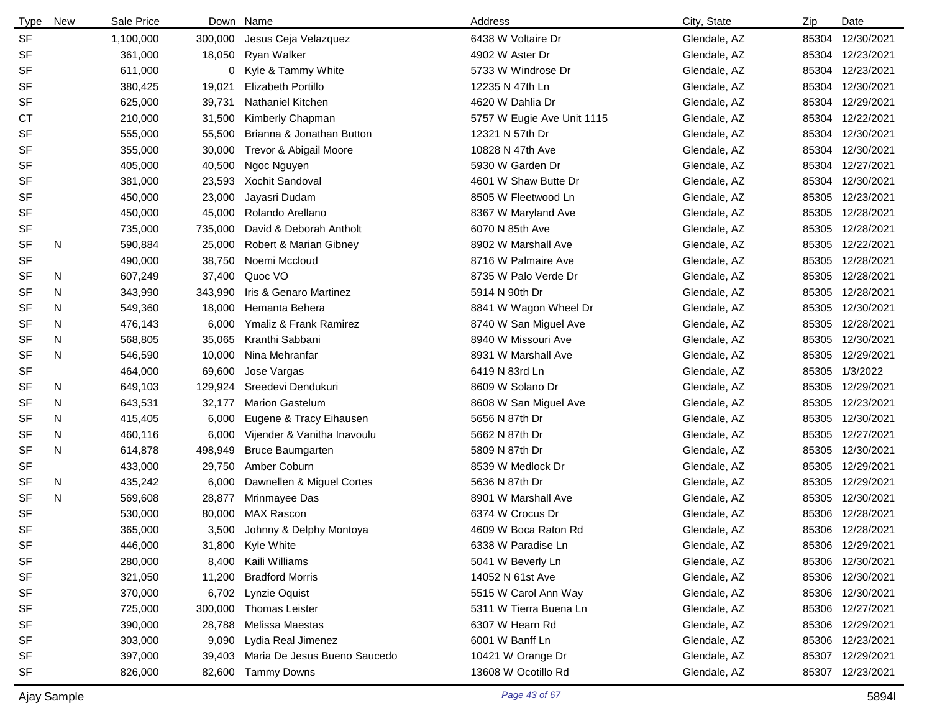| <b>Type</b> | New | Sale Price |         | Down Name                    | Address                    | City, State  | Zip | Date             |
|-------------|-----|------------|---------|------------------------------|----------------------------|--------------|-----|------------------|
| <b>SF</b>   |     | 1,100,000  | 300,000 | Jesus Ceja Velazquez         | 6438 W Voltaire Dr         | Glendale, AZ |     | 85304 12/30/2021 |
| <b>SF</b>   |     | 361,000    | 18,050  | Ryan Walker                  | 4902 W Aster Dr            | Glendale, AZ |     | 85304 12/23/2021 |
| SF          |     | 611,000    |         | 0 Kyle & Tammy White         | 5733 W Windrose Dr         | Glendale, AZ |     | 85304 12/23/2021 |
| <b>SF</b>   |     | 380,425    | 19,021  | Elizabeth Portillo           | 12235 N 47th Ln            | Glendale, AZ |     | 85304 12/30/2021 |
| <b>SF</b>   |     | 625,000    | 39,731  | <b>Nathaniel Kitchen</b>     | 4620 W Dahlia Dr           | Glendale, AZ |     | 85304 12/29/2021 |
| СT          |     | 210,000    | 31,500  | Kimberly Chapman             | 5757 W Eugie Ave Unit 1115 | Glendale, AZ |     | 85304 12/22/2021 |
| <b>SF</b>   |     | 555,000    | 55,500  | Brianna & Jonathan Button    | 12321 N 57th Dr            | Glendale, AZ |     | 85304 12/30/2021 |
| <b>SF</b>   |     | 355,000    | 30,000  | Trevor & Abigail Moore       | 10828 N 47th Ave           | Glendale, AZ |     | 85304 12/30/2021 |
| <b>SF</b>   |     | 405,000    | 40,500  | Ngoc Nguyen                  | 5930 W Garden Dr           | Glendale, AZ |     | 85304 12/27/2021 |
| <b>SF</b>   |     | 381.000    | 23,593  | Xochit Sandoval              | 4601 W Shaw Butte Dr       | Glendale, AZ |     | 85304 12/30/2021 |
| SF          |     | 450,000    | 23,000  | Jayasri Dudam                | 8505 W Fleetwood Ln        | Glendale, AZ |     | 85305 12/23/2021 |
| SF          |     | 450,000    | 45,000  | Rolando Arellano             | 8367 W Maryland Ave        | Glendale, AZ |     | 85305 12/28/2021 |
| <b>SF</b>   |     | 735,000    | 735,000 | David & Deborah Antholt      | 6070 N 85th Ave            | Glendale, AZ |     | 85305 12/28/2021 |
| <b>SF</b>   | N   | 590,884    | 25,000  | Robert & Marian Gibney       | 8902 W Marshall Ave        | Glendale, AZ |     | 85305 12/22/2021 |
| SF          |     | 490,000    | 38,750  | Noemi Mccloud                | 8716 W Palmaire Ave        | Glendale, AZ |     | 85305 12/28/2021 |
| SF          | N   | 607,249    | 37,400  | Quoc VO                      | 8735 W Palo Verde Dr       | Glendale, AZ |     | 85305 12/28/2021 |
| <b>SF</b>   | N   | 343,990    | 343,990 | Iris & Genaro Martinez       | 5914 N 90th Dr             | Glendale, AZ |     | 85305 12/28/2021 |
| SF          | N   | 549,360    | 18,000  | Hemanta Behera               | 8841 W Wagon Wheel Dr      | Glendale, AZ |     | 85305 12/30/2021 |
| <b>SF</b>   | N   | 476,143    | 6,000   | Ymaliz & Frank Ramirez       | 8740 W San Miguel Ave      | Glendale, AZ |     | 85305 12/28/2021 |
| SF          | N   | 568,805    | 35,065  | Kranthi Sabbani              | 8940 W Missouri Ave        | Glendale, AZ |     | 85305 12/30/2021 |
| <b>SF</b>   | N   | 546,590    | 10,000  | Nina Mehranfar               | 8931 W Marshall Ave        | Glendale, AZ |     | 85305 12/29/2021 |
| SF          |     | 464,000    | 69,600  | Jose Vargas                  | 6419 N 83rd Ln             | Glendale, AZ |     | 85305 1/3/2022   |
| SF          | N   | 649,103    | 129,924 | Sreedevi Dendukuri           | 8609 W Solano Dr           | Glendale, AZ |     | 85305 12/29/2021 |
| SF          | N   | 643,531    | 32,177  | <b>Marion Gastelum</b>       | 8608 W San Miguel Ave      | Glendale, AZ |     | 85305 12/23/2021 |
| <b>SF</b>   | N   | 415,405    | 6,000   | Eugene & Tracy Eihausen      | 5656 N 87th Dr             | Glendale, AZ |     | 85305 12/30/2021 |
| SF          | N   | 460,116    | 6,000   | Vijender & Vanitha Inavoulu  | 5662 N 87th Dr             | Glendale, AZ |     | 85305 12/27/2021 |
| <b>SF</b>   | N   | 614,878    | 498,949 | <b>Bruce Baumgarten</b>      | 5809 N 87th Dr             | Glendale, AZ |     | 85305 12/30/2021 |
| <b>SF</b>   |     | 433,000    | 29,750  | Amber Coburn                 | 8539 W Medlock Dr          | Glendale, AZ |     | 85305 12/29/2021 |
| <b>SF</b>   | N   | 435,242    | 6,000   | Dawnellen & Miguel Cortes    | 5636 N 87th Dr             | Glendale, AZ |     | 85305 12/29/2021 |
| <b>SF</b>   | N   | 569,608    | 28,877  | Mrinmayee Das                | 8901 W Marshall Ave        | Glendale, AZ |     | 85305 12/30/2021 |
| <b>SF</b>   |     | 530,000    | 80,000  | <b>MAX Rascon</b>            | 6374 W Crocus Dr           | Glendale, AZ |     | 85306 12/28/2021 |
| <b>SF</b>   |     | 365,000    | 3,500   | Johnny & Delphy Montoya      | 4609 W Boca Raton Rd       | Glendale, AZ |     | 85306 12/28/2021 |
| SF          |     | 446,000    |         | 31,800 Kyle White            | 6338 W Paradise Ln         | Glendale, AZ |     | 85306 12/29/2021 |
| SF          |     | 280,000    |         | 8,400 Kaili Williams         | 5041 W Beverly Ln          | Glendale, AZ |     | 85306 12/30/2021 |
| SF          |     | 321,050    | 11,200  | <b>Bradford Morris</b>       | 14052 N 61st Ave           | Glendale, AZ |     | 85306 12/30/2021 |
| SF          |     | 370,000    |         | 6,702 Lynzie Oquist          | 5515 W Carol Ann Way       | Glendale, AZ |     | 85306 12/30/2021 |
| SF          |     | 725,000    | 300,000 | <b>Thomas Leister</b>        | 5311 W Tierra Buena Ln     | Glendale, AZ |     | 85306 12/27/2021 |
| SF          |     | 390,000    | 28,788  | Melissa Maestas              | 6307 W Hearn Rd            | Glendale, AZ |     | 85306 12/29/2021 |
| <b>SF</b>   |     | 303,000    | 9,090   | Lydia Real Jimenez           | 6001 W Banff Ln            | Glendale, AZ |     | 85306 12/23/2021 |
| SF          |     | 397,000    | 39,403  | Maria De Jesus Bueno Saucedo | 10421 W Orange Dr          | Glendale, AZ |     | 85307 12/29/2021 |
| SF          |     | 826,000    | 82,600  | <b>Tammy Downs</b>           | 13608 W Ocotillo Rd        | Glendale, AZ |     | 85307 12/23/2021 |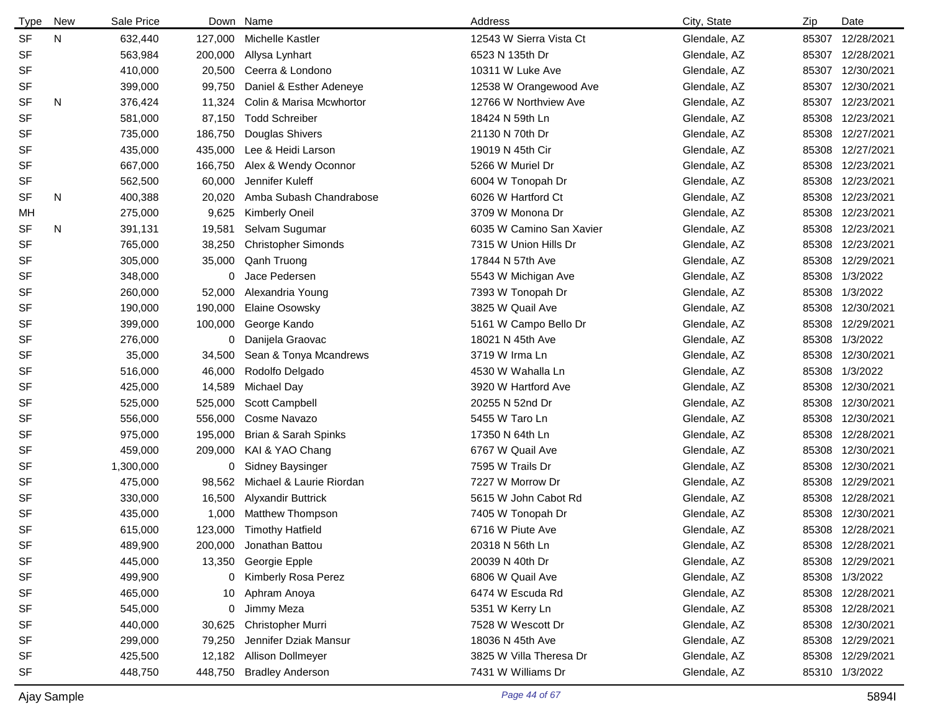| <b>Type</b> | New | Sale Price |         | Down Name                  | Address                  | City, State  | Zip   | Date             |
|-------------|-----|------------|---------|----------------------------|--------------------------|--------------|-------|------------------|
| <b>SF</b>   | N   | 632,440    | 127,000 | Michelle Kastler           | 12543 W Sierra Vista Ct  | Glendale, AZ | 85307 | 12/28/2021       |
| <b>SF</b>   |     | 563,984    | 200,000 | Allysa Lynhart             | 6523 N 135th Dr          | Glendale, AZ | 85307 | 12/28/2021       |
| SF          |     | 410,000    | 20,500  | Ceerra & Londono           | 10311 W Luke Ave         | Glendale, AZ |       | 85307 12/30/2021 |
| SF          |     | 399,000    | 99,750  | Daniel & Esther Adeneye    | 12538 W Orangewood Ave   | Glendale, AZ | 85307 | 12/30/2021       |
| <b>SF</b>   | N   | 376,424    | 11,324  | Colin & Marisa Mcwhortor   | 12766 W Northview Ave    | Glendale, AZ |       | 85307 12/23/2021 |
| <b>SF</b>   |     | 581,000    | 87,150  | <b>Todd Schreiber</b>      | 18424 N 59th Ln          | Glendale, AZ | 85308 | 12/23/2021       |
| SF          |     | 735,000    | 186,750 | Douglas Shivers            | 21130 N 70th Dr          | Glendale, AZ |       | 85308 12/27/2021 |
| <b>SF</b>   |     | 435,000    | 435,000 | Lee & Heidi Larson         | 19019 N 45th Cir         | Glendale, AZ |       | 85308 12/27/2021 |
| <b>SF</b>   |     | 667,000    | 166,750 | Alex & Wendy Oconnor       | 5266 W Muriel Dr         | Glendale, AZ |       | 85308 12/23/2021 |
| <b>SF</b>   |     | 562,500    | 60,000  | Jennifer Kuleff            | 6004 W Tonopah Dr        | Glendale, AZ | 85308 | 12/23/2021       |
| SF          | N   | 400,388    | 20,020  | Amba Subash Chandrabose    | 6026 W Hartford Ct       | Glendale, AZ | 85308 | 12/23/2021       |
| MН          |     | 275,000    | 9,625   | Kimberly Oneil             | 3709 W Monona Dr         | Glendale, AZ |       | 85308 12/23/2021 |
| SF          | N   | 391,131    | 19,581  | Selvam Sugumar             | 6035 W Camino San Xavier | Glendale, AZ | 85308 | 12/23/2021       |
| <b>SF</b>   |     | 765,000    | 38,250  | <b>Christopher Simonds</b> | 7315 W Union Hills Dr    | Glendale, AZ | 85308 | 12/23/2021       |
| SF          |     | 305,000    | 35,000  | Qanh Truong                | 17844 N 57th Ave         | Glendale, AZ | 85308 | 12/29/2021       |
| <b>SF</b>   |     | 348,000    | 0       | Jace Pedersen              | 5543 W Michigan Ave      | Glendale, AZ | 85308 | 1/3/2022         |
| <b>SF</b>   |     | 260,000    | 52,000  | Alexandria Young           | 7393 W Tonopah Dr        | Glendale, AZ | 85308 | 1/3/2022         |
| <b>SF</b>   |     | 190,000    | 190,000 | Elaine Osowsky             | 3825 W Quail Ave         | Glendale, AZ | 85308 | 12/30/2021       |
| SF          |     | 399,000    | 100,000 | George Kando               | 5161 W Campo Bello Dr    | Glendale, AZ | 85308 | 12/29/2021       |
| <b>SF</b>   |     | 276,000    | 0       | Danijela Graovac           | 18021 N 45th Ave         | Glendale, AZ | 85308 | 1/3/2022         |
| <b>SF</b>   |     | 35,000     | 34,500  | Sean & Tonya Mcandrews     | 3719 W Irma Ln           | Glendale, AZ | 85308 | 12/30/2021       |
| <b>SF</b>   |     | 516,000    | 46,000  | Rodolfo Delgado            | 4530 W Wahalla Ln        | Glendale, AZ | 85308 | 1/3/2022         |
| <b>SF</b>   |     | 425,000    | 14,589  | <b>Michael Day</b>         | 3920 W Hartford Ave      | Glendale, AZ | 85308 | 12/30/2021       |
| <b>SF</b>   |     | 525,000    | 525,000 | Scott Campbell             | 20255 N 52nd Dr          | Glendale, AZ | 85308 | 12/30/2021       |
| SF          |     | 556,000    | 556,000 | Cosme Navazo               | 5455 W Taro Ln           | Glendale, AZ | 85308 | 12/30/2021       |
| <b>SF</b>   |     | 975,000    | 195,000 | Brian & Sarah Spinks       | 17350 N 64th Ln          | Glendale, AZ | 85308 | 12/28/2021       |
| <b>SF</b>   |     | 459,000    | 209,000 | KAI & YAO Chang            | 6767 W Quail Ave         | Glendale, AZ | 85308 | 12/30/2021       |
| SF          |     | 1,300,000  | 0       | <b>Sidney Baysinger</b>    | 7595 W Trails Dr         | Glendale, AZ | 85308 | 12/30/2021       |
| <b>SF</b>   |     | 475,000    | 98,562  | Michael & Laurie Riordan   | 7227 W Morrow Dr         | Glendale, AZ | 85308 | 12/29/2021       |
| <b>SF</b>   |     | 330,000    | 16,500  | <b>Alyxandir Buttrick</b>  | 5615 W John Cabot Rd     | Glendale, AZ | 85308 | 12/28/2021       |
| <b>SF</b>   |     | 435,000    | 1,000   | Matthew Thompson           | 7405 W Tonopah Dr        | Glendale, AZ | 85308 | 12/30/2021       |
| <b>SF</b>   |     | 615,000    |         | 123,000 Timothy Hatfield   | 6716 W Piute Ave         | Glendale, AZ |       | 85308 12/28/2021 |
| SF          |     | 489,900    | 200,000 | Jonathan Battou            | 20318 N 56th Ln          | Glendale, AZ |       | 85308 12/28/2021 |
| SF          |     | 445,000    | 13,350  | Georgie Epple              | 20039 N 40th Dr          | Glendale, AZ |       | 85308 12/29/2021 |
| SF          |     | 499,900    | 0       | Kimberly Rosa Perez        | 6806 W Quail Ave         | Glendale, AZ |       | 85308 1/3/2022   |
| SF          |     | 465,000    | 10      | Aphram Anoya               | 6474 W Escuda Rd         | Glendale, AZ |       | 85308 12/28/2021 |
| SF          |     | 545,000    | 0       | Jimmy Meza                 | 5351 W Kerry Ln          | Glendale, AZ |       | 85308 12/28/2021 |
| SF          |     | 440,000    | 30,625  | Christopher Murri          | 7528 W Wescott Dr        | Glendale, AZ |       | 85308 12/30/2021 |
| <b>SF</b>   |     | 299,000    | 79,250  | Jennifer Dziak Mansur      | 18036 N 45th Ave         | Glendale, AZ |       | 85308 12/29/2021 |
| SF          |     | 425,500    | 12,182  | Allison Dollmeyer          | 3825 W Villa Theresa Dr  | Glendale, AZ |       | 85308 12/29/2021 |
| SF          |     | 448,750    | 448,750 | <b>Bradley Anderson</b>    | 7431 W Williams Dr       | Glendale, AZ |       | 85310 1/3/2022   |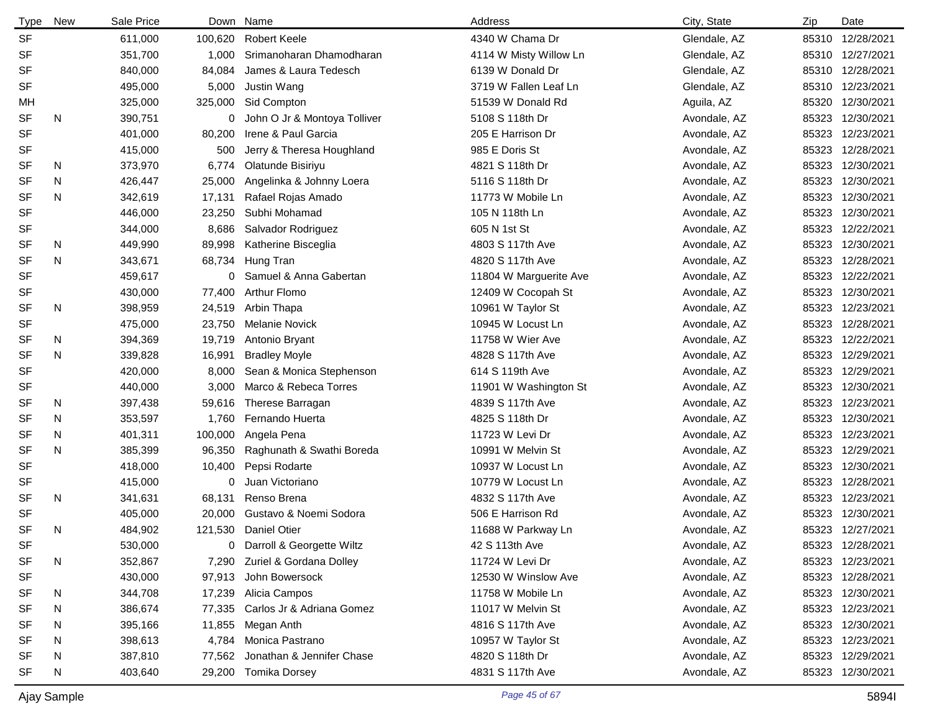| <b>Type</b> | New | Sale Price | Down    | Name                         | Address                | City, State  | Zip   | Date             |
|-------------|-----|------------|---------|------------------------------|------------------------|--------------|-------|------------------|
| <b>SF</b>   |     | 611,000    | 100,620 | <b>Robert Keele</b>          | 4340 W Chama Dr        | Glendale, AZ | 85310 | 12/28/2021       |
| SF          |     | 351,700    | 1,000   | Srimanoharan Dhamodharan     | 4114 W Misty Willow Ln | Glendale, AZ |       | 85310 12/27/2021 |
| <b>SF</b>   |     | 840,000    | 84,084  | James & Laura Tedesch        | 6139 W Donald Dr       | Glendale, AZ |       | 85310 12/28/2021 |
| <b>SF</b>   |     | 495,000    | 5,000   | Justin Wang                  | 3719 W Fallen Leaf Ln  | Glendale, AZ |       | 85310 12/23/2021 |
| MН          |     | 325,000    | 325,000 | Sid Compton                  | 51539 W Donald Rd      | Aguila, AZ   | 85320 | 12/30/2021       |
| <b>SF</b>   | N   | 390,751    | 0       | John O Jr & Montoya Tolliver | 5108 S 118th Dr        | Avondale, AZ | 85323 | 12/30/2021       |
| <b>SF</b>   |     | 401,000    | 80,200  | Irene & Paul Garcia          | 205 E Harrison Dr      | Avondale, AZ | 85323 | 12/23/2021       |
| SF          |     | 415,000    | 500     | Jerry & Theresa Houghland    | 985 E Doris St         | Avondale, AZ | 85323 | 12/28/2021       |
| <b>SF</b>   | N   | 373,970    | 6,774   | Olatunde Bisiriyu            | 4821 S 118th Dr        | Avondale, AZ | 85323 | 12/30/2021       |
| <b>SF</b>   | N   | 426,447    | 25,000  | Angelinka & Johnny Loera     | 5116 S 118th Dr        | Avondale, AZ | 85323 | 12/30/2021       |
| <b>SF</b>   | N   | 342,619    | 17,131  | Rafael Rojas Amado           | 11773 W Mobile Ln      | Avondale, AZ |       | 85323 12/30/2021 |
| SF          |     | 446,000    | 23,250  | Subhi Mohamad                | 105 N 118th Ln         | Avondale, AZ | 85323 | 12/30/2021       |
| <b>SF</b>   |     | 344,000    | 8,686   | Salvador Rodriguez           | 605 N 1st St           | Avondale, AZ | 85323 | 12/22/2021       |
| <b>SF</b>   | N   | 449,990    | 89,998  | Katherine Bisceglia          | 4803 S 117th Ave       | Avondale, AZ | 85323 | 12/30/2021       |
| <b>SF</b>   | N   | 343,671    | 68,734  | Hung Tran                    | 4820 S 117th Ave       | Avondale, AZ |       | 85323 12/28/2021 |
| <b>SF</b>   |     | 459,617    | 0       | Samuel & Anna Gabertan       | 11804 W Marguerite Ave | Avondale, AZ | 85323 | 12/22/2021       |
| <b>SF</b>   |     | 430,000    | 77,400  | <b>Arthur Flomo</b>          | 12409 W Cocopah St     | Avondale, AZ |       | 85323 12/30/2021 |
| <b>SF</b>   | N   | 398,959    | 24,519  | Arbin Thapa                  | 10961 W Taylor St      | Avondale, AZ | 85323 | 12/23/2021       |
| <b>SF</b>   |     | 475,000    | 23,750  | <b>Melanie Novick</b>        | 10945 W Locust Ln      | Avondale, AZ | 85323 | 12/28/2021       |
| <b>SF</b>   | N   | 394,369    | 19,719  | Antonio Bryant               | 11758 W Wier Ave       | Avondale, AZ | 85323 | 12/22/2021       |
| <b>SF</b>   | N   | 339,828    | 16,991  | <b>Bradley Moyle</b>         | 4828 S 117th Ave       | Avondale, AZ | 85323 | 12/29/2021       |
| <b>SF</b>   |     | 420,000    | 8,000   | Sean & Monica Stephenson     | 614 S 119th Ave        | Avondale, AZ | 85323 | 12/29/2021       |
| SF          |     | 440,000    | 3,000   | Marco & Rebeca Torres        | 11901 W Washington St  | Avondale, AZ | 85323 | 12/30/2021       |
| <b>SF</b>   | N   | 397,438    | 59,616  | Therese Barragan             | 4839 S 117th Ave       | Avondale, AZ | 85323 | 12/23/2021       |
| <b>SF</b>   | N   | 353,597    | 1,760   | Fernando Huerta              | 4825 S 118th Dr        | Avondale, AZ | 85323 | 12/30/2021       |
| SF          | N   | 401,311    | 100,000 | Angela Pena                  | 11723 W Levi Dr        | Avondale, AZ | 85323 | 12/23/2021       |
| <b>SF</b>   | N   | 385,399    | 96,350  | Raghunath & Swathi Boreda    | 10991 W Melvin St      | Avondale, AZ | 85323 | 12/29/2021       |
| <b>SF</b>   |     | 418,000    | 10,400  | Pepsi Rodarte                | 10937 W Locust Ln      | Avondale, AZ | 85323 | 12/30/2021       |
| <b>SF</b>   |     | 415,000    | 0       | Juan Victoriano              | 10779 W Locust Ln      | Avondale, AZ | 85323 | 12/28/2021       |
| <b>SF</b>   | N   | 341,631    | 68,131  | Renso Brena                  | 4832 S 117th Ave       | Avondale, AZ | 85323 | 12/23/2021       |
| <b>SF</b>   |     | 405,000    | 20,000  | Gustavo & Noemi Sodora       | 506 E Harrison Rd      | Avondale, AZ | 85323 | 12/30/2021       |
| <b>SF</b>   | N   | 484,902    | 121,530 | <b>Daniel Otier</b>          | 11688 W Parkway Ln     | Avondale, AZ |       | 85323 12/27/2021 |
| SF          |     | 530,000    | 0       | Darroll & Georgette Wiltz    | 42 S 113th Ave         | Avondale, AZ |       | 85323 12/28/2021 |
| <b>SF</b>   | N   | 352,867    | 7,290   | Zuriel & Gordana Dolley      | 11724 W Levi Dr        | Avondale, AZ |       | 85323 12/23/2021 |
| SF          |     | 430,000    | 97,913  | John Bowersock               | 12530 W Winslow Ave    | Avondale, AZ |       | 85323 12/28/2021 |
| <b>SF</b>   | N   | 344,708    | 17,239  | Alicia Campos                | 11758 W Mobile Ln      | Avondale, AZ |       | 85323 12/30/2021 |
| SF          | N   | 386,674    | 77,335  | Carlos Jr & Adriana Gomez    | 11017 W Melvin St      | Avondale, AZ |       | 85323 12/23/2021 |
| SF          | N   | 395,166    | 11,855  | Megan Anth                   | 4816 S 117th Ave       | Avondale, AZ |       | 85323 12/30/2021 |
| SF          | N   | 398,613    | 4,784   | Monica Pastrano              | 10957 W Taylor St      | Avondale, AZ |       | 85323 12/23/2021 |
| <b>SF</b>   | N   | 387,810    | 77,562  | Jonathan & Jennifer Chase    | 4820 S 118th Dr        | Avondale, AZ | 85323 | 12/29/2021       |
| SF          | N   | 403,640    | 29,200  | <b>Tomika Dorsey</b>         | 4831 S 117th Ave       | Avondale, AZ |       | 85323 12/30/2021 |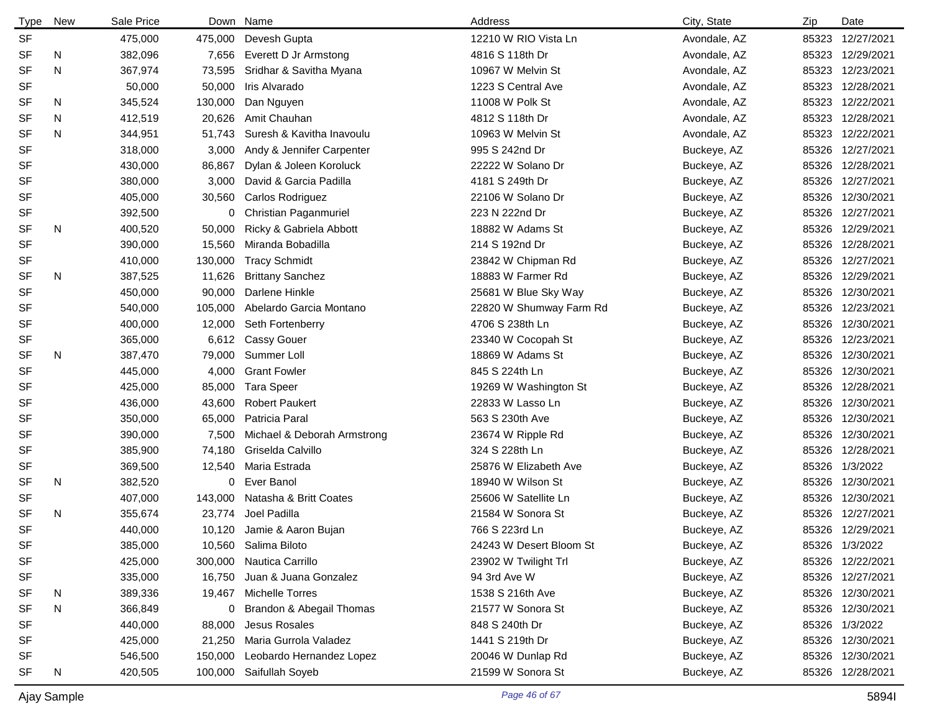| <b>Type</b> | New | Sale Price |         | Down Name                   | Address                 | City, State  | Zip   | Date             |
|-------------|-----|------------|---------|-----------------------------|-------------------------|--------------|-------|------------------|
| <b>SF</b>   |     | 475,000    | 475,000 | Devesh Gupta                | 12210 W RIO Vista Ln    | Avondale, AZ | 85323 | 12/27/2021       |
| <b>SF</b>   | N   | 382,096    | 7,656   | Everett D Jr Armstong       | 4816 S 118th Dr         | Avondale, AZ |       | 85323 12/29/2021 |
| <b>SF</b>   | N   | 367,974    | 73,595  | Sridhar & Savitha Myana     | 10967 W Melvin St       | Avondale, AZ |       | 85323 12/23/2021 |
| <b>SF</b>   |     | 50,000     | 50,000  | Iris Alvarado               | 1223 S Central Ave      | Avondale, AZ |       | 85323 12/28/2021 |
| <b>SF</b>   | N   | 345,524    | 130,000 | Dan Nguyen                  | 11008 W Polk St         | Avondale, AZ |       | 85323 12/22/2021 |
| <b>SF</b>   | N   | 412,519    | 20,626  | Amit Chauhan                | 4812 S 118th Dr         | Avondale, AZ |       | 85323 12/28/2021 |
| <b>SF</b>   | N   | 344,951    | 51,743  | Suresh & Kavitha Inavoulu   | 10963 W Melvin St       | Avondale, AZ |       | 85323 12/22/2021 |
| <b>SF</b>   |     | 318,000    | 3,000   | Andy & Jennifer Carpenter   | 995 S 242nd Dr          | Buckeye, AZ  |       | 85326 12/27/2021 |
| SF          |     | 430,000    | 86,867  | Dylan & Joleen Koroluck     | 22222 W Solano Dr       | Buckeye, AZ  | 85326 | 12/28/2021       |
| <b>SF</b>   |     | 380,000    | 3,000   | David & Garcia Padilla      | 4181 S 249th Dr         | Buckeye, AZ  | 85326 | 12/27/2021       |
| SF          |     | 405,000    | 30,560  | Carlos Rodriguez            | 22106 W Solano Dr       | Buckeye, AZ  | 85326 | 12/30/2021       |
| SF          |     | 392,500    | 0       | Christian Paganmuriel       | 223 N 222nd Dr          | Buckeye, AZ  | 85326 | 12/27/2021       |
| <b>SF</b>   | N   | 400,520    | 50,000  | Ricky & Gabriela Abbott     | 18882 W Adams St        | Buckeye, AZ  | 85326 | 12/29/2021       |
| <b>SF</b>   |     | 390,000    | 15,560  | Miranda Bobadilla           | 214 S 192nd Dr          | Buckeye, AZ  | 85326 | 12/28/2021       |
| SF          |     | 410,000    | 130,000 | <b>Tracy Schmidt</b>        | 23842 W Chipman Rd      | Buckeye, AZ  | 85326 | 12/27/2021       |
| <b>SF</b>   | N   | 387,525    | 11,626  | <b>Brittany Sanchez</b>     | 18883 W Farmer Rd       | Buckeye, AZ  | 85326 | 12/29/2021       |
| <b>SF</b>   |     | 450,000    | 90,000  | Darlene Hinkle              | 25681 W Blue Sky Way    | Buckeye, AZ  | 85326 | 12/30/2021       |
| <b>SF</b>   |     | 540,000    | 105,000 | Abelardo Garcia Montano     | 22820 W Shumway Farm Rd | Buckeye, AZ  | 85326 | 12/23/2021       |
| SF          |     | 400,000    | 12,000  | Seth Fortenberry            | 4706 S 238th Ln         | Buckeye, AZ  |       | 85326 12/30/2021 |
| SF          |     | 365,000    | 6,612   | <b>Cassy Gouer</b>          | 23340 W Cocopah St      | Buckeye, AZ  | 85326 | 12/23/2021       |
| <b>SF</b>   | N   | 387,470    | 79,000  | Summer Loll                 | 18869 W Adams St        | Buckeye, AZ  | 85326 | 12/30/2021       |
| <b>SF</b>   |     | 445,000    | 4,000   | <b>Grant Fowler</b>         | 845 S 224th Ln          | Buckeye, AZ  | 85326 | 12/30/2021       |
| <b>SF</b>   |     | 425,000    | 85,000  | <b>Tara Speer</b>           | 19269 W Washington St   | Buckeye, AZ  | 85326 | 12/28/2021       |
| <b>SF</b>   |     | 436,000    | 43,600  | <b>Robert Paukert</b>       | 22833 W Lasso Ln        | Buckeye, AZ  | 85326 | 12/30/2021       |
| <b>SF</b>   |     | 350,000    | 65,000  | Patricia Paral              | 563 S 230th Ave         | Buckeye, AZ  | 85326 | 12/30/2021       |
| SF          |     | 390,000    | 7,500   | Michael & Deborah Armstrong | 23674 W Ripple Rd       | Buckeye, AZ  | 85326 | 12/30/2021       |
| <b>SF</b>   |     | 385,900    | 74,180  | Griselda Calvillo           | 324 S 228th Ln          | Buckeye, AZ  | 85326 | 12/28/2021       |
| SF          |     | 369,500    | 12,540  | Maria Estrada               | 25876 W Elizabeth Ave   | Buckeye, AZ  | 85326 | 1/3/2022         |
| SF          | N   | 382,520    | 0       | Ever Banol                  | 18940 W Wilson St       | Buckeye, AZ  | 85326 | 12/30/2021       |
| <b>SF</b>   |     | 407,000    | 143,000 | Natasha & Britt Coates      | 25606 W Satellite Ln    | Buckeye, AZ  | 85326 | 12/30/2021       |
| <b>SF</b>   | N   | 355,674    | 23,774  | Joel Padilla                | 21584 W Sonora St       | Buckeye, AZ  |       | 85326 12/27/2021 |
| <b>SF</b>   |     | 440,000    |         | 10,120 Jamie & Aaron Bujan  | 766 S 223rd Ln          | Buckeye, AZ  |       | 85326 12/29/2021 |
| SF          |     | 385,000    |         | 10,560 Salima Biloto        | 24243 W Desert Bloom St | Buckeye, AZ  |       | 85326 1/3/2022   |
| SF          |     | 425,000    |         | 300,000 Nautica Carrillo    | 23902 W Twilight Trl    | Buckeye, AZ  |       | 85326 12/22/2021 |
| SF          |     | 335,000    | 16,750  | Juan & Juana Gonzalez       | 94 3rd Ave W            | Buckeye, AZ  |       | 85326 12/27/2021 |
| SF          | N   | 389,336    | 19,467  | <b>Michelle Torres</b>      | 1538 S 216th Ave        | Buckeye, AZ  |       | 85326 12/30/2021 |
| SF          | N   | 366,849    | 0       | Brandon & Abegail Thomas    | 21577 W Sonora St       | Buckeye, AZ  |       | 85326 12/30/2021 |
| SF          |     | 440,000    | 88,000  | Jesus Rosales               | 848 S 240th Dr          | Buckeye, AZ  |       | 85326 1/3/2022   |
| SF          |     | 425,000    | 21,250  | Maria Gurrola Valadez       | 1441 S 219th Dr         | Buckeye, AZ  |       | 85326 12/30/2021 |
| SF          |     | 546,500    | 150,000 | Leobardo Hernandez Lopez    | 20046 W Dunlap Rd       | Buckeye, AZ  |       | 85326 12/30/2021 |
| SF          | N   | 420,505    | 100,000 | Saifullah Soyeb             | 21599 W Sonora St       | Buckeye, AZ  |       | 85326 12/28/2021 |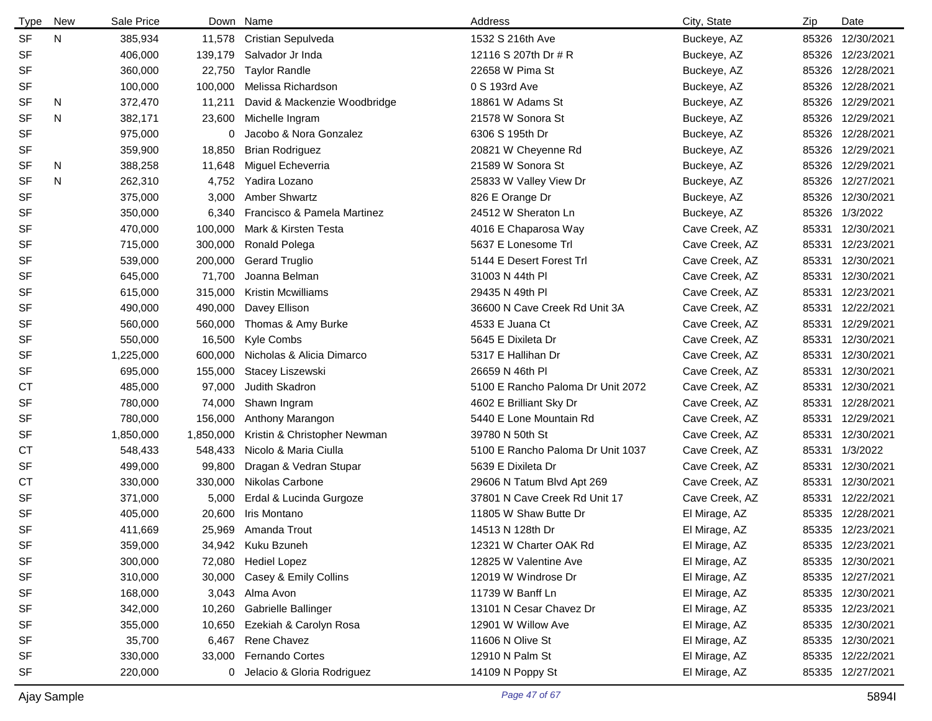| <b>Type</b> | New | Sale Price |           | Down Name                    | Address                           | City, State    | Zip   | Date             |
|-------------|-----|------------|-----------|------------------------------|-----------------------------------|----------------|-------|------------------|
| <b>SF</b>   | N   | 385,934    | 11,578    | Cristian Sepulveda           | 1532 S 216th Ave                  | Buckeye, AZ    |       | 85326 12/30/2021 |
| SF          |     | 406,000    | 139,179   | Salvador Jr Inda             | 12116 S 207th Dr # R              | Buckeye, AZ    |       | 85326 12/23/2021 |
| SF          |     | 360,000    | 22,750    | <b>Taylor Randle</b>         | 22658 W Pima St                   | Buckeye, AZ    |       | 85326 12/28/2021 |
| SF          |     | 100,000    | 100,000   | Melissa Richardson           | 0 S 193rd Ave                     | Buckeye, AZ    |       | 85326 12/28/2021 |
| SF          | N   | 372,470    | 11,211    | David & Mackenzie Woodbridge | 18861 W Adams St                  | Buckeye, AZ    |       | 85326 12/29/2021 |
| <b>SF</b>   | N   | 382,171    | 23,600    | Michelle Ingram              | 21578 W Sonora St                 | Buckeye, AZ    |       | 85326 12/29/2021 |
| SF          |     | 975,000    | 0         | Jacobo & Nora Gonzalez       | 6306 S 195th Dr                   | Buckeye, AZ    |       | 85326 12/28/2021 |
| SF          |     | 359,900    | 18,850    | <b>Brian Rodriguez</b>       | 20821 W Cheyenne Rd               | Buckeye, AZ    |       | 85326 12/29/2021 |
| <b>SF</b>   | N   | 388,258    | 11,648    | Miguel Echeverria            | 21589 W Sonora St                 | Buckeye, AZ    |       | 85326 12/29/2021 |
| <b>SF</b>   | N   | 262,310    | 4,752     | Yadira Lozano                | 25833 W Valley View Dr            | Buckeye, AZ    |       | 85326 12/27/2021 |
| SF          |     | 375,000    | 3,000     | <b>Amber Shwartz</b>         | 826 E Orange Dr                   | Buckeye, AZ    |       | 85326 12/30/2021 |
| SF          |     | 350,000    | 6,340     | Francisco & Pamela Martinez  | 24512 W Sheraton Ln               | Buckeye, AZ    |       | 85326 1/3/2022   |
| SF          |     | 470,000    | 100,000   | Mark & Kirsten Testa         | 4016 E Chaparosa Way              | Cave Creek, AZ | 85331 | 12/30/2021       |
| SF          |     | 715,000    | 300,000   | Ronald Polega                | 5637 E Lonesome Trl               | Cave Creek, AZ | 85331 | 12/23/2021       |
| SF          |     | 539,000    | 200,000   | <b>Gerard Truglio</b>        | 5144 E Desert Forest Trl          | Cave Creek, AZ | 85331 | 12/30/2021       |
| SF          |     | 645,000    | 71,700    | Joanna Belman                | 31003 N 44th PI                   | Cave Creek, AZ | 85331 | 12/30/2021       |
| SF          |     | 615,000    | 315,000   | Kristin Mcwilliams           | 29435 N 49th PI                   | Cave Creek, AZ | 85331 | 12/23/2021       |
| SF          |     | 490,000    | 490,000   | Davey Ellison                | 36600 N Cave Creek Rd Unit 3A     | Cave Creek, AZ | 85331 | 12/22/2021       |
| SF          |     | 560,000    | 560,000   | Thomas & Amy Burke           | 4533 E Juana Ct                   | Cave Creek, AZ |       | 85331 12/29/2021 |
| SF          |     | 550,000    | 16,500    | Kyle Combs                   | 5645 E Dixileta Dr                | Cave Creek, AZ | 85331 | 12/30/2021       |
| SF          |     | 1,225,000  | 600,000   | Nicholas & Alicia Dimarco    | 5317 E Hallihan Dr                | Cave Creek, AZ | 85331 | 12/30/2021       |
| SF          |     | 695,000    | 155,000   | Stacey Liszewski             | 26659 N 46th PI                   | Cave Creek, AZ | 85331 | 12/30/2021       |
| <b>CT</b>   |     | 485,000    | 97,000    | Judith Skadron               | 5100 E Rancho Paloma Dr Unit 2072 | Cave Creek, AZ | 85331 | 12/30/2021       |
| SF          |     | 780,000    | 74,000    | Shawn Ingram                 | 4602 E Brilliant Sky Dr           | Cave Creek, AZ | 85331 | 12/28/2021       |
| SF          |     | 780,000    | 156,000   | Anthony Marangon             | 5440 E Lone Mountain Rd           | Cave Creek, AZ | 85331 | 12/29/2021       |
| SF          |     | 1,850,000  | 1,850,000 | Kristin & Christopher Newman | 39780 N 50th St                   | Cave Creek, AZ | 85331 | 12/30/2021       |
| СT          |     | 548,433    | 548,433   | Nicolo & Maria Ciulla        | 5100 E Rancho Paloma Dr Unit 1037 | Cave Creek, AZ |       | 85331 1/3/2022   |
| SF          |     | 499,000    | 99,800    | Dragan & Vedran Stupar       | 5639 E Dixileta Dr                | Cave Creek, AZ | 85331 | 12/30/2021       |
| СT          |     | 330,000    | 330,000   | Nikolas Carbone              | 29606 N Tatum Blvd Apt 269        | Cave Creek, AZ | 85331 | 12/30/2021       |
| SF          |     | 371,000    | 5,000     | Erdal & Lucinda Gurgoze      | 37801 N Cave Creek Rd Unit 17     | Cave Creek, AZ | 85331 | 12/22/2021       |
| <b>SF</b>   |     | 405,000    | 20,600    | Iris Montano                 | 11805 W Shaw Butte Dr             | El Mirage, AZ  |       | 85335 12/28/2021 |
| SF          |     | 411,669    | 25,969    | Amanda Trout                 | 14513 N 128th Dr                  | El Mirage, AZ  |       | 85335 12/23/2021 |
| SF          |     | 359,000    | 34,942    | Kuku Bzuneh                  | 12321 W Charter OAK Rd            | El Mirage, AZ  |       | 85335 12/23/2021 |
| SF          |     | 300,000    | 72,080    | <b>Hediel Lopez</b>          | 12825 W Valentine Ave             | El Mirage, AZ  |       | 85335 12/30/2021 |
| SF          |     | 310,000    | 30,000    | Casey & Emily Collins        | 12019 W Windrose Dr               | El Mirage, AZ  |       | 85335 12/27/2021 |
| SF          |     | 168,000    | 3,043     | Alma Avon                    | 11739 W Banff Ln                  | El Mirage, AZ  |       | 85335 12/30/2021 |
| SF          |     | 342,000    | 10,260    | Gabrielle Ballinger          | 13101 N Cesar Chavez Dr           | El Mirage, AZ  |       | 85335 12/23/2021 |
| SF          |     | 355,000    | 10,650    | Ezekiah & Carolyn Rosa       | 12901 W Willow Ave                | El Mirage, AZ  |       | 85335 12/30/2021 |
| SF          |     | 35,700     | 6,467     | Rene Chavez                  | 11606 N Olive St                  | El Mirage, AZ  |       | 85335 12/30/2021 |
| SF          |     | 330,000    | 33,000    | <b>Fernando Cortes</b>       | 12910 N Palm St                   | El Mirage, AZ  |       | 85335 12/22/2021 |
| SF          |     | 220,000    | 0         | Jelacio & Gloria Rodriguez   | 14109 N Poppy St                  | El Mirage, AZ  |       | 85335 12/27/2021 |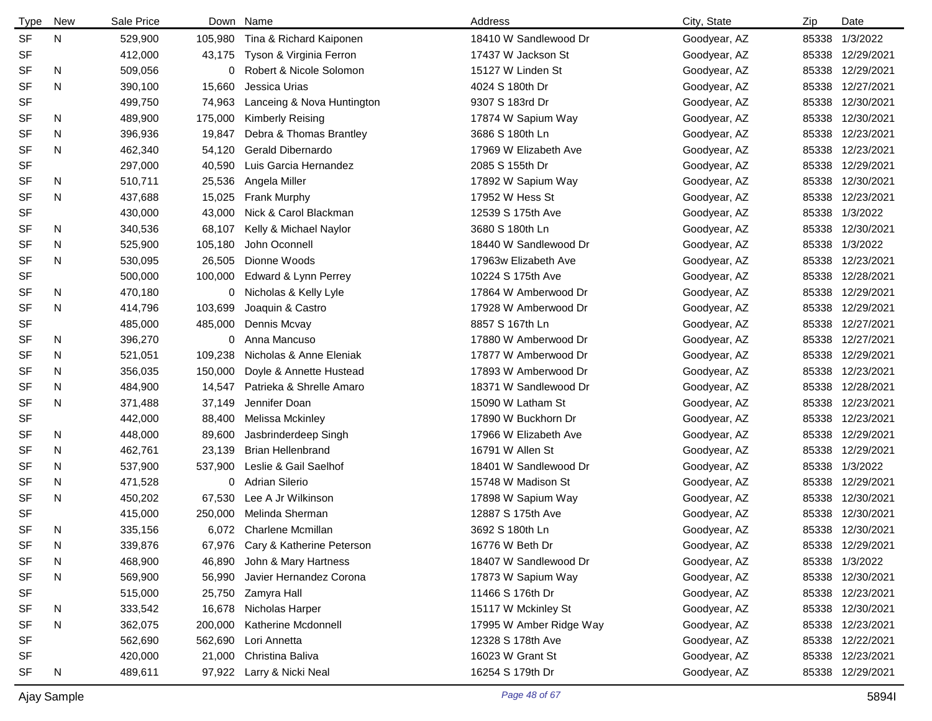| <b>Type</b> | New | Sale Price |         | Down Name                  | Address                 | City, State  | Zip   | Date             |
|-------------|-----|------------|---------|----------------------------|-------------------------|--------------|-------|------------------|
| <b>SF</b>   | N   | 529,900    | 105,980 | Tina & Richard Kaiponen    | 18410 W Sandlewood Dr   | Goodyear, AZ | 85338 | 1/3/2022         |
| <b>SF</b>   |     | 412,000    | 43,175  | Tyson & Virginia Ferron    | 17437 W Jackson St      | Goodyear, AZ | 85338 | 12/29/2021       |
| <b>SF</b>   | N   | 509,056    | 0       | Robert & Nicole Solomon    | 15127 W Linden St       | Goodyear, AZ | 85338 | 12/29/2021       |
| <b>SF</b>   | N   | 390,100    | 15,660  | Jessica Urias              | 4024 S 180th Dr         | Goodyear, AZ | 85338 | 12/27/2021       |
| <b>SF</b>   |     | 499,750    | 74,963  | Lanceing & Nova Huntington | 9307 S 183rd Dr         | Goodyear, AZ | 85338 | 12/30/2021       |
| <b>SF</b>   | N   | 489,900    | 175,000 | Kimberly Reising           | 17874 W Sapium Way      | Goodyear, AZ | 85338 | 12/30/2021       |
| <b>SF</b>   | N   | 396,936    | 19,847  | Debra & Thomas Brantley    | 3686 S 180th Ln         | Goodyear, AZ | 85338 | 12/23/2021       |
| <b>SF</b>   | N   | 462,340    | 54,120  | Gerald Dibernardo          | 17969 W Elizabeth Ave   | Goodyear, AZ | 85338 | 12/23/2021       |
| <b>SF</b>   |     | 297,000    | 40,590  | Luis Garcia Hernandez      | 2085 S 155th Dr         | Goodyear, AZ | 85338 | 12/29/2021       |
| <b>SF</b>   | N   | 510,711    | 25,536  | Angela Miller              | 17892 W Sapium Way      | Goodyear, AZ | 85338 | 12/30/2021       |
| <b>SF</b>   | N   | 437,688    | 15,025  | <b>Frank Murphy</b>        | 17952 W Hess St         | Goodyear, AZ | 85338 | 12/23/2021       |
| <b>SF</b>   |     | 430,000    | 43,000  | Nick & Carol Blackman      | 12539 S 175th Ave       | Goodyear, AZ |       | 85338 1/3/2022   |
| <b>SF</b>   | N   | 340,536    | 68,107  | Kelly & Michael Naylor     | 3680 S 180th Ln         | Goodyear, AZ | 85338 | 12/30/2021       |
| <b>SF</b>   | N   | 525,900    | 105,180 | John Oconnell              | 18440 W Sandlewood Dr   | Goodyear, AZ | 85338 | 1/3/2022         |
| <b>SF</b>   | N   | 530,095    | 26,505  | Dionne Woods               | 17963w Elizabeth Ave    | Goodyear, AZ | 85338 | 12/23/2021       |
| <b>SF</b>   |     | 500,000    | 100,000 | Edward & Lynn Perrey       | 10224 S 175th Ave       | Goodyear, AZ | 85338 | 12/28/2021       |
| <b>SF</b>   | N   | 470,180    | 0       | Nicholas & Kelly Lyle      | 17864 W Amberwood Dr    | Goodyear, AZ | 85338 | 12/29/2021       |
| <b>SF</b>   | N   | 414,796    | 103,699 | Joaquin & Castro           | 17928 W Amberwood Dr    | Goodyear, AZ | 85338 | 12/29/2021       |
| <b>SF</b>   |     | 485,000    | 485,000 | Dennis Mcvay               | 8857 S 167th Ln         | Goodyear, AZ | 85338 | 12/27/2021       |
| SF          | N   | 396,270    | 0       | Anna Mancuso               | 17880 W Amberwood Dr    | Goodyear, AZ | 85338 | 12/27/2021       |
| <b>SF</b>   | N   | 521,051    | 109,238 | Nicholas & Anne Eleniak    | 17877 W Amberwood Dr    | Goodyear, AZ | 85338 | 12/29/2021       |
| SF          | N   | 356,035    | 150,000 | Doyle & Annette Hustead    | 17893 W Amberwood Dr    | Goodyear, AZ | 85338 | 12/23/2021       |
| <b>SF</b>   | N   | 484,900    | 14,547  | Patrieka & Shrelle Amaro   | 18371 W Sandlewood Dr   | Goodyear, AZ | 85338 | 12/28/2021       |
| <b>SF</b>   | N   | 371,488    | 37,149  | Jennifer Doan              | 15090 W Latham St       | Goodyear, AZ | 85338 | 12/23/2021       |
| <b>SF</b>   |     | 442,000    | 88,400  | Melissa Mckinley           | 17890 W Buckhorn Dr     | Goodyear, AZ | 85338 | 12/23/2021       |
| SF          | N   | 448,000    | 89,600  | Jasbrinderdeep Singh       | 17966 W Elizabeth Ave   | Goodyear, AZ | 85338 | 12/29/2021       |
| <b>SF</b>   | N   | 462,761    | 23,139  | <b>Brian Hellenbrand</b>   | 16791 W Allen St        | Goodyear, AZ | 85338 | 12/29/2021       |
| <b>SF</b>   | N   | 537,900    | 537,900 | Leslie & Gail Saelhof      | 18401 W Sandlewood Dr   | Goodyear, AZ | 85338 | 1/3/2022         |
| <b>SF</b>   | N   | 471,528    | 0       | <b>Adrian Silerio</b>      | 15748 W Madison St      | Goodyear, AZ | 85338 | 12/29/2021       |
| <b>SF</b>   | N   | 450,202    | 67,530  | Lee A Jr Wilkinson         | 17898 W Sapium Way      | Goodyear, AZ | 85338 | 12/30/2021       |
| <b>SF</b>   |     | 415,000    | 250,000 | Melinda Sherman            | 12887 S 175th Ave       | Goodyear, AZ | 85338 | 12/30/2021       |
| <b>SF</b>   | N   | 335,156    | 6,072   | <b>Charlene Mcmillan</b>   | 3692 S 180th Ln         | Goodyear, AZ |       | 85338 12/30/2021 |
| SF          | N   | 339,876    | 67,976  | Cary & Katherine Peterson  | 16776 W Beth Dr         | Goodyear, AZ | 85338 | 12/29/2021       |
| <b>SF</b>   | N   | 468,900    | 46,890  | John & Mary Hartness       | 18407 W Sandlewood Dr   | Goodyear, AZ |       | 85338 1/3/2022   |
| <b>SF</b>   | N   | 569,900    | 56,990  | Javier Hernandez Corona    | 17873 W Sapium Way      | Goodyear, AZ |       | 85338 12/30/2021 |
| SF          |     | 515,000    | 25,750  | Zamyra Hall                | 11466 S 176th Dr        | Goodyear, AZ |       | 85338 12/23/2021 |
| SF          | N   | 333,542    | 16,678  | Nicholas Harper            | 15117 W Mckinley St     | Goodyear, AZ |       | 85338 12/30/2021 |
| <b>SF</b>   | N   | 362,075    | 200,000 | Katherine Mcdonnell        | 17995 W Amber Ridge Way | Goodyear, AZ |       | 85338 12/23/2021 |
| <b>SF</b>   |     | 562,690    | 562,690 | Lori Annetta               | 12328 S 178th Ave       | Goodyear, AZ |       | 85338 12/22/2021 |
| SF          |     | 420,000    | 21,000  | Christina Baliva           | 16023 W Grant St        | Goodyear, AZ |       | 85338 12/23/2021 |
| SF          | N   | 489,611    | 97,922  | Larry & Nicki Neal         | 16254 S 179th Dr        | Goodyear, AZ |       | 85338 12/29/2021 |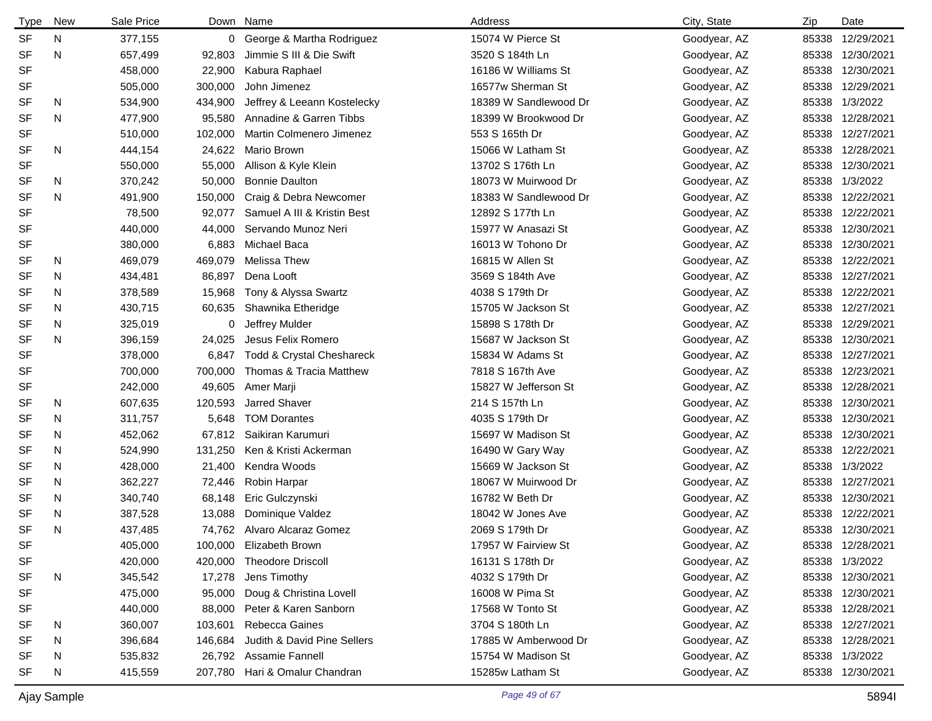| <b>Type</b> | New | Sale Price |         | Down Name                   | Address               | City, State  | Zip   | Date             |
|-------------|-----|------------|---------|-----------------------------|-----------------------|--------------|-------|------------------|
| <b>SF</b>   | N   | 377,155    |         | 0 George & Martha Rodriguez | 15074 W Pierce St     | Goodyear, AZ | 85338 | 12/29/2021       |
| <b>SF</b>   | N   | 657,499    | 92,803  | Jimmie S III & Die Swift    | 3520 S 184th Ln       | Goodyear, AZ | 85338 | 12/30/2021       |
| <b>SF</b>   |     | 458,000    | 22,900  | Kabura Raphael              | 16186 W Williams St   | Goodyear, AZ | 85338 | 12/30/2021       |
| <b>SF</b>   |     | 505,000    | 300,000 | John Jimenez                | 16577w Sherman St     | Goodyear, AZ | 85338 | 12/29/2021       |
| <b>SF</b>   | N   | 534,900    | 434,900 | Jeffrey & Leeann Kostelecky | 18389 W Sandlewood Dr | Goodyear, AZ | 85338 | 1/3/2022         |
| <b>SF</b>   | N   | 477,900    | 95,580  | Annadine & Garren Tibbs     | 18399 W Brookwood Dr  | Goodyear, AZ | 85338 | 12/28/2021       |
| <b>SF</b>   |     | 510,000    | 102,000 | Martin Colmenero Jimenez    | 553 S 165th Dr        | Goodyear, AZ | 85338 | 12/27/2021       |
| <b>SF</b>   | N   | 444,154    | 24,622  | Mario Brown                 | 15066 W Latham St     | Goodyear, AZ | 85338 | 12/28/2021       |
| <b>SF</b>   |     | 550,000    | 55,000  | Allison & Kyle Klein        | 13702 S 176th Ln      | Goodyear, AZ | 85338 | 12/30/2021       |
| <b>SF</b>   | N   | 370,242    | 50,000  | <b>Bonnie Daulton</b>       | 18073 W Muirwood Dr   | Goodyear, AZ | 85338 | 1/3/2022         |
| <b>SF</b>   | N   | 491,900    | 150,000 | Craig & Debra Newcomer      | 18383 W Sandlewood Dr | Goodyear, AZ | 85338 | 12/22/2021       |
| <b>SF</b>   |     | 78,500     | 92,077  | Samuel A III & Kristin Best | 12892 S 177th Ln      | Goodyear, AZ | 85338 | 12/22/2021       |
| <b>SF</b>   |     | 440,000    | 44,000  | Servando Munoz Neri         | 15977 W Anasazi St    | Goodyear, AZ | 85338 | 12/30/2021       |
| <b>SF</b>   |     | 380,000    | 6,883   | Michael Baca                | 16013 W Tohono Dr     | Goodyear, AZ | 85338 | 12/30/2021       |
| <b>SF</b>   | N   | 469,079    | 469,079 | Melissa Thew                | 16815 W Allen St      | Goodyear, AZ | 85338 | 12/22/2021       |
| SF          | N   | 434,481    | 86,897  | Dena Looft                  | 3569 S 184th Ave      | Goodyear, AZ | 85338 | 12/27/2021       |
| <b>SF</b>   | N   | 378,589    | 15,968  | Tony & Alyssa Swartz        | 4038 S 179th Dr       | Goodyear, AZ | 85338 | 12/22/2021       |
| <b>SF</b>   | N   | 430,715    | 60,635  | Shawnika Etheridge          | 15705 W Jackson St    | Goodyear, AZ | 85338 | 12/27/2021       |
| <b>SF</b>   | N   | 325,019    | 0       | Jeffrey Mulder              | 15898 S 178th Dr      | Goodyear, AZ | 85338 | 12/29/2021       |
| SF          | N   | 396,159    | 24,025  | Jesus Felix Romero          | 15687 W Jackson St    | Goodyear, AZ | 85338 | 12/30/2021       |
| <b>SF</b>   |     | 378,000    | 6,847   | Todd & Crystal Cheshareck   | 15834 W Adams St      | Goodyear, AZ | 85338 | 12/27/2021       |
| <b>SF</b>   |     | 700,000    | 700,000 | Thomas & Tracia Matthew     | 7818 S 167th Ave      | Goodyear, AZ | 85338 | 12/23/2021       |
| SF          |     | 242,000    | 49,605  | Amer Marji                  | 15827 W Jefferson St  | Goodyear, AZ | 85338 | 12/28/2021       |
| SF          | N   | 607,635    | 120,593 | Jarred Shaver               | 214 S 157th Ln        | Goodyear, AZ | 85338 | 12/30/2021       |
| <b>SF</b>   | N   | 311,757    | 5,648   | <b>TOM Dorantes</b>         | 4035 S 179th Dr       | Goodyear, AZ | 85338 | 12/30/2021       |
| SF          | N   | 452,062    | 67,812  | Saikiran Karumuri           | 15697 W Madison St    | Goodyear, AZ | 85338 | 12/30/2021       |
| <b>SF</b>   | N   | 524,990    | 131,250 | Ken & Kristi Ackerman       | 16490 W Gary Way      | Goodyear, AZ | 85338 | 12/22/2021       |
| <b>SF</b>   | N   | 428,000    | 21,400  | Kendra Woods                | 15669 W Jackson St    | Goodyear, AZ | 85338 | 1/3/2022         |
| <b>SF</b>   | N   | 362,227    | 72,446  | Robin Harpar                | 18067 W Muirwood Dr   | Goodyear, AZ | 85338 | 12/27/2021       |
| <b>SF</b>   | N   | 340,740    | 68,148  | Eric Gulczynski             | 16782 W Beth Dr       | Goodyear, AZ | 85338 | 12/30/2021       |
| <b>SF</b>   | N   | 387,528    | 13,088  | Dominique Valdez            | 18042 W Jones Ave     | Goodyear, AZ | 85338 | 12/22/2021       |
| <b>SF</b>   | N   | 437,485    |         | 74,762 Alvaro Alcaraz Gomez | 2069 S 179th Dr       | Goodyear, AZ |       | 85338 12/30/2021 |
| SF          |     | 405,000    |         | 100,000 Elizabeth Brown     | 17957 W Fairview St   | Goodyear, AZ | 85338 | 12/28/2021       |
| SF          |     | 420,000    | 420,000 | <b>Theodore Driscoll</b>    | 16131 S 178th Dr      | Goodyear, AZ |       | 85338 1/3/2022   |
| SF          | N   | 345,542    | 17,278  | Jens Timothy                | 4032 S 179th Dr       | Goodyear, AZ |       | 85338 12/30/2021 |
| SF          |     | 475,000    | 95,000  | Doug & Christina Lovell     | 16008 W Pima St       | Goodyear, AZ |       | 85338 12/30/2021 |
| SF          |     | 440,000    | 88,000  | Peter & Karen Sanborn       | 17568 W Tonto St      | Goodyear, AZ |       | 85338 12/28/2021 |
| <b>SF</b>   | N   | 360,007    | 103,601 | Rebecca Gaines              | 3704 S 180th Ln       | Goodyear, AZ |       | 85338 12/27/2021 |
| SF          | N   | 396,684    | 146,684 | Judith & David Pine Sellers | 17885 W Amberwood Dr  | Goodyear, AZ |       | 85338 12/28/2021 |
| SF          | N   | 535,832    |         | 26,792 Assamie Fannell      | 15754 W Madison St    | Goodyear, AZ |       | 85338 1/3/2022   |
| SF          | N   | 415,559    | 207,780 | Hari & Omalur Chandran      | 15285w Latham St      | Goodyear, AZ |       | 85338 12/30/2021 |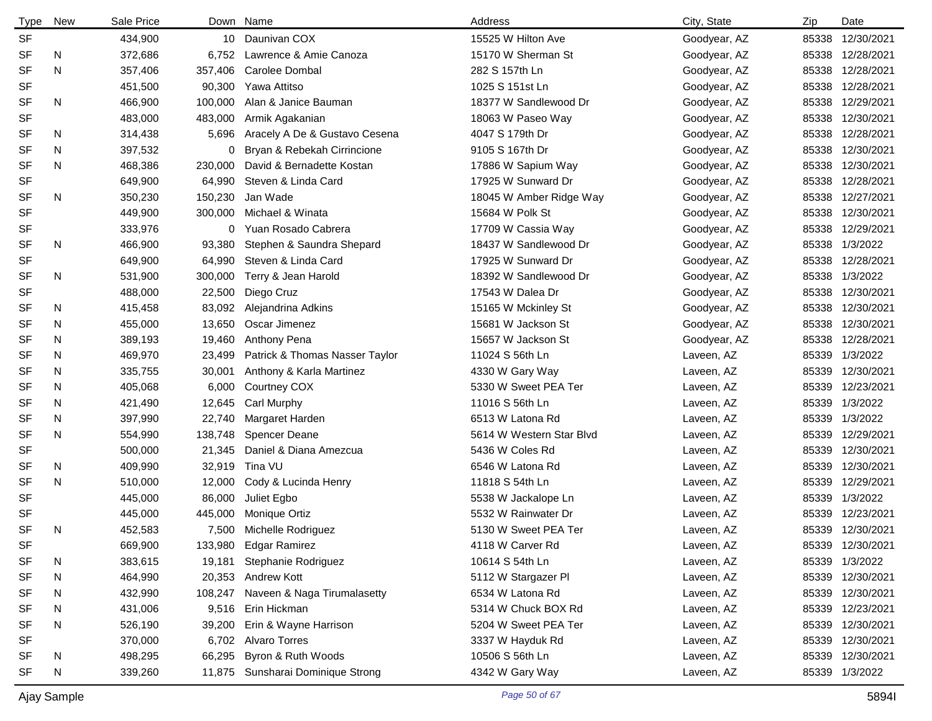| <b>Type</b> | New | Sale Price |         | Down Name                         | Address                  | City, State  | Zip   | Date             |
|-------------|-----|------------|---------|-----------------------------------|--------------------------|--------------|-------|------------------|
| <b>SF</b>   |     | 434,900    |         | 10 Daunivan COX                   | 15525 W Hilton Ave       | Goodyear, AZ | 85338 | 12/30/2021       |
| <b>SF</b>   | N   | 372,686    | 6,752   | Lawrence & Amie Canoza            | 15170 W Sherman St       | Goodyear, AZ | 85338 | 12/28/2021       |
| <b>SF</b>   | N   | 357,406    | 357,406 | Carolee Dombal                    | 282 S 157th Ln           | Goodyear, AZ |       | 85338 12/28/2021 |
| <b>SF</b>   |     | 451,500    | 90,300  | Yawa Attitso                      | 1025 S 151st Ln          | Goodyear, AZ | 85338 | 12/28/2021       |
| <b>SF</b>   | N   | 466,900    | 100,000 | Alan & Janice Bauman              | 18377 W Sandlewood Dr    | Goodyear, AZ | 85338 | 12/29/2021       |
| <b>SF</b>   |     | 483,000    | 483,000 | Armik Agakanian                   | 18063 W Paseo Way        | Goodyear, AZ | 85338 | 12/30/2021       |
| SF          | N   | 314,438    | 5,696   | Aracely A De & Gustavo Cesena     | 4047 S 179th Dr          | Goodyear, AZ | 85338 | 12/28/2021       |
| <b>SF</b>   | N   | 397,532    | 0       | Bryan & Rebekah Cirrincione       | 9105 S 167th Dr          | Goodyear, AZ | 85338 | 12/30/2021       |
| <b>SF</b>   | N   | 468,386    | 230,000 | David & Bernadette Kostan         | 17886 W Sapium Way       | Goodyear, AZ | 85338 | 12/30/2021       |
| <b>SF</b>   |     | 649,900    | 64,990  | Steven & Linda Card               | 17925 W Sunward Dr       | Goodyear, AZ | 85338 | 12/28/2021       |
| <b>SF</b>   | N   | 350,230    | 150,230 | Jan Wade                          | 18045 W Amber Ridge Way  | Goodyear, AZ | 85338 | 12/27/2021       |
| <b>SF</b>   |     | 449,900    | 300,000 | Michael & Winata                  | 15684 W Polk St          | Goodyear, AZ | 85338 | 12/30/2021       |
| SF          |     | 333,976    |         | 0 Yuan Rosado Cabrera             | 17709 W Cassia Way       | Goodyear, AZ | 85338 | 12/29/2021       |
| <b>SF</b>   | N   | 466,900    | 93,380  | Stephen & Saundra Shepard         | 18437 W Sandlewood Dr    | Goodyear, AZ | 85338 | 1/3/2022         |
| <b>SF</b>   |     | 649,900    | 64,990  | Steven & Linda Card               | 17925 W Sunward Dr       | Goodyear, AZ | 85338 | 12/28/2021       |
| <b>SF</b>   | N   | 531,900    | 300,000 | Terry & Jean Harold               | 18392 W Sandlewood Dr    | Goodyear, AZ | 85338 | 1/3/2022         |
| <b>SF</b>   |     | 488,000    | 22,500  | Diego Cruz                        | 17543 W Dalea Dr         | Goodyear, AZ | 85338 | 12/30/2021       |
| SF          | N   | 415,458    | 83,092  | Alejandrina Adkins                | 15165 W Mckinley St      | Goodyear, AZ | 85338 | 12/30/2021       |
| SF          | N   | 455,000    | 13,650  | Oscar Jimenez                     | 15681 W Jackson St       | Goodyear, AZ | 85338 | 12/30/2021       |
| SF          | N   | 389,193    | 19,460  | Anthony Pena                      | 15657 W Jackson St       | Goodyear, AZ | 85338 | 12/28/2021       |
| <b>SF</b>   | N   | 469,970    | 23,499  | Patrick & Thomas Nasser Taylor    | 11024 S 56th Ln          | Laveen, AZ   | 85339 | 1/3/2022         |
| SF          | N   | 335,755    | 30,001  | Anthony & Karla Martinez          | 4330 W Gary Way          | Laveen, AZ   | 85339 | 12/30/2021       |
| <b>SF</b>   | N   | 405,068    | 6,000   | Courtney COX                      | 5330 W Sweet PEA Ter     | Laveen, AZ   | 85339 | 12/23/2021       |
| SF          | N   | 421,490    | 12,645  | Carl Murphy                       | 11016 S 56th Ln          | Laveen, AZ   | 85339 | 1/3/2022         |
| SF          | N   | 397,990    | 22,740  | Margaret Harden                   | 6513 W Latona Rd         | Laveen, AZ   | 85339 | 1/3/2022         |
| <b>SF</b>   | N   | 554,990    | 138,748 | <b>Spencer Deane</b>              | 5614 W Western Star Blvd | Laveen, AZ   | 85339 | 12/29/2021       |
| <b>SF</b>   |     | 500,000    | 21,345  | Daniel & Diana Amezcua            | 5436 W Coles Rd          | Laveen, AZ   | 85339 | 12/30/2021       |
| <b>SF</b>   | N   | 409,990    | 32,919  | Tina VU                           | 6546 W Latona Rd         | Laveen, AZ   | 85339 | 12/30/2021       |
| <b>SF</b>   | N   | 510,000    | 12,000  | Cody & Lucinda Henry              | 11818 S 54th Ln          | Laveen, AZ   | 85339 | 12/29/2021       |
| <b>SF</b>   |     | 445,000    | 86,000  | Juliet Egbo                       | 5538 W Jackalope Ln      | Laveen, AZ   | 85339 | 1/3/2022         |
| <b>SF</b>   |     | 445,000    | 445,000 | Monique Ortiz                     | 5532 W Rainwater Dr      | Laveen, AZ   | 85339 | 12/23/2021       |
| <b>SF</b>   | N   | 452,583    | 7,500   | Michelle Rodriguez                | 5130 W Sweet PEA Ter     | Laveen, AZ   |       | 85339 12/30/2021 |
| SF          |     | 669,900    |         | 133,980 Edgar Ramirez             | 4118 W Carver Rd         | Laveen, AZ   |       | 85339 12/30/2021 |
| <b>SF</b>   | N   | 383,615    | 19,181  | Stephanie Rodriguez               | 10614 S 54th Ln          | Laveen, AZ   |       | 85339 1/3/2022   |
| <b>SF</b>   | N   | 464,990    |         | 20,353 Andrew Kott                | 5112 W Stargazer PI      | Laveen, AZ   |       | 85339 12/30/2021 |
| SF          | N   | 432,990    | 108,247 | Naveen & Naga Tirumalasetty       | 6534 W Latona Rd         | Laveen, AZ   |       | 85339 12/30/2021 |
| SF          | N   | 431,006    | 9,516   | Erin Hickman                      | 5314 W Chuck BOX Rd      | Laveen, AZ   |       | 85339 12/23/2021 |
| SF          | N   | 526,190    | 39,200  | Erin & Wayne Harrison             | 5204 W Sweet PEA Ter     | Laveen, AZ   |       | 85339 12/30/2021 |
| <b>SF</b>   |     | 370,000    | 6,702   | <b>Alvaro Torres</b>              | 3337 W Hayduk Rd         | Laveen, AZ   |       | 85339 12/30/2021 |
| SF          | N   | 498,295    | 66,295  | Byron & Ruth Woods                | 10506 S 56th Ln          | Laveen, AZ   |       | 85339 12/30/2021 |
| <b>SF</b>   | N   | 339,260    |         | 11,875 Sunsharai Dominique Strong | 4342 W Gary Way          | Laveen, AZ   |       | 85339 1/3/2022   |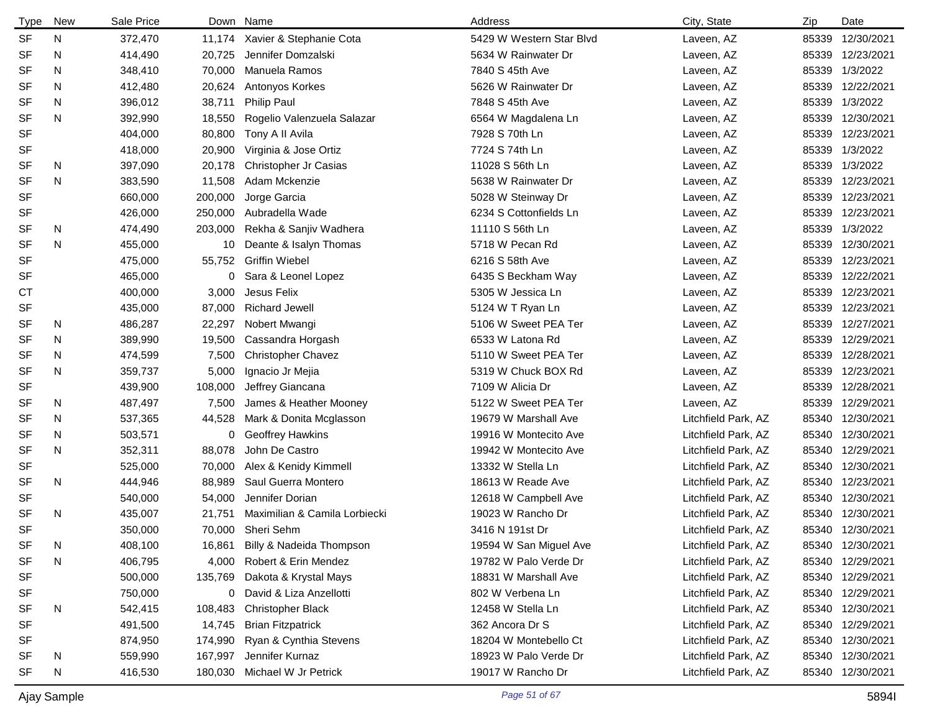| <b>Type</b> | New | Sale Price |         | Down Name                     | Address                  | City, State         | Zip   | Date             |
|-------------|-----|------------|---------|-------------------------------|--------------------------|---------------------|-------|------------------|
| <b>SF</b>   | N   | 372,470    | 11,174  | Xavier & Stephanie Cota       | 5429 W Western Star Blyd | Laveen, AZ          |       | 85339 12/30/2021 |
| <b>SF</b>   | N   | 414,490    | 20,725  | Jennifer Domzalski            | 5634 W Rainwater Dr      | Laveen, AZ          |       | 85339 12/23/2021 |
| <b>SF</b>   | N   | 348,410    | 70,000  | Manuela Ramos                 | 7840 S 45th Ave          | Laveen, AZ          |       | 85339 1/3/2022   |
| <b>SF</b>   | N   | 412,480    | 20,624  | Antonyos Korkes               | 5626 W Rainwater Dr      | Laveen, AZ          |       | 85339 12/22/2021 |
| <b>SF</b>   | N   | 396,012    | 38,711  | <b>Philip Paul</b>            | 7848 S 45th Ave          | Laveen, AZ          | 85339 | 1/3/2022         |
| <b>SF</b>   | N   | 392,990    | 18,550  | Rogelio Valenzuela Salazar    | 6564 W Magdalena Ln      | Laveen, AZ          |       | 85339 12/30/2021 |
| <b>SF</b>   |     | 404,000    | 80,800  | Tony A II Avila               | 7928 S 70th Ln           | Laveen, AZ          |       | 85339 12/23/2021 |
| <b>SF</b>   |     | 418,000    | 20,900  | Virginia & Jose Ortiz         | 7724 S 74th Ln           | Laveen, AZ          |       | 85339 1/3/2022   |
| <b>SF</b>   | N.  | 397,090    | 20,178  | Christopher Jr Casias         | 11028 S 56th Ln          | Laveen, AZ          |       | 85339 1/3/2022   |
| <b>SF</b>   | N   | 383,590    | 11,508  | Adam Mckenzie                 | 5638 W Rainwater Dr      | Laveen, AZ          |       | 85339 12/23/2021 |
| SF          |     | 660,000    | 200,000 | Jorge Garcia                  | 5028 W Steinway Dr       | Laveen, AZ          | 85339 | 12/23/2021       |
| SF          |     | 426,000    | 250,000 | Aubradella Wade               | 6234 S Cottonfields Ln   | Laveen, AZ          |       | 85339 12/23/2021 |
| <b>SF</b>   | N   | 474,490    | 203,000 | Rekha & Sanjiv Wadhera        | 11110 S 56th Ln          | Laveen, AZ          | 85339 | 1/3/2022         |
| <b>SF</b>   | N   | 455,000    | 10      | Deante & Isalyn Thomas        | 5718 W Pecan Rd          | Laveen, AZ          | 85339 | 12/30/2021       |
| <b>SF</b>   |     | 475,000    | 55,752  | <b>Griffin Wiebel</b>         | 6216 S 58th Ave          | Laveen, AZ          | 85339 | 12/23/2021       |
| SF          |     | 465,000    | 0       | Sara & Leonel Lopez           | 6435 S Beckham Way       | Laveen, AZ          |       | 85339 12/22/2021 |
| СT          |     | 400,000    | 3,000   | Jesus Felix                   | 5305 W Jessica Ln        | Laveen, AZ          | 85339 | 12/23/2021       |
| <b>SF</b>   |     | 435,000    | 87,000  | <b>Richard Jewell</b>         | 5124 W T Ryan Ln         | Laveen, AZ          | 85339 | 12/23/2021       |
| <b>SF</b>   | N   | 486,287    | 22,297  | Nobert Mwangi                 | 5106 W Sweet PEA Ter     | Laveen, AZ          |       | 85339 12/27/2021 |
| SF          | N   | 389,990    | 19,500  | Cassandra Horgash             | 6533 W Latona Rd         | Laveen, AZ          | 85339 | 12/29/2021       |
| <b>SF</b>   | N   | 474,599    | 7,500   | <b>Christopher Chavez</b>     | 5110 W Sweet PEA Ter     | Laveen, AZ          | 85339 | 12/28/2021       |
| <b>SF</b>   | N   | 359,737    | 5,000   | Ignacio Jr Mejia              | 5319 W Chuck BOX Rd      | Laveen, AZ          | 85339 | 12/23/2021       |
| <b>SF</b>   |     | 439,900    | 108,000 | Jeffrey Giancana              | 7109 W Alicia Dr         | Laveen, AZ          |       | 85339 12/28/2021 |
| SF          | N   | 487,497    | 7,500   | James & Heather Mooney        | 5122 W Sweet PEA Ter     | Laveen, AZ          | 85339 | 12/29/2021       |
| <b>SF</b>   | N   | 537,365    | 44,528  | Mark & Donita Mcglasson       | 19679 W Marshall Ave     | Litchfield Park, AZ |       | 85340 12/30/2021 |
| SF          | N   | 503,571    | 0       | <b>Geoffrey Hawkins</b>       | 19916 W Montecito Ave    | Litchfield Park, AZ |       | 85340 12/30/2021 |
| <b>SF</b>   | N   | 352,311    | 88,078  | John De Castro                | 19942 W Montecito Ave    | Litchfield Park, AZ |       | 85340 12/29/2021 |
| <b>SF</b>   |     | 525,000    | 70,000  | Alex & Kenidy Kimmell         | 13332 W Stella Ln        | Litchfield Park, AZ |       | 85340 12/30/2021 |
| <b>SF</b>   | N   | 444,946    | 88,989  | Saul Guerra Montero           | 18613 W Reade Ave        | Litchfield Park, AZ |       | 85340 12/23/2021 |
| <b>SF</b>   |     | 540,000    | 54,000  | Jennifer Dorian               | 12618 W Campbell Ave     | Litchfield Park, AZ |       | 85340 12/30/2021 |
| <b>SF</b>   | N   | 435,007    | 21,751  | Maximilian & Camila Lorbiecki | 19023 W Rancho Dr        | Litchfield Park, AZ |       | 85340 12/30/2021 |
| <b>SF</b>   |     | 350,000    |         | 70,000 Sheri Sehm             | 3416 N 191st Dr          | Litchfield Park, AZ |       | 85340 12/30/2021 |
| SF          | N   | 408,100    | 16,861  | Billy & Nadeida Thompson      | 19594 W San Miguel Ave   | Litchfield Park, AZ |       | 85340 12/30/2021 |
| <b>SF</b>   | N   | 406,795    | 4,000   | Robert & Erin Mendez          | 19782 W Palo Verde Dr    | Litchfield Park, AZ |       | 85340 12/29/2021 |
| SF          |     | 500,000    | 135,769 | Dakota & Krystal Mays         | 18831 W Marshall Ave     | Litchfield Park, AZ |       | 85340 12/29/2021 |
| SF          |     | 750,000    | 0       | David & Liza Anzellotti       | 802 W Verbena Ln         | Litchfield Park, AZ |       | 85340 12/29/2021 |
| <b>SF</b>   | N   | 542,415    | 108,483 | <b>Christopher Black</b>      | 12458 W Stella Ln        | Litchfield Park, AZ |       | 85340 12/30/2021 |
| SF          |     | 491,500    | 14,745  | <b>Brian Fitzpatrick</b>      | 362 Ancora Dr S          | Litchfield Park, AZ |       | 85340 12/29/2021 |
| SF          |     | 874,950    | 174,990 | Ryan & Cynthia Stevens        | 18204 W Montebello Ct    | Litchfield Park, AZ |       | 85340 12/30/2021 |
| <b>SF</b>   | N   | 559,990    | 167,997 | Jennifer Kurnaz               | 18923 W Palo Verde Dr    | Litchfield Park, AZ |       | 85340 12/30/2021 |
| SF          | N   | 416,530    |         | 180,030 Michael W Jr Petrick  | 19017 W Rancho Dr        | Litchfield Park, AZ |       | 85340 12/30/2021 |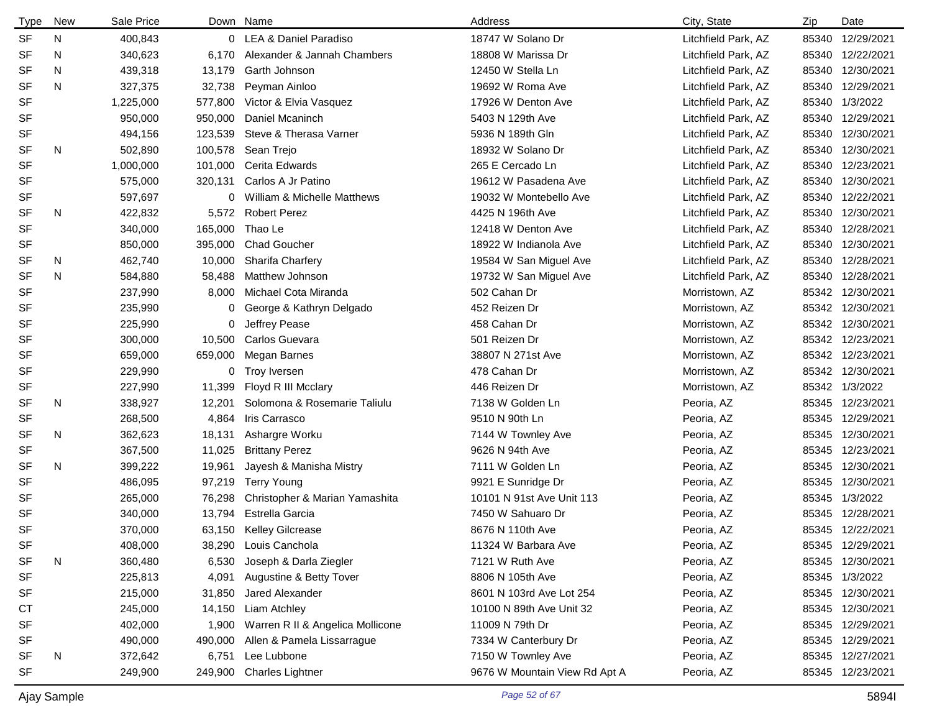| <b>Type</b> | New | Sale Price |         | Down Name                        | Address                       | City, State         | Zip   | Date             |
|-------------|-----|------------|---------|----------------------------------|-------------------------------|---------------------|-------|------------------|
| <b>SF</b>   | N   | 400,843    |         | 0 LEA & Daniel Paradiso          | 18747 W Solano Dr             | Litchfield Park, AZ |       | 85340 12/29/2021 |
| <b>SF</b>   | N   | 340,623    | 6.170   | Alexander & Jannah Chambers      | 18808 W Marissa Dr            | Litchfield Park, AZ |       | 85340 12/22/2021 |
| <b>SF</b>   | N   | 439,318    | 13,179  | Garth Johnson                    | 12450 W Stella Ln             | Litchfield Park, AZ |       | 85340 12/30/2021 |
| <b>SF</b>   | N   | 327,375    | 32,738  | Peyman Ainloo                    | 19692 W Roma Ave              | Litchfield Park, AZ |       | 85340 12/29/2021 |
| <b>SF</b>   |     | 1,225,000  | 577,800 | Victor & Elvia Vasquez           | 17926 W Denton Ave            | Litchfield Park, AZ |       | 85340 1/3/2022   |
| <b>SF</b>   |     | 950,000    | 950,000 | Daniel Mcaninch                  | 5403 N 129th Ave              | Litchfield Park, AZ | 85340 | 12/29/2021       |
| <b>SF</b>   |     | 494,156    | 123,539 | Steve & Therasa Varner           | 5936 N 189th Gln              | Litchfield Park, AZ |       | 85340 12/30/2021 |
| <b>SF</b>   | N   | 502,890    | 100,578 | Sean Trejo                       | 18932 W Solano Dr             | Litchfield Park, AZ |       | 85340 12/30/2021 |
| <b>SF</b>   |     | 1,000,000  | 101,000 | Cerita Edwards                   | 265 E Cercado Ln              | Litchfield Park, AZ |       | 85340 12/23/2021 |
| <b>SF</b>   |     | 575,000    | 320,131 | Carlos A Jr Patino               | 19612 W Pasadena Ave          | Litchfield Park, AZ |       | 85340 12/30/2021 |
| SF          |     | 597,697    | 0       | William & Michelle Matthews      | 19032 W Montebello Ave        | Litchfield Park, AZ |       | 85340 12/22/2021 |
| <b>SF</b>   | N   | 422,832    |         | 5,572 Robert Perez               | 4425 N 196th Ave              | Litchfield Park, AZ |       | 85340 12/30/2021 |
| <b>SF</b>   |     | 340,000    | 165,000 | Thao Le                          | 12418 W Denton Ave            | Litchfield Park, AZ |       | 85340 12/28/2021 |
| SF          |     | 850,000    | 395,000 | <b>Chad Goucher</b>              | 18922 W Indianola Ave         | Litchfield Park, AZ | 85340 | 12/30/2021       |
| SF          | N   | 462,740    | 10,000  | <b>Sharifa Charfery</b>          | 19584 W San Miguel Ave        | Litchfield Park, AZ | 85340 | 12/28/2021       |
| <b>SF</b>   | N   | 584,880    | 58,488  | Matthew Johnson                  | 19732 W San Miguel Ave        | Litchfield Park, AZ |       | 85340 12/28/2021 |
| <b>SF</b>   |     | 237,990    | 8,000   | Michael Cota Miranda             | 502 Cahan Dr                  | Morristown, AZ      | 85342 | 12/30/2021       |
| <b>SF</b>   |     | 235,990    | 0       | George & Kathryn Delgado         | 452 Reizen Dr                 | Morristown, AZ      | 85342 | 12/30/2021       |
| SF          |     | 225,990    | 0       | Jeffrey Pease                    | 458 Cahan Dr                  | Morristown, AZ      | 85342 | 12/30/2021       |
| <b>SF</b>   |     | 300,000    | 10,500  | Carlos Guevara                   | 501 Reizen Dr                 | Morristown, AZ      | 85342 | 12/23/2021       |
| SF          |     | 659,000    | 659,000 | Megan Barnes                     | 38807 N 271st Ave             | Morristown, AZ      |       | 85342 12/23/2021 |
| SF          |     | 229,990    |         | 0 Troy Iversen                   | 478 Cahan Dr                  | Morristown, AZ      | 85342 | 12/30/2021       |
| SF          |     | 227,990    | 11,399  | Floyd R III Mcclary              | 446 Reizen Dr                 | Morristown, AZ      |       | 85342 1/3/2022   |
| SF          | N   | 338,927    | 12,201  | Solomona & Rosemarie Taliulu     | 7138 W Golden Ln              | Peoria, AZ          | 85345 | 12/23/2021       |
| <b>SF</b>   |     | 268,500    | 4,864   | Iris Carrasco                    | 9510 N 90th Ln                | Peoria, AZ          |       | 85345 12/29/2021 |
| SF          | N   | 362,623    | 18,131  | Ashargre Worku                   | 7144 W Townley Ave            | Peoria, AZ          | 85345 | 12/30/2021       |
| <b>SF</b>   |     | 367,500    | 11,025  | <b>Brittany Perez</b>            | 9626 N 94th Ave               | Peoria, AZ          | 85345 | 12/23/2021       |
| <b>SF</b>   | N   | 399,222    | 19,961  | Jayesh & Manisha Mistry          | 7111 W Golden Ln              | Peoria, AZ          |       | 85345 12/30/2021 |
| <b>SF</b>   |     | 486,095    | 97,219  | <b>Terry Young</b>               | 9921 E Sunridge Dr            | Peoria, AZ          | 85345 | 12/30/2021       |
| <b>SF</b>   |     | 265,000    | 76,298  | Christopher & Marian Yamashita   | 10101 N 91st Ave Unit 113     | Peoria, AZ          |       | 85345 1/3/2022   |
| <b>SF</b>   |     | 340,000    | 13,794  | Estrella Garcia                  | 7450 W Sahuaro Dr             | Peoria, AZ          | 85345 | 12/28/2021       |
| <b>SF</b>   |     | 370,000    |         | 63,150 Kelley Gilcrease          | 8676 N 110th Ave              | Peoria, AZ          |       | 85345 12/22/2021 |
| SF          |     | 408,000    | 38,290  | Louis Canchola                   | 11324 W Barbara Ave           | Peoria, AZ          |       | 85345 12/29/2021 |
| <b>SF</b>   | N   | 360,480    | 6,530   | Joseph & Darla Ziegler           | 7121 W Ruth Ave               | Peoria, AZ          |       | 85345 12/30/2021 |
| SF          |     | 225,813    | 4,091   | Augustine & Betty Tover          | 8806 N 105th Ave              | Peoria, AZ          |       | 85345 1/3/2022   |
| SF          |     | 215,000    | 31,850  | Jared Alexander                  | 8601 N 103rd Ave Lot 254      | Peoria, AZ          |       | 85345 12/30/2021 |
| <b>CT</b>   |     | 245,000    | 14,150  | Liam Atchley                     | 10100 N 89th Ave Unit 32      | Peoria, AZ          |       | 85345 12/30/2021 |
| SF          |     | 402,000    | 1,900   | Warren R II & Angelica Mollicone | 11009 N 79th Dr               | Peoria, AZ          |       | 85345 12/29/2021 |
| SF          |     | 490,000    | 490,000 | Allen & Pamela Lissarrague       | 7334 W Canterbury Dr          | Peoria, AZ          |       | 85345 12/29/2021 |
| SF          | N   | 372,642    | 6,751   | Lee Lubbone                      | 7150 W Townley Ave            | Peoria, AZ          |       | 85345 12/27/2021 |
| SF          |     | 249,900    | 249,900 | <b>Charles Lightner</b>          | 9676 W Mountain View Rd Apt A | Peoria, AZ          |       | 85345 12/23/2021 |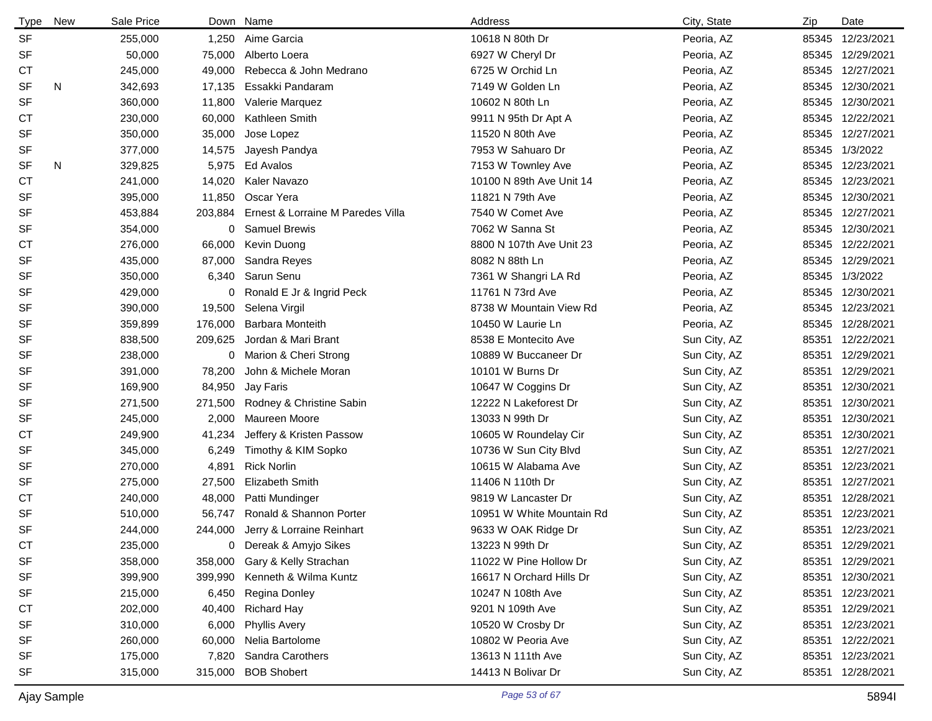| Type      | <b>New</b> | Sale Price |         | Down Name                         | Address                   | City, State  | Zip   | Date             |
|-----------|------------|------------|---------|-----------------------------------|---------------------------|--------------|-------|------------------|
| <b>SF</b> |            | 255,000    | 1,250   | Aime Garcia                       | 10618 N 80th Dr           | Peoria, AZ   |       | 85345 12/23/2021 |
| <b>SF</b> |            | 50,000     | 75,000  | Alberto Loera                     | 6927 W Cheryl Dr          | Peoria, AZ   |       | 85345 12/29/2021 |
| СT        |            | 245,000    | 49,000  | Rebecca & John Medrano            | 6725 W Orchid Ln          | Peoria, AZ   |       | 85345 12/27/2021 |
| <b>SF</b> | N          | 342,693    | 17,135  | Essakki Pandaram                  | 7149 W Golden Ln          | Peoria, AZ   |       | 85345 12/30/2021 |
| <b>SF</b> |            | 360,000    | 11,800  | Valerie Marquez                   | 10602 N 80th Ln           | Peoria, AZ   |       | 85345 12/30/2021 |
| СT        |            | 230,000    | 60,000  | Kathleen Smith                    | 9911 N 95th Dr Apt A      | Peoria, AZ   |       | 85345 12/22/2021 |
| <b>SF</b> |            | 350,000    | 35,000  | Jose Lopez                        | 11520 N 80th Ave          | Peoria, AZ   |       | 85345 12/27/2021 |
| SF        |            | 377,000    | 14,575  | Jayesh Pandya                     | 7953 W Sahuaro Dr         | Peoria, AZ   |       | 85345 1/3/2022   |
| SF        | N          | 329,825    | 5,975   | Ed Avalos                         | 7153 W Townley Ave        | Peoria, AZ   |       | 85345 12/23/2021 |
| <b>CT</b> |            | 241,000    | 14,020  | Kaler Navazo                      | 10100 N 89th Ave Unit 14  | Peoria, AZ   |       | 85345 12/23/2021 |
| SF        |            | 395,000    | 11,850  | Oscar Yera                        | 11821 N 79th Ave          | Peoria, AZ   |       | 85345 12/30/2021 |
| <b>SF</b> |            | 453,884    | 203,884 | Ernest & Lorraine M Paredes Villa | 7540 W Comet Ave          | Peoria, AZ   |       | 85345 12/27/2021 |
| SF        |            | 354,000    | 0       | <b>Samuel Brewis</b>              | 7062 W Sanna St           | Peoria, AZ   |       | 85345 12/30/2021 |
| СT        |            | 276,000    | 66,000  | Kevin Duong                       | 8800 N 107th Ave Unit 23  | Peoria, AZ   |       | 85345 12/22/2021 |
| SF        |            | 435,000    | 87,000  | Sandra Reyes                      | 8082 N 88th Ln            | Peoria, AZ   |       | 85345 12/29/2021 |
| SF        |            | 350,000    | 6,340   | Sarun Senu                        | 7361 W Shangri LA Rd      | Peoria, AZ   |       | 85345 1/3/2022   |
| SF        |            | 429,000    | 0       | Ronald E Jr & Ingrid Peck         | 11761 N 73rd Ave          | Peoria, AZ   |       | 85345 12/30/2021 |
| <b>SF</b> |            | 390,000    | 19,500  | Selena Virgil                     | 8738 W Mountain View Rd   | Peoria, AZ   |       | 85345 12/23/2021 |
| <b>SF</b> |            | 359,899    | 176,000 | <b>Barbara Monteith</b>           | 10450 W Laurie Ln         | Peoria, AZ   |       | 85345 12/28/2021 |
| SF        |            | 838,500    | 209,625 | Jordan & Mari Brant               | 8538 E Montecito Ave      | Sun City, AZ |       | 85351 12/22/2021 |
| SF        |            | 238,000    |         | 0 Marion & Cheri Strong           | 10889 W Buccaneer Dr      | Sun City, AZ | 85351 | 12/29/2021       |
| SF        |            | 391,000    | 78,200  | John & Michele Moran              | 10101 W Burns Dr          | Sun City, AZ | 85351 | 12/29/2021       |
| SF        |            | 169,900    | 84,950  | Jay Faris                         | 10647 W Coggins Dr        | Sun City, AZ | 85351 | 12/30/2021       |
| SF        |            | 271,500    | 271,500 | Rodney & Christine Sabin          | 12222 N Lakeforest Dr     | Sun City, AZ | 85351 | 12/30/2021       |
| SF        |            | 245,000    | 2,000   | Maureen Moore                     | 13033 N 99th Dr           | Sun City, AZ | 85351 | 12/30/2021       |
| СT        |            | 249,900    | 41,234  | Jeffery & Kristen Passow          | 10605 W Roundelay Cir     | Sun City, AZ | 85351 | 12/30/2021       |
| <b>SF</b> |            | 345,000    | 6,249   | Timothy & KIM Sopko               | 10736 W Sun City Blvd     | Sun City, AZ |       | 85351 12/27/2021 |
| <b>SF</b> |            | 270,000    | 4,891   | <b>Rick Norlin</b>                | 10615 W Alabama Ave       | Sun City, AZ |       | 85351 12/23/2021 |
| <b>SF</b> |            | 275,000    | 27,500  | <b>Elizabeth Smith</b>            | 11406 N 110th Dr          | Sun City, AZ |       | 85351 12/27/2021 |
| <b>CT</b> |            | 240,000    | 48,000  | Patti Mundinger                   | 9819 W Lancaster Dr       | Sun City, AZ | 85351 | 12/28/2021       |
| <b>SF</b> |            | 510,000    | 56,747  | Ronald & Shannon Porter           | 10951 W White Mountain Rd | Sun City, AZ |       | 85351 12/23/2021 |
| <b>SF</b> |            | 244,000    | 244,000 | Jerry & Lorraine Reinhart         | 9633 W OAK Ridge Dr       | Sun City, AZ |       | 85351 12/23/2021 |
| CT        |            | 235,000    | 0       | Dereak & Amyjo Sikes              | 13223 N 99th Dr           | Sun City, AZ |       | 85351 12/29/2021 |
| <b>SF</b> |            | 358,000    | 358,000 | Gary & Kelly Strachan             | 11022 W Pine Hollow Dr    | Sun City, AZ |       | 85351 12/29/2021 |
| <b>SF</b> |            | 399,900    | 399,990 | Kenneth & Wilma Kuntz             | 16617 N Orchard Hills Dr  | Sun City, AZ |       | 85351 12/30/2021 |
| <b>SF</b> |            | 215,000    | 6,450   | Regina Donley                     | 10247 N 108th Ave         | Sun City, AZ |       | 85351 12/23/2021 |
| СT        |            | 202,000    | 40,400  | <b>Richard Hay</b>                | 9201 N 109th Ave          | Sun City, AZ |       | 85351 12/29/2021 |
| SF        |            | 310,000    | 6,000   | <b>Phyllis Avery</b>              | 10520 W Crosby Dr         | Sun City, AZ |       | 85351 12/23/2021 |
| <b>SF</b> |            | 260,000    | 60,000  | Nelia Bartolome                   | 10802 W Peoria Ave        | Sun City, AZ |       | 85351 12/22/2021 |
| SF        |            | 175,000    | 7,820   | Sandra Carothers                  | 13613 N 111th Ave         | Sun City, AZ |       | 85351 12/23/2021 |
| <b>SF</b> |            | 315,000    | 315,000 | <b>BOB Shobert</b>                | 14413 N Bolivar Dr        | Sun City, AZ |       | 85351 12/28/2021 |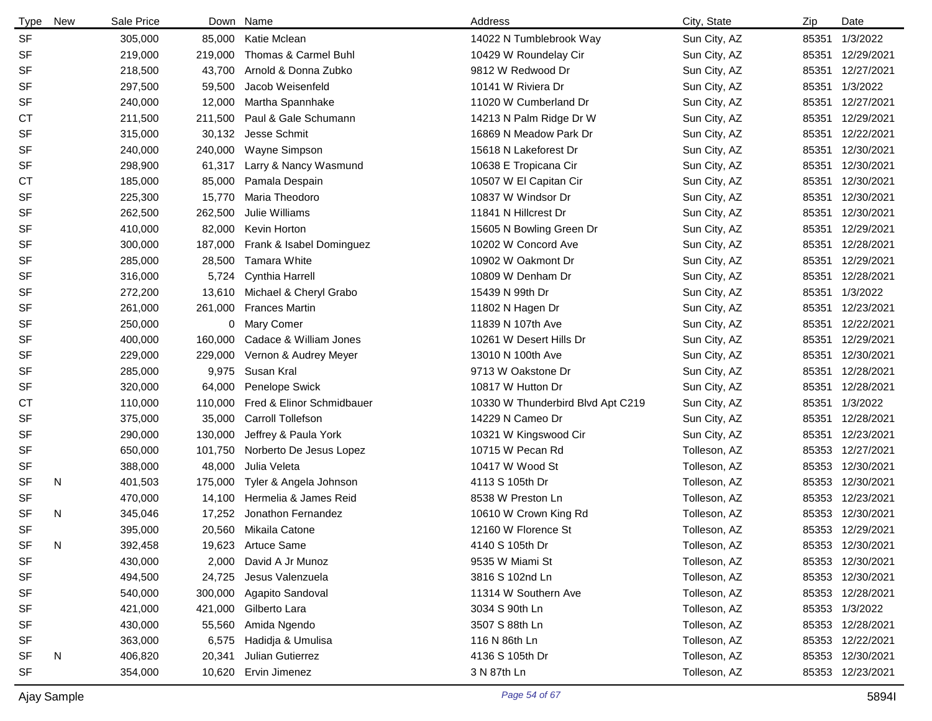| <b>Type</b> | New | Sale Price |         | Down Name                 | Address                           | City, State  | Zip   | Date             |
|-------------|-----|------------|---------|---------------------------|-----------------------------------|--------------|-------|------------------|
| <b>SF</b>   |     | 305,000    | 85,000  | Katie Mclean              | 14022 N Tumblebrook Way           | Sun City, AZ | 85351 | 1/3/2022         |
| <b>SF</b>   |     | 219,000    | 219,000 | Thomas & Carmel Buhl      | 10429 W Roundelay Cir             | Sun City, AZ |       | 85351 12/29/2021 |
| <b>SF</b>   |     | 218,500    | 43,700  | Arnold & Donna Zubko      | 9812 W Redwood Dr                 | Sun City, AZ |       | 85351 12/27/2021 |
| <b>SF</b>   |     | 297,500    | 59,500  | Jacob Weisenfeld          | 10141 W Riviera Dr                | Sun City, AZ |       | 85351 1/3/2022   |
| <b>SF</b>   |     | 240,000    | 12,000  | Martha Spannhake          | 11020 W Cumberland Dr             | Sun City, AZ | 85351 | 12/27/2021       |
| СT          |     | 211,500    | 211,500 | Paul & Gale Schumann      | 14213 N Palm Ridge Dr W           | Sun City, AZ | 85351 | 12/29/2021       |
| <b>SF</b>   |     | 315,000    | 30,132  | Jesse Schmit              | 16869 N Meadow Park Dr            | Sun City, AZ |       | 85351 12/22/2021 |
| <b>SF</b>   |     | 240,000    | 240,000 | Wayne Simpson             | 15618 N Lakeforest Dr             | Sun City, AZ |       | 85351 12/30/2021 |
| <b>SF</b>   |     | 298,900    | 61,317  | Larry & Nancy Wasmund     | 10638 E Tropicana Cir             | Sun City, AZ | 85351 | 12/30/2021       |
| СT          |     | 185,000    | 85,000  | Pamala Despain            | 10507 W El Capitan Cir            | Sun City, AZ | 85351 | 12/30/2021       |
| <b>SF</b>   |     | 225,300    | 15,770  | Maria Theodoro            | 10837 W Windsor Dr                | Sun City, AZ |       | 85351 12/30/2021 |
| <b>SF</b>   |     | 262,500    | 262,500 | Julie Williams            | 11841 N Hillcrest Dr              | Sun City, AZ |       | 85351 12/30/2021 |
| <b>SF</b>   |     | 410,000    | 82,000  | Kevin Horton              | 15605 N Bowling Green Dr          | Sun City, AZ | 85351 | 12/29/2021       |
| <b>SF</b>   |     | 300,000    | 187,000 | Frank & Isabel Dominguez  | 10202 W Concord Ave               | Sun City, AZ | 85351 | 12/28/2021       |
| SF          |     | 285,000    | 28,500  | Tamara White              | 10902 W Oakmont Dr                | Sun City, AZ | 85351 | 12/29/2021       |
| <b>SF</b>   |     | 316,000    | 5,724   | Cynthia Harrell           | 10809 W Denham Dr                 | Sun City, AZ | 85351 | 12/28/2021       |
| <b>SF</b>   |     | 272,200    | 13,610  | Michael & Cheryl Grabo    | 15439 N 99th Dr                   | Sun City, AZ | 85351 | 1/3/2022         |
| <b>SF</b>   |     | 261,000    | 261,000 | <b>Frances Martin</b>     | 11802 N Hagen Dr                  | Sun City, AZ | 85351 | 12/23/2021       |
| SF          |     | 250,000    | 0       | <b>Mary Comer</b>         | 11839 N 107th Ave                 | Sun City, AZ |       | 85351 12/22/2021 |
| <b>SF</b>   |     | 400,000    | 160,000 | Cadace & William Jones    | 10261 W Desert Hills Dr           | Sun City, AZ | 85351 | 12/29/2021       |
| <b>SF</b>   |     | 229,000    | 229.000 | Vernon & Audrey Meyer     | 13010 N 100th Ave                 | Sun City, AZ | 85351 | 12/30/2021       |
| SF          |     | 285,000    | 9,975   | Susan Kral                | 9713 W Oakstone Dr                | Sun City, AZ | 85351 | 12/28/2021       |
| <b>SF</b>   |     | 320,000    | 64,000  | Penelope Swick            | 10817 W Hutton Dr                 | Sun City, AZ | 85351 | 12/28/2021       |
| СT          |     | 110,000    | 110,000 | Fred & Elinor Schmidbauer | 10330 W Thunderbird Blvd Apt C219 | Sun City, AZ | 85351 | 1/3/2022         |
| <b>SF</b>   |     | 375,000    | 35,000  | Carroll Tollefson         | 14229 N Cameo Dr                  | Sun City, AZ | 85351 | 12/28/2021       |
| <b>SF</b>   |     | 290,000    | 130,000 | Jeffrey & Paula York      | 10321 W Kingswood Cir             | Sun City, AZ | 85351 | 12/23/2021       |
| <b>SF</b>   |     | 650,000    | 101,750 | Norberto De Jesus Lopez   | 10715 W Pecan Rd                  | Tolleson, AZ |       | 85353 12/27/2021 |
| <b>SF</b>   |     | 388,000    | 48,000  | Julia Veleta              | 10417 W Wood St                   | Tolleson, AZ |       | 85353 12/30/2021 |
| SF          | N   | 401,503    | 175,000 | Tyler & Angela Johnson    | 4113 S 105th Dr                   | Tolleson, AZ |       | 85353 12/30/2021 |
| <b>SF</b>   |     | 470,000    | 14,100  | Hermelia & James Reid     | 8538 W Preston Ln                 | Tolleson, AZ |       | 85353 12/23/2021 |
| <b>SF</b>   | N   | 345,046    | 17,252  | Jonathon Fernandez        | 10610 W Crown King Rd             | Tolleson, AZ |       | 85353 12/30/2021 |
| <b>SF</b>   |     | 395,000    | 20,560  | Mikaila Catone            | 12160 W Florence St               | Tolleson, AZ |       | 85353 12/29/2021 |
| SF          | N   | 392,458    | 19,623  | Artuce Same               | 4140 S 105th Dr                   | Tolleson, AZ |       | 85353 12/30/2021 |
| <b>SF</b>   |     | 430,000    | 2,000   | David A Jr Munoz          | 9535 W Miami St                   | Tolleson, AZ |       | 85353 12/30/2021 |
| SF          |     | 494,500    | 24,725  | Jesus Valenzuela          | 3816 S 102nd Ln                   | Tolleson, AZ |       | 85353 12/30/2021 |
| SF          |     | 540,000    | 300,000 | Agapito Sandoval          | 11314 W Southern Ave              | Tolleson, AZ |       | 85353 12/28/2021 |
| SF          |     | 421,000    | 421,000 | Gilberto Lara             | 3034 S 90th Ln                    | Tolleson, AZ |       | 85353 1/3/2022   |
| SF          |     | 430,000    | 55,560  | Amida Ngendo              | 3507 S 88th Ln                    | Tolleson, AZ |       | 85353 12/28/2021 |
| SF          |     | 363,000    | 6,575   | Hadidja & Umulisa         | 116 N 86th Ln                     | Tolleson, AZ |       | 85353 12/22/2021 |
| SF          | N   | 406,820    | 20,341  | Julian Gutierrez          | 4136 S 105th Dr                   | Tolleson, AZ |       | 85353 12/30/2021 |
| SF          |     | 354,000    | 10,620  | Ervin Jimenez             | 3 N 87th Ln                       | Tolleson, AZ |       | 85353 12/23/2021 |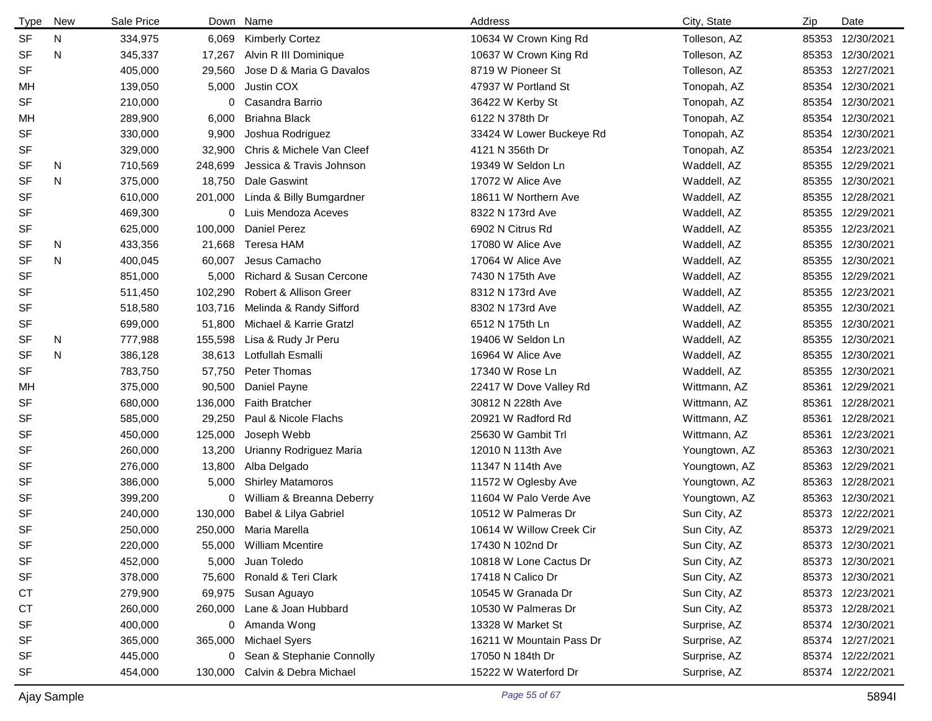| <b>Type</b> | New | Sale Price |         | Down Name                 | Address                  | City, State   | Zip   | Date             |
|-------------|-----|------------|---------|---------------------------|--------------------------|---------------|-------|------------------|
| <b>SF</b>   | N   | 334,975    | 6,069   | <b>Kimberly Cortez</b>    | 10634 W Crown King Rd    | Tolleson, AZ  | 85353 | 12/30/2021       |
| <b>SF</b>   | N   | 345,337    | 17,267  | Alvin R III Dominique     | 10637 W Crown King Rd    | Tolleson, AZ  | 85353 | 12/30/2021       |
| SF          |     | 405,000    | 29,560  | Jose D & Maria G Davalos  | 8719 W Pioneer St        | Tolleson, AZ  | 85353 | 12/27/2021       |
| МH          |     | 139,050    | 5,000   | Justin COX                | 47937 W Portland St      | Tonopah, AZ   |       | 85354 12/30/2021 |
| SF          |     | 210,000    | 0       | Casandra Barrio           | 36422 W Kerby St         | Tonopah, AZ   | 85354 | 12/30/2021       |
| МH          |     | 289,900    | 6,000   | Briahna Black             | 6122 N 378th Dr          | Tonopah, AZ   | 85354 | 12/30/2021       |
| SF          |     | 330,000    | 9,900   | Joshua Rodriguez          | 33424 W Lower Buckeye Rd | Tonopah, AZ   | 85354 | 12/30/2021       |
| SF          |     | 329,000    | 32,900  | Chris & Michele Van Cleef | 4121 N 356th Dr          | Tonopah, AZ   | 85354 | 12/23/2021       |
| SF          | N   | 710,569    | 248,699 | Jessica & Travis Johnson  | 19349 W Seldon Ln        | Waddell, AZ   | 85355 | 12/29/2021       |
| <b>SF</b>   | N   | 375,000    | 18,750  | Dale Gaswint              | 17072 W Alice Ave        | Waddell, AZ   | 85355 | 12/30/2021       |
| SF          |     | 610,000    | 201,000 | Linda & Billy Bumgardner  | 18611 W Northern Ave     | Waddell, AZ   | 85355 | 12/28/2021       |
| SF          |     | 469,300    | 0       | Luis Mendoza Aceves       | 8322 N 173rd Ave         | Waddell, AZ   | 85355 | 12/29/2021       |
| SF          |     | 625,000    | 100,000 | Daniel Perez              | 6902 N Citrus Rd         | Waddell, AZ   | 85355 | 12/23/2021       |
| SF          | N   | 433,356    | 21,668  | Teresa HAM                | 17080 W Alice Ave        | Waddell, AZ   | 85355 | 12/30/2021       |
| <b>SF</b>   | N   | 400,045    | 60,007  | Jesus Camacho             | 17064 W Alice Ave        | Waddell, AZ   | 85355 | 12/30/2021       |
| SF          |     | 851,000    | 5,000   | Richard & Susan Cercone   | 7430 N 175th Ave         | Waddell, AZ   | 85355 | 12/29/2021       |
| SF          |     | 511,450    | 102,290 | Robert & Allison Greer    | 8312 N 173rd Ave         | Waddell, AZ   | 85355 | 12/23/2021       |
| SF          |     | 518,580    | 103,716 | Melinda & Randy Sifford   | 8302 N 173rd Ave         | Waddell, AZ   | 85355 | 12/30/2021       |
| SF          |     | 699,000    | 51,800  | Michael & Karrie Gratzl   | 6512 N 175th Ln          | Waddell, AZ   | 85355 | 12/30/2021       |
| SF          | N   | 777,988    | 155,598 | Lisa & Rudy Jr Peru       | 19406 W Seldon Ln        | Waddell, AZ   | 85355 | 12/30/2021       |
| SF          | N   | 386,128    | 38,613  | Lotfullah Esmalli         | 16964 W Alice Ave        | Waddell, AZ   | 85355 | 12/30/2021       |
| <b>SF</b>   |     | 783,750    | 57,750  | Peter Thomas              | 17340 W Rose Ln          | Waddell, AZ   | 85355 | 12/30/2021       |
| МH          |     | 375,000    | 90,500  | Daniel Payne              | 22417 W Dove Valley Rd   | Wittmann, AZ  | 85361 | 12/29/2021       |
| SF          |     | 680,000    | 136,000 | <b>Faith Bratcher</b>     | 30812 N 228th Ave        | Wittmann, AZ  | 85361 | 12/28/2021       |
| SF          |     | 585,000    | 29,250  | Paul & Nicole Flachs      | 20921 W Radford Rd       | Wittmann, AZ  | 85361 | 12/28/2021       |
| SF          |     | 450,000    | 125,000 | Joseph Webb               | 25630 W Gambit Trl       | Wittmann, AZ  | 85361 | 12/23/2021       |
| SF          |     | 260,000    | 13,200  | Urianny Rodriguez Maria   | 12010 N 113th Ave        | Youngtown, AZ | 85363 | 12/30/2021       |
| SF          |     | 276,000    | 13,800  | Alba Delgado              | 11347 N 114th Ave        | Youngtown, AZ | 85363 | 12/29/2021       |
| SF          |     | 386,000    | 5,000   | <b>Shirley Matamoros</b>  | 11572 W Oglesby Ave      | Youngtown, AZ | 85363 | 12/28/2021       |
| SF          |     | 399,200    | 0       | William & Breanna Deberry | 11604 W Palo Verde Ave   | Youngtown, AZ | 85363 | 12/30/2021       |
| SF          |     | 240,000    | 130,000 | Babel & Lilya Gabriel     | 10512 W Palmeras Dr      | Sun City, AZ  | 85373 | 12/22/2021       |
| SF          |     | 250,000    |         | 250,000 Maria Marella     | 10614 W Willow Creek Cir | Sun City, AZ  |       | 85373 12/29/2021 |
| <b>SF</b>   |     | 220,000    | 55,000  | <b>William Mcentire</b>   | 17430 N 102nd Dr         | Sun City, AZ  |       | 85373 12/30/2021 |
| SF          |     | 452,000    | 5,000   | Juan Toledo               | 10818 W Lone Cactus Dr   | Sun City, AZ  |       | 85373 12/30/2021 |
| SF          |     | 378,000    | 75,600  | Ronald & Teri Clark       | 17418 N Calico Dr        | Sun City, AZ  |       | 85373 12/30/2021 |
| <b>CT</b>   |     | 279,900    | 69,975  | Susan Aguayo              | 10545 W Granada Dr       | Sun City, AZ  |       | 85373 12/23/2021 |
| <b>CT</b>   |     | 260,000    | 260,000 | Lane & Joan Hubbard       | 10530 W Palmeras Dr      | Sun City, AZ  |       | 85373 12/28/2021 |
| SF          |     | 400,000    | 0       | Amanda Wong               | 13328 W Market St        | Surprise, AZ  |       | 85374 12/30/2021 |
| SF          |     | 365,000    | 365,000 | Michael Syers             | 16211 W Mountain Pass Dr | Surprise, AZ  |       | 85374 12/27/2021 |
| SF          |     | 445,000    | 0       | Sean & Stephanie Connolly | 17050 N 184th Dr         | Surprise, AZ  |       | 85374 12/22/2021 |
| SF          |     | 454,000    | 130,000 | Calvin & Debra Michael    | 15222 W Waterford Dr     | Surprise, AZ  |       | 85374 12/22/2021 |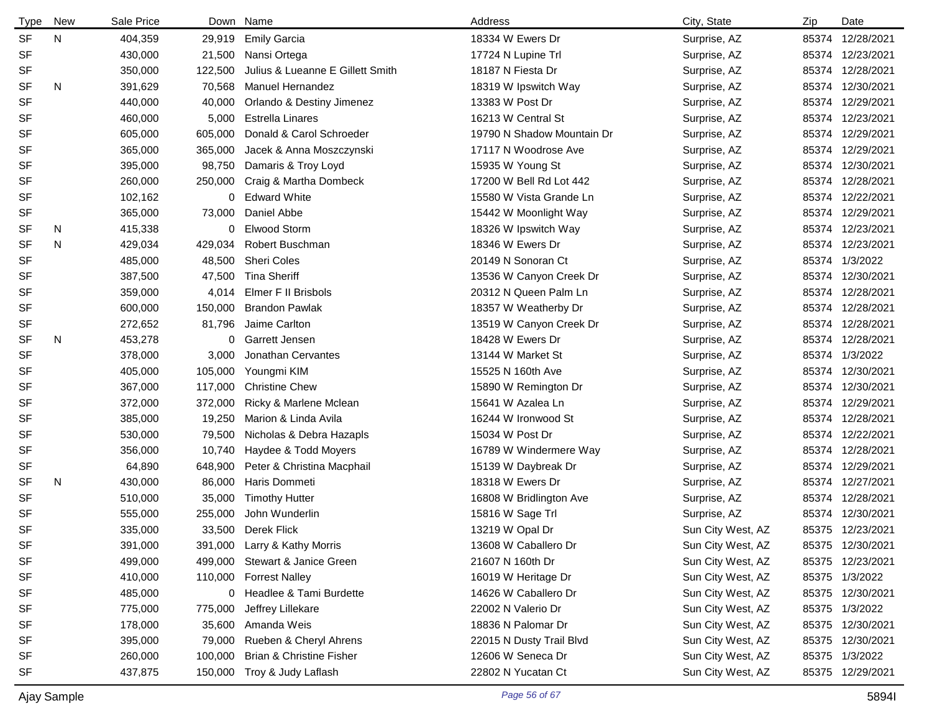| <b>Type</b> | New | Sale Price |         | Down Name                        | Address                    | City, State       | Zip   | Date             |
|-------------|-----|------------|---------|----------------------------------|----------------------------|-------------------|-------|------------------|
| <b>SF</b>   | N   | 404,359    | 29,919  | <b>Emily Garcia</b>              | 18334 W Ewers Dr           | Surprise, AZ      | 85374 | 12/28/2021       |
| <b>SF</b>   |     | 430,000    | 21,500  | Nansi Ortega                     | 17724 N Lupine Trl         | Surprise, AZ      |       | 85374 12/23/2021 |
| SF          |     | 350,000    | 122,500 | Julius & Lueanne E Gillett Smith | 18187 N Fiesta Dr          | Surprise, AZ      |       | 85374 12/28/2021 |
| <b>SF</b>   | N   | 391,629    | 70,568  | Manuel Hernandez                 | 18319 W Ipswitch Way       | Surprise, AZ      |       | 85374 12/30/2021 |
| <b>SF</b>   |     | 440,000    | 40,000  | Orlando & Destiny Jimenez        | 13383 W Post Dr            | Surprise, AZ      |       | 85374 12/29/2021 |
| <b>SF</b>   |     | 460,000    | 5,000   | <b>Estrella Linares</b>          | 16213 W Central St         | Surprise, AZ      |       | 85374 12/23/2021 |
| <b>SF</b>   |     | 605,000    | 605,000 | Donald & Carol Schroeder         | 19790 N Shadow Mountain Dr | Surprise, AZ      |       | 85374 12/29/2021 |
| <b>SF</b>   |     | 365,000    | 365,000 | Jacek & Anna Moszczynski         | 17117 N Woodrose Ave       | Surprise, AZ      |       | 85374 12/29/2021 |
| <b>SF</b>   |     | 395,000    | 98,750  | Damaris & Troy Loyd              | 15935 W Young St           | Surprise, AZ      |       | 85374 12/30/2021 |
| <b>SF</b>   |     | 260,000    | 250,000 | Craig & Martha Dombeck           | 17200 W Bell Rd Lot 442    | Surprise, AZ      |       | 85374 12/28/2021 |
| SF          |     | 102,162    | 0       | <b>Edward White</b>              | 15580 W Vista Grande Ln    | Surprise, AZ      |       | 85374 12/22/2021 |
| SF          |     | 365,000    | 73,000  | Daniel Abbe                      | 15442 W Moonlight Way      | Surprise, AZ      |       | 85374 12/29/2021 |
| <b>SF</b>   | N   | 415,338    | 0       | <b>Elwood Storm</b>              | 18326 W Ipswitch Way       | Surprise, AZ      | 85374 | 12/23/2021       |
| <b>SF</b>   | N   | 429,034    | 429,034 | Robert Buschman                  | 18346 W Ewers Dr           | Surprise, AZ      | 85374 | 12/23/2021       |
| <b>SF</b>   |     | 485,000    | 48,500  | Sheri Coles                      | 20149 N Sonoran Ct         | Surprise, AZ      | 85374 | 1/3/2022         |
| <b>SF</b>   |     | 387,500    | 47,500  | <b>Tina Sheriff</b>              | 13536 W Canyon Creek Dr    | Surprise, AZ      |       | 85374 12/30/2021 |
| SF          |     | 359,000    | 4,014   | Elmer F II Brisbols              | 20312 N Queen Palm Ln      | Surprise, AZ      | 85374 | 12/28/2021       |
| <b>SF</b>   |     | 600,000    | 150,000 | <b>Brandon Pawlak</b>            | 18357 W Weatherby Dr       | Surprise, AZ      | 85374 | 12/28/2021       |
| SF          |     | 272,652    | 81,796  | Jaime Carlton                    | 13519 W Canyon Creek Dr    | Surprise, AZ      |       | 85374 12/28/2021 |
| <b>SF</b>   | N   | 453,278    | 0       | Garrett Jensen                   | 18428 W Ewers Dr           | Surprise, AZ      |       | 85374 12/28/2021 |
| <b>SF</b>   |     | 378,000    | 3,000   | Jonathan Cervantes               | 13144 W Market St          | Surprise, AZ      | 85374 | 1/3/2022         |
| <b>SF</b>   |     | 405,000    | 105,000 | Youngmi KIM                      | 15525 N 160th Ave          | Surprise, AZ      | 85374 | 12/30/2021       |
| <b>SF</b>   |     | 367,000    | 117,000 | <b>Christine Chew</b>            | 15890 W Remington Dr       | Surprise, AZ      | 85374 | 12/30/2021       |
| <b>SF</b>   |     | 372,000    | 372,000 | Ricky & Marlene Mclean           | 15641 W Azalea Ln          | Surprise, AZ      | 85374 | 12/29/2021       |
| <b>SF</b>   |     | 385,000    | 19,250  | Marion & Linda Avila             | 16244 W Ironwood St        | Surprise, AZ      |       | 85374 12/28/2021 |
| SF          |     | 530,000    | 79,500  | Nicholas & Debra Hazapls         | 15034 W Post Dr            | Surprise, AZ      | 85374 | 12/22/2021       |
| <b>SF</b>   |     | 356,000    | 10,740  | Haydee & Todd Moyers             | 16789 W Windermere Way     | Surprise, AZ      |       | 85374 12/28/2021 |
| SF          |     | 64,890     | 648,900 | Peter & Christina Macphail       | 15139 W Daybreak Dr        | Surprise, AZ      |       | 85374 12/29/2021 |
| <b>SF</b>   | N   | 430,000    | 86,000  | Haris Dommeti                    | 18318 W Ewers Dr           | Surprise, AZ      |       | 85374 12/27/2021 |
| <b>SF</b>   |     | 510,000    | 35,000  | <b>Timothy Hutter</b>            | 16808 W Bridlington Ave    | Surprise, AZ      |       | 85374 12/28/2021 |
| <b>SF</b>   |     | 555,000    | 255,000 | John Wunderlin                   | 15816 W Sage Trl           | Surprise, AZ      |       | 85374 12/30/2021 |
| <b>SF</b>   |     | 335,000    |         | 33,500 Derek Flick               | 13219 W Opal Dr            | Sun City West, AZ |       | 85375 12/23/2021 |
| SF          |     | 391,000    |         | 391,000 Larry & Kathy Morris     | 13608 W Caballero Dr       | Sun City West, AZ |       | 85375 12/30/2021 |
| SF          |     | 499,000    |         | 499,000 Stewart & Janice Green   | 21607 N 160th Dr           | Sun City West, AZ |       | 85375 12/23/2021 |
| SF          |     | 410,000    |         | 110,000 Forrest Nalley           | 16019 W Heritage Dr        | Sun City West, AZ |       | 85375 1/3/2022   |
| SF          |     | 485,000    |         | 0 Headlee & Tami Burdette        | 14626 W Caballero Dr       | Sun City West, AZ |       | 85375 12/30/2021 |
| SF          |     | 775,000    | 775,000 | Jeffrey Lillekare                | 22002 N Valerio Dr         | Sun City West, AZ |       | 85375 1/3/2022   |
| SF          |     | 178,000    | 35,600  | Amanda Weis                      | 18836 N Palomar Dr         | Sun City West, AZ |       | 85375 12/30/2021 |
| SF          |     | 395,000    | 79,000  | Rueben & Cheryl Ahrens           | 22015 N Dusty Trail Blvd   | Sun City West, AZ |       | 85375 12/30/2021 |
| SF          |     | 260,000    | 100,000 | Brian & Christine Fisher         | 12606 W Seneca Dr          | Sun City West, AZ |       | 85375 1/3/2022   |
| SF          |     | 437,875    | 150,000 | Troy & Judy Laflash              | 22802 N Yucatan Ct         | Sun City West, AZ |       | 85375 12/29/2021 |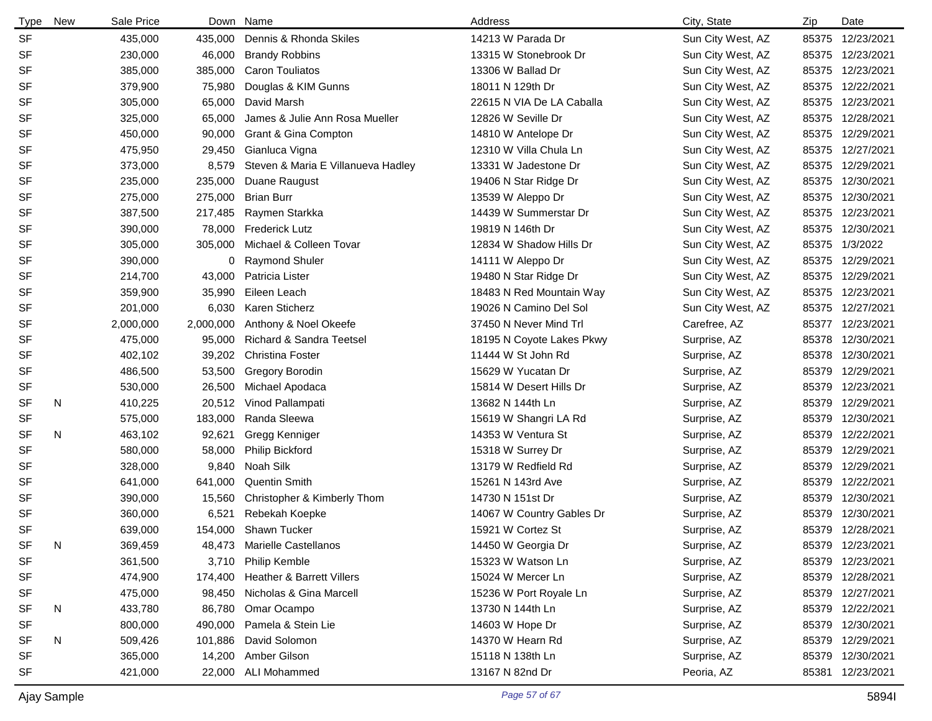| <b>Type</b> | New | Sale Price | Down      | Name                                | Address                   | City, State       | Zip   | Date             |
|-------------|-----|------------|-----------|-------------------------------------|---------------------------|-------------------|-------|------------------|
| <b>SF</b>   |     | 435,000    | 435,000   | Dennis & Rhonda Skiles              | 14213 W Parada Dr         | Sun City West, AZ | 85375 | 12/23/2021       |
| SF          |     | 230,000    | 46,000    | <b>Brandy Robbins</b>               | 13315 W Stonebrook Dr     | Sun City West, AZ | 85375 | 12/23/2021       |
| <b>SF</b>   |     | 385,000    | 385,000   | <b>Caron Touliatos</b>              | 13306 W Ballad Dr         | Sun City West, AZ | 85375 | 12/23/2021       |
| <b>SF</b>   |     | 379,900    | 75,980    | Douglas & KIM Gunns                 | 18011 N 129th Dr          | Sun City West, AZ | 85375 | 12/22/2021       |
| <b>SF</b>   |     | 305,000    | 65,000    | David Marsh                         | 22615 N VIA De LA Caballa | Sun City West, AZ | 85375 | 12/23/2021       |
| <b>SF</b>   |     | 325,000    | 65,000    | James & Julie Ann Rosa Mueller      | 12826 W Seville Dr        | Sun City West, AZ | 85375 | 12/28/2021       |
| <b>SF</b>   |     | 450,000    | 90,000    | Grant & Gina Compton                | 14810 W Antelope Dr       | Sun City West, AZ | 85375 | 12/29/2021       |
| <b>SF</b>   |     | 475,950    | 29,450    | Gianluca Vigna                      | 12310 W Villa Chula Ln    | Sun City West, AZ | 85375 | 12/27/2021       |
| <b>SF</b>   |     | 373,000    | 8,579     | Steven & Maria E Villanueva Hadley  | 13331 W Jadestone Dr      | Sun City West, AZ | 85375 | 12/29/2021       |
| <b>SF</b>   |     | 235,000    | 235,000   | Duane Raugust                       | 19406 N Star Ridge Dr     | Sun City West, AZ | 85375 | 12/30/2021       |
| <b>SF</b>   |     | 275,000    | 275,000   | <b>Brian Burr</b>                   | 13539 W Aleppo Dr         | Sun City West, AZ | 85375 | 12/30/2021       |
| <b>SF</b>   |     | 387,500    | 217,485   | Raymen Starkka                      | 14439 W Summerstar Dr     | Sun City West, AZ | 85375 | 12/23/2021       |
| <b>SF</b>   |     | 390,000    | 78,000    | <b>Frederick Lutz</b>               | 19819 N 146th Dr          | Sun City West, AZ | 85375 | 12/30/2021       |
| <b>SF</b>   |     | 305,000    | 305,000   | Michael & Colleen Tovar             | 12834 W Shadow Hills Dr   | Sun City West, AZ | 85375 | 1/3/2022         |
| <b>SF</b>   |     | 390,000    | 0         | <b>Raymond Shuler</b>               | 14111 W Aleppo Dr         | Sun City West, AZ | 85375 | 12/29/2021       |
| <b>SF</b>   |     | 214,700    | 43,000    | Patricia Lister                     | 19480 N Star Ridge Dr     | Sun City West, AZ | 85375 | 12/29/2021       |
| <b>SF</b>   |     | 359,900    | 35,990    | Eileen Leach                        | 18483 N Red Mountain Way  | Sun City West, AZ | 85375 | 12/23/2021       |
| <b>SF</b>   |     | 201,000    | 6,030     | Karen Sticherz                      | 19026 N Camino Del Sol    | Sun City West, AZ | 85375 | 12/27/2021       |
| <b>SF</b>   |     | 2,000,000  | 2,000,000 | Anthony & Noel Okeefe               | 37450 N Never Mind Trl    | Carefree, AZ      | 85377 | 12/23/2021       |
| <b>SF</b>   |     | 475,000    | 95,000    | <b>Richard &amp; Sandra Teetsel</b> | 18195 N Coyote Lakes Pkwy | Surprise, AZ      | 85378 | 12/30/2021       |
| <b>SF</b>   |     | 402,102    | 39,202    | <b>Christina Foster</b>             | 11444 W St John Rd        | Surprise, AZ      | 85378 | 12/30/2021       |
| <b>SF</b>   |     | 486,500    | 53,500    | Gregory Borodin                     | 15629 W Yucatan Dr        | Surprise, AZ      | 85379 | 12/29/2021       |
| SF          |     | 530,000    | 26,500    | Michael Apodaca                     | 15814 W Desert Hills Dr   | Surprise, AZ      | 85379 | 12/23/2021       |
| <b>SF</b>   | N   | 410,225    | 20,512    | Vinod Pallampati                    | 13682 N 144th Ln          | Surprise, AZ      | 85379 | 12/29/2021       |
| <b>SF</b>   |     | 575,000    | 183,000   | Randa Sleewa                        | 15619 W Shangri LA Rd     | Surprise, AZ      | 85379 | 12/30/2021       |
| <b>SF</b>   | N   | 463,102    | 92,621    | Gregg Kenniger                      | 14353 W Ventura St        | Surprise, AZ      | 85379 | 12/22/2021       |
| <b>SF</b>   |     | 580,000    | 58,000    | Philip Bickford                     | 15318 W Surrey Dr         | Surprise, AZ      | 85379 | 12/29/2021       |
| <b>SF</b>   |     | 328,000    | 9,840     | Noah Silk                           | 13179 W Redfield Rd       | Surprise, AZ      | 85379 | 12/29/2021       |
| <b>SF</b>   |     | 641,000    | 641,000   | <b>Quentin Smith</b>                | 15261 N 143rd Ave         | Surprise, AZ      | 85379 | 12/22/2021       |
| SF          |     | 390,000    | 15,560    | Christopher & Kimberly Thom         | 14730 N 151st Dr          | Surprise, AZ      | 85379 | 12/30/2021       |
| <b>SF</b>   |     | 360,000    | 6,521     | Rebekah Koepke                      | 14067 W Country Gables Dr | Surprise, AZ      | 85379 | 12/30/2021       |
| <b>SF</b>   |     | 639,000    | 154,000   | Shawn Tucker                        | 15921 W Cortez St         | Surprise, AZ      |       | 85379 12/28/2021 |
| SF          | N   | 369,459    | 48,473    | Marielle Castellanos                | 14450 W Georgia Dr        | Surprise, AZ      |       | 85379 12/23/2021 |
| <b>SF</b>   |     | 361,500    | 3,710     | Philip Kemble                       | 15323 W Watson Ln         | Surprise, AZ      |       | 85379 12/23/2021 |
| <b>SF</b>   |     | 474,900    | 174,400   | Heather & Barrett Villers           | 15024 W Mercer Ln         | Surprise, AZ      | 85379 | 12/28/2021       |
| SF          |     | 475,000    | 98,450    | Nicholas & Gina Marcell             | 15236 W Port Royale Ln    | Surprise, AZ      |       | 85379 12/27/2021 |
| SF          | N   | 433,780    | 86,780    | Omar Ocampo                         | 13730 N 144th Ln          | Surprise, AZ      | 85379 | 12/22/2021       |
| <b>SF</b>   |     | 800,000    | 490,000   | Pamela & Stein Lie                  | 14603 W Hope Dr           | Surprise, AZ      |       | 85379 12/30/2021 |
| <b>SF</b>   | N   | 509,426    | 101,886   | David Solomon                       | 14370 W Hearn Rd          | Surprise, AZ      | 85379 | 12/29/2021       |
| SF          |     | 365,000    |           | 14,200 Amber Gilson                 | 15118 N 138th Ln          | Surprise, AZ      |       | 85379 12/30/2021 |
| <b>SF</b>   |     | 421,000    |           | 22,000 ALI Mohammed                 | 13167 N 82nd Dr           | Peoria, AZ        |       | 85381 12/23/2021 |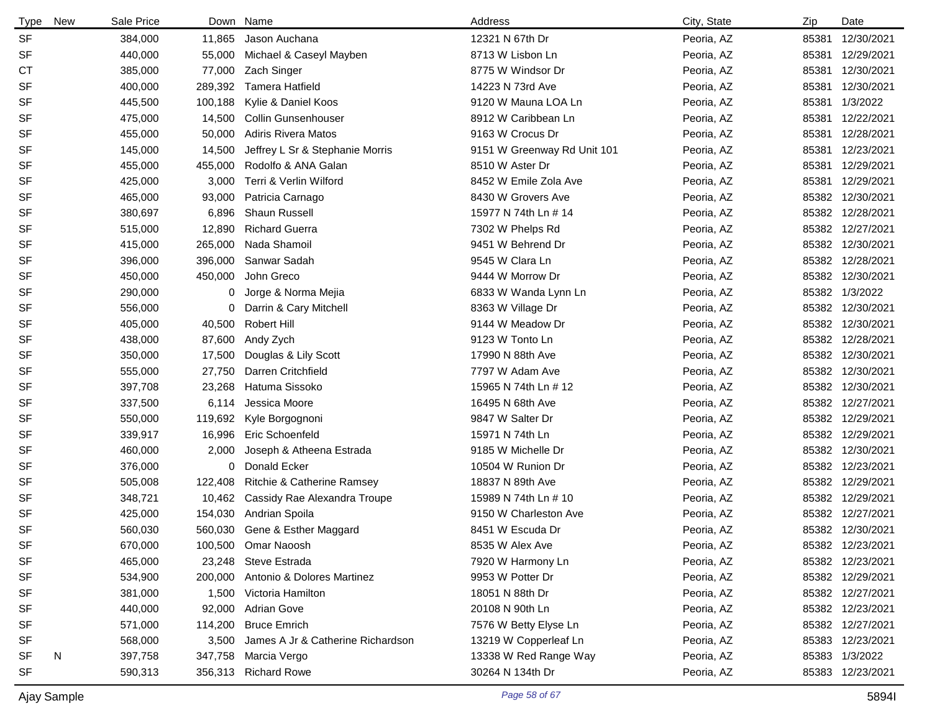| <b>Type</b> | New | Sale Price |         | Down Name                           | Address                     | City, State | Zip   | Date             |
|-------------|-----|------------|---------|-------------------------------------|-----------------------------|-------------|-------|------------------|
| <b>SF</b>   |     | 384,000    | 11,865  | Jason Auchana                       | 12321 N 67th Dr             | Peoria, AZ  | 85381 | 12/30/2021       |
| <b>SF</b>   |     | 440,000    | 55,000  | Michael & Caseyl Mayben             | 8713 W Lisbon Ln            | Peoria, AZ  | 85381 | 12/29/2021       |
| СT          |     | 385,000    | 77,000  | Zach Singer                         | 8775 W Windsor Dr           | Peoria, AZ  | 85381 | 12/30/2021       |
| <b>SF</b>   |     | 400,000    | 289,392 | <b>Tamera Hatfield</b>              | 14223 N 73rd Ave            | Peoria, AZ  | 85381 | 12/30/2021       |
| SF          |     | 445,500    | 100,188 | Kylie & Daniel Koos                 | 9120 W Mauna LOA Ln         | Peoria, AZ  | 85381 | 1/3/2022         |
| <b>SF</b>   |     | 475,000    | 14,500  | <b>Collin Gunsenhouser</b>          | 8912 W Caribbean Ln         | Peoria, AZ  | 85381 | 12/22/2021       |
| <b>SF</b>   |     | 455,000    | 50,000  | <b>Adiris Rivera Matos</b>          | 9163 W Crocus Dr            | Peoria, AZ  | 85381 | 12/28/2021       |
| <b>SF</b>   |     | 145,000    | 14,500  | Jeffrey L Sr & Stephanie Morris     | 9151 W Greenway Rd Unit 101 | Peoria, AZ  | 85381 | 12/23/2021       |
| <b>SF</b>   |     | 455,000    | 455,000 | Rodolfo & ANA Galan                 | 8510 W Aster Dr             | Peoria, AZ  | 85381 | 12/29/2021       |
| <b>SF</b>   |     | 425,000    | 3,000   | Terri & Verlin Wilford              | 8452 W Emile Zola Ave       | Peoria, AZ  | 85381 | 12/29/2021       |
| <b>SF</b>   |     | 465,000    | 93,000  | Patricia Carnago                    | 8430 W Grovers Ave          | Peoria, AZ  | 85382 | 12/30/2021       |
| <b>SF</b>   |     | 380,697    | 6,896   | Shaun Russell                       | 15977 N 74th Ln # 14        | Peoria, AZ  | 85382 | 12/28/2021       |
| <b>SF</b>   |     | 515,000    | 12,890  | <b>Richard Guerra</b>               | 7302 W Phelps Rd            | Peoria, AZ  | 85382 | 12/27/2021       |
| <b>SF</b>   |     | 415,000    | 265,000 | Nada Shamoil                        | 9451 W Behrend Dr           | Peoria, AZ  | 85382 | 12/30/2021       |
| <b>SF</b>   |     | 396,000    | 396,000 | Sanwar Sadah                        | 9545 W Clara Ln             | Peoria, AZ  | 85382 | 12/28/2021       |
| <b>SF</b>   |     | 450,000    | 450,000 | John Greco                          | 9444 W Morrow Dr            | Peoria, AZ  | 85382 | 12/30/2021       |
| <b>SF</b>   |     | 290,000    | 0       | Jorge & Norma Mejia                 | 6833 W Wanda Lynn Ln        | Peoria, AZ  | 85382 | 1/3/2022         |
| <b>SF</b>   |     | 556,000    | 0       | Darrin & Cary Mitchell              | 8363 W Village Dr           | Peoria, AZ  | 85382 | 12/30/2021       |
| <b>SF</b>   |     | 405,000    | 40,500  | Robert Hill                         | 9144 W Meadow Dr            | Peoria, AZ  | 85382 | 12/30/2021       |
| <b>SF</b>   |     | 438,000    | 87,600  | Andy Zych                           | 9123 W Tonto Ln             | Peoria, AZ  | 85382 | 12/28/2021       |
| SF          |     | 350,000    | 17,500  | Douglas & Lily Scott                | 17990 N 88th Ave            | Peoria, AZ  | 85382 | 12/30/2021       |
| SF          |     | 555,000    | 27,750  | Darren Critchfield                  | 7797 W Adam Ave             | Peoria, AZ  | 85382 | 12/30/2021       |
| <b>SF</b>   |     | 397,708    | 23,268  | Hatuma Sissoko                      | 15965 N 74th Ln # 12        | Peoria, AZ  | 85382 | 12/30/2021       |
| SF          |     | 337,500    | 6,114   | Jessica Moore                       | 16495 N 68th Ave            | Peoria, AZ  | 85382 | 12/27/2021       |
| <b>SF</b>   |     | 550,000    | 119,692 | Kyle Borgognoni                     | 9847 W Salter Dr            | Peoria, AZ  | 85382 | 12/29/2021       |
| SF          |     | 339,917    | 16,996  | Eric Schoenfeld                     | 15971 N 74th Ln             | Peoria, AZ  | 85382 | 12/29/2021       |
| <b>SF</b>   |     | 460,000    | 2,000   | Joseph & Atheena Estrada            | 9185 W Michelle Dr          | Peoria, AZ  | 85382 | 12/30/2021       |
| <b>SF</b>   |     | 376,000    | 0       | Donald Ecker                        | 10504 W Runion Dr           | Peoria, AZ  | 85382 | 12/23/2021       |
| <b>SF</b>   |     | 505,008    | 122,408 | Ritchie & Catherine Ramsey          | 18837 N 89th Ave            | Peoria, AZ  | 85382 | 12/29/2021       |
| SF          |     | 348,721    |         | 10,462 Cassidy Rae Alexandra Troupe | 15989 N 74th Ln # 10        | Peoria, AZ  | 85382 | 12/29/2021       |
| <b>SF</b>   |     | 425,000    | 154,030 | Andrian Spoila                      | 9150 W Charleston Ave       | Peoria, AZ  | 85382 | 12/27/2021       |
| <b>SF</b>   |     | 560,030    |         | 560,030 Gene & Esther Maggard       | 8451 W Escuda Dr            | Peoria, AZ  |       | 85382 12/30/2021 |
| SF          |     | 670,000    |         | 100,500 Omar Naoosh                 | 8535 W Alex Ave             | Peoria, AZ  |       | 85382 12/23/2021 |
| <b>SF</b>   |     | 465,000    |         | 23,248 Steve Estrada                | 7920 W Harmony Ln           | Peoria, AZ  |       | 85382 12/23/2021 |
| SF          |     | 534,900    | 200,000 | Antonio & Dolores Martinez          | 9953 W Potter Dr            | Peoria, AZ  |       | 85382 12/29/2021 |
| SF          |     | 381,000    | 1,500   | Victoria Hamilton                   | 18051 N 88th Dr             | Peoria, AZ  |       | 85382 12/27/2021 |
| SF          |     | 440,000    | 92,000  | <b>Adrian Gove</b>                  | 20108 N 90th Ln             | Peoria, AZ  |       | 85382 12/23/2021 |
| SF          |     | 571,000    | 114,200 | <b>Bruce Emrich</b>                 | 7576 W Betty Elyse Ln       | Peoria, AZ  |       | 85382 12/27/2021 |
| <b>SF</b>   |     | 568,000    | 3,500   | James A Jr & Catherine Richardson   | 13219 W Copperleaf Ln       | Peoria, AZ  |       | 85383 12/23/2021 |
| SF          | N   | 397,758    | 347,758 | Marcia Vergo                        | 13338 W Red Range Way       | Peoria, AZ  |       | 85383 1/3/2022   |
| SF          |     | 590,313    | 356,313 | <b>Richard Rowe</b>                 | 30264 N 134th Dr            | Peoria, AZ  |       | 85383 12/23/2021 |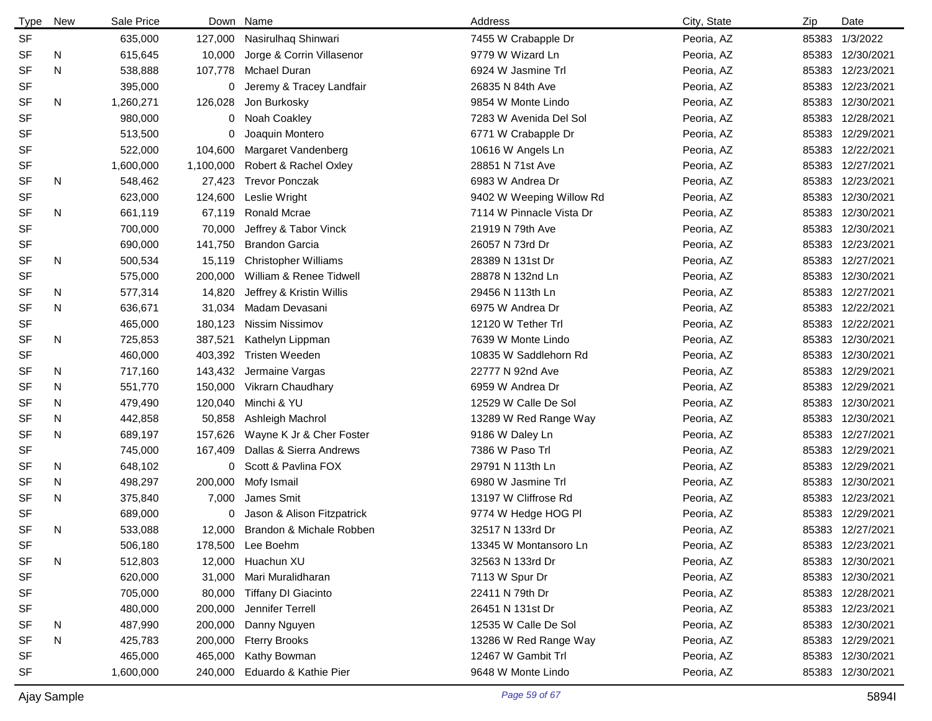| <b>Type</b> | New | Sale Price |           | Down Name                   | Address                  | City, State | Zip   | Date             |
|-------------|-----|------------|-----------|-----------------------------|--------------------------|-------------|-------|------------------|
| <b>SF</b>   |     | 635,000    | 127,000   | Nasirulhaq Shinwari         | 7455 W Crabapple Dr      | Peoria, AZ  | 85383 | 1/3/2022         |
| SF          | N   | 615,645    | 10,000    | Jorge & Corrin Villasenor   | 9779 W Wizard Ln         | Peoria, AZ  | 85383 | 12/30/2021       |
| <b>SF</b>   | N   | 538,888    | 107,778   | <b>Mchael Duran</b>         | 6924 W Jasmine Trl       | Peoria, AZ  | 85383 | 12/23/2021       |
| SF          |     | 395,000    | 0         | Jeremy & Tracey Landfair    | 26835 N 84th Ave         | Peoria, AZ  | 85383 | 12/23/2021       |
| <b>SF</b>   | N   | 1,260,271  | 126,028   | Jon Burkosky                | 9854 W Monte Lindo       | Peoria, AZ  | 85383 | 12/30/2021       |
| SF          |     | 980,000    | 0         | Noah Coakley                | 7283 W Avenida Del Sol   | Peoria, AZ  | 85383 | 12/28/2021       |
| SF          |     | 513,500    | 0         | Joaquin Montero             | 6771 W Crabapple Dr      | Peoria, AZ  | 85383 | 12/29/2021       |
| SF          |     | 522,000    | 104,600   | Margaret Vandenberg         | 10616 W Angels Ln        | Peoria, AZ  | 85383 | 12/22/2021       |
| SF          |     | 1,600,000  | 1,100,000 | Robert & Rachel Oxley       | 28851 N 71st Ave         | Peoria, AZ  | 85383 | 12/27/2021       |
| SF          | N   | 548,462    | 27,423    | <b>Trevor Ponczak</b>       | 6983 W Andrea Dr         | Peoria, AZ  | 85383 | 12/23/2021       |
| SF          |     | 623,000    | 124,600   | Leslie Wright               | 9402 W Weeping Willow Rd | Peoria, AZ  | 85383 | 12/30/2021       |
| <b>SF</b>   | N   | 661,119    | 67,119    | Ronald Mcrae                | 7114 W Pinnacle Vista Dr | Peoria, AZ  | 85383 | 12/30/2021       |
| SF          |     | 700,000    | 70,000    | Jeffrey & Tabor Vinck       | 21919 N 79th Ave         | Peoria, AZ  | 85383 | 12/30/2021       |
| SF          |     | 690,000    | 141,750   | <b>Brandon Garcia</b>       | 26057 N 73rd Dr          | Peoria, AZ  | 85383 | 12/23/2021       |
| <b>SF</b>   | N   | 500,534    | 15,119    | <b>Christopher Williams</b> | 28389 N 131st Dr         | Peoria, AZ  | 85383 | 12/27/2021       |
| SF          |     | 575,000    | 200,000   | William & Renee Tidwell     | 28878 N 132nd Ln         | Peoria, AZ  | 85383 | 12/30/2021       |
| SF          | N   | 577,314    | 14,820    | Jeffrey & Kristin Willis    | 29456 N 113th Ln         | Peoria, AZ  | 85383 | 12/27/2021       |
| <b>SF</b>   | N   | 636,671    | 31,034    | Madam Devasani              | 6975 W Andrea Dr         | Peoria, AZ  | 85383 | 12/22/2021       |
| SF          |     | 465,000    | 180,123   | Nissim Nissimov             | 12120 W Tether Trl       | Peoria, AZ  | 85383 | 12/22/2021       |
| <b>SF</b>   | N   | 725,853    | 387,521   | Kathelyn Lippman            | 7639 W Monte Lindo       | Peoria, AZ  | 85383 | 12/30/2021       |
| SF          |     | 460,000    | 403,392   | <b>Tristen Weeden</b>       | 10835 W Saddlehorn Rd    | Peoria, AZ  | 85383 | 12/30/2021       |
| SF          | N   | 717,160    | 143,432   | Jermaine Vargas             | 22777 N 92nd Ave         | Peoria, AZ  | 85383 | 12/29/2021       |
| <b>SF</b>   | N   | 551,770    | 150,000   | Vikrarn Chaudhary           | 6959 W Andrea Dr         | Peoria, AZ  | 85383 | 12/29/2021       |
| SF          | N   | 479,490    | 120,040   | Minchi & YU                 | 12529 W Calle De Sol     | Peoria, AZ  | 85383 | 12/30/2021       |
| SF          | N   | 442,858    | 50,858    | Ashleigh Machrol            | 13289 W Red Range Way    | Peoria, AZ  | 85383 | 12/30/2021       |
| SF          | N   | 689,197    | 157,626   | Wayne K Jr & Cher Foster    | 9186 W Daley Ln          | Peoria, AZ  | 85383 | 12/27/2021       |
| SF          |     | 745,000    | 167,409   | Dallas & Sierra Andrews     | 7386 W Paso Trl          | Peoria, AZ  | 85383 | 12/29/2021       |
| SF          | N   | 648,102    | 0         | Scott & Pavlina FOX         | 29791 N 113th Ln         | Peoria, AZ  | 85383 | 12/29/2021       |
| <b>SF</b>   | N   | 498,297    | 200,000   | Mofy Ismail                 | 6980 W Jasmine Trl       | Peoria, AZ  | 85383 | 12/30/2021       |
| <b>SF</b>   | N   | 375,840    | 7,000     | James Smit                  | 13197 W Cliffrose Rd     | Peoria, AZ  | 85383 | 12/23/2021       |
| SF          |     | 689,000    | 0         | Jason & Alison Fitzpatrick  | 9774 W Hedge HOG PI      | Peoria, AZ  | 85383 | 12/29/2021       |
| <b>SF</b>   | N   | 533,088    | 12,000    | Brandon & Michale Robben    | 32517 N 133rd Dr         | Peoria, AZ  |       | 85383 12/27/2021 |
| <b>SF</b>   |     | 506,180    |           | 178,500 Lee Boehm           | 13345 W Montansoro Ln    | Peoria, AZ  |       | 85383 12/23/2021 |
| <b>SF</b>   | N   | 512,803    | 12,000    | Huachun XU                  | 32563 N 133rd Dr         | Peoria, AZ  |       | 85383 12/30/2021 |
| SF          |     | 620,000    | 31,000    | Mari Muralidharan           | 7113 W Spur Dr           | Peoria, AZ  | 85383 | 12/30/2021       |
| SF          |     | 705,000    | 80,000    | <b>Tiffany DI Giacinto</b>  | 22411 N 79th Dr          | Peoria, AZ  |       | 85383 12/28/2021 |
| SF          |     | 480,000    | 200,000   | Jennifer Terrell            | 26451 N 131st Dr         | Peoria, AZ  |       | 85383 12/23/2021 |
| SF          | N   | 487,990    | 200,000   | Danny Nguyen                | 12535 W Calle De Sol     | Peoria, AZ  | 85383 | 12/30/2021       |
| SF          | N   | 425,783    | 200,000   | <b>Fterry Brooks</b>        | 13286 W Red Range Way    | Peoria, AZ  |       | 85383 12/29/2021 |
| SF          |     | 465,000    | 465,000   | Kathy Bowman                | 12467 W Gambit Trl       | Peoria, AZ  | 85383 | 12/30/2021       |
| <b>SF</b>   |     | 1,600,000  | 240,000   | Eduardo & Kathie Pier       | 9648 W Monte Lindo       | Peoria, AZ  |       | 85383 12/30/2021 |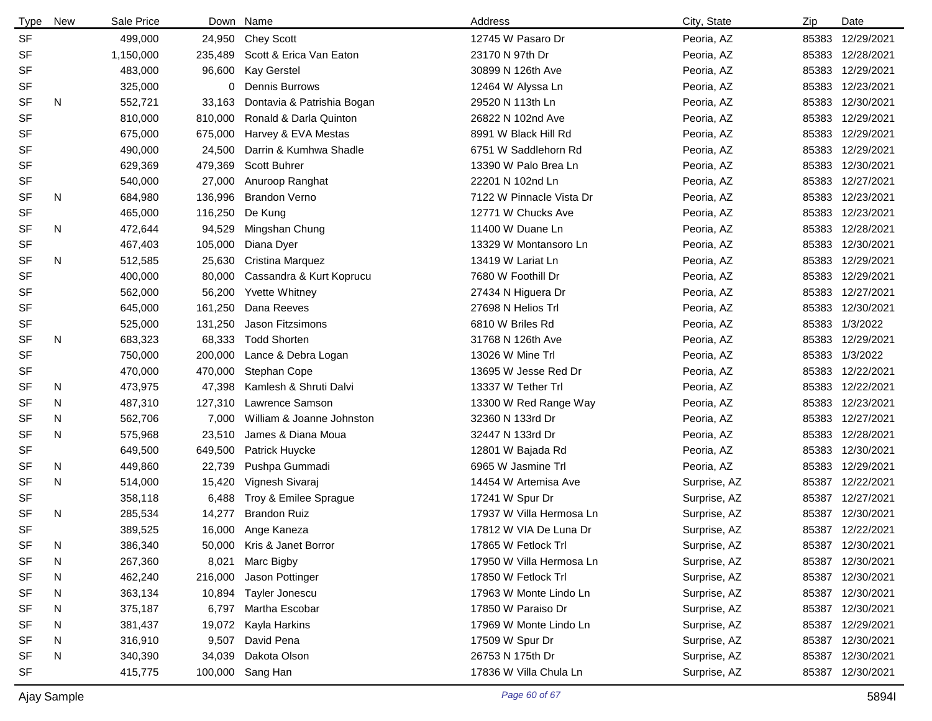| Type      | New | Sale Price |         | Down Name                  | Address                  | City, State  | Zip   | Date             |
|-----------|-----|------------|---------|----------------------------|--------------------------|--------------|-------|------------------|
| <b>SF</b> |     | 499,000    |         | 24,950 Chey Scott          | 12745 W Pasaro Dr        | Peoria, AZ   |       | 85383 12/29/2021 |
| <b>SF</b> |     | 1,150,000  | 235,489 | Scott & Erica Van Eaton    | 23170 N 97th Dr          | Peoria, AZ   |       | 85383 12/28/2021 |
| <b>SF</b> |     | 483,000    | 96,600  | <b>Kay Gerstel</b>         | 30899 N 126th Ave        | Peoria, AZ   |       | 85383 12/29/2021 |
| <b>SF</b> |     | 325,000    | 0       | <b>Dennis Burrows</b>      | 12464 W Alyssa Ln        | Peoria, AZ   | 85383 | 12/23/2021       |
| <b>SF</b> | N   | 552,721    | 33,163  | Dontavia & Patrishia Bogan | 29520 N 113th Ln         | Peoria, AZ   | 85383 | 12/30/2021       |
| <b>SF</b> |     | 810,000    | 810,000 | Ronald & Darla Quinton     | 26822 N 102nd Ave        | Peoria, AZ   | 85383 | 12/29/2021       |
| <b>SF</b> |     | 675,000    | 675,000 | Harvey & EVA Mestas        | 8991 W Black Hill Rd     | Peoria, AZ   |       | 85383 12/29/2021 |
| <b>SF</b> |     | 490,000    | 24,500  | Darrin & Kumhwa Shadle     | 6751 W Saddlehorn Rd     | Peoria, AZ   |       | 85383 12/29/2021 |
| <b>SF</b> |     | 629,369    | 479,369 | Scott Buhrer               | 13390 W Palo Brea Ln     | Peoria, AZ   | 85383 | 12/30/2021       |
| <b>SF</b> |     | 540,000    | 27,000  | Anuroop Ranghat            | 22201 N 102nd Ln         | Peoria, AZ   | 85383 | 12/27/2021       |
| <b>SF</b> | N   | 684,980    | 136,996 | <b>Brandon Verno</b>       | 7122 W Pinnacle Vista Dr | Peoria, AZ   |       | 85383 12/23/2021 |
| <b>SF</b> |     | 465,000    | 116,250 | De Kung                    | 12771 W Chucks Ave       | Peoria, AZ   | 85383 | 12/23/2021       |
| <b>SF</b> | N   | 472,644    | 94,529  | Mingshan Chung             | 11400 W Duane Ln         | Peoria, AZ   | 85383 | 12/28/2021       |
| SF        |     | 467,403    | 105,000 | Diana Dyer                 | 13329 W Montansoro Ln    | Peoria, AZ   | 85383 | 12/30/2021       |
| <b>SF</b> | N   | 512,585    | 25,630  | Cristina Marquez           | 13419 W Lariat Ln        | Peoria, AZ   | 85383 | 12/29/2021       |
| <b>SF</b> |     | 400,000    | 80,000  | Cassandra & Kurt Koprucu   | 7680 W Foothill Dr       | Peoria, AZ   | 85383 | 12/29/2021       |
| <b>SF</b> |     | 562,000    | 56,200  | <b>Yvette Whitney</b>      | 27434 N Higuera Dr       | Peoria, AZ   | 85383 | 12/27/2021       |
| <b>SF</b> |     | 645,000    | 161,250 | Dana Reeves                | 27698 N Helios Trl       | Peoria, AZ   | 85383 | 12/30/2021       |
| SF        |     | 525,000    | 131,250 | Jason Fitzsimons           | 6810 W Briles Rd         | Peoria, AZ   |       | 85383 1/3/2022   |
| <b>SF</b> | N   | 683,323    | 68,333  | <b>Todd Shorten</b>        | 31768 N 126th Ave        | Peoria, AZ   | 85383 | 12/29/2021       |
| <b>SF</b> |     | 750,000    | 200,000 | Lance & Debra Logan        | 13026 W Mine Trl         | Peoria, AZ   |       | 85383 1/3/2022   |
| SF        |     | 470,000    | 470,000 | Stephan Cope               | 13695 W Jesse Red Dr     | Peoria, AZ   | 85383 | 12/22/2021       |
| <b>SF</b> | N   | 473,975    | 47,398  | Kamlesh & Shruti Dalvi     | 13337 W Tether Trl       | Peoria, AZ   |       | 85383 12/22/2021 |
| SF        | N   | 487,310    | 127,310 | Lawrence Samson            | 13300 W Red Range Way    | Peoria, AZ   |       | 85383 12/23/2021 |
| SF        | N   | 562,706    | 7,000   | William & Joanne Johnston  | 32360 N 133rd Dr         | Peoria, AZ   | 85383 | 12/27/2021       |
| <b>SF</b> | N   | 575,968    | 23,510  | James & Diana Moua         | 32447 N 133rd Dr         | Peoria, AZ   | 85383 | 12/28/2021       |
| <b>SF</b> |     | 649,500    | 649,500 | Patrick Huycke             | 12801 W Bajada Rd        | Peoria, AZ   |       | 85383 12/30/2021 |
| <b>SF</b> | N   | 449,860    | 22,739  | Pushpa Gummadi             | 6965 W Jasmine Trl       | Peoria, AZ   |       | 85383 12/29/2021 |
| <b>SF</b> | N   | 514,000    | 15,420  | Vignesh Sivaraj            | 14454 W Artemisa Ave     | Surprise, AZ | 85387 | 12/22/2021       |
| <b>SF</b> |     | 358,118    | 6,488   | Troy & Emilee Sprague      | 17241 W Spur Dr          | Surprise, AZ | 85387 | 12/27/2021       |
| <b>SF</b> | N   | 285,534    | 14,277  | <b>Brandon Ruiz</b>        | 17937 W Villa Hermosa Ln | Surprise, AZ | 85387 | 12/30/2021       |
| <b>SF</b> |     | 389,525    |         | 16,000 Ange Kaneza         | 17812 W VIA De Luna Dr   | Surprise, AZ |       | 85387 12/22/2021 |
| SF        | N   | 386,340    | 50,000  | Kris & Janet Borror        | 17865 W Fetlock Trl      | Surprise, AZ |       | 85387 12/30/2021 |
| <b>SF</b> | N   | 267,360    | 8,021   | Marc Bigby                 | 17950 W Villa Hermosa Ln | Surprise, AZ |       | 85387 12/30/2021 |
| SF        | N   | 462,240    | 216,000 | Jason Pottinger            | 17850 W Fetlock Trl      | Surprise, AZ |       | 85387 12/30/2021 |
| <b>SF</b> | N   | 363,134    | 10,894  | Tayler Jonescu             | 17963 W Monte Lindo Ln   | Surprise, AZ |       | 85387 12/30/2021 |
| SF        | N.  | 375,187    | 6,797   | Martha Escobar             | 17850 W Paraiso Dr       | Surprise, AZ |       | 85387 12/30/2021 |
| SF        | N   | 381,437    | 19,072  | Kayla Harkins              | 17969 W Monte Lindo Ln   | Surprise, AZ | 85387 | 12/29/2021       |
| SF        | N   | 316,910    | 9,507   | David Pena                 | 17509 W Spur Dr          | Surprise, AZ |       | 85387 12/30/2021 |
| SF        | N   | 340,390    | 34,039  | Dakota Olson               | 26753 N 175th Dr         | Surprise, AZ | 85387 | 12/30/2021       |
| <b>SF</b> |     | 415,775    | 100,000 | Sang Han                   | 17836 W Villa Chula Ln   | Surprise, AZ |       | 85387 12/30/2021 |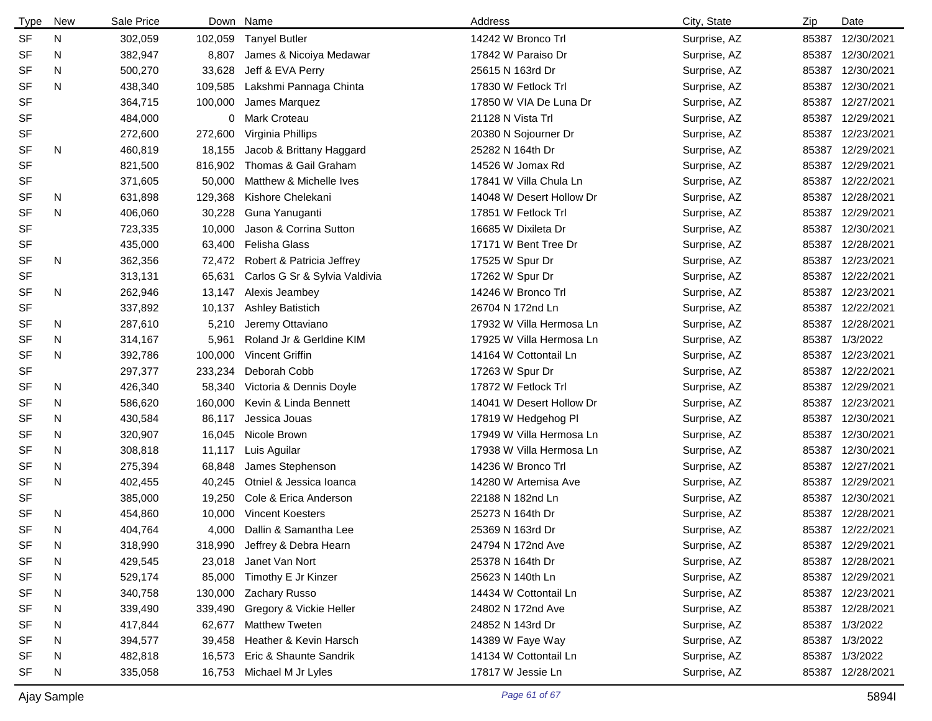| Type      | <b>New</b> | Sale Price |         | Down Name                     | Address                  | City, State  | Zip   | Date             |
|-----------|------------|------------|---------|-------------------------------|--------------------------|--------------|-------|------------------|
| <b>SF</b> | N          | 302,059    | 102,059 | <b>Tanyel Butler</b>          | 14242 W Bronco Trl       | Surprise, AZ | 85387 | 12/30/2021       |
| <b>SF</b> | N          | 382,947    | 8,807   | James & Nicoiya Medawar       | 17842 W Paraiso Dr       | Surprise, AZ | 85387 | 12/30/2021       |
| SF        | N          | 500,270    | 33,628  | Jeff & EVA Perry              | 25615 N 163rd Dr         | Surprise, AZ | 85387 | 12/30/2021       |
| <b>SF</b> | N          | 438,340    | 109,585 | Lakshmi Pannaga Chinta        | 17830 W Fetlock Trl      | Surprise, AZ | 85387 | 12/30/2021       |
| <b>SF</b> |            | 364,715    | 100,000 | James Marquez                 | 17850 W VIA De Luna Dr   | Surprise, AZ | 85387 | 12/27/2021       |
| <b>SF</b> |            | 484,000    | 0       | Mark Croteau                  | 21128 N Vista Trl        | Surprise, AZ | 85387 | 12/29/2021       |
| <b>SF</b> |            | 272,600    | 272,600 | Virginia Phillips             | 20380 N Sojourner Dr     | Surprise, AZ | 85387 | 12/23/2021       |
| <b>SF</b> | N          | 460,819    | 18,155  | Jacob & Brittany Haggard      | 25282 N 164th Dr         | Surprise, AZ | 85387 | 12/29/2021       |
| <b>SF</b> |            | 821,500    | 816,902 | Thomas & Gail Graham          | 14526 W Jomax Rd         | Surprise, AZ | 85387 | 12/29/2021       |
| <b>SF</b> |            | 371,605    | 50,000  | Matthew & Michelle Ives       | 17841 W Villa Chula Ln   | Surprise, AZ | 85387 | 12/22/2021       |
| SF        | N          | 631,898    | 129,368 | Kishore Chelekani             | 14048 W Desert Hollow Dr | Surprise, AZ | 85387 | 12/28/2021       |
| <b>SF</b> | N          | 406,060    | 30,228  | Guna Yanuganti                | 17851 W Fetlock Trl      | Surprise, AZ | 85387 | 12/29/2021       |
| <b>SF</b> |            | 723,335    | 10,000  | Jason & Corrina Sutton        | 16685 W Dixileta Dr      | Surprise, AZ | 85387 | 12/30/2021       |
| SF        |            | 435,000    | 63,400  | Felisha Glass                 | 17171 W Bent Tree Dr     | Surprise, AZ | 85387 | 12/28/2021       |
| <b>SF</b> | N          | 362,356    | 72,472  | Robert & Patricia Jeffrey     | 17525 W Spur Dr          | Surprise, AZ | 85387 | 12/23/2021       |
| <b>SF</b> |            | 313,131    | 65,631  | Carlos G Sr & Sylvia Valdivia | 17262 W Spur Dr          | Surprise, AZ | 85387 | 12/22/2021       |
| <b>SF</b> | N          | 262,946    | 13,147  | Alexis Jeambey                | 14246 W Bronco Trl       | Surprise, AZ | 85387 | 12/23/2021       |
| <b>SF</b> |            | 337,892    | 10,137  | Ashley Batistich              | 26704 N 172nd Ln         | Surprise, AZ | 85387 | 12/22/2021       |
| SF        | N          | 287,610    | 5,210   | Jeremy Ottaviano              | 17932 W Villa Hermosa Ln | Surprise, AZ | 85387 | 12/28/2021       |
| SF        | N          | 314,167    | 5,961   | Roland Jr & Gerldine KIM      | 17925 W Villa Hermosa Ln | Surprise, AZ | 85387 | 1/3/2022         |
| <b>SF</b> | N          | 392,786    | 100,000 | Vincent Griffin               | 14164 W Cottontail Ln    | Surprise, AZ | 85387 | 12/23/2021       |
| SF        |            | 297,377    | 233,234 | Deborah Cobb                  | 17263 W Spur Dr          | Surprise, AZ | 85387 | 12/22/2021       |
| SF        | N          | 426,340    | 58,340  | Victoria & Dennis Doyle       | 17872 W Fetlock Trl      | Surprise, AZ | 85387 | 12/29/2021       |
| SF        | N          | 586,620    | 160,000 | Kevin & Linda Bennett         | 14041 W Desert Hollow Dr | Surprise, AZ | 85387 | 12/23/2021       |
| SF        | N          | 430,584    | 86,117  | Jessica Jouas                 | 17819 W Hedgehog PI      | Surprise, AZ | 85387 | 12/30/2021       |
| SF        | N          | 320,907    | 16,045  | Nicole Brown                  | 17949 W Villa Hermosa Ln | Surprise, AZ | 85387 | 12/30/2021       |
| <b>SF</b> | N          | 308,818    | 11,117  | Luis Aguilar                  | 17938 W Villa Hermosa Ln | Surprise, AZ | 85387 | 12/30/2021       |
| SF        | N          | 275,394    | 68,848  | James Stephenson              | 14236 W Bronco Trl       | Surprise, AZ | 85387 | 12/27/2021       |
| <b>SF</b> | N          | 402,455    | 40,245  | Otniel & Jessica Ioanca       | 14280 W Artemisa Ave     | Surprise, AZ | 85387 | 12/29/2021       |
| <b>SF</b> |            | 385,000    | 19,250  | Cole & Erica Anderson         | 22188 N 182nd Ln         | Surprise, AZ | 85387 | 12/30/2021       |
| <b>SF</b> | N          | 454,860    | 10,000  | Vincent Koesters              | 25273 N 164th Dr         | Surprise, AZ | 85387 | 12/28/2021       |
| <b>SF</b> | N          | 404,764    | 4,000   | Dallin & Samantha Lee         | 25369 N 163rd Dr         | Surprise, AZ |       | 85387 12/22/2021 |
| SF        | N          | 318,990    | 318,990 | Jeffrey & Debra Hearn         | 24794 N 172nd Ave        | Surprise, AZ |       | 85387 12/29/2021 |
| SF        | N          | 429,545    | 23,018  | Janet Van Nort                | 25378 N 164th Dr         | Surprise, AZ |       | 85387 12/28/2021 |
| <b>SF</b> | N          | 529,174    | 85,000  | Timothy E Jr Kinzer           | 25623 N 140th Ln         | Surprise, AZ |       | 85387 12/29/2021 |
| SF        | N          | 340,758    | 130,000 | <b>Zachary Russo</b>          | 14434 W Cottontail Ln    | Surprise, AZ |       | 85387 12/23/2021 |
| SF        | N          | 339,490    | 339,490 | Gregory & Vickie Heller       | 24802 N 172nd Ave        | Surprise, AZ |       | 85387 12/28/2021 |
| SF        | N          | 417,844    | 62,677  | <b>Matthew Tweten</b>         | 24852 N 143rd Dr         | Surprise, AZ |       | 85387 1/3/2022   |
| SF        | N          | 394,577    | 39,458  | Heather & Kevin Harsch        | 14389 W Faye Way         | Surprise, AZ |       | 85387 1/3/2022   |
| SF        | N          | 482,818    | 16,573  | Eric & Shaunte Sandrik        | 14134 W Cottontail Ln    | Surprise, AZ |       | 85387 1/3/2022   |
| <b>SF</b> | N          | 335,058    | 16,753  | Michael M Jr Lyles            | 17817 W Jessie Ln        | Surprise, AZ |       | 85387 12/28/2021 |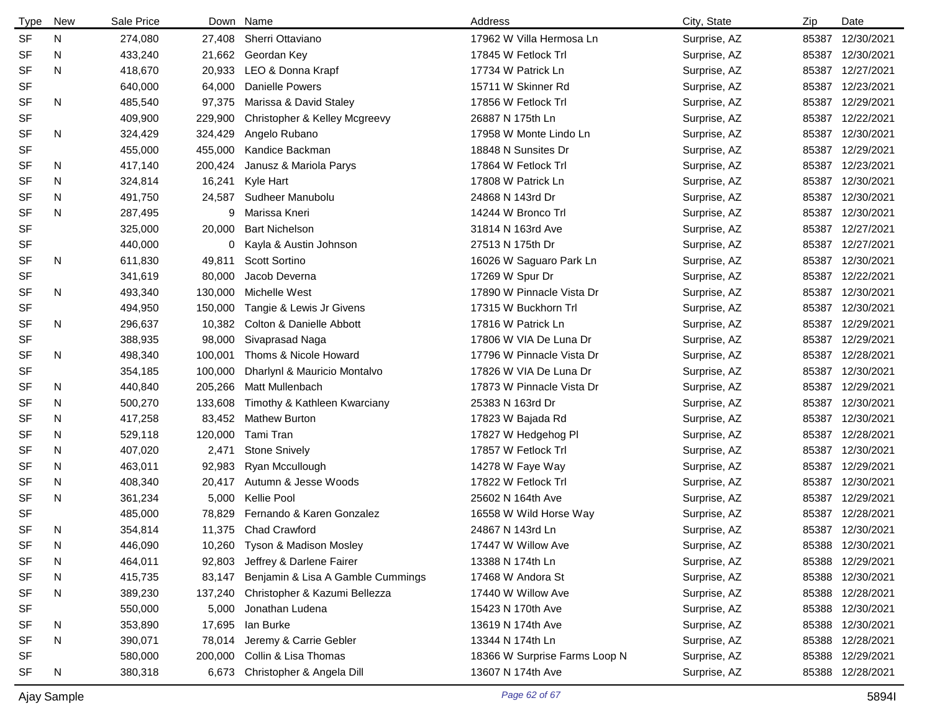| <b>Type</b> | New | Sale Price |         | Down Name                         | Address                       | City, State  | Zip   | Date             |
|-------------|-----|------------|---------|-----------------------------------|-------------------------------|--------------|-------|------------------|
| <b>SF</b>   | N   | 274,080    | 27,408  | Sherri Ottaviano                  | 17962 W Villa Hermosa Ln      | Surprise, AZ | 85387 | 12/30/2021       |
| <b>SF</b>   | N   | 433,240    | 21,662  | Geordan Key                       | 17845 W Fetlock Trl           | Surprise, AZ | 85387 | 12/30/2021       |
| <b>SF</b>   | N   | 418,670    | 20,933  | LEO & Donna Krapf                 | 17734 W Patrick Ln            | Surprise, AZ | 85387 | 12/27/2021       |
| <b>SF</b>   |     | 640,000    | 64,000  | <b>Danielle Powers</b>            | 15711 W Skinner Rd            | Surprise, AZ | 85387 | 12/23/2021       |
| <b>SF</b>   | N   | 485,540    | 97,375  | Marissa & David Staley            | 17856 W Fetlock Trl           | Surprise, AZ | 85387 | 12/29/2021       |
| <b>SF</b>   |     | 409,900    | 229,900 | Christopher & Kelley Mcgreevy     | 26887 N 175th Ln              | Surprise, AZ | 85387 | 12/22/2021       |
| <b>SF</b>   | N   | 324,429    | 324,429 | Angelo Rubano                     | 17958 W Monte Lindo Ln        | Surprise, AZ | 85387 | 12/30/2021       |
| <b>SF</b>   |     | 455,000    | 455,000 | Kandice Backman                   | 18848 N Sunsites Dr           | Surprise, AZ | 85387 | 12/29/2021       |
| <b>SF</b>   | N.  | 417,140    | 200,424 | Janusz & Mariola Parys            | 17864 W Fetlock Trl           | Surprise, AZ | 85387 | 12/23/2021       |
| SF          | N.  | 324,814    | 16,241  | Kyle Hart                         | 17808 W Patrick Ln            | Surprise, AZ | 85387 | 12/30/2021       |
| SF          | N   | 491,750    | 24,587  | Sudheer Manubolu                  | 24868 N 143rd Dr              | Surprise, AZ | 85387 | 12/30/2021       |
| <b>SF</b>   | N   | 287,495    | 9       | Marissa Kneri                     | 14244 W Bronco Trl            | Surprise, AZ | 85387 | 12/30/2021       |
| <b>SF</b>   |     | 325,000    | 20,000  | <b>Bart Nichelson</b>             | 31814 N 163rd Ave             | Surprise, AZ | 85387 | 12/27/2021       |
| SF          |     | 440,000    |         | 0 Kayla & Austin Johnson          | 27513 N 175th Dr              | Surprise, AZ | 85387 | 12/27/2021       |
| <b>SF</b>   | N   | 611,830    | 49,811  | <b>Scott Sortino</b>              | 16026 W Saguaro Park Ln       | Surprise, AZ | 85387 | 12/30/2021       |
| <b>SF</b>   |     | 341,619    | 80,000  | Jacob Deverna                     | 17269 W Spur Dr               | Surprise, AZ | 85387 | 12/22/2021       |
| <b>SF</b>   | N   | 493,340    | 130,000 | Michelle West                     | 17890 W Pinnacle Vista Dr     | Surprise, AZ | 85387 | 12/30/2021       |
| SF          |     | 494,950    | 150,000 | Tangie & Lewis Jr Givens          | 17315 W Buckhorn Trl          | Surprise, AZ | 85387 | 12/30/2021       |
| <b>SF</b>   | N   | 296,637    | 10,382  | Colton & Danielle Abbott          | 17816 W Patrick Ln            | Surprise, AZ | 85387 | 12/29/2021       |
| <b>SF</b>   |     | 388,935    | 98,000  | Sivaprasad Naga                   | 17806 W VIA De Luna Dr        | Surprise, AZ | 85387 | 12/29/2021       |
| <b>SF</b>   | N   | 498,340    | 100,001 | Thoms & Nicole Howard             | 17796 W Pinnacle Vista Dr     | Surprise, AZ | 85387 | 12/28/2021       |
| <b>SF</b>   |     | 354,185    | 100,000 | Dharlynl & Mauricio Montalvo      | 17826 W VIA De Luna Dr        | Surprise, AZ | 85387 | 12/30/2021       |
| <b>SF</b>   | N   | 440,840    | 205,266 | Matt Mullenbach                   | 17873 W Pinnacle Vista Dr     | Surprise, AZ | 85387 | 12/29/2021       |
| <b>SF</b>   | N   | 500,270    | 133,608 | Timothy & Kathleen Kwarciany      | 25383 N 163rd Dr              | Surprise, AZ | 85387 | 12/30/2021       |
| <b>SF</b>   | N   | 417,258    | 83,452  | <b>Mathew Burton</b>              | 17823 W Bajada Rd             | Surprise, AZ | 85387 | 12/30/2021       |
| <b>SF</b>   | N   | 529,118    | 120,000 | Tami Tran                         | 17827 W Hedgehog PI           | Surprise, AZ | 85387 | 12/28/2021       |
| <b>SF</b>   | N   | 407,020    | 2,471   | <b>Stone Snively</b>              | 17857 W Fetlock Trl           | Surprise, AZ | 85387 | 12/30/2021       |
| <b>SF</b>   | N   | 463,011    | 92,983  | Ryan Mccullough                   | 14278 W Faye Way              | Surprise, AZ | 85387 | 12/29/2021       |
| <b>SF</b>   | N   | 408,340    | 20,417  | Autumn & Jesse Woods              | 17822 W Fetlock Trl           | Surprise, AZ | 85387 | 12/30/2021       |
| <b>SF</b>   | N   | 361,234    | 5,000   | Kellie Pool                       | 25602 N 164th Ave             | Surprise, AZ | 85387 | 12/29/2021       |
| <b>SF</b>   |     | 485,000    | 78,829  | Fernando & Karen Gonzalez         | 16558 W Wild Horse Way        | Surprise, AZ |       | 85387 12/28/2021 |
| <b>SF</b>   | N   | 354,814    |         | 11,375 Chad Crawford              | 24867 N 143rd Ln              | Surprise, AZ |       | 85387 12/30/2021 |
| SF          | N   | 446,090    | 10,260  | Tyson & Madison Mosley            | 17447 W Willow Ave            | Surprise, AZ |       | 85388 12/30/2021 |
| <b>SF</b>   | N   | 464,011    | 92,803  | Jeffrey & Darlene Fairer          | 13388 N 174th Ln              | Surprise, AZ |       | 85388 12/29/2021 |
| <b>SF</b>   | N   | 415,735    | 83,147  | Benjamin & Lisa A Gamble Cummings | 17468 W Andora St             | Surprise, AZ |       | 85388 12/30/2021 |
| <b>SF</b>   | N   | 389,230    | 137,240 | Christopher & Kazumi Bellezza     | 17440 W Willow Ave            | Surprise, AZ |       | 85388 12/28/2021 |
| SF          |     | 550,000    | 5,000   | Jonathan Ludena                   | 15423 N 170th Ave             | Surprise, AZ |       | 85388 12/30/2021 |
| SF          | N   | 353,890    | 17,695  | lan Burke                         | 13619 N 174th Ave             | Surprise, AZ | 85388 | 12/30/2021       |
| SF          | N   | 390,071    | 78,014  | Jeremy & Carrie Gebler            | 13344 N 174th Ln              | Surprise, AZ | 85388 | 12/28/2021       |
| SF          |     | 580,000    | 200,000 | Collin & Lisa Thomas              | 18366 W Surprise Farms Loop N | Surprise, AZ | 85388 | 12/29/2021       |
| SF          | N   | 380,318    | 6,673   | Christopher & Angela Dill         | 13607 N 174th Ave             | Surprise, AZ |       | 85388 12/28/2021 |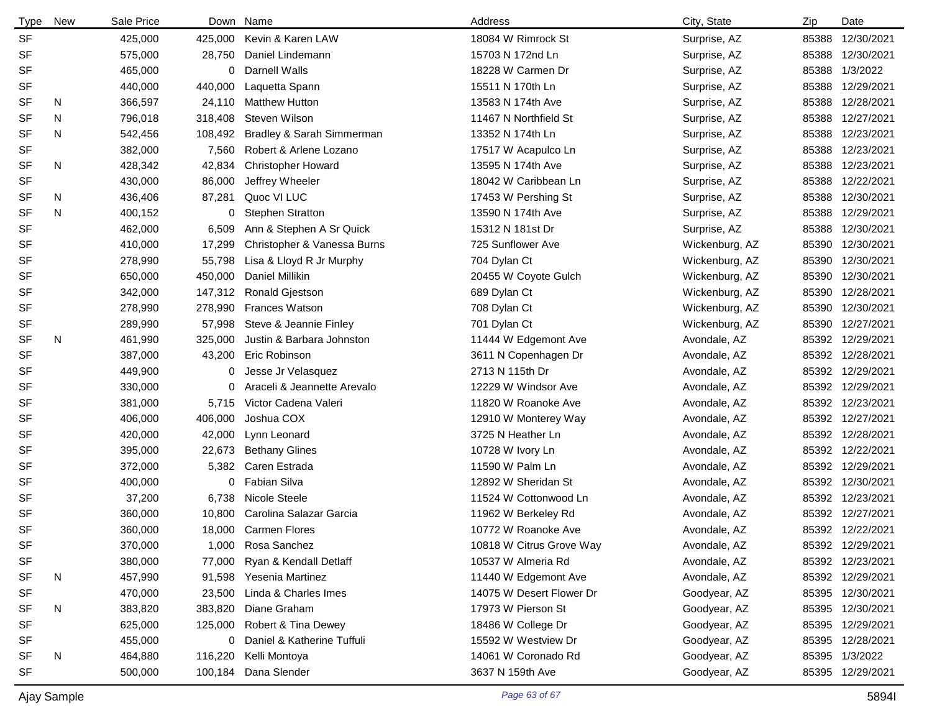| <b>Type</b> | New | Sale Price |         | Down Name                   | Address                  | City, State    | Zip   | Date             |
|-------------|-----|------------|---------|-----------------------------|--------------------------|----------------|-------|------------------|
| <b>SF</b>   |     | 425,000    | 425,000 | Kevin & Karen LAW           | 18084 W Rimrock St       | Surprise, AZ   | 85388 | 12/30/2021       |
| <b>SF</b>   |     | 575,000    | 28,750  | Daniel Lindemann            | 15703 N 172nd Ln         | Surprise, AZ   | 85388 | 12/30/2021       |
| SF          |     | 465,000    | 0       | Darnell Walls               | 18228 W Carmen Dr        | Surprise, AZ   | 85388 | 1/3/2022         |
| SF          |     | 440,000    | 440,000 | Laquetta Spann              | 15511 N 170th Ln         | Surprise, AZ   | 85388 | 12/29/2021       |
| <b>SF</b>   | N   | 366,597    | 24,110  | <b>Matthew Hutton</b>       | 13583 N 174th Ave        | Surprise, AZ   | 85388 | 12/28/2021       |
| <b>SF</b>   | N   | 796,018    | 318,408 | Steven Wilson               | 11467 N Northfield St    | Surprise, AZ   | 85388 | 12/27/2021       |
| <b>SF</b>   | N   | 542,456    | 108,492 | Bradley & Sarah Simmerman   | 13352 N 174th Ln         | Surprise, AZ   | 85388 | 12/23/2021       |
| <b>SF</b>   |     | 382,000    | 7,560   | Robert & Arlene Lozano      | 17517 W Acapulco Ln      | Surprise, AZ   | 85388 | 12/23/2021       |
| <b>SF</b>   | N   | 428,342    | 42,834  | <b>Christopher Howard</b>   | 13595 N 174th Ave        | Surprise, AZ   | 85388 | 12/23/2021       |
| <b>SF</b>   |     | 430,000    | 86,000  | Jeffrey Wheeler             | 18042 W Caribbean Ln     | Surprise, AZ   | 85388 | 12/22/2021       |
| SF          | N   | 436,406    | 87,281  | Quoc VI LUC                 | 17453 W Pershing St      | Surprise, AZ   | 85388 | 12/30/2021       |
| <b>SF</b>   | N   | 400,152    | 0       | <b>Stephen Stratton</b>     | 13590 N 174th Ave        | Surprise, AZ   | 85388 | 12/29/2021       |
| <b>SF</b>   |     | 462,000    | 6,509   | Ann & Stephen A Sr Quick    | 15312 N 181st Dr         | Surprise, AZ   | 85388 | 12/30/2021       |
| SF          |     | 410,000    | 17,299  | Christopher & Vanessa Burns | 725 Sunflower Ave        | Wickenburg, AZ | 85390 | 12/30/2021       |
| SF          |     | 278,990    | 55,798  | Lisa & Lloyd R Jr Murphy    | 704 Dylan Ct             | Wickenburg, AZ | 85390 | 12/30/2021       |
| <b>SF</b>   |     | 650,000    | 450,000 | Daniel Millikin             | 20455 W Coyote Gulch     | Wickenburg, AZ | 85390 | 12/30/2021       |
| SF          |     | 342,000    | 147,312 | Ronald Gjestson             | 689 Dylan Ct             | Wickenburg, AZ | 85390 | 12/28/2021       |
| SF          |     | 278,990    | 278,990 | <b>Frances Watson</b>       | 708 Dylan Ct             | Wickenburg, AZ | 85390 | 12/30/2021       |
| <b>SF</b>   |     | 289,990    | 57,998  | Steve & Jeannie Finley      | 701 Dylan Ct             | Wickenburg, AZ | 85390 | 12/27/2021       |
| <b>SF</b>   | N   | 461,990    | 325,000 | Justin & Barbara Johnston   | 11444 W Edgemont Ave     | Avondale, AZ   |       | 85392 12/29/2021 |
| <b>SF</b>   |     | 387,000    | 43,200  | Eric Robinson               | 3611 N Copenhagen Dr     | Avondale, AZ   |       | 85392 12/28/2021 |
| <b>SF</b>   |     | 449,900    | 0       | Jesse Jr Velasquez          | 2713 N 115th Dr          | Avondale, AZ   |       | 85392 12/29/2021 |
| <b>SF</b>   |     | 330,000    | 0       | Araceli & Jeannette Arevalo | 12229 W Windsor Ave      | Avondale, AZ   |       | 85392 12/29/2021 |
| <b>SF</b>   |     | 381,000    | 5,715   | Victor Cadena Valeri        | 11820 W Roanoke Ave      | Avondale, AZ   |       | 85392 12/23/2021 |
| <b>SF</b>   |     | 406,000    | 406,000 | Joshua COX                  | 12910 W Monterey Way     | Avondale, AZ   |       | 85392 12/27/2021 |
| <b>SF</b>   |     | 420,000    | 42,000  | Lynn Leonard                | 3725 N Heather Ln        | Avondale, AZ   |       | 85392 12/28/2021 |
| <b>SF</b>   |     | 395,000    | 22,673  | <b>Bethany Glines</b>       | 10728 W Ivory Ln         | Avondale, AZ   |       | 85392 12/22/2021 |
| <b>SF</b>   |     | 372,000    | 5,382   | Caren Estrada               | 11590 W Palm Ln          | Avondale, AZ   |       | 85392 12/29/2021 |
| <b>SF</b>   |     | 400,000    | 0       | Fabian Silva                | 12892 W Sheridan St      | Avondale, AZ   |       | 85392 12/30/2021 |
| <b>SF</b>   |     | 37,200     | 6,738   | <b>Nicole Steele</b>        | 11524 W Cottonwood Ln    | Avondale, AZ   |       | 85392 12/23/2021 |
| <b>SF</b>   |     | 360,000    | 10,800  | Carolina Salazar Garcia     | 11962 W Berkeley Rd      | Avondale, AZ   |       | 85392 12/27/2021 |
| <b>SF</b>   |     | 360,000    |         | 18,000 Carmen Flores        | 10772 W Roanoke Ave      | Avondale, AZ   |       | 85392 12/22/2021 |
| <b>SF</b>   |     | 370,000    | 1,000   | Rosa Sanchez                | 10818 W Citrus Grove Way | Avondale, AZ   |       | 85392 12/29/2021 |
| SF          |     | 380,000    | 77,000  | Ryan & Kendall Detlaff      | 10537 W Almeria Rd       | Avondale, AZ   |       | 85392 12/23/2021 |
| SF          | N   | 457,990    | 91,598  | Yesenia Martinez            | 11440 W Edgemont Ave     | Avondale, AZ   |       | 85392 12/29/2021 |
| SF          |     | 470,000    | 23,500  | Linda & Charles Imes        | 14075 W Desert Flower Dr | Goodyear, AZ   |       | 85395 12/30/2021 |
| SF          | N   | 383,820    | 383,820 | Diane Graham                | 17973 W Pierson St       | Goodyear, AZ   |       | 85395 12/30/2021 |
| SF          |     | 625,000    |         | 125,000 Robert & Tina Dewey | 18486 W College Dr       | Goodyear, AZ   |       | 85395 12/29/2021 |
| SF          |     | 455,000    | 0       | Daniel & Katherine Tuffuli  | 15592 W Westview Dr      | Goodyear, AZ   |       | 85395 12/28/2021 |
| SF          | N   | 464,880    | 116,220 | Kelli Montoya               | 14061 W Coronado Rd      | Goodyear, AZ   |       | 85395 1/3/2022   |
| SF          |     | 500,000    |         | 100,184 Dana Slender        | 3637 N 159th Ave         | Goodyear, AZ   |       | 85395 12/29/2021 |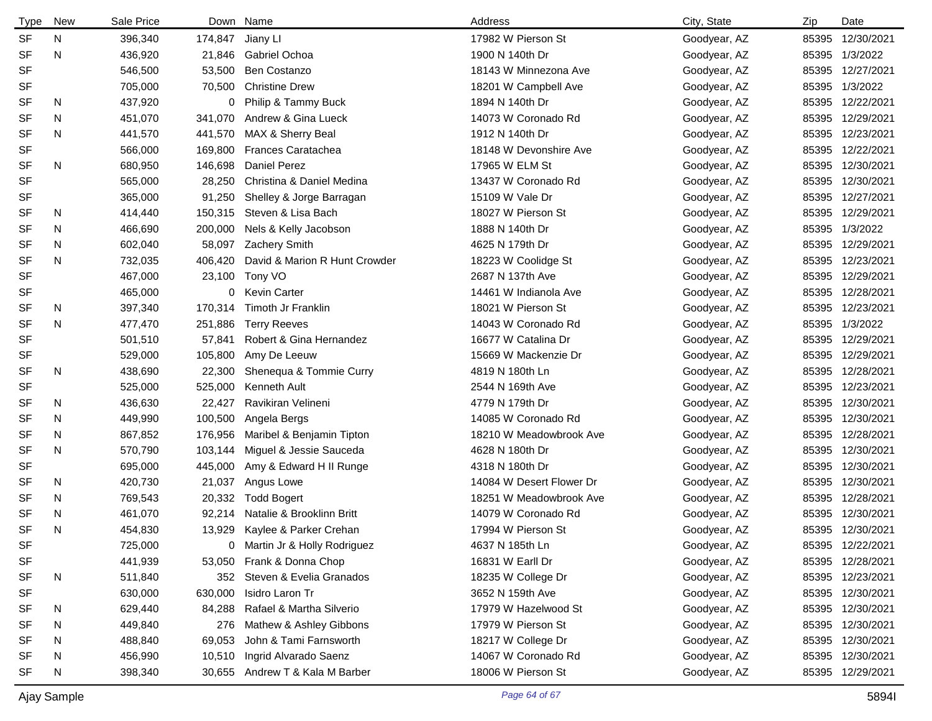| Type      | New | Sale Price |         | Down Name                     | Address                  | City, State  | Zip   | Date       |
|-----------|-----|------------|---------|-------------------------------|--------------------------|--------------|-------|------------|
| <b>SF</b> | N   | 396,340    | 174,847 | Jiany LI                      | 17982 W Pierson St       | Goodyear, AZ | 85395 | 12/30/2021 |
| <b>SF</b> | N   | 436,920    | 21,846  | <b>Gabriel Ochoa</b>          | 1900 N 140th Dr          | Goodyear, AZ | 85395 | 1/3/2022   |
| <b>SF</b> |     | 546,500    | 53,500  | Ben Costanzo                  | 18143 W Minnezona Ave    | Goodyear, AZ | 85395 | 12/27/2021 |
| <b>SF</b> |     | 705,000    | 70,500  | <b>Christine Drew</b>         | 18201 W Campbell Ave     | Goodyear, AZ | 85395 | 1/3/2022   |
| <b>SF</b> | N.  | 437,920    | 0       | Philip & Tammy Buck           | 1894 N 140th Dr          | Goodyear, AZ | 85395 | 12/22/2021 |
| <b>SF</b> | N   | 451,070    | 341,070 | Andrew & Gina Lueck           | 14073 W Coronado Rd      | Goodyear, AZ | 85395 | 12/29/2021 |
| <b>SF</b> | N   | 441,570    | 441,570 | MAX & Sherry Beal             | 1912 N 140th Dr          | Goodyear, AZ | 85395 | 12/23/2021 |
| <b>SF</b> |     | 566,000    | 169,800 | <b>Frances Caratachea</b>     | 18148 W Devonshire Ave   | Goodyear, AZ | 85395 | 12/22/2021 |
| <b>SF</b> | N   | 680,950    | 146,698 | <b>Daniel Perez</b>           | 17965 W ELM St           | Goodyear, AZ | 85395 | 12/30/2021 |
| <b>SF</b> |     | 565,000    | 28,250  | Christina & Daniel Medina     | 13437 W Coronado Rd      | Goodyear, AZ | 85395 | 12/30/2021 |
| <b>SF</b> |     | 365,000    | 91,250  | Shelley & Jorge Barragan      | 15109 W Vale Dr          | Goodyear, AZ | 85395 | 12/27/2021 |
| <b>SF</b> | N   | 414,440    | 150,315 | Steven & Lisa Bach            | 18027 W Pierson St       | Goodyear, AZ | 85395 | 12/29/2021 |
| <b>SF</b> | N   | 466,690    | 200,000 | Nels & Kelly Jacobson         | 1888 N 140th Dr          | Goodyear, AZ | 85395 | 1/3/2022   |
| <b>SF</b> | N   | 602,040    | 58,097  | <b>Zachery Smith</b>          | 4625 N 179th Dr          | Goodyear, AZ | 85395 | 12/29/2021 |
| <b>SF</b> | N   | 732,035    | 406,420 | David & Marion R Hunt Crowder | 18223 W Coolidge St      | Goodyear, AZ | 85395 | 12/23/2021 |
| <b>SF</b> |     | 467,000    | 23,100  | Tony VO                       | 2687 N 137th Ave         | Goodyear, AZ | 85395 | 12/29/2021 |
| <b>SF</b> |     | 465,000    |         | 0 Kevin Carter                | 14461 W Indianola Ave    | Goodyear, AZ | 85395 | 12/28/2021 |
| <b>SF</b> | N   | 397,340    | 170,314 | Timoth Jr Franklin            | 18021 W Pierson St       | Goodyear, AZ | 85395 | 12/23/2021 |
| <b>SF</b> | N   | 477,470    | 251,886 | <b>Terry Reeves</b>           | 14043 W Coronado Rd      | Goodyear, AZ | 85395 | 1/3/2022   |
| <b>SF</b> |     | 501,510    | 57,841  | Robert & Gina Hernandez       | 16677 W Catalina Dr      | Goodyear, AZ | 85395 | 12/29/2021 |
| <b>SF</b> |     | 529,000    | 105,800 | Amy De Leeuw                  | 15669 W Mackenzie Dr     | Goodyear, AZ | 85395 | 12/29/2021 |
| <b>SF</b> | N   | 438,690    | 22,300  | Shenequa & Tommie Curry       | 4819 N 180th Ln          | Goodyear, AZ | 85395 | 12/28/2021 |
| <b>SF</b> |     | 525,000    | 525,000 | Kenneth Ault                  | 2544 N 169th Ave         | Goodyear, AZ | 85395 | 12/23/2021 |
| SF        | N   | 436,630    | 22,427  | Ravikiran Velineni            | 4779 N 179th Dr          | Goodyear, AZ | 85395 | 12/30/2021 |
| <b>SF</b> | N   | 449,990    | 100,500 | Angela Bergs                  | 14085 W Coronado Rd      | Goodyear, AZ | 85395 | 12/30/2021 |
| <b>SF</b> | N   | 867,852    | 176,956 | Maribel & Benjamin Tipton     | 18210 W Meadowbrook Ave  | Goodyear, AZ | 85395 | 12/28/2021 |
| <b>SF</b> | N   | 570,790    | 103,144 | Miguel & Jessie Sauceda       | 4628 N 180th Dr          | Goodyear, AZ | 85395 | 12/30/2021 |
| <b>SF</b> |     | 695,000    | 445,000 | Amy & Edward H II Runge       | 4318 N 180th Dr          | Goodyear, AZ | 85395 | 12/30/2021 |
| <b>SF</b> | N   | 420,730    | 21,037  | Angus Lowe                    | 14084 W Desert Flower Dr | Goodyear, AZ | 85395 | 12/30/2021 |
| <b>SF</b> | N   | 769,543    | 20,332  | <b>Todd Bogert</b>            | 18251 W Meadowbrook Ave  | Goodyear, AZ | 85395 | 12/28/2021 |
| <b>SF</b> | N   | 461,070    | 92,214  | Natalie & Brooklinn Britt     | 14079 W Coronado Rd      | Goodyear, AZ | 85395 | 12/30/2021 |
| <b>SF</b> | N   | 454,830    | 13,929  | Kaylee & Parker Crehan        | 17994 W Pierson St       | Goodyear, AZ | 85395 | 12/30/2021 |
| SF        |     | 725,000    | 0       | Martin Jr & Holly Rodriguez   | 4637 N 185th Ln          | Goodyear, AZ | 85395 | 12/22/2021 |
| <b>SF</b> |     | 441,939    | 53,050  | Frank & Donna Chop            | 16831 W Earll Dr         | Goodyear, AZ | 85395 | 12/28/2021 |
| <b>SF</b> | N   | 511,840    | 352     | Steven & Evelia Granados      | 18235 W College Dr       | Goodyear, AZ | 85395 | 12/23/2021 |
| <b>SF</b> |     | 630,000    | 630,000 | Isidro Laron Tr               | 3652 N 159th Ave         | Goodyear, AZ | 85395 | 12/30/2021 |
| SF        | N   | 629,440    | 84,288  | Rafael & Martha Silverio      | 17979 W Hazelwood St     | Goodyear, AZ | 85395 | 12/30/2021 |
| SF        | N   | 449,840    | 276     | Mathew & Ashley Gibbons       | 17979 W Pierson St       | Goodyear, AZ | 85395 | 12/30/2021 |
| SF        | N   | 488,840    | 69,053  | John & Tami Farnsworth        | 18217 W College Dr       | Goodyear, AZ | 85395 | 12/30/2021 |
| <b>SF</b> | N   | 456,990    | 10,510  | Ingrid Alvarado Saenz         | 14067 W Coronado Rd      | Goodyear, AZ | 85395 | 12/30/2021 |
| <b>SF</b> | N   | 398,340    | 30,655  | Andrew T & Kala M Barber      | 18006 W Pierson St       | Goodyear, AZ | 85395 | 12/29/2021 |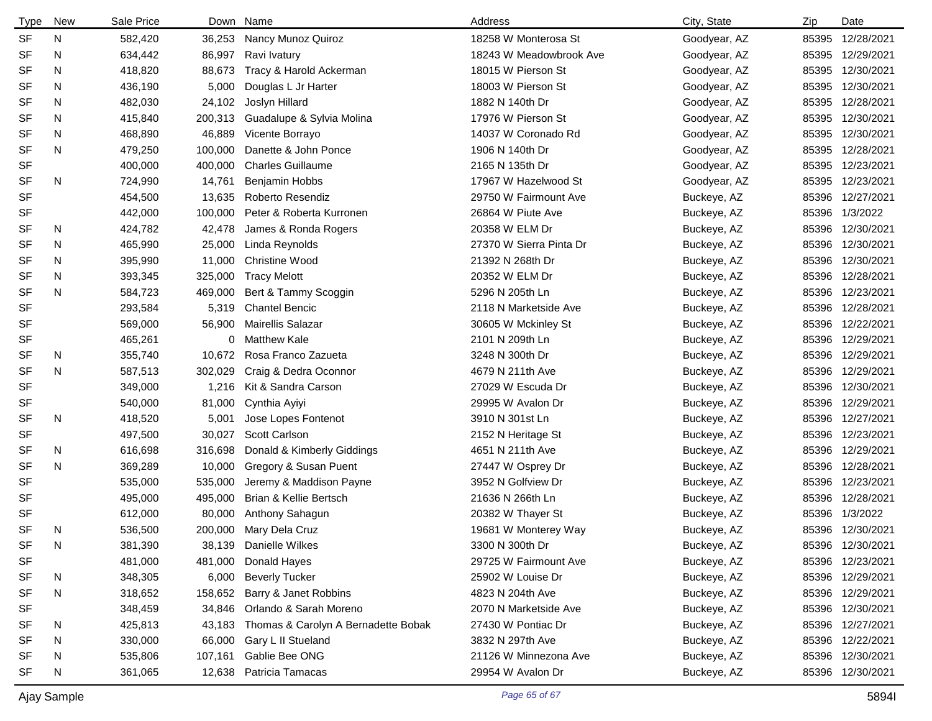| <b>Type</b> | <b>New</b> | Sale Price |         | Down Name                           | Address                 | City, State  | Zip   | Date             |
|-------------|------------|------------|---------|-------------------------------------|-------------------------|--------------|-------|------------------|
| <b>SF</b>   | N          | 582,420    | 36,253  | Nancy Munoz Quiroz                  | 18258 W Monterosa St    | Goodyear, AZ |       | 85395 12/28/2021 |
| <b>SF</b>   | N          | 634,442    | 86,997  | Ravi Ivatury                        | 18243 W Meadowbrook Ave | Goodyear, AZ |       | 85395 12/29/2021 |
| SF          | N          | 418,820    | 88,673  | Tracy & Harold Ackerman             | 18015 W Pierson St      | Goodyear, AZ |       | 85395 12/30/2021 |
| <b>SF</b>   | N          | 436,190    | 5,000   | Douglas L Jr Harter                 | 18003 W Pierson St      | Goodyear, AZ | 85395 | 12/30/2021       |
| SF          | N          | 482,030    | 24,102  | Joslyn Hillard                      | 1882 N 140th Dr         | Goodyear, AZ | 85395 | 12/28/2021       |
| <b>SF</b>   | N          | 415,840    | 200,313 | Guadalupe & Sylvia Molina           | 17976 W Pierson St      | Goodyear, AZ |       | 85395 12/30/2021 |
| SF          | N          | 468,890    | 46,889  | Vicente Borrayo                     | 14037 W Coronado Rd     | Goodyear, AZ |       | 85395 12/30/2021 |
| <b>SF</b>   | N          | 479,250    | 100,000 | Danette & John Ponce                | 1906 N 140th Dr         | Goodyear, AZ |       | 85395 12/28/2021 |
| SF          |            | 400,000    | 400,000 | <b>Charles Guillaume</b>            | 2165 N 135th Dr         | Goodyear, AZ |       | 85395 12/23/2021 |
| <b>SF</b>   | N          | 724,990    | 14,761  | Benjamin Hobbs                      | 17967 W Hazelwood St    | Goodyear, AZ |       | 85395 12/23/2021 |
| <b>SF</b>   |            | 454,500    | 13,635  | Roberto Resendiz                    | 29750 W Fairmount Ave   | Buckeye, AZ  |       | 85396 12/27/2021 |
| <b>SF</b>   |            | 442,000    | 100,000 | Peter & Roberta Kurronen            | 26864 W Piute Ave       | Buckeye, AZ  |       | 85396 1/3/2022   |
| SF          | N          | 424,782    | 42,478  | James & Ronda Rogers                | 20358 W ELM Dr          | Buckeye, AZ  | 85396 | 12/30/2021       |
| SF          | N          | 465,990    | 25,000  | Linda Reynolds                      | 27370 W Sierra Pinta Dr | Buckeye, AZ  | 85396 | 12/30/2021       |
| SF          | N          | 395,990    | 11,000  | <b>Christine Wood</b>               | 21392 N 268th Dr        | Buckeye, AZ  |       | 85396 12/30/2021 |
| SF          | N          | 393,345    | 325,000 | <b>Tracy Melott</b>                 | 20352 W ELM Dr          | Buckeye, AZ  |       | 85396 12/28/2021 |
| <b>SF</b>   | N          | 584,723    | 469,000 | Bert & Tammy Scoggin                | 5296 N 205th Ln         | Buckeye, AZ  | 85396 | 12/23/2021       |
| <b>SF</b>   |            | 293,584    | 5,319   | <b>Chantel Bencic</b>               | 2118 N Marketside Ave   | Buckeye, AZ  |       | 85396 12/28/2021 |
| <b>SF</b>   |            | 569,000    | 56,900  | <b>Mairellis Salazar</b>            | 30605 W Mckinley St     | Buckeye, AZ  |       | 85396 12/22/2021 |
| SF          |            | 465,261    | 0       | <b>Matthew Kale</b>                 | 2101 N 209th Ln         | Buckeye, AZ  |       | 85396 12/29/2021 |
| SF          | N          | 355,740    | 10,672  | Rosa Franco Zazueta                 | 3248 N 300th Dr         | Buckeye, AZ  | 85396 | 12/29/2021       |
| <b>SF</b>   | N          | 587,513    | 302,029 | Craig & Dedra Oconnor               | 4679 N 211th Ave        | Buckeye, AZ  | 85396 | 12/29/2021       |
| <b>SF</b>   |            | 349,000    | 1,216   | Kit & Sandra Carson                 | 27029 W Escuda Dr       | Buckeye, AZ  |       | 85396 12/30/2021 |
| SF          |            | 540,000    | 81,000  | Cynthia Ayiyi                       | 29995 W Avalon Dr       | Buckeye, AZ  | 85396 | 12/29/2021       |
| <b>SF</b>   | N          | 418,520    | 5,001   | Jose Lopes Fontenot                 | 3910 N 301st Ln         | Buckeye, AZ  |       | 85396 12/27/2021 |
| SF          |            | 497,500    | 30,027  | Scott Carlson                       | 2152 N Heritage St      | Buckeye, AZ  | 85396 | 12/23/2021       |
| SF          | N          | 616,698    | 316,698 | Donald & Kimberly Giddings          | 4651 N 211th Ave        | Buckeye, AZ  |       | 85396 12/29/2021 |
| <b>SF</b>   | N          | 369,289    | 10,000  | Gregory & Susan Puent               | 27447 W Osprey Dr       | Buckeye, AZ  |       | 85396 12/28/2021 |
| <b>SF</b>   |            | 535,000    | 535,000 | Jeremy & Maddison Payne             | 3952 N Golfview Dr      | Buckeye, AZ  |       | 85396 12/23/2021 |
| SF          |            | 495,000    | 495,000 | Brian & Kellie Bertsch              | 21636 N 266th Ln        | Buckeye, AZ  |       | 85396 12/28/2021 |
| <b>SF</b>   |            | 612,000    | 80,000  | Anthony Sahagun                     | 20382 W Thayer St       | Buckeye, AZ  |       | 85396 1/3/2022   |
| <b>SF</b>   | N          | 536,500    | 200,000 | Mary Dela Cruz                      | 19681 W Monterey Way    | Buckeye, AZ  |       | 85396 12/30/2021 |
| SF          | N          | 381,390    | 38,139  | Danielle Wilkes                     | 3300 N 300th Dr         | Buckeye, AZ  |       | 85396 12/30/2021 |
| SF          |            | 481,000    | 481,000 | Donald Hayes                        | 29725 W Fairmount Ave   | Buckeye, AZ  |       | 85396 12/23/2021 |
| <b>SF</b>   | N          | 348,305    | 6,000   | <b>Beverly Tucker</b>               | 25902 W Louise Dr       | Buckeye, AZ  |       | 85396 12/29/2021 |
| <b>SF</b>   | N          | 318,652    | 158,652 | Barry & Janet Robbins               | 4823 N 204th Ave        | Buckeye, AZ  |       | 85396 12/29/2021 |
| <b>SF</b>   |            | 348,459    | 34,846  | Orlando & Sarah Moreno              | 2070 N Marketside Ave   | Buckeye, AZ  |       | 85396 12/30/2021 |
| <b>SF</b>   | N          | 425,813    | 43,183  | Thomas & Carolyn A Bernadette Bobak | 27430 W Pontiac Dr      | Buckeye, AZ  |       | 85396 12/27/2021 |
| SF          | N          | 330,000    | 66,000  | Gary L II Stueland                  | 3832 N 297th Ave        | Buckeye, AZ  |       | 85396 12/22/2021 |
| SF          | N          | 535,806    | 107,161 | Gablie Bee ONG                      | 21126 W Minnezona Ave   | Buckeye, AZ  |       | 85396 12/30/2021 |
| <b>SF</b>   | N          | 361,065    | 12,638  | Patricia Tamacas                    | 29954 W Avalon Dr       | Buckeye, AZ  |       | 85396 12/30/2021 |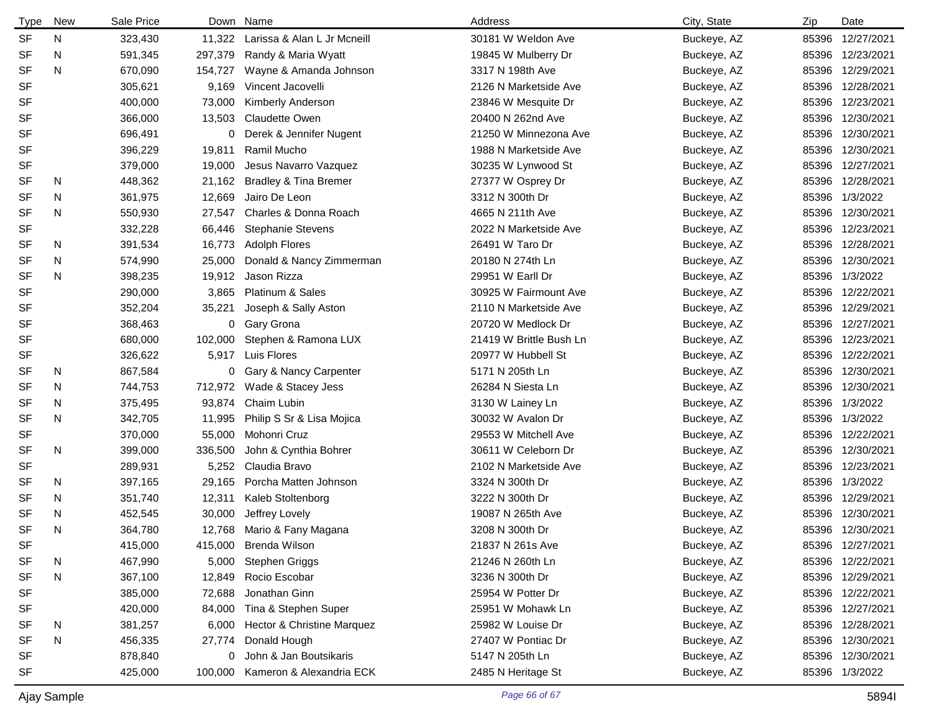| <b>Type</b> | New | Sale Price |         | Down Name                        | Address                 | City, State | Zip   | Date             |
|-------------|-----|------------|---------|----------------------------------|-------------------------|-------------|-------|------------------|
| <b>SF</b>   | N   | 323,430    | 11,322  | Larissa & Alan L Jr Mcneill      | 30181 W Weldon Ave      | Buckeye, AZ | 85396 | 12/27/2021       |
| SF          | N   | 591,345    | 297,379 | Randy & Maria Wyatt              | 19845 W Mulberry Dr     | Buckeye, AZ | 85396 | 12/23/2021       |
| <b>SF</b>   | N   | 670,090    | 154,727 | Wayne & Amanda Johnson           | 3317 N 198th Ave        | Buckeye, AZ | 85396 | 12/29/2021       |
| <b>SF</b>   |     | 305,621    | 9,169   | Vincent Jacovelli                | 2126 N Marketside Ave   | Buckeye, AZ | 85396 | 12/28/2021       |
| <b>SF</b>   |     | 400,000    | 73,000  | Kimberly Anderson                | 23846 W Mesquite Dr     | Buckeye, AZ | 85396 | 12/23/2021       |
| <b>SF</b>   |     | 366,000    | 13,503  | <b>Claudette Owen</b>            | 20400 N 262nd Ave       | Buckeye, AZ | 85396 | 12/30/2021       |
| <b>SF</b>   |     | 696,491    | 0       | Derek & Jennifer Nugent          | 21250 W Minnezona Ave   | Buckeye, AZ | 85396 | 12/30/2021       |
| SF          |     | 396,229    | 19,811  | Ramil Mucho                      | 1988 N Marketside Ave   | Buckeye, AZ | 85396 | 12/30/2021       |
| <b>SF</b>   |     | 379,000    | 19,000  | Jesus Navarro Vazquez            | 30235 W Lynwood St      | Buckeye, AZ | 85396 | 12/27/2021       |
| SF          | N.  | 448,362    | 21,162  | <b>Bradley &amp; Tina Bremer</b> | 27377 W Osprey Dr       | Buckeye, AZ | 85396 | 12/28/2021       |
| <b>SF</b>   | N   | 361,975    | 12,669  | Jairo De Leon                    | 3312 N 300th Dr         | Buckeye, AZ | 85396 | 1/3/2022         |
| <b>SF</b>   | N   | 550,930    | 27,547  | Charles & Donna Roach            | 4665 N 211th Ave        | Buckeye, AZ | 85396 | 12/30/2021       |
| <b>SF</b>   |     | 332,228    | 66,446  | <b>Stephanie Stevens</b>         | 2022 N Marketside Ave   | Buckeye, AZ | 85396 | 12/23/2021       |
| SF          | N.  | 391,534    | 16,773  | <b>Adolph Flores</b>             | 26491 W Taro Dr         | Buckeye, AZ | 85396 | 12/28/2021       |
| SF          | N   | 574,990    | 25,000  | Donald & Nancy Zimmerman         | 20180 N 274th Ln        | Buckeye, AZ | 85396 | 12/30/2021       |
| <b>SF</b>   | N   | 398,235    | 19,912  | Jason Rizza                      | 29951 W Earll Dr        | Buckeye, AZ | 85396 | 1/3/2022         |
| <b>SF</b>   |     | 290,000    | 3,865   | Platinum & Sales                 | 30925 W Fairmount Ave   | Buckeye, AZ | 85396 | 12/22/2021       |
| <b>SF</b>   |     | 352,204    | 35,221  | Joseph & Sally Aston             | 2110 N Marketside Ave   | Buckeye, AZ | 85396 | 12/29/2021       |
| SF          |     | 368,463    |         | 0 Gary Grona                     | 20720 W Medlock Dr      | Buckeye, AZ | 85396 | 12/27/2021       |
| SF          |     | 680,000    | 102,000 | Stephen & Ramona LUX             | 21419 W Brittle Bush Ln | Buckeye, AZ | 85396 | 12/23/2021       |
| SF          |     | 326,622    | 5,917   | Luis Flores                      | 20977 W Hubbell St      | Buckeye, AZ | 85396 | 12/22/2021       |
| SF          | N   | 867,584    |         | 0 Gary & Nancy Carpenter         | 5171 N 205th Ln         | Buckeye, AZ | 85396 | 12/30/2021       |
| <b>SF</b>   | N   | 744,753    | 712,972 | Wade & Stacey Jess               | 26284 N Siesta Ln       | Buckeye, AZ | 85396 | 12/30/2021       |
| SF          | N   | 375,495    | 93,874  | Chaim Lubin                      | 3130 W Lainey Ln        | Buckeye, AZ | 85396 | 1/3/2022         |
| <b>SF</b>   | N   | 342,705    | 11,995  | Philip S Sr & Lisa Mojica        | 30032 W Avalon Dr       | Buckeye, AZ | 85396 | 1/3/2022         |
| SF          |     | 370,000    | 55,000  | Mohonri Cruz                     | 29553 W Mitchell Ave    | Buckeye, AZ | 85396 | 12/22/2021       |
| <b>SF</b>   | N   | 399,000    | 336,500 | John & Cynthia Bohrer            | 30611 W Celeborn Dr     | Buckeye, AZ | 85396 | 12/30/2021       |
| <b>SF</b>   |     | 289,931    | 5,252   | Claudia Bravo                    | 2102 N Marketside Ave   | Buckeye, AZ | 85396 | 12/23/2021       |
| <b>SF</b>   | N   | 397,165    | 29,165  | Porcha Matten Johnson            | 3324 N 300th Dr         | Buckeye, AZ | 85396 | 1/3/2022         |
| <b>SF</b>   | N.  | 351,740    | 12,311  | Kaleb Stoltenborg                | 3222 N 300th Dr         | Buckeye, AZ | 85396 | 12/29/2021       |
| <b>SF</b>   | N.  | 452,545    | 30,000  | Jeffrey Lovely                   | 19087 N 265th Ave       | Buckeye, AZ | 85396 | 12/30/2021       |
| <b>SF</b>   | N   | 364,780    | 12,768  | Mario & Fany Magana              | 3208 N 300th Dr         | Buckeye, AZ |       | 85396 12/30/2021 |
| SF          |     | 415,000    |         | 415,000 Brenda Wilson            | 21837 N 261s Ave        | Buckeye, AZ | 85396 | 12/27/2021       |
| <b>SF</b>   | N   | 467,990    | 5,000   | <b>Stephen Griggs</b>            | 21246 N 260th Ln        | Buckeye, AZ |       | 85396 12/22/2021 |
| <b>SF</b>   | N   | 367,100    | 12,849  | Rocio Escobar                    | 3236 N 300th Dr         | Buckeye, AZ |       | 85396 12/29/2021 |
| SF          |     | 385,000    | 72,688  | Jonathan Ginn                    | 25954 W Potter Dr       | Buckeye, AZ |       | 85396 12/22/2021 |
| SF          |     | 420,000    | 84,000  | Tina & Stephen Super             | 25951 W Mohawk Ln       | Buckeye, AZ |       | 85396 12/27/2021 |
| <b>SF</b>   | N   | 381,257    | 6,000   | Hector & Christine Marquez       | 25982 W Louise Dr       | Buckeye, AZ |       | 85396 12/28/2021 |
| SF          | N   | 456,335    | 27,774  | Donald Hough                     | 27407 W Pontiac Dr      | Buckeye, AZ |       | 85396 12/30/2021 |
| SF          |     | 878,840    | 0       | John & Jan Boutsikaris           | 5147 N 205th Ln         | Buckeye, AZ | 85396 | 12/30/2021       |
| SF          |     | 425,000    |         | 100,000 Kameron & Alexandria ECK | 2485 N Heritage St      | Buckeye, AZ |       | 85396 1/3/2022   |